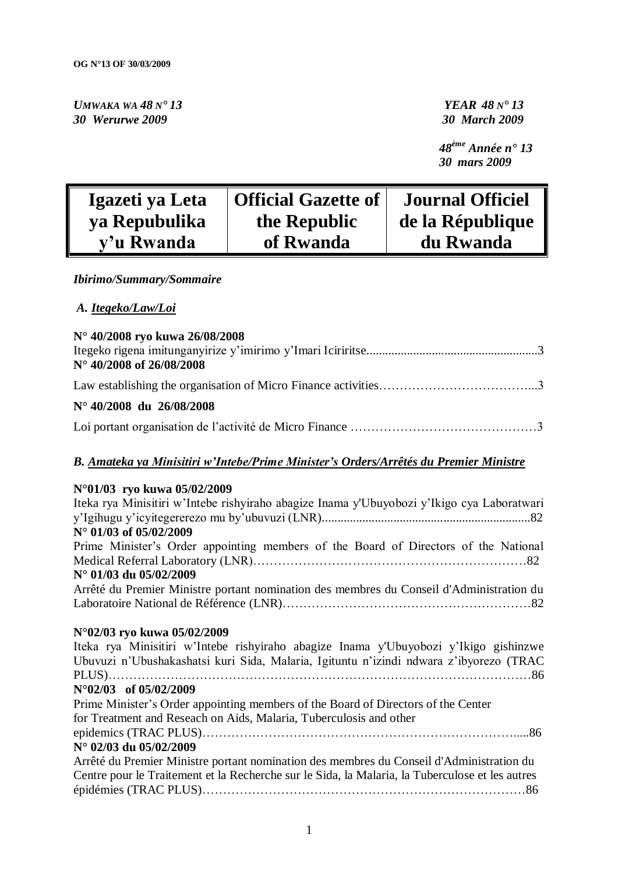*UMWAKA WA 48 N° 13 YEAR 48 N° 13 30 Werurwe 2009 30 March 2009*

 *48ème Année n° 13 30 mars 2009*

| Igazeti ya Leta | <b>Official Gazette of</b> | <b>Journal Officiel</b> |
|-----------------|----------------------------|-------------------------|
| ya Repubulika   | the Republic               | de la République        |
| y'u Rwanda      | of Rwanda                  | du Rwanda               |

### *Ibirimo/Summary/Sommaire*

### *A. Itegeko/Law/Loi*

| N° 40/2008 ryo kuwa 26/08/2008    |  |
|-----------------------------------|--|
| $N^{\circ}$ 40/2008 of 26/08/2008 |  |
|                                   |  |
| $N^{\circ}$ 40/2008 du 26/08/2008 |  |
|                                   |  |

### *B. Amateka ya Minisitiri w'Intebe/Prime Minister's Orders/Arrêtés du Premier Ministre*

#### **N°01/03 ryo kuwa 05/02/2009**

| Iteka rya Minisitiri w'Intebe rishyiraho abagize Inama y'Ubuyobozi y'Ikigo cya Laboratwari      |
|-------------------------------------------------------------------------------------------------|
| N° 01/03 of 05/02/2009                                                                          |
| Prime Minister's Order appointing members of the Board of Directors of the National             |
|                                                                                                 |
| N° 01/03 du 05/02/2009                                                                          |
| Arrêté du Premier Ministre portant nomination des membres du Conseil d'Administration du        |
|                                                                                                 |
| N°02/03 ryo kuwa 05/02/2009                                                                     |
| Iteka rya Minisitiri w'Intebe rishyiraho abagize Inama y'Ubuyobozi y'Ikigo gishinzwe            |
| Ubuvuzi n'Ubushakashatsi kuri Sida, Malaria, Igituntu n'izindi ndwara z'ibyorezo (TRAC          |
|                                                                                                 |
| $N^{\circ}02/03$ of 05/02/2009                                                                  |
| Prime Minister's Order appointing members of the Board of Directors of the Center               |
| for Treatment and Reseach on Aids, Malaria, Tuberculosis and other                              |
|                                                                                                 |
| N° 02/03 du 05/02/2009                                                                          |
| Arrêté du Premier Ministre portant nomination des membres du Conseil d'Administration du        |
| Centre pour le Traitement et la Recherche sur le Sida, la Malaria, la Tuberculose et les autres |
|                                                                                                 |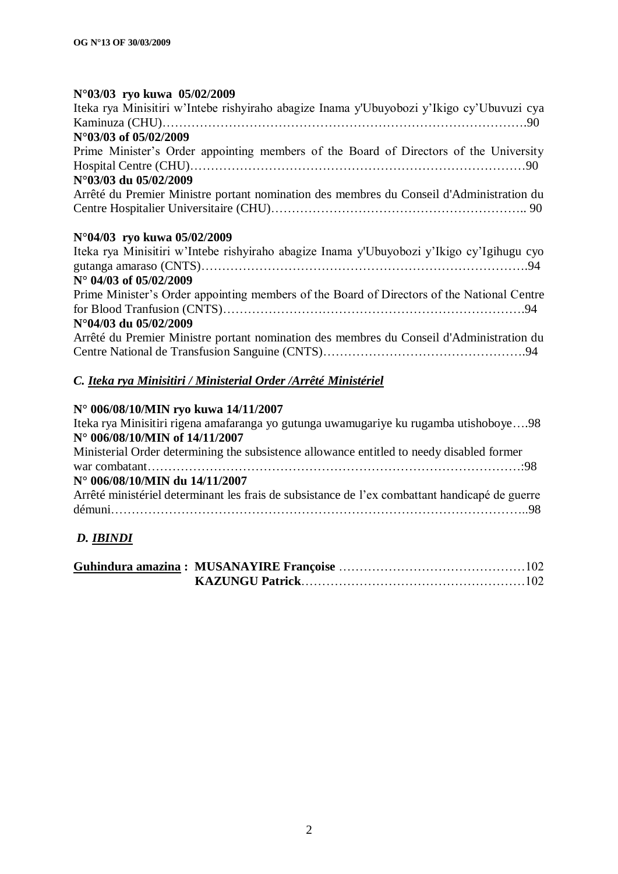#### **N°03/03 ryo kuwa 05/02/2009**

| Iteka rya Minisitiri w'Intebe rishyiraho abagize Inama y'Ubuyobozi y'Ikigo cy'Ubuvuzi cya  |
|--------------------------------------------------------------------------------------------|
|                                                                                            |
| N°03/03 of 05/02/2009                                                                      |
| Prime Minister's Order appointing members of the Board of Directors of the University      |
|                                                                                            |
| N°03/03 du 05/02/2009                                                                      |
| Arrêté du Premier Ministre portant nomination des membres du Conseil d'Administration du   |
|                                                                                            |
| N°04/03 ryo kuwa 05/02/2009                                                                |
| Iteka rya Minisitiri w'Intebe rishyiraho abagize Inama y'Ubuyobozi y'Ikigo cy'Igihugu cyo  |
| $N^{\circ}$ 04/03 of 05/02/2009                                                            |
| Prime Minister's Order appointing members of the Board of Directors of the National Centre |
| N°04/03 du 05/02/2009                                                                      |
| Arrêté du Premier Ministre portant nomination des membres du Conseil d'Administration du   |
|                                                                                            |
| C. Iteka rya Minisitiri / Ministerial Order / Arrêté Ministériel                           |

#### **N° 006/08/10/MIN ryo kuwa 14/11/2007**

Iteka rya Minisitiri rigena amafaranga yo gutunga uwamugariye ku rugamba utishoboye….98 **N° 006/08/10/MIN of 14/11/2007** Ministerial Order determining the subsistence allowance entitled to needy disabled former war combatant………………………………………………………………………………:98 **N° 006/08/10/MIN du 14/11/2007** Arrêté ministériel determinant les frais de subsistance de l"ex combattant handicapé de guerre démuni………………………………………………………………………………………..98

### *D. IBINDI*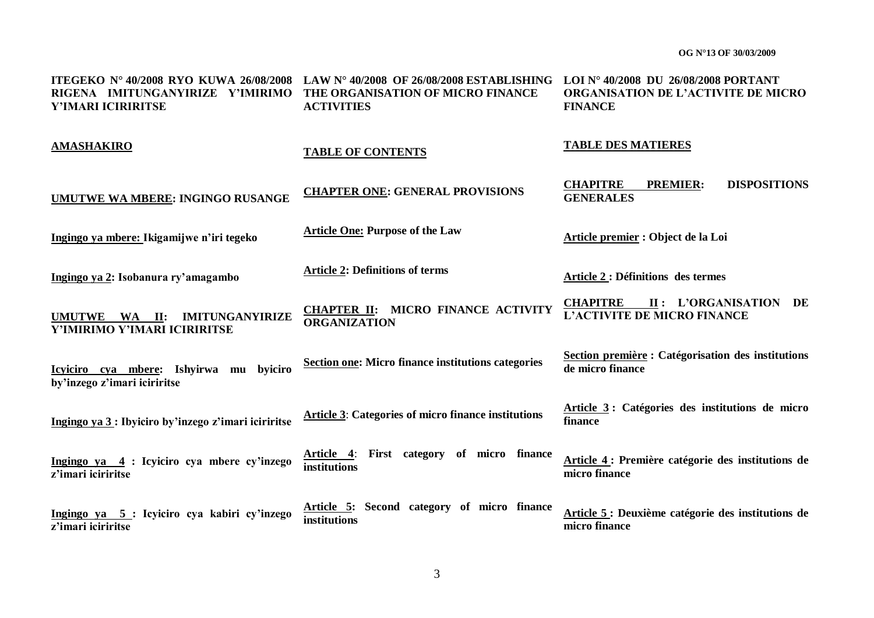| <b>ITEGEKO Nº 40/2008 RYO KUWA 26/08/2008</b><br>RIGENA IMITUNGANYIRIZE Y'IMIRIMO<br>Y'IMARI ICIRIRITSE | LAW N° 40/2008 OF 26/08/2008 ESTABLISHING LOI N° 40/2008 DU 26/08/2008 PORTANT<br>THE ORGANISATION OF MICRO FINANCE<br><b>ACTIVITIES</b> | ORGANISATION DE L'ACTIVITE DE MICRO<br><b>FINANCE</b>                          |
|---------------------------------------------------------------------------------------------------------|------------------------------------------------------------------------------------------------------------------------------------------|--------------------------------------------------------------------------------|
| <b>AMASHAKIRO</b>                                                                                       | <b>TABLE OF CONTENTS</b>                                                                                                                 | <b>TABLE DES MATIERES</b>                                                      |
| UMUTWE WA MBERE: INGINGO RUSANGE                                                                        | <b>CHAPTER ONE: GENERAL PROVISIONS</b>                                                                                                   | <b>DISPOSITIONS</b><br><b>CHAPITRE</b><br><b>PREMIER:</b><br><b>GENERALES</b>  |
| Ingingo ya mbere: Ikigamijwe n'iri tegeko                                                               | <b>Article One: Purpose of the Law</b>                                                                                                   | Article premier : Object de la Loi                                             |
| Ingingo ya 2: Isobanura ry'amagambo                                                                     | <b>Article 2: Definitions of terms</b>                                                                                                   | <b>Article 2 : Définitions des termes</b>                                      |
| <b>IMITUNGANYIRIZE</b><br>UMUTWE WA II:<br>Y'IMIRIMO Y'IMARI ICIRIRITSE                                 | CHAPTER II: MICRO FINANCE ACTIVITY<br><b>ORGANIZATION</b>                                                                                | <b>CHAPITRE</b><br>II: L'ORGANISATION DE<br><b>L'ACTIVITE DE MICRO FINANCE</b> |
| Icyiciro cya mbere: Ishyirwa mu byiciro<br>by'inzego z'imari iciriritse                                 | Section one: Micro finance institutions categories                                                                                       | Section première : Catégorisation des institutions<br>de micro finance         |
| Ingingo ya 3 : Ibyiciro by'inzego z'imari iciriritse                                                    | <b>Article 3: Categories of micro finance institutions</b>                                                                               | Article 3: Catégories des institutions de micro<br>finance                     |
| Ingingo ya 4 : Icyiciro cya mbere cy'inzego<br>z'imari iciriritse                                       | Article 4: First category of micro finance<br>institutions                                                                               | Article 4: Première catégorie des institutions de<br>micro finance             |
| Ingingo ya 5: Icyiciro cya kabiri cy'inzego<br>z'imari iciriritse                                       | Article 5: Second category of micro finance<br>institutions                                                                              | Article 5 : Deuxième catégorie des institutions de<br>micro finance            |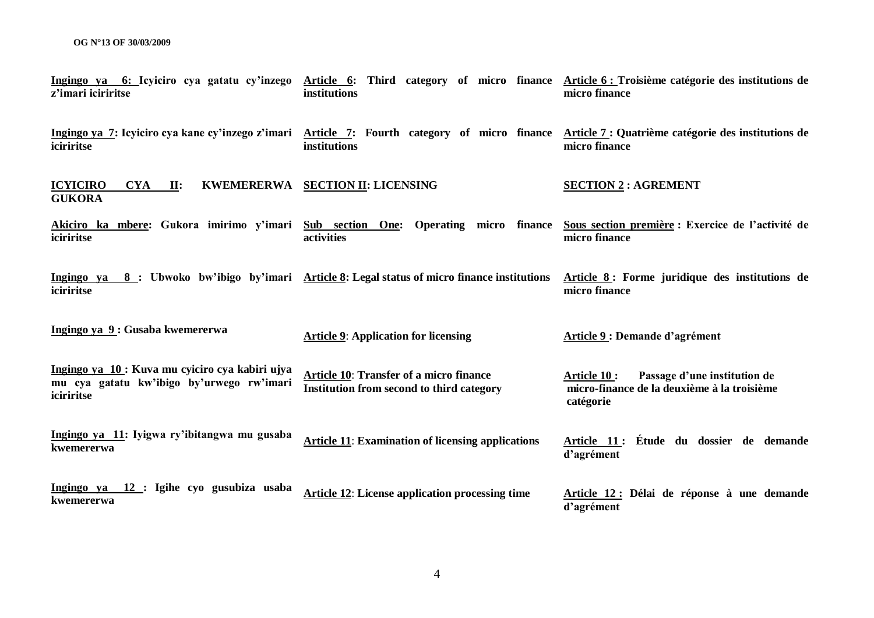| Ingingo ya 6: Icyiciro cya gatatu cy'inzego<br>z'imari iciriritse                                          | Article 6: Third category of micro finance Article 6: Troisième catégorie des institutions de<br>institutions | micro finance                                                                                            |
|------------------------------------------------------------------------------------------------------------|---------------------------------------------------------------------------------------------------------------|----------------------------------------------------------------------------------------------------------|
| iciriritse                                                                                                 | Ingingo ya 7: Icyiciro cya kane cy'inzego z'imari Article 7: Fourth category of micro finance<br>institutions | Article 7 : Quatrième catégorie des institutions de<br>micro finance                                     |
| <b>ICYICIRO</b><br><b>KWEMERERWA</b><br><b>CYA</b><br>$\mathbf{II}$ :<br><b>GUKORA</b>                     | <b>SECTION II: LICENSING</b>                                                                                  | <b>SECTION 2: AGREMENT</b>                                                                               |
| iciriritse                                                                                                 | Akiciro ka mbere: Gukora imirimo y'imari Sub section One: Operating micro finance<br>activities               | Sous section première : Exercice de l'activité de<br>micro finance                                       |
| iciriritse                                                                                                 | Ingingo ya 8: Ubwoko bw'ibigo by'imari Article 8: Legal status of micro finance institutions                  | Article 8: Forme juridique des institutions de<br>micro finance                                          |
| Ingingo ya 9: Gusaba kwemererwa                                                                            | <b>Article 9: Application for licensing</b>                                                                   | <b>Article 9: Demande d'agrément</b>                                                                     |
| Ingingo ya 10 : Kuva mu cyiciro cya kabiri ujya<br>mu cya gatatu kw'ibigo by'urwego rw'imari<br>iciriritse | <b>Article 10: Transfer of a micro finance</b><br>Institution from second to third category                   | Passage d'une institution de<br>Article 10 :<br>micro-finance de la deuxième à la troisième<br>catégorie |
| Ingingo ya 11: Iyigwa ry'ibitangwa mu gusaba<br>kwemererwa                                                 | <b>Article 11: Examination of licensing applications</b>                                                      | Article 11: Étude du dossier de demande<br>d'agrément                                                    |
| Ingingo ya 12 : Igihe cyo gusubiza usaba<br>kwemererwa                                                     | <b>Article 12: License application processing time</b>                                                        | Article 12 : Délai de réponse à une demande<br>d'agrément                                                |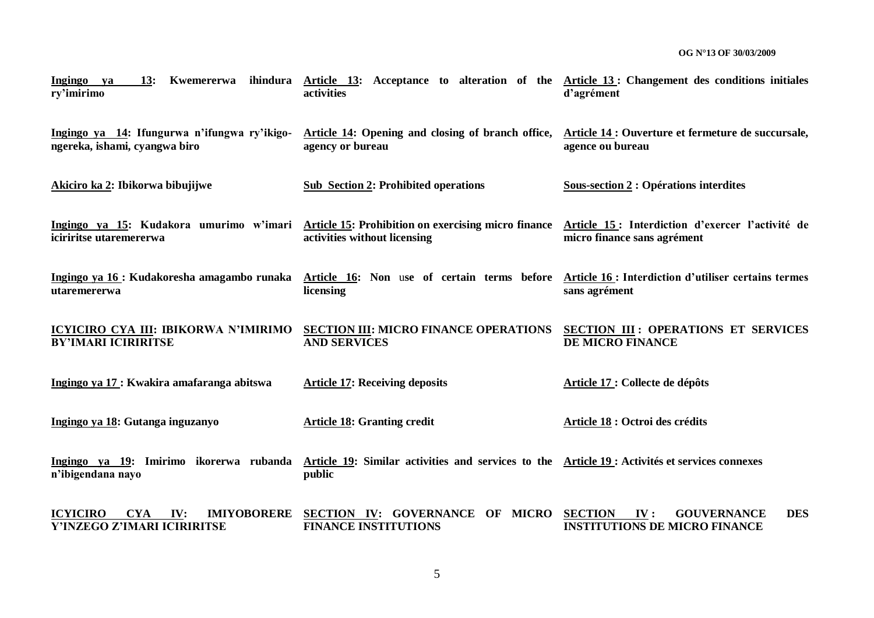| Kwemererwa ihindura<br><b>Ingingo</b><br>13:<br>ya<br>ry'imirimo                          | Article 13: Acceptance to alteration of the Article 13: Changement des conditions initiales<br>activities | d'agrément                                                                                        |
|-------------------------------------------------------------------------------------------|-----------------------------------------------------------------------------------------------------------|---------------------------------------------------------------------------------------------------|
| Ingingo ya 14: Ifungurwa n'ifungwa ry'ikigo-<br>ngereka, ishami, cyangwa biro             | Article 14: Opening and closing of branch office,<br>agency or bureau                                     | Article 14 : Ouverture et fermeture de succursale,<br>agence ou bureau                            |
| Akiciro ka 2: Ibikorwa bibujijwe                                                          | <b>Sub Section 2: Prohibited operations</b>                                                               | <b>Sous-section 2 : Opérations interdites</b>                                                     |
| Ingingo ya 15: Kudakora umurimo w'imari<br>iciriritse utaremererwa                        | <b>Article 15: Prohibition on exercising micro finance</b><br>activities without licensing                | Article 15 : Interdiction d'exercer l'activité de<br>micro finance sans agrément                  |
| utaremererwa                                                                              | Ingingo ya 16 : Kudakoresha amagambo runaka Article 16: Non use of certain terms before<br>licensing      | Article 16 : Interdiction d'utiliser certains termes<br>sans agrément                             |
| ICYICIRO CYA III: IBIKORWA N'IMIRIMO<br><b>BY'IMARI ICIRIRITSE</b>                        | <b>SECTION III: MICRO FINANCE OPERATIONS</b><br><b>AND SERVICES</b>                                       | <b>SECTION III: OPERATIONS ET SERVICES</b><br>DE MICRO FINANCE                                    |
| Ingingo ya 17 : Kwakira amafaranga abitswa                                                | <b>Article 17: Receiving deposits</b>                                                                     | Article 17 : Collecte de dépôts                                                                   |
| Ingingo ya 18: Gutanga inguzanyo                                                          | <b>Article 18: Granting credit</b>                                                                        | Article 18 : Octroi des crédits                                                                   |
| Ingingo ya 19: Imirimo ikorerwa rubanda<br>n'ibigendana nayo                              | Article 19: Similar activities and services to the Article 19 : Activités et services connexes<br>public  |                                                                                                   |
| <b>ICYICIRO</b><br><b>IMIYOBORERE</b><br><b>CYA</b><br>IV:<br>Y'INZEGO Z'IMARI ICIRIRITSE | SECTION IV: GOVERNANCE OF MICRO<br><b>FINANCE INSTITUTIONS</b>                                            | <b>DES</b><br><b>GOUVERNANCE</b><br><b>SECTION</b><br>IV:<br><b>INSTITUTIONS DE MICRO FINANCE</b> |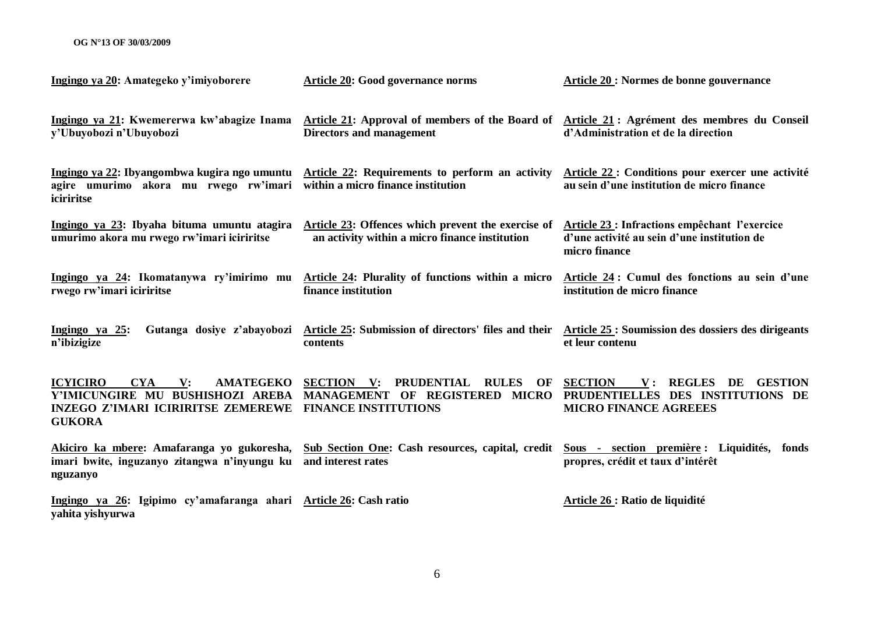| Ingingo ya 20: Amategeko y'imiyoborere                                                                                                                                | <b>Article 20: Good governance norms</b>                                                                                                | Article 20 : Normes de bonne gouvernance                                                                                           |
|-----------------------------------------------------------------------------------------------------------------------------------------------------------------------|-----------------------------------------------------------------------------------------------------------------------------------------|------------------------------------------------------------------------------------------------------------------------------------|
| Ingingo ya 21: Kwemererwa kw'abagize Inama<br>y'Ubuyobozi n'Ubuyobozi                                                                                                 | Article 21: Approval of members of the Board of<br><b>Directors and management</b>                                                      | Article 21 : Agrément des membres du Conseil<br>d'Administration et de la direction                                                |
| agire umurimo akora mu rwego rw'imari<br>iciriritse                                                                                                                   | Ingingo ya 22: Ibyangombwa kugira ngo umuntu Article 22: Requirements to perform an activity<br>within a micro finance institution      | Article 22 : Conditions pour exercer une activité<br>au sein d'une institution de micro finance                                    |
| Ingingo ya 23: Ibyaha bituma umuntu atagira<br>umurimo akora mu rwego rw'imari iciriritse                                                                             | Article 23: Offences which prevent the exercise of<br>an activity within a micro finance institution                                    | <b>Article 23: Infractions empêchant l'exercice</b><br>d'une activité au sein d'une institution de<br>micro finance                |
| Ingingo ya 24: Ikomatanywa ry'imirimo mu<br>rwego rw'imari iciriritse                                                                                                 | Article 24: Plurality of functions within a micro<br>finance institution                                                                | Article 24 : Cumul des fonctions au sein d'une<br>institution de micro finance                                                     |
| Ingingo ya $25$ :<br>Gutanga dosiye z'abayobozi<br>n'ibizigize                                                                                                        | Article 25: Submission of directors' files and their<br>contents                                                                        | Article 25 : Soumission des dossiers des dirigeants<br>et leur contenu                                                             |
| <b>ICYICIRO</b><br><b>CYA</b><br><b>AMATEGEKO</b><br>$\mathbf{V}$ :<br>Y'IMICUNGIRE MU BUSHISHOZI AREBA<br><b>INZEGO Z'IMARI ICIRIRITSE ZEMEREWE</b><br><b>GUKORA</b> | <b>PRUDENTIAL</b><br><b>SECTION</b> V:<br><b>RULES</b><br>OF<br>MANAGEMENT OF REGISTERED<br><b>MICRO</b><br><b>FINANCE INSTITUTIONS</b> | <b>SECTION</b><br><b>REGLES</b><br>V:<br>DE<br><b>GESTION</b><br>PRUDENTIELLES DES INSTITUTIONS DE<br><b>MICRO FINANCE AGREEES</b> |
| Akiciro ka mbere: Amafaranga yo gukoresha,<br>imari bwite, inguzanyo zitangwa n'inyungu ku<br>nguzanyo                                                                | <b>Sub Section One: Cash resources, capital, credit</b><br>and interest rates                                                           | Sous - section première : Liquidités, fonds<br>propres, crédit et taux d'intérêt                                                   |
| Ingingo ya 26: Igipimo cy'amafaranga ahari Article 26: Cash ratio<br>yahita yishyurwa                                                                                 |                                                                                                                                         | Article 26 : Ratio de liquidité                                                                                                    |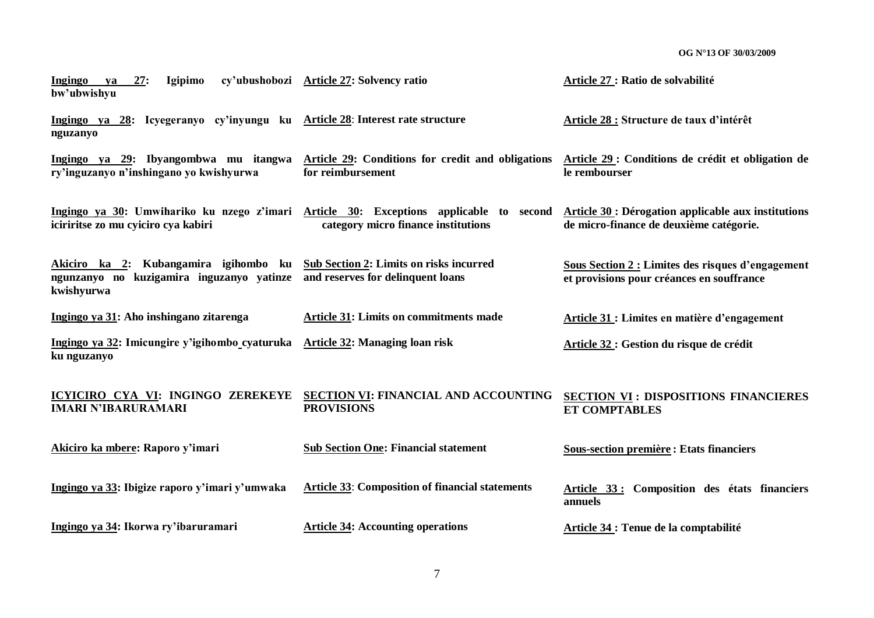| Ingingo<br>27:<br><b>Igipimo</b><br>ya<br>bw'ubwishyu                                            | cy'ubushobozi Article 27: Solvency ratio                                                                                      | Article 27 : Ratio de solvabilité                                                                     |
|--------------------------------------------------------------------------------------------------|-------------------------------------------------------------------------------------------------------------------------------|-------------------------------------------------------------------------------------------------------|
| Ingingo ya 28: Icyegeranyo cy'inyungu ku Article 28: Interest rate structure<br>nguzanyo         |                                                                                                                               | Article 28 : Structure de taux d'intérêt                                                              |
| Ingingo ya 29: Ibyangombwa mu itangwa<br>ry'inguzanyo n'inshingano yo kwishyurwa                 | Article 29: Conditions for credit and obligations<br>for reimbursement                                                        | Article 29 : Conditions de crédit et obligation de<br>le rembourser                                   |
| iciriritse zo mu cyiciro cya kabiri                                                              | Ingingo ya 30: Umwihariko ku nzego z'imari Article 30: Exceptions applicable to second<br>category micro finance institutions | <b>Article 30 : Dérogation applicable aux institutions</b><br>de micro-finance de deuxième catégorie. |
| Akiciro ka 2: Kubangamira igihombo ku<br>ngunzanyo no kuzigamira inguzanyo yatinze<br>kwishyurwa | <b>Sub Section 2: Limits on risks incurred</b><br>and reserves for delinquent loans                                           | <b>Sous Section 2 : Limites des risques d'engagement</b><br>et provisions pour créances en souffrance |
| Ingingo ya 31: Aho inshingano zitarenga                                                          | <b>Article 31: Limits on commitments made</b>                                                                                 | <b>Article 31 : Limites en matière d'engagement</b>                                                   |
| Ingingo ya 32: Imicungire y'igihombo cyaturuka<br>ku nguzanyo                                    | Article 32: Managing loan risk                                                                                                | Article 32 : Gestion du risque de crédit                                                              |
| ICYICIRO CYA VI: INGINGO ZEREKEYE<br><b>IMARI N'IBARURAMARI</b>                                  | SECTION VI: FINANCIAL AND ACCOUNTING<br><b>PROVISIONS</b>                                                                     | <b>SECTION VI: DISPOSITIONS FINANCIERES</b><br><b>ET COMPTABLES</b>                                   |
| Akiciro ka mbere: Raporo y'imari                                                                 | <b>Sub Section One: Financial statement</b>                                                                                   | <b>Sous-section première : Etats financiers</b>                                                       |
| Ingingo ya 33: Ibigize raporo y'imari y'umwaka                                                   | <b>Article 33: Composition of financial statements</b>                                                                        | Article 33: Composition des états financiers<br>annuels                                               |
| Ingingo ya 34: Ikorwa ry'ibaruramari                                                             | <b>Article 34: Accounting operations</b>                                                                                      | <b>Article 34 : Tenue de la comptabilité</b>                                                          |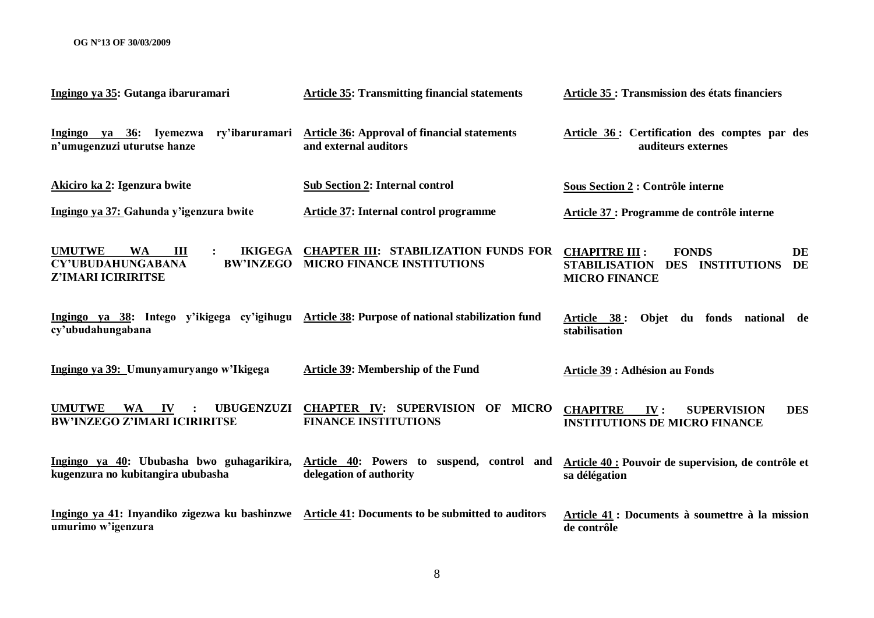| Ingingo ya 35: Gutanga ibaruramari                                                                                                   | <b>Article 35: Transmitting financial statements</b>                             | Article 35 : Transmission des états financiers                                                                                        |
|--------------------------------------------------------------------------------------------------------------------------------------|----------------------------------------------------------------------------------|---------------------------------------------------------------------------------------------------------------------------------------|
| Ingingo ya 36: Iyemezwa ry'ibaruramari<br>n'umugenzuzi uturutse hanze                                                                | <b>Article 36: Approval of financial statements</b><br>and external auditors     | Article 36: Certification des comptes par des<br>auditeurs externes                                                                   |
| Akiciro ka 2: Igenzura bwite                                                                                                         | <b>Sub Section 2: Internal control</b>                                           | Sous Section 2 : Contrôle interne                                                                                                     |
| Ingingo ya 37: Gahunda y'igenzura bwite                                                                                              | <b>Article 37: Internal control programme</b>                                    | Article 37 : Programme de contrôle interne                                                                                            |
| <b>UMUTWE</b><br><b>WA</b><br>$\mathbf{III}$<br><b>IKIGEGA</b><br><b>CY'UBUDAHUNGABANA</b><br><b>BW'INZEGO</b><br>Z'IMARI ICIRIRITSE | <b>CHAPTER III: STABILIZATION FUNDS FOR</b><br><b>MICRO FINANCE INSTITUTIONS</b> | <b>CHAPITRE III:</b><br><b>FONDS</b><br>DE<br><b>STABILISATION</b><br><b>DES</b><br><b>INSTITUTIONS</b><br>DE<br><b>MICRO FINANCE</b> |
| Ingingo ya 38: Intego y'ikigega cy'igihugu Article 38: Purpose of national stabilization fund<br>cy'ubudahungabana                   |                                                                                  | Article 38:<br>Objet du fonds national de<br>stabilisation                                                                            |
| Ingingo ya 39: Umunyamuryango w'Ikigega                                                                                              | Article 39: Membership of the Fund                                               | <b>Article 39 : Adhésion au Fonds</b>                                                                                                 |
| <b>UMUTWE</b><br>WA IV<br><b>UBUGENZUZI</b><br><b>BW'INZEGO Z'IMARI ICIRIRITSE</b>                                                   | <b>CHAPTER IV: SUPERVISION OF MICRO</b><br><b>FINANCE INSTITUTIONS</b>           | <b>CHAPITRE</b><br>IV:<br><b>SUPERVISION</b><br><b>DES</b><br><b>INSTITUTIONS DE MICRO FINANCE</b>                                    |
| Ingingo ya 40: Ububasha bwo guhagarikira,<br>kugenzura no kubitangira ububasha                                                       | Article 40: Powers to suspend, control and<br>delegation of authority            | Article 40 : Pouvoir de supervision, de contrôle et<br>sa délégation                                                                  |
| Ingingo ya 41: Inyandiko zigezwa ku bashinzwe Article 41: Documents to be submitted to auditors<br>umurimo w'igenzura                |                                                                                  | Article 41 : Documents à soumettre à la mission<br>de contrôle                                                                        |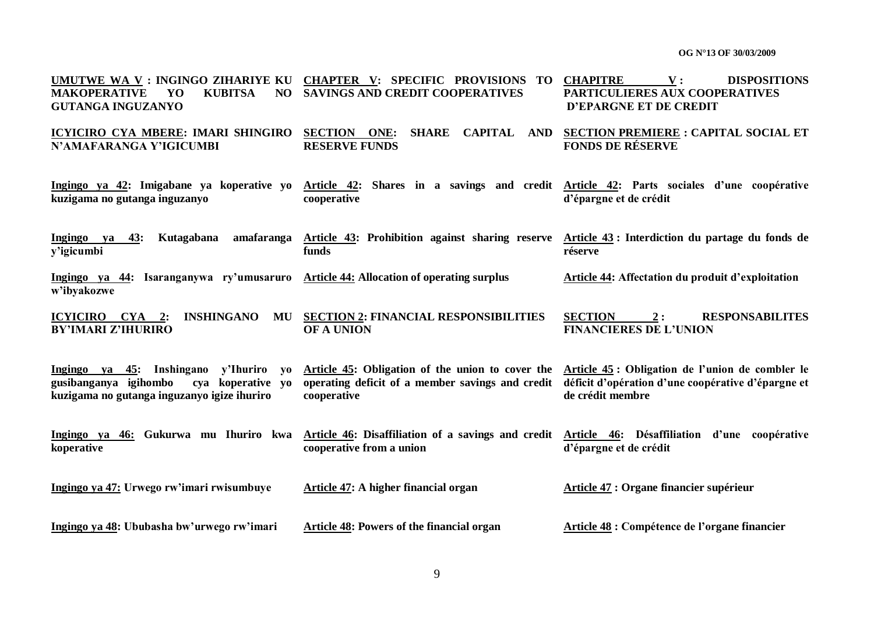| UMUTWE WA V : INGINGO ZIHARIYE KU<br><b>KUBITSA</b><br><b>MAKOPERATIVE</b><br>YO<br>NO.<br><b>GUTANGA INGUZANYO</b>                                      | <b>CHAPTER V: SPECIFIC PROVISIONS</b><br>TO<br><b>SAVINGS AND CREDIT COOPERATIVES</b>                                       | <b>CHAPITRE</b><br>V:<br><b>DISPOSITIONS</b><br>PARTICULIERES AUX COOPERATIVES<br><b>D'EPARGNE ET DE CREDIT</b>            |
|----------------------------------------------------------------------------------------------------------------------------------------------------------|-----------------------------------------------------------------------------------------------------------------------------|----------------------------------------------------------------------------------------------------------------------------|
| <b>ICYICIRO CYA MBERE: IMARI SHINGIRO</b><br>N'AMAFARANGA Y'IGICUMBI                                                                                     | <b>SECTION ONE:</b><br><b>SHARE</b><br><b>CAPITAL</b><br>AND<br><b>RESERVE FUNDS</b>                                        | <b>SECTION PREMIERE : CAPITAL SOCIAL ET</b><br><b>FONDS DE RÉSERVE</b>                                                     |
| Ingingo ya 42: Imigabane ya koperative yo<br>kuzigama no gutanga inguzanyo                                                                               | Article 42:<br>cooperative                                                                                                  | Shares in a savings and credit Article 42: Parts sociales d'une coopérative<br>d'épargne et de crédit                      |
| Kutagabana<br>amafaranga<br>Ingingo ya<br>43:<br>y'igicumbi                                                                                              | Article 43: Prohibition against sharing reserve Article 43: Interdiction du partage du fonds de<br>funds                    | réserve                                                                                                                    |
| Ingingo ya 44: Isaranganywa ry'umusaruro<br>w'ibyakozwe                                                                                                  | <b>Article 44: Allocation of operating surplus</b>                                                                          | Article 44: Affectation du produit d'exploitation                                                                          |
| INSHINGANO<br>ICYICIRO CYA 2:<br>MU<br><b>BY'IMARI Z'IHURIRO</b>                                                                                         | <b>SECTION 2: FINANCIAL RESPONSIBILITIES</b><br>OF A UNION                                                                  | <b>SECTION</b><br><b>RESPONSABILITES</b><br>2:<br><b>FINANCIERES DE L'UNION</b>                                            |
| y'Ihuriro<br>Ingingo ya 45:<br>Inshingano<br>V <sub>0</sub><br>gusibanganya igihombo<br>cya koperative yo<br>kuzigama no gutanga inguzanyo igize ihuriro | Article 45: Obligation of the union to cover the<br>operating deficit of a member savings and credit<br>cooperative         | Article 45 : Obligation de l'union de combler le<br>déficit d'opération d'une coopérative d'épargne et<br>de crédit membre |
| Ingingo ya 46: Gukurwa mu Ihuriro kwa<br>koperative                                                                                                      | Article 46: Disaffiliation of a savings and credit Article 46: Désaffiliation d'une coopérative<br>cooperative from a union | d'épargne et de crédit                                                                                                     |
| Ingingo ya 47: Urwego rw'imari rwisumbuye                                                                                                                | <b>Article 47: A higher financial organ</b>                                                                                 | <b>Article 47 : Organe financier supérieur</b>                                                                             |
| Ingingo ya 48: Ububasha bw'urwego rw'imari                                                                                                               | <b>Article 48: Powers of the financial organ</b>                                                                            | Article 48 : Compétence de l'organe financier                                                                              |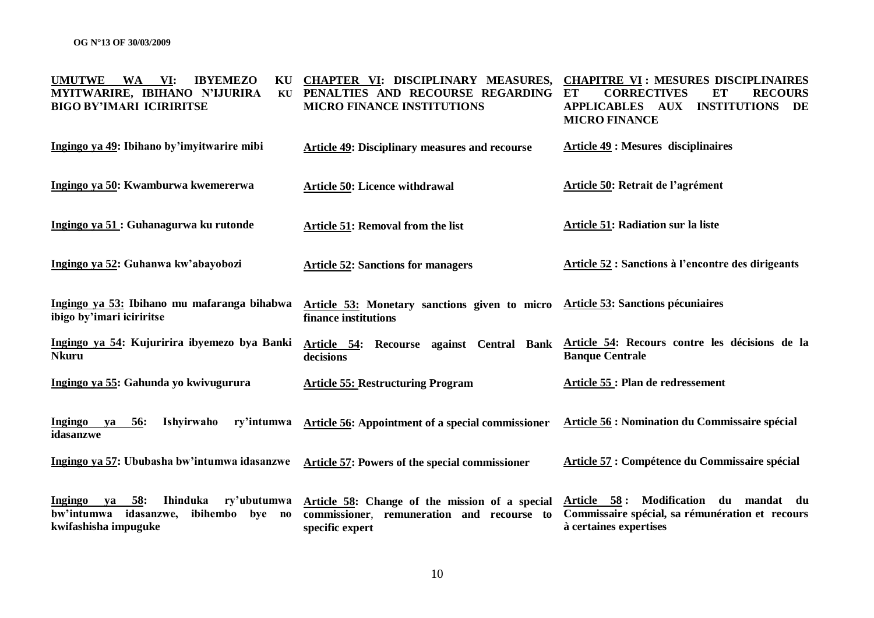| <b>UMUTWE</b><br>WA<br>VI:<br><b>IBYEMEZO</b><br>KU<br>MYITWARIRE, IBIHANO N'IJURIRA<br>KU<br><b>BIGO BY'IMARI ICIRIRITSE</b>    | CHAPTER VI: DISCIPLINARY MEASURES,<br>PENALTIES AND RECOURSE REGARDING<br><b>MICRO FINANCE INSTITUTIONS</b>     | <b>CHAPITRE VI: MESURES DISCIPLINAIRES</b><br><b>CORRECTIVES</b><br>ET<br><b>RECOURS</b><br>ET<br><b>APPLICABLES AUX</b><br><b>INSTITUTIONS</b><br>DE<br><b>MICRO FINANCE</b> |
|----------------------------------------------------------------------------------------------------------------------------------|-----------------------------------------------------------------------------------------------------------------|-------------------------------------------------------------------------------------------------------------------------------------------------------------------------------|
| Ingingo ya 49: Ibihano by'imyitwarire mibi                                                                                       | <b>Article 49: Disciplinary measures and recourse</b>                                                           | <b>Article 49 : Mesures disciplinaires</b>                                                                                                                                    |
| Ingingo ya 50: Kwamburwa kwemererwa                                                                                              | <b>Article 50: Licence withdrawal</b>                                                                           | Article 50: Retrait de l'agrément                                                                                                                                             |
| Ingingo ya 51 : Guhanagurwa ku rutonde                                                                                           | <b>Article 51: Removal from the list</b>                                                                        | <b>Article 51: Radiation sur la liste</b>                                                                                                                                     |
| Ingingo ya 52: Guhanwa kw'abayobozi                                                                                              | <b>Article 52: Sanctions for managers</b>                                                                       | <b>Article 52 : Sanctions à l'encontre des dirigeants</b>                                                                                                                     |
| Ingingo ya 53: Ibihano mu mafaranga bihabwa<br>ibigo by'imari iciriritse                                                         | Article 53: Monetary sanctions given to micro<br>finance institutions                                           | <b>Article 53: Sanctions pécuniaires</b>                                                                                                                                      |
| Ingingo ya 54: Kujuririra ibyemezo bya Banki<br><b>Nkuru</b>                                                                     | Recourse against Central Bank<br>Article 54:<br>decisions                                                       | Article 54: Recours contre les décisions de la<br><b>Banque Centrale</b>                                                                                                      |
| Ingingo ya 55: Gahunda yo kwivugurura                                                                                            | <b>Article 55: Restructuring Program</b>                                                                        | Article 55 : Plan de redressement                                                                                                                                             |
| <b>Ishyirwaho</b><br>ry'intumwa<br>Ingingo ya<br><u>56:</u><br>idasanzwe                                                         | Article 56: Appointment of a special commissioner                                                               | Article 56 : Nomination du Commissaire spécial                                                                                                                                |
| Ingingo ya 57: Ububasha bw'intumwa idasanzwe                                                                                     | Article 57: Powers of the special commissioner                                                                  | Article 57 : Compétence du Commissaire spécial                                                                                                                                |
| 58:<br>Ihinduka<br>ry'ubutumwa<br><b>Ingingo</b><br>va<br>bw'intumwa<br>idasanzwe,<br>ibihembo<br>bye no<br>kwifashisha impuguke | Article 58: Change of the mission of a special<br>commissioner, remuneration and recourse to<br>specific expert | Modification du mandat du<br>Article 58:<br>Commissaire spécial, sa rémunération et recours<br>à certaines expertises                                                         |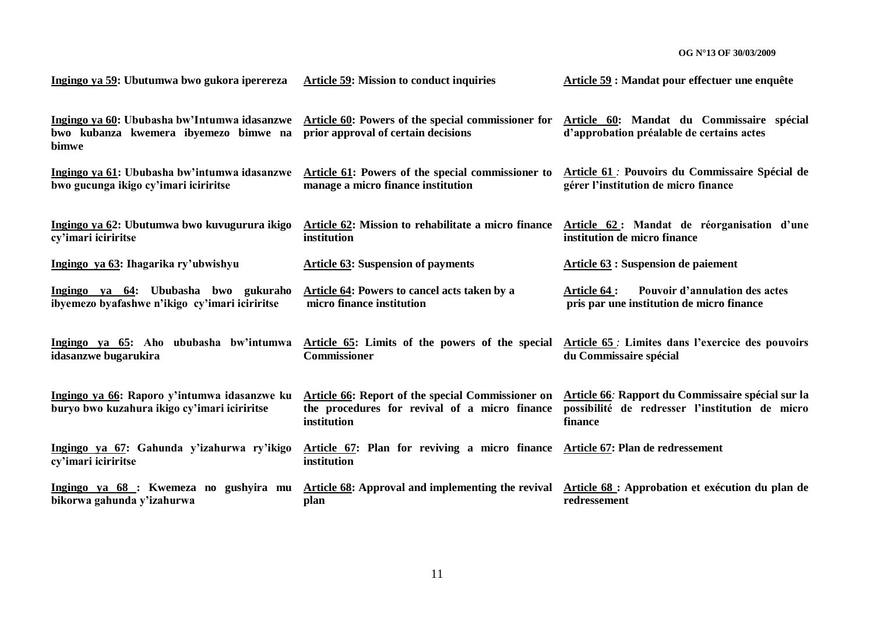| Ingingo ya 59: Ubutumwa bwo gukora iperereza                                                   | <b>Article 59: Mission to conduct inquiries</b>                                                                          | Article 59 : Mandat pour effectuer une enquête                                                                  |
|------------------------------------------------------------------------------------------------|--------------------------------------------------------------------------------------------------------------------------|-----------------------------------------------------------------------------------------------------------------|
| Ingingo ya 60: Ububasha bw'Intumwa idasanzwe<br>bwo kubanza kwemera ibyemezo bimwe na<br>bimwe | Article 60: Powers of the special commissioner for<br>prior approval of certain decisions                                | Article 60: Mandat du Commissaire spécial<br>d'approbation préalable de certains actes                          |
| Ingingo ya 61: Ububasha bw'intumwa idasanzwe<br>bwo gucunga ikigo cy'imari iciriritse          | Article 61: Powers of the special commissioner to<br>manage a micro finance institution                                  | Article 61 : Pouvoirs du Commissaire Spécial de<br>gérer l'institution de micro finance                         |
| Ingingo ya 62: Ubutumwa bwo kuvugurura ikigo<br>cy'imari iciriritse                            | Article 62: Mission to rehabilitate a micro finance<br>institution                                                       | Article 62: Mandat de réorganisation d'une<br>institution de micro finance                                      |
| Ingingo ya 63: Ihagarika ry'ubwishyu                                                           | <b>Article 63: Suspension of payments</b>                                                                                | Article 63 : Suspension de paiement                                                                             |
| Ingingo ya 64: Ububasha bwo gukuraho<br>ibyemezo byafashwe n'ikigo cy'imari iciriritse         | Article 64: Powers to cancel acts taken by a<br>micro finance institution                                                | Pouvoir d'annulation des actes<br><b>Article 64 :</b><br>pris par une institution de micro finance              |
| Ingingo ya 65: Aho ububasha bw'intumwa<br>idasanzwe bugarukira                                 | Article 65: Limits of the powers of the special<br><b>Commissioner</b>                                                   | <b>Article 65</b> : Limites dans l'exercice des pouvoirs<br>du Commissaire spécial                              |
| Ingingo ya 66: Raporo y'intumwa idasanzwe ku<br>buryo bwo kuzahura ikigo cy'imari iciriritse   | <b>Article 66: Report of the special Commissioner on</b><br>the procedures for revival of a micro finance<br>institution | Article 66: Rapport du Commissaire spécial sur la<br>possibilité de redresser l'institution de micro<br>finance |
| Ingingo ya 67: Gahunda y'izahurwa ry'ikigo<br>cy'imari iciriritse                              | Article 67: Plan for reviving a micro finance Article 67: Plan de redressement<br>institution                            |                                                                                                                 |
| Ingingo ya 68 : Kwemeza no gushyira mu<br>bikorwa gahunda y'izahurwa                           | Article 68: Approval and implementing the revival<br>plan                                                                | Article 68 : Approbation et exécution du plan de<br>redressement                                                |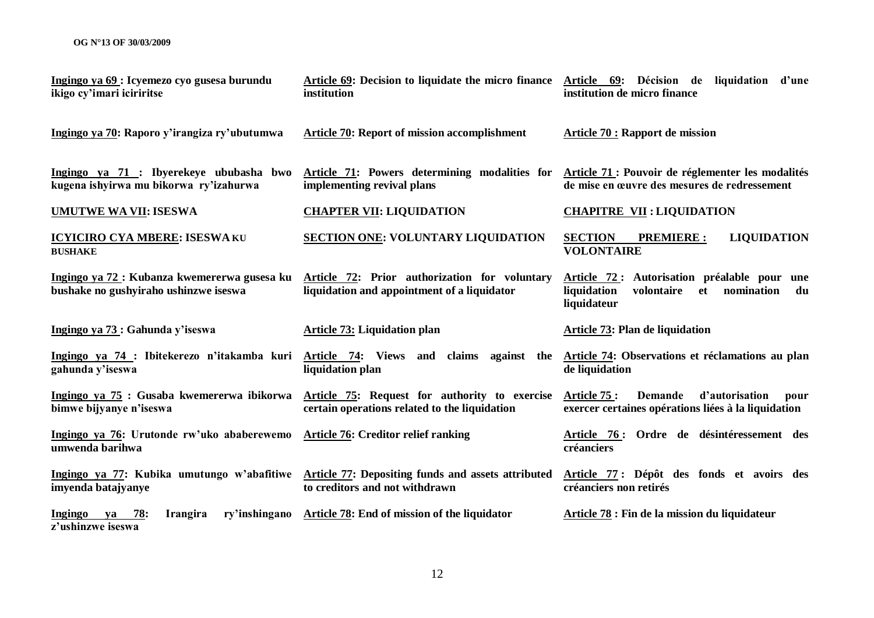| Ingingo ya 69 : Icyemezo cyo gusesa burundu<br>ikigo cy'imari iciriritse              | Article 69: Decision to liquidate the micro finance<br>institution                             | Article 69: Décision de liquidation d'une<br>institution de micro finance                                                                                                                                                                                                                                                                     |
|---------------------------------------------------------------------------------------|------------------------------------------------------------------------------------------------|-----------------------------------------------------------------------------------------------------------------------------------------------------------------------------------------------------------------------------------------------------------------------------------------------------------------------------------------------|
| Ingingo ya 70: Raporo y'irangiza ry'ubutumwa                                          | <b>Article 70: Report of mission accomplishment</b>                                            | <b>Article 70 : Rapport de mission</b>                                                                                                                                                                                                                                                                                                        |
| Ingingo ya 71 : Ibyerekeye ububasha bwo<br>kugena ishyirwa mu bikorwa ry'izahurwa     | Article 71: Powers determining modalities for<br>implementing revival plans                    | Article 71 : Pouvoir de réglementer les modalités<br>de mise en œuvre des mesures de redressement                                                                                                                                                                                                                                             |
| <b>UMUTWE WA VII: ISESWA</b>                                                          | <b>CHAPTER VII: LIQUIDATION</b>                                                                | <b>CHAPITRE VII: LIQUIDATION</b>                                                                                                                                                                                                                                                                                                              |
| <b>ICYICIRO CYA MBERE: ISESWA KU</b><br><b>BUSHAKE</b>                                | <b>SECTION ONE: VOLUNTARY LIQUIDATION</b>                                                      | <b>SECTION</b><br><b>LIQUIDATION</b><br><b>PREMIERE:</b><br><b>VOLONTAIRE</b>                                                                                                                                                                                                                                                                 |
| Ingingo ya 72 : Kubanza kwemererwa gusesa ku<br>bushake no gushyiraho ushinzwe iseswa | Article 72: Prior authorization for voluntary<br>liquidation and appointment of a liquidator   | Article 72: Autorisation préalable pour une<br>liquidation<br>nomination<br>volontaire<br>et and the set of the set of the set of the set of the set of the set of the set of the set of the set of the set of the set of the set of the set of the set of the set of the set of the set of the set of the set of the se<br>du<br>liquidateur |
| Ingingo ya 73 : Gahunda y'iseswa                                                      | <b>Article 73: Liquidation plan</b>                                                            | Article 73: Plan de liquidation                                                                                                                                                                                                                                                                                                               |
| Ingingo ya 74 : Ibitekerezo n'itakamba kuri<br>gahunda y'iseswa                       | Article 74: Views and claims<br>against the<br>liquidation plan                                | Article 74: Observations et réclamations au plan<br>de liquidation                                                                                                                                                                                                                                                                            |
| Ingingo ya 75 : Gusaba kwemererwa ibikorwa<br>bimwe bijyanye n'iseswa                 | Article 75: Request for authority to exercise<br>certain operations related to the liquidation | Article 75 :<br><b>Demande</b><br>d'autorisation<br>pour<br>exercer certaines opérations liées à la liquidation                                                                                                                                                                                                                               |
| Ingingo ya 76: Urutonde rw'uko ababerewemo<br>umwenda barihwa                         | <b>Article 76: Creditor relief ranking</b>                                                     | Article 76: Ordre de désintéressement des<br>créanciers                                                                                                                                                                                                                                                                                       |
| Ingingo ya 77: Kubika umutungo w'abafitiwe<br>imyenda batajyanye                      | <b>Article 77: Depositing funds and assets attributed</b><br>to creditors and not withdrawn    | Article 77: Dépôt des fonds et avoirs des<br>créanciers non retirés                                                                                                                                                                                                                                                                           |
| <u>78:</u><br>Ingingo<br><b>Irangira</b><br>ry'inshingano<br>ya<br>z'ushinzwe iseswa  | <b>Article 78: End of mission of the liquidator</b>                                            | Article 78 : Fin de la mission du liquidateur                                                                                                                                                                                                                                                                                                 |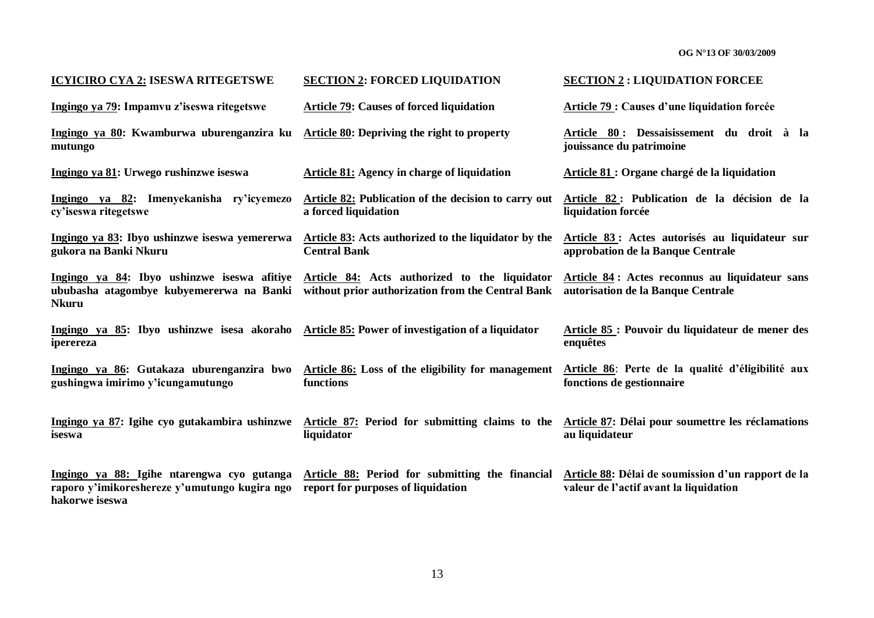| <b>ICYICIRO CYA 2: ISESWA RITEGETSWE</b>                                                                      | <b>SECTION 2: FORCED LIQUIDATION</b>                                                               | <b>SECTION 2: LIQUIDATION FORCEE</b>                                                         |
|---------------------------------------------------------------------------------------------------------------|----------------------------------------------------------------------------------------------------|----------------------------------------------------------------------------------------------|
| Ingingo ya 79: Impamvu z'iseswa ritegetswe                                                                    | <b>Article 79: Causes of forced liquidation</b>                                                    | <b>Article 79: Causes d'une liquidation forcée</b>                                           |
| Ingingo ya 80: Kwamburwa uburenganzira ku<br>mutungo                                                          | <b>Article 80: Depriving the right to property</b>                                                 | Article 80: Dessaisissement du droit à la<br>jouissance du patrimoine                        |
| Ingingo ya 81: Urwego rushinzwe iseswa                                                                        | <b>Article 81:</b> Agency in charge of liquidation                                                 | Article 81 : Organe chargé de la liquidation                                                 |
| Ingingo ya 82: Imenyekanisha ry'icyemezo<br>cy'iseswa ritegetswe                                              | <b>Article 82:</b> Publication of the decision to carry out<br>a forced liquidation                | Article 82 : Publication de la décision de la<br>liquidation forcée                          |
| Ingingo ya 83: Ibyo ushinzwe iseswa yemererwa<br>gukora na Banki Nkuru                                        | Article 83: Acts authorized to the liquidator by the<br><b>Central Bank</b>                        | Article 83 : Actes autorisés au liquidateur sur<br>approbation de la Banque Centrale         |
| Ingingo ya 84: Ibyo ushinzwe iseswa afitiye<br>ububasha atagombye kubyemererwa na Banki<br><b>Nkuru</b>       | Article 84: Acts authorized to the liquidator<br>without prior authorization from the Central Bank | Article 84: Actes reconnus au liquidateur sans<br>autorisation de la Banque Centrale         |
| Ingingo ya 85: Ibyo ushinzwe isesa akoraho Article 85: Power of investigation of a liquidator<br>iperereza    |                                                                                                    | Article 85 : Pouvoir du liquidateur de mener des<br>enquêtes                                 |
| Ingingo ya 86: Gutakaza uburenganzira bwo<br>gushingwa imirimo y'icungamutungo                                | Article 86: Loss of the eligibility for management<br>functions                                    | Article 86: Perte de la qualité d'éligibilité aux<br>fonctions de gestionnaire               |
| Ingingo ya 87: Igihe cyo gutakambira ushinzwe<br>iseswa                                                       | <b>Article 87:</b> Period for submitting claims to the<br>liquidator                               | Article 87: Délai pour soumettre les réclamations<br>au liquidateur                          |
| Ingingo ya 88: Igihe ntarengwa cyo gutanga<br>raporo y'imikoreshereze y'umutungo kugira ngo<br>hakorwe iseswa | Article 88: Period for submitting the financial<br>report for purposes of liquidation              | Article 88: Délai de soumission d'un rapport de la<br>valeur de l'actif avant la liquidation |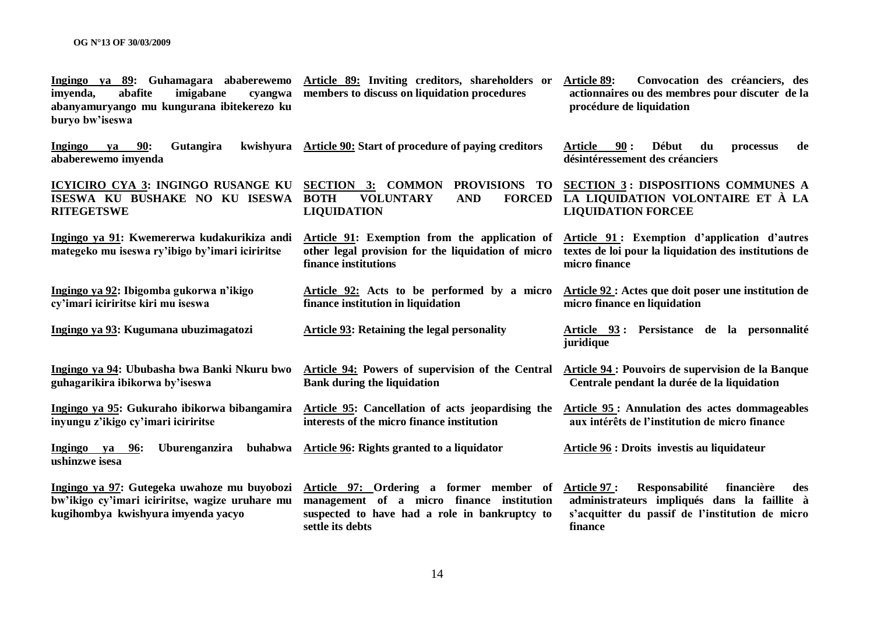| Ingingo ya 89: Guhamagara ababerewemo<br>abafite<br>imyenda,<br>imigabane<br>cyangwa<br>abanyamuryango mu kungurana ibitekerezo ku<br>buryo bw'iseswa | Article 89: Inviting creditors, shareholders or<br>members to discuss on liquidation procedures                                                           | <b>Article 89:</b><br>Convocation des créanciers, des<br>actionnaires ou des membres pour discuter de la<br>procédure de liquidation                              |
|-------------------------------------------------------------------------------------------------------------------------------------------------------|-----------------------------------------------------------------------------------------------------------------------------------------------------------|-------------------------------------------------------------------------------------------------------------------------------------------------------------------|
| <b>90:</b><br>Ingingo<br>Gutangira<br>kwishyura<br>va<br>ababerewemo imyenda                                                                          | Article 90: Start of procedure of paying creditors                                                                                                        | Début<br>90:<br>du<br>de<br>Article<br>processus<br>désintéressement des créanciers                                                                               |
| ICYICIRO CYA 3: INGINGO RUSANGE KU<br>ISESWA KU BUSHAKE NO KU ISESWA<br><b>RITEGETSWE</b>                                                             | <b>SECTION 3: COMMON</b><br>PROVISIONS TO<br><b>VOLUNTARY</b><br><b>FORCED</b><br><b>BOTH</b><br><b>AND</b><br><b>LIQUIDATION</b>                         | <b>SECTION 3: DISPOSITIONS COMMUNES A</b><br>LA LIQUIDATION VOLONTAIRE ET À LA<br><b>LIQUIDATION FORCEE</b>                                                       |
| Ingingo ya 91: Kwemererwa kudakurikiza andi<br>mategeko mu iseswa ry'ibigo by'imari iciriritse                                                        | Article 91: Exemption from the application of<br>other legal provision for the liquidation of micro<br>finance institutions                               | Article 91: Exemption d'application d'autres<br>textes de loi pour la liquidation des institutions de<br>micro finance                                            |
| Ingingo ya 92: Ibigomba gukorwa n'ikigo<br>cy'imari iciriritse kiri mu iseswa                                                                         | Article 92: Acts to be performed by a micro<br>finance institution in liquidation                                                                         | Article 92 : Actes que doit poser une institution de<br>micro finance en liquidation                                                                              |
| Ingingo ya 93: Kugumana ubuzimagatozi                                                                                                                 | <b>Article 93: Retaining the legal personality</b>                                                                                                        | Article 93 : Persistance de la personnalité<br>juridique                                                                                                          |
| Ingingo ya 94: Ububasha bwa Banki Nkuru bwo<br>guhagarikira ibikorwa by'iseswa                                                                        | Article 94: Powers of supervision of the Central<br><b>Bank during the liquidation</b>                                                                    | Article 94 : Pouvoirs de supervision de la Banque<br>Centrale pendant la durée de la liquidation                                                                  |
| Ingingo ya 95: Gukuraho ibikorwa bibangamira<br>inyungu z'ikigo cy'imari iciriritse                                                                   | Article 95: Cancellation of acts jeopardising the<br>interests of the micro finance institution                                                           | <b>Article 95: Annulation des actes dommageables</b><br>aux intérêts de l'institution de micro finance                                                            |
| Uburenganzira<br>buhabwa<br>Ingingo ya 96:<br>ushinzwe isesa                                                                                          | <b>Article 96: Rights granted to a liquidator</b>                                                                                                         | <b>Article 96 : Droits investis au liquidateur</b>                                                                                                                |
| Ingingo ya 97: Gutegeka uwahoze mu buyobozi<br>bw'ikigo cy'imari iciriritse, wagize uruhare mu<br>kugihombya kwishyura imyenda yacyo                  | Article 97: Ordering a former member of<br>management of a micro finance institution<br>suspected to have had a role in bankruptcy to<br>settle its debts | Responsabilité<br>financière<br>Article 97 :<br>des<br>administrateurs impliqués dans la faillite à<br>s'acquitter du passif de l'institution de micro<br>finance |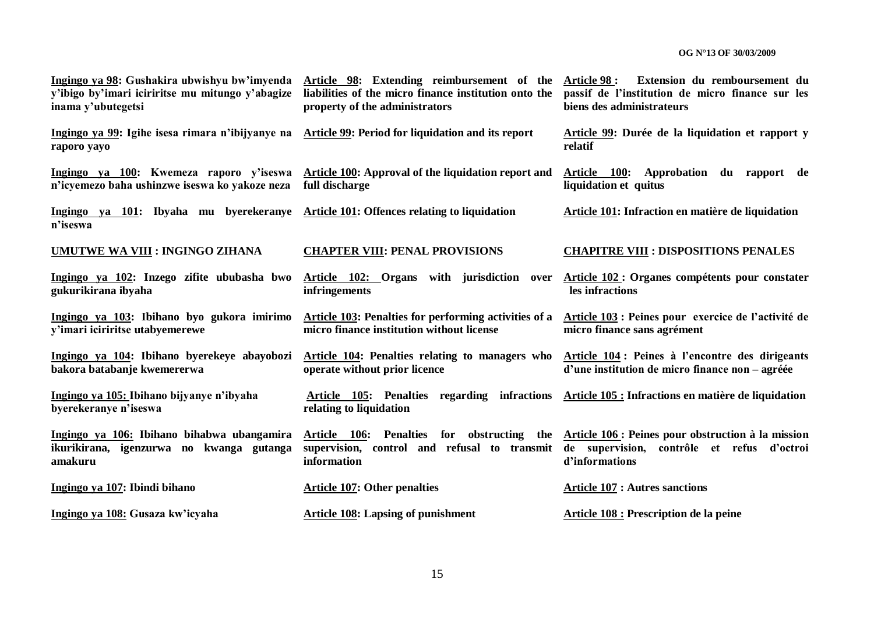| Ingingo ya 98: Gushakira ubwishyu bw'imyenda<br>y'ibigo by'imari iciriritse mu mitungo y'abagize<br>inama y'ubutegetsi | Article 98: Extending reimbursement of the<br>liabilities of the micro finance institution onto the<br>property of the administrators | Article 98 :<br>Extension du remboursement du<br>passif de l'institution de micro finance sur les<br>biens des administrateurs |
|------------------------------------------------------------------------------------------------------------------------|---------------------------------------------------------------------------------------------------------------------------------------|--------------------------------------------------------------------------------------------------------------------------------|
| Ingingo ya 99: Igihe isesa rimara n'ibijyanye na<br>raporo yayo                                                        | <b>Article 99: Period for liquidation and its report</b>                                                                              | Article 99: Durée de la liquidation et rapport y<br>relatif                                                                    |
| Ingingo ya 100: Kwemeza raporo y'iseswa<br>n'icyemezo baha ushinzwe iseswa ko yakoze neza                              | Article 100: Approval of the liquidation report and<br>full discharge                                                                 | Article 100:<br>Approbation du rapport de<br>liquidation et quitus                                                             |
| Ingingo ya 101: Ibyaha mu byerekeranye<br>n'iseswa                                                                     | Article 101: Offences relating to liquidation                                                                                         | Article 101: Infraction en matière de liquidation                                                                              |
| <b>UMUTWE WA VIII : INGINGO ZIHANA</b>                                                                                 | <b>CHAPTER VIII: PENAL PROVISIONS</b>                                                                                                 | <b>CHAPITRE VIII : DISPOSITIONS PENALES</b>                                                                                    |
| Ingingo ya 102: Inzego zifite ububasha bwo<br>gukurikirana ibyaha                                                      | Article 102: Organs with jurisdiction over<br>infringements                                                                           | Article 102 : Organes compétents pour constater<br>les infractions                                                             |
| Ingingo ya 103: Ibihano byo gukora imirimo<br>y'imari iciriritse utabyemerewe                                          | <b>Article 103: Penalties for performing activities of a</b><br>micro finance institution without license                             | Article 103 : Peines pour exercice de l'activité de<br>micro finance sans agrément                                             |
| Ingingo ya 104: Ibihano byerekeye abayobozi<br>bakora batabanje kwemererwa                                             | <b>Article 104: Penalties relating to managers who</b><br>operate without prior licence                                               | Article 104: Peines à l'encontre des dirigeants<br>d'une institution de micro finance non – agréée                             |
| Ingingo ya 105: Ibihano bijyanye n'ibyaha<br>byerekeranye n'iseswa                                                     | Article 105: Penalties regarding infractions Article 105 : Infractions en matière de liquidation<br>relating to liquidation           |                                                                                                                                |
| Ingingo ya 106: Ibihano bihabwa ubangamira<br>ikurikirana, igenzurwa no kwanga gutanga<br>amakuru                      | for obstructing<br>Article 106: Penalties<br>the<br>supervision, control and refusal to transmit<br>information                       | Article 106 : Peines pour obstruction à la mission<br>de supervision, contrôle et refus d'octroi<br>d'informations             |
| Ingingo ya 107: Ibindi bihano                                                                                          | <b>Article 107: Other penalties</b>                                                                                                   | <b>Article 107 : Autres sanctions</b>                                                                                          |
| Ingingo ya 108: Gusaza kw'icyaha                                                                                       | <b>Article 108: Lapsing of punishment</b>                                                                                             | <b>Article 108 : Prescription de la peine</b>                                                                                  |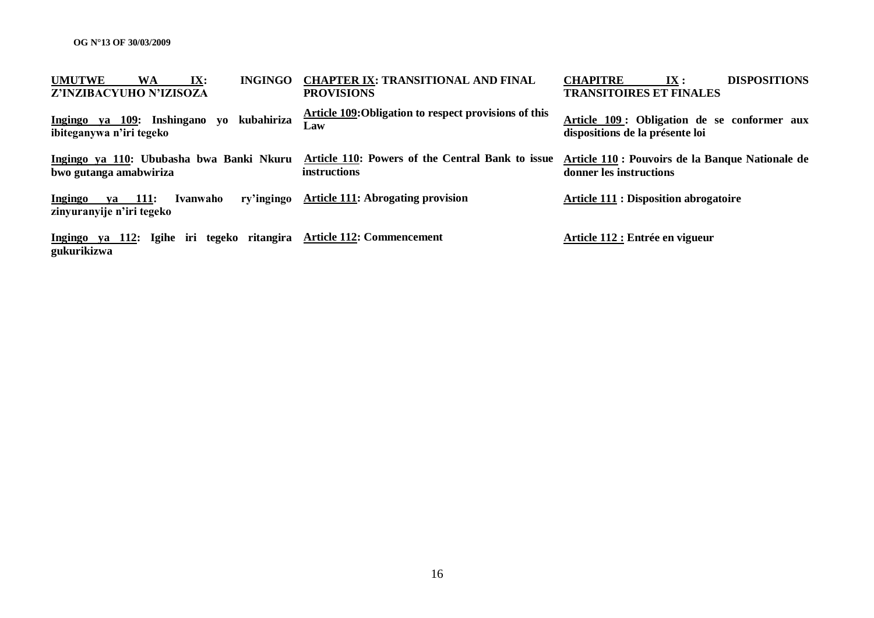| <b>UMUTWE</b><br><b>WA</b><br>IX:<br><b>INGINGO</b><br>Z'INZIBACYUHO N'IZISOZA      | <b>CHAPTER IX: TRANSITIONAL AND FINAL</b><br><b>PROVISIONS</b>          | <b>DISPOSITIONS</b><br><b>CHAPITRE</b><br>IX:<br><b>TRANSITOIRES ET FINALES</b> |
|-------------------------------------------------------------------------------------|-------------------------------------------------------------------------|---------------------------------------------------------------------------------|
| kubahiriza<br>Ingingo ya 109: Inshingano<br>VO-<br>ibiteganywa n'iri tegeko         | Article 109: Obligation to respect provisions of this<br>Law            | Article 109: Obligation de se conformer aux<br>dispositions de la présente loi  |
| Ingingo ya 110: Ububasha bwa Banki Nkuru<br>bwo gutanga amabwiriza                  | Article 110: Powers of the Central Bank to issue<br><i>instructions</i> | Article 110 : Pouvoirs de la Banque Nationale de<br>donner les instructions     |
| ry'ingingo<br><b>Ingingo</b><br>111:<br>Ivanwaho<br>va<br>zinyuranyije n'iri tegeko | <b>Article 111: Abrogating provision</b>                                | <b>Article 111 : Disposition abrogatoire</b>                                    |
| Ingingo ya 112: Igihe iri tegeko ritangira<br>gukurikizwa                           | <b>Article 112: Commencement</b>                                        | Article 112 : Entrée en vigueur                                                 |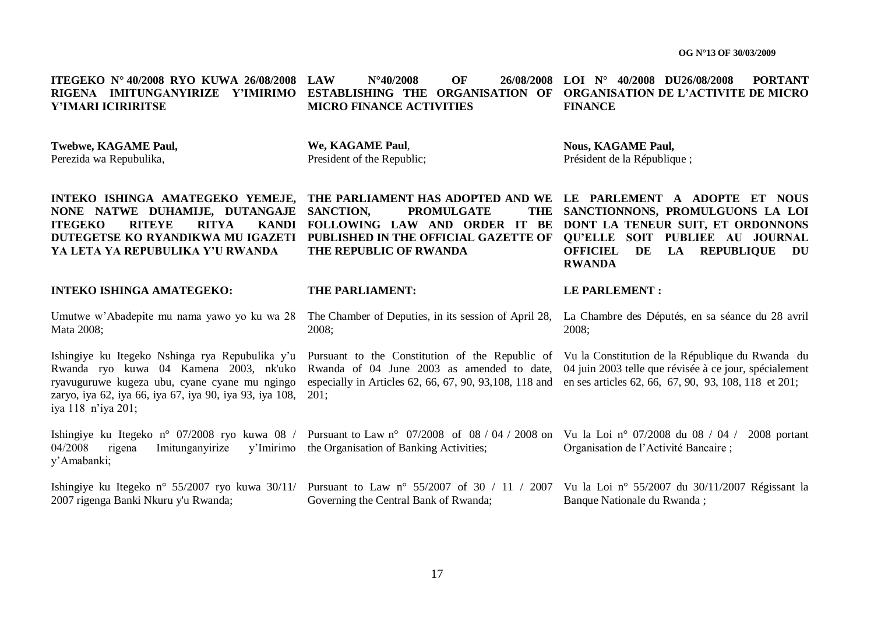| ITEGEKO Nº 40/2008 RYO KUWA 26/08/2008<br>RIGENA IMITUNGANYIRIZE<br><b>Y'IMIRIMO</b><br>Y'IMARI ICIRIRITSE                                                                                                                  | OF<br><b>LAW</b><br>26/08/2008<br>$N^{\circ}40/2008$<br>ESTABLISHING THE ORGANISATION OF<br><b>MICRO FINANCE ACTIVITIES</b>                                                                                        | LOI $N^{\circ}$ 40/2008 DU26/08/2008<br><b>PORTANT</b><br><b>ORGANISATION DE L'ACTIVITE DE MICRO</b><br><b>FINANCE</b>                                                              |
|-----------------------------------------------------------------------------------------------------------------------------------------------------------------------------------------------------------------------------|--------------------------------------------------------------------------------------------------------------------------------------------------------------------------------------------------------------------|-------------------------------------------------------------------------------------------------------------------------------------------------------------------------------------|
| <b>Twebwe, KAGAME Paul,</b><br>Perezida wa Repubulika,                                                                                                                                                                      | We, KAGAME Paul,<br>President of the Republic;                                                                                                                                                                     | <b>Nous, KAGAME Paul,</b><br>Président de la République;                                                                                                                            |
| INTEKO ISHINGA AMATEGEKO YEMEJE,<br>NONE NATWE DUHAMIJE, DUTANGAJE<br><b>RITEYE</b><br><b>RITYA</b><br><b>KANDI</b><br><b>ITEGEKO</b><br>DUTEGETSE KO RYANDIKWA MU IGAZETI<br>YA LETA YA REPUBULIKA Y'U RWANDA              | THE PARLIAMENT HAS ADOPTED AND WE LE PARLEMENT A ADOPTE ET NOUS<br>SANCTION,<br><b>PROMULGATE</b><br><b>THE</b><br>FOLLOWING LAW AND ORDER IT BE<br>PUBLISHED IN THE OFFICIAL GAZETTE OF<br>THE REPUBLIC OF RWANDA | SANCTIONNONS, PROMULGUONS LA LOI<br>DONT LA TENEUR SUIT, ET ORDONNONS<br>OU'ELLE SOIT PUBLIEE AU JOURNAL<br><b>OFFICIEL</b><br>DE<br>LA<br><b>REPUBLIQUE</b><br>DU<br><b>RWANDA</b> |
| <b>INTEKO ISHINGA AMATEGEKO:</b>                                                                                                                                                                                            | THE PARLIAMENT:                                                                                                                                                                                                    | <b>LE PARLEMENT:</b>                                                                                                                                                                |
| Umutwe w'Abadepite mu nama yawo yo ku wa 28<br>Mata 2008;                                                                                                                                                                   | The Chamber of Deputies, in its session of April 28,<br>2008;                                                                                                                                                      | La Chambre des Députés, en sa séance du 28 avril<br>2008;                                                                                                                           |
| Ishingiye ku Itegeko Nshinga rya Repubulika y'u<br>Rwanda ryo kuwa 04 Kamena 2003, nk'uko<br>ryavuguruwe kugeza ubu, cyane cyane mu ngingo<br>zaryo, iya 62, iya 66, iya 67, iya 90, iya 93, iya 108,<br>iya 118 n'iya 201; | Pursuant to the Constitution of the Republic of<br>Rwanda of 04 June 2003 as amended to date,<br>especially in Articles 62, 66, 67, 90, 93, 108, 118 and<br>$201$ ;                                                | Vu la Constitution de la République du Rwanda du<br>04 juin 2003 telle que révisée à ce jour, spécialement<br>en ses articles 62, 66, 67, 90, 93, 108, 118 et 201;                  |
| 04/2008<br>Imitunganyirize<br>y'Imirimo<br>rigena<br>y'Amabanki;                                                                                                                                                            | Ishingiye ku Itegeko n° 07/2008 ryo kuwa 08 / Pursuant to Law n° 07/2008 of 08 / 04 / 2008 on Vu la Loi n° 07/2008 du 08 / 04 /<br>the Organisation of Banking Activities;                                         | 2008 portant<br>Organisation de l'Activité Bancaire;                                                                                                                                |
|                                                                                                                                                                                                                             |                                                                                                                                                                                                                    |                                                                                                                                                                                     |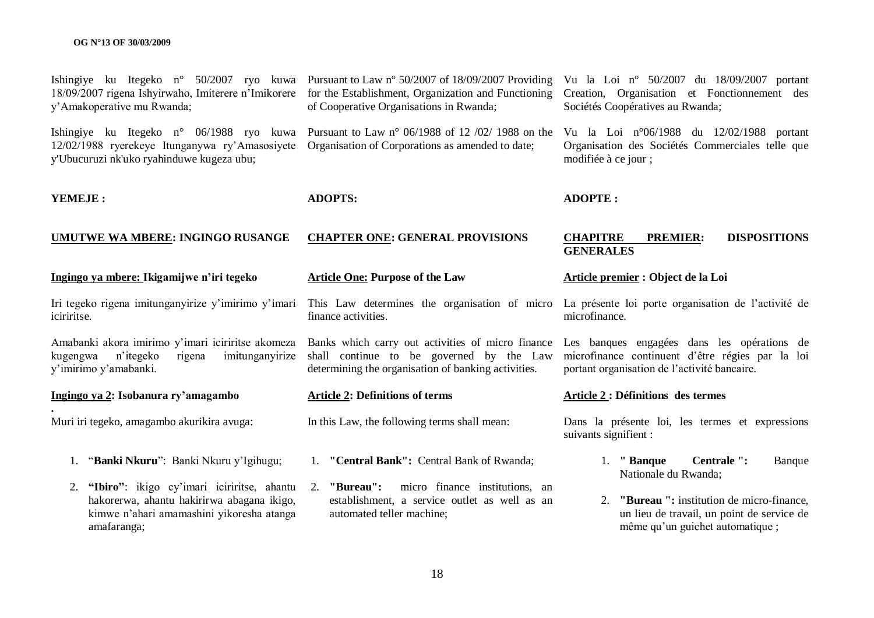| 18/09/2007 rigena Ishyirwaho, Imiterere n'Imikorere<br>y'Amakoperative mu Rwanda;                                                                       | Ishingiye ku Itegeko n° 50/2007 ryo kuwa Pursuant to Law n° 50/2007 of 18/09/2007 Providing<br>for the Establishment, Organization and Functioning<br>of Cooperative Organisations in Rwanda; | Vu la Loi nº 50/2007 du 18/09/2007 portant<br>Creation, Organisation et Fonctionnement des<br>Sociétés Coopératives au Rwanda;                  |
|---------------------------------------------------------------------------------------------------------------------------------------------------------|-----------------------------------------------------------------------------------------------------------------------------------------------------------------------------------------------|-------------------------------------------------------------------------------------------------------------------------------------------------|
| 12/02/1988 ryerekeye Itunganywa ry'Amasosiyete<br>y'Ubucuruzi nk'uko ryahinduwe kugeza ubu;                                                             | Ishingiye ku Itegeko n° 06/1988 ryo kuwa Pursuant to Law n° 06/1988 of 12 /02/ 1988 on the<br>Organisation of Corporations as amended to date;                                                | Vu la Loi nº06/1988 du 12/02/1988 portant<br>Organisation des Sociétés Commerciales telle que<br>modifiée à ce jour;                            |
| YEMEJE:                                                                                                                                                 | <b>ADOPTS:</b>                                                                                                                                                                                | <b>ADOPTE:</b>                                                                                                                                  |
| <b>UMUTWE WA MBERE: INGINGO RUSANGE</b>                                                                                                                 | <b>CHAPTER ONE: GENERAL PROVISIONS</b>                                                                                                                                                        | <b>DISPOSITIONS</b><br><b>CHAPITRE</b><br><b>PREMIER:</b><br><b>GENERALES</b>                                                                   |
| Ingingo ya mbere: Ikigamijwe n'iri tegeko                                                                                                               | <b>Article One: Purpose of the Law</b>                                                                                                                                                        | Article premier : Object de la Loi                                                                                                              |
| Iri tegeko rigena imitunganyirize y'imirimo y'imari<br>iciriritse.                                                                                      | This Law determines the organisation of micro<br>finance activities.                                                                                                                          | La présente loi porte organisation de l'activité de<br>microfinance.                                                                            |
| Amabanki akora imirimo y'imari iciriritse akomeza<br>rigena<br>imitunganyirize<br>kugengwa<br>n'itegeko<br>y'imirimo y'amabanki.                        | Banks which carry out activities of micro finance<br>shall continue to be governed by the Law<br>determining the organisation of banking activities.                                          | Les banques engagées dans les opérations de<br>microfinance continuent d'être régies par la loi<br>portant organisation de l'activité bancaire. |
| Ingingo ya 2: Isobanura ry'amagambo                                                                                                                     | <b>Article 2: Definitions of terms</b>                                                                                                                                                        | <b>Article 2: Définitions des termes</b>                                                                                                        |
| Muri iri tegeko, amagambo akurikira avuga:                                                                                                              | In this Law, the following terms shall mean:                                                                                                                                                  | Dans la présente loi, les termes et expressions<br>suivants signifient :                                                                        |
| 1. "Banki Nkuru": Banki Nkuru y'Igihugu;                                                                                                                | 1. "Central Bank": Central Bank of Rwanda;                                                                                                                                                    | Centrale ":<br>1. "Banque<br>Banque<br>Nationale du Rwanda;                                                                                     |
| 2. "Ibiro": ikigo cy'imari iciriritse, ahantu<br>hakorerwa, ahantu hakirirwa abagana ikigo,<br>kimwe n'ahari amamashini yikoresha atanga<br>amafaranga; | 2. "Bureau":<br>micro finance institutions, an<br>establishment, a service outlet as well as an<br>automated teller machine;                                                                  | 2. "Bureau": institution de micro-finance,<br>un lieu de travail, un point de service de<br>même qu'un guichet automatique ;                    |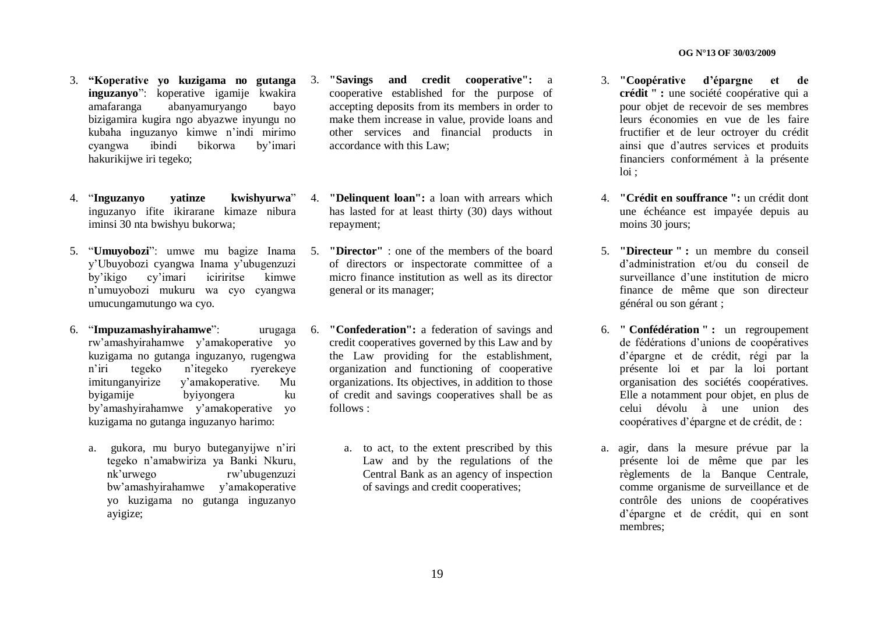- 3. **"Koperative yo kuzigama no gutanga inguzanyo**": koperative igamije kwakira amafaranga abanyamuryango bayo bizigamira kugira ngo abyazwe inyungu no kubaha inguzanyo kimwe n'indi mirimo<br>cyangwa ibindi bikorwa by'imari cyangwa ibindi bikorwa by"imari hakurikijwe iri tegeko;
- 4. "Inguzanyo vatinze inguzanyo ifite ikirarane kimaze nibura iminsi 30 nta bwishyu bukorwa;
- 5. "**Umuyobozi**": umwe mu bagize Inama y"Ubuyobozi cyangwa Inama y"ubugenzuzi by"ikigo cy"imari iciriritse kimwe n"umuyobozi mukuru wa cyo cyangwa umucungamutungo wa cyo.
- 6. "**Impuzamashyirahamwe**": urugaga rw"amashyirahamwe y"amakoperative yo kuzigama no gutanga inguzanyo, rugengwa n"iri tegeko n"itegeko ryerekeye imitunganyirize y"amakoperative. Mu byigamije byiyongera ku by"amashyirahamwe y"amakoperative yo kuzigama no gutanga inguzanyo harimo:
	- a. gukora, mu buryo buteganyijwe n"iri tegeko n"amabwiriza ya Banki Nkuru, nk"urwego rw"ubugenzuzi bw"amashyirahamwe y"amakoperative yo kuzigama no gutanga inguzanyo ayigize;
- 3. **"Savings and credit cooperative":** a cooperative established for the purpose of accepting deposits from its members in order to make them increase in value, provide loans and other services and financial products in accordance with this Law;
- 4. **"Delinquent loan":** a loan with arrears which has lasted for at least thirty (30) days without repayment;
	- 5. **"Director"** : one of the members of the board of directors or inspectorate committee of a micro finance institution as well as its director general or its manager;
	- "Confederation": a federation of savings and credit cooperatives governed by this Law and by the Law providing for the establishment, organization and functioning of cooperative organizations. Its objectives, in addition to those of credit and savings cooperatives shall be as follows :
		- a. to act, to the extent prescribed by this Law and by the regulations of the Central Bank as an agency of inspection of savings and credit cooperatives;
- 3. **"Coopérative d"épargne et de crédit " :** une société coopérative qui a pour objet de recevoir de ses membres leurs économies en vue de les faire fructifier et de leur octroyer du crédit ainsi que d"autres services et produits financiers conformément à la présente loi ;
- 4. **"Crédit en souffrance ":** un crédit dont une échéance est impayée depuis au moins 30 jours:
- 5. **"Directeur " :** un membre du conseil d"administration et/ou du conseil de surveillance d'une institution de micro finance de même que son directeur général ou son gérant ;
- 6. **" Confédération " :** un regroupement de fédérations d"unions de coopératives d"épargne et de crédit, régi par la présente loi et par la loi portant organisation des sociétés coopératives. Elle a notamment pour objet, en plus de celui dévolu à une union des coopératives d"épargne et de crédit, de :
- a. agir, dans la mesure prévue par la présente loi de même que par les règlements de la Banque Centrale, comme organisme de surveillance et de contrôle des unions de coopératives d"épargne et de crédit, qui en sont membres;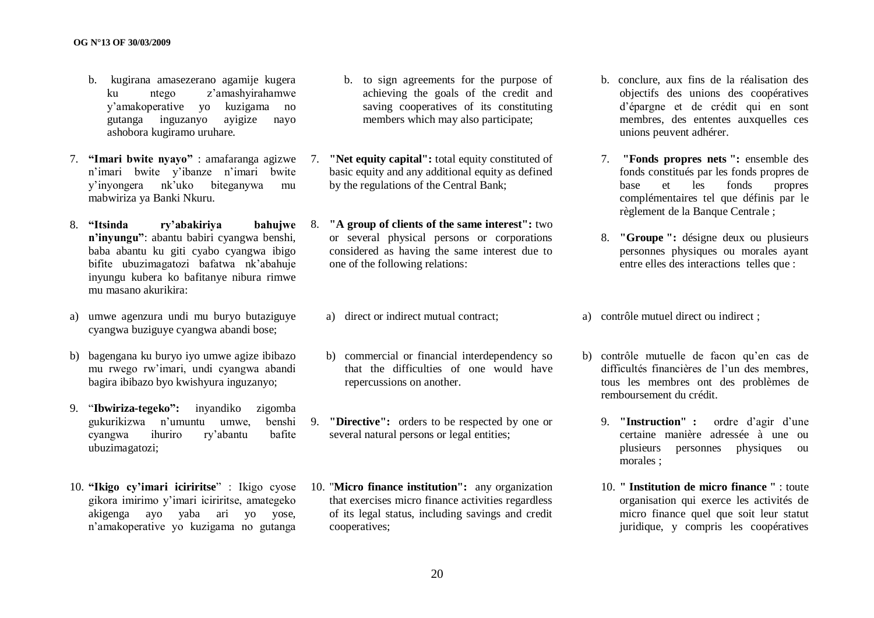- b. kugirana amasezerano agamije kugera ku ntego z"amashyirahamwe y"amakoperative yo kuzigama no gutanga inguzanyo ayigize nayo ashobora kugiramo uruhare.
- 7. **"Imari bwite nyayo"** : amafaranga agizwe n"imari bwite y"ibanze n"imari bwite y"inyongera nk"uko biteganywa mu mabwiriza ya Banki Nkuru.
- 8. **"Itsinda ry"abakiriya bahujwe n"inyungu"**: abantu babiri cyangwa benshi, baba abantu ku giti cyabo cyangwa ibigo bifite ubuzimagatozi bafatwa nk"abahuje inyungu kubera ko bafitanye nibura rimwe mu masano akurikira:
- a) umwe agenzura undi mu buryo butaziguye cyangwa buziguye cyangwa abandi bose;
- b) bagengana ku buryo iyo umwe agize ibibazo mu rwego rw"imari, undi cyangwa abandi bagira ibibazo byo kwishyura inguzanyo;
- 9. "**Ibwiriza-tegeko":** inyandiko zigomba gukurikizwa n"umuntu umwe, benshi cyangwa ihuriro ry"abantu bafite ubuzimagatozi;
- 10. **"Ikigo cy"imari iciriritse**" : Ikigo cyose gikora imirimo y"imari iciriritse, amategeko akigenga ayo yaba ari yo yose, n"amakoperative yo kuzigama no gutanga
- b. to sign agreements for the purpose of achieving the goals of the credit and saving cooperatives of its constituting members which may also participate;
- 7. **"Net equity capital":** total equity constituted of basic equity and any additional equity as defined by the regulations of the Central Bank;
	- 8. **"A group of clients of the same interest":** two or several physical persons or corporations considered as having the same interest due to one of the following relations:
		- a) direct or indirect mutual contract;
		- b) commercial or financial interdependency so that the difficulties of one would have repercussions on another.
- 9. **"Directive":** orders to be respected by one or several natural persons or legal entities;
	- 10. "**Micro finance institution":** any organization that exercises micro finance activities regardless of its legal status, including savings and credit cooperatives;
- b. conclure, aux fins de la réalisation des objectifs des unions des coopératives d"épargne et de crédit qui en sont membres, des ententes auxquelles ces unions peuvent adhérer.
- 7. **"Fonds propres nets ":** ensemble des fonds constitués par les fonds propres de base et les fonds propres complémentaires tel que définis par le règlement de la Banque Centrale ;
- 8. **"Groupe ":** désigne deux ou plusieurs personnes physiques ou morales ayant entre elles des interactions telles que :

a) contrôle mutuel direct ou indirect ;

- b) contrôle mutuelle de facon qu"en cas de difficultés financières de l'un des membres, tous les membres ont des problèmes de remboursement du crédit.
	- 9. **"Instruction" :** ordre d"agir d"une certaine manière adressée à une ou plusieurs personnes physiques ou morales ;
	- 10. **" Institution de micro finance "** : toute organisation qui exerce les activités de micro finance quel que soit leur statut juridique, y compris les coopératives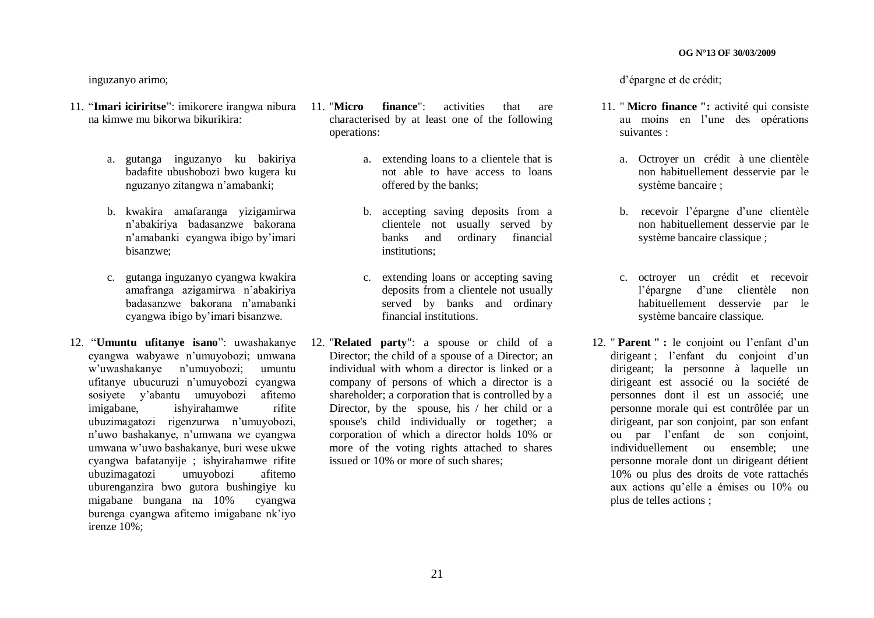#### inguzanyo arimo;

- 11. "**Imari iciriritse**": imikorere irangwa nibura 11. "**Micro finance**": activities that are na kimwe mu bikorwa bikurikira:
	- a. gutanga inguzanyo ku bakiriya badafite ubushobozi bwo kugera ku nguzanyo zitangwa n"amabanki;
	- b. kwakira amafaranga yizigamirwa n"abakiriya badasanzwe bakorana n"amabanki cyangwa ibigo by"imari bisanzwe;
	- c. gutanga inguzanyo cyangwa kwakira amafranga azigamirwa n"abakiriya badasanzwe bakorana n"amabanki cyangwa ibigo by"imari bisanzwe.
- 12. "**Umuntu ufitanye isano**": uwashakanye cyangwa wabyawe n"umuyobozi; umwana w"uwashakanye n"umuyobozi; umuntu ufitanye ubucuruzi n"umuyobozi cyangwa sosiyete y"abantu umuyobozi afitemo imigabane, ishyirahamwe rifite ubuzimagatozi rigenzurwa n"umuyobozi, n"uwo bashakanye, n"umwana we cyangwa umwana w"uwo bashakanye, buri wese ukwe cyangwa bafatanyije ; ishyirahamwe rifite ubuzimagatozi umuyobozi afitemo uburenganzira bwo gutora bushingiye ku migabane bungana na 10% cyangwa burenga cyangwa afitemo imigabane nk"iyo irenze 10%;
- characterised by at least one of the following operations:
	- a. extending loans to a clientele that is not able to have access to loans offered by the banks;
	- b. accepting saving deposits from a clientele not usually served by banks and ordinary financial institutions;
	- c. extending loans or accepting saving deposits from a clientele not usually served by banks and ordinary financial institutions.
- 12. "**Related party**": a spouse or child of a Director; the child of a spouse of a Director; an individual with whom a director is linked or a company of persons of which a director is a shareholder; a corporation that is controlled by a Director, by the spouse, his / her child or a spouse's child individually or together; a corporation of which a director holds 10% or more of the voting rights attached to shares issued or 10% or more of such shares;

d"épargne et de crédit;

- 11. " **Micro finance ":** activité qui consiste au moins en l"une des opérations suivantes :
	- a. Octroyer un crédit à une clientèle non habituellement desservie par le système bancaire ;
	- b. recevoir l"épargne d"une clientèle non habituellement desservie par le système bancaire classique :
	- c. octroyer un crédit et recevoir l"épargne d"une clientèle non habituellement desservie par le système bancaire classique.
- 12. " **Parent " :** le conjoint ou l"enfant d"un dirigeant ; l'enfant du conjoint d'un dirigeant; la personne à laquelle un dirigeant est associé ou la société de personnes dont il est un associé; une personne morale qui est contrôlée par un dirigeant, par son conjoint, par son enfant ou par l"enfant de son conjoint, individuellement ou ensemble; une personne morale dont un dirigeant détient 10% ou plus des droits de vote rattachés aux actions qu"elle a émises ou 10% ou plus de telles actions ;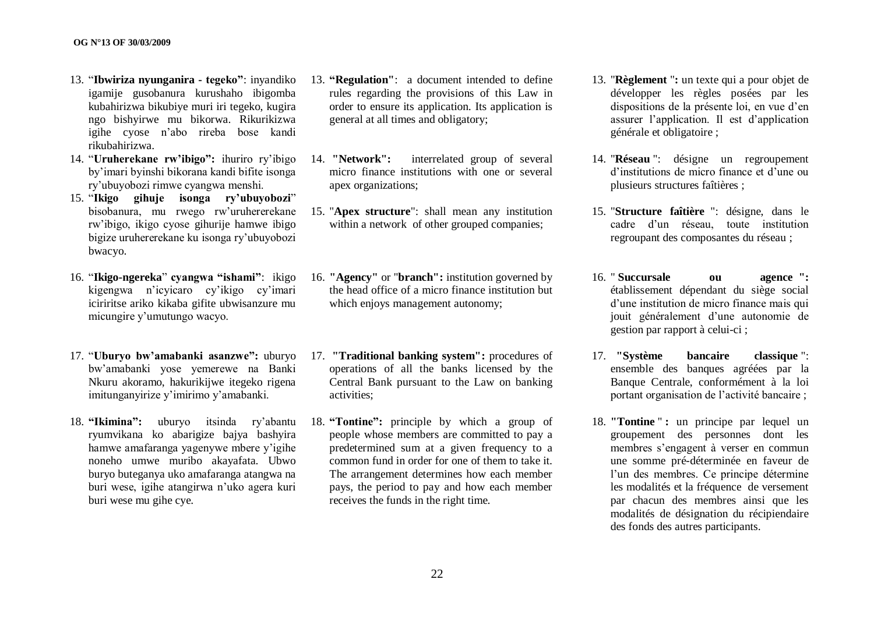- 13. "**Ibwiriza nyunganira - tegeko"**: inyandiko igamije gusobanura kurushaho ibigomba kubahirizwa bikubiye muri iri tegeko, kugira ngo bishyirwe mu bikorwa. Rikurikizwa igihe cyose n"abo rireba bose kandi rikubahirizwa.
- 14. "**Uruherekane rw"ibigo":** ihuriro ry"ibigo by"imari byinshi bikorana kandi bifite isonga ry"ubuyobozi rimwe cyangwa menshi.
- 15. "**Ikigo gihuje isonga ry"ubuyobozi**" bisobanura, mu rwego rw"uruhererekane rw"ibigo, ikigo cyose gihurije hamwe ibigo bigize uruhererekane ku isonga ry"ubuyobozi bwacyo.
- 16. "**Ikigo-ngereka**" **cyangwa "ishami"**: ikigo kigengwa n"icyicaro cy"ikigo cy"imari iciriritse ariko kikaba gifite ubwisanzure mu micungire y"umutungo wacyo.
- 17. "**Uburyo bw"amabanki asanzwe":** uburyo bw"amabanki yose yemerewe na Banki Nkuru akoramo, hakurikijwe itegeko rigena imitunganyirize y"imirimo y"amabanki.
- 18. **"Ikimina":** uburyo itsinda ry"abantu ryumvikana ko abarigize bajya bashyira hamwe amafaranga yagenywe mbere y"igihe noneho umwe muribo akayafata. Ubwo buryo buteganya uko amafaranga atangwa na buri wese, igihe atangirwa n"uko agera kuri buri wese mu gihe cye.
- 13. **"Regulation"**: a document intended to define rules regarding the provisions of this Law in order to ensure its application. Its application is general at all times and obligatory;
- 14. **"Network":** interrelated group of several micro finance institutions with one or several apex organizations;
- 15. "**Apex structure**": shall mean any institution within a network of other grouped companies:
- 16. **"Agency"** or "**branch":** institution governed by the head office of a micro finance institution but which enjoys management autonomy;
- 17. **"Traditional banking system":** procedures of operations of all the banks licensed by the Central Bank pursuant to the Law on banking activities;
- 18. **"Tontine":** principle by which a group of people whose members are committed to pay a predetermined sum at a given frequency to a common fund in order for one of them to take it. The arrangement determines how each member pays, the period to pay and how each member receives the funds in the right time.
- 13. "**Règlement** "**:** un texte qui a pour objet de développer les règles posées par les dispositions de la présente loi, en vue d'en assurer l"application. Il est d"application générale et obligatoire ;
- 14. "**Réseau** ": désigne un regroupement d'institutions de micro finance et d'une ou plusieurs structures faîtières ;
- 15. "**Structure faîtière** ": désigne, dans le cadre d"un réseau, toute institution regroupant des composantes du réseau ;
- 16. " **Succursale ou agence ":** établissement dépendant du siège social d"une institution de micro finance mais qui jouit généralement d"une autonomie de gestion par rapport à celui-ci ;
- 17. **"Système bancaire classique** ": ensemble des banques agréées par la Banque Centrale, conformément à la loi portant organisation de l"activité bancaire ;
- 18. **"Tontine** " **:** un principe par lequel un groupement des personnes dont les membres s"engagent à verser en commun une somme pré-déterminée en faveur de l"un des membres. Ce principe détermine les modalités et la fréquence de versement par chacun des membres ainsi que les modalités de désignation du récipiendaire des fonds des autres participants.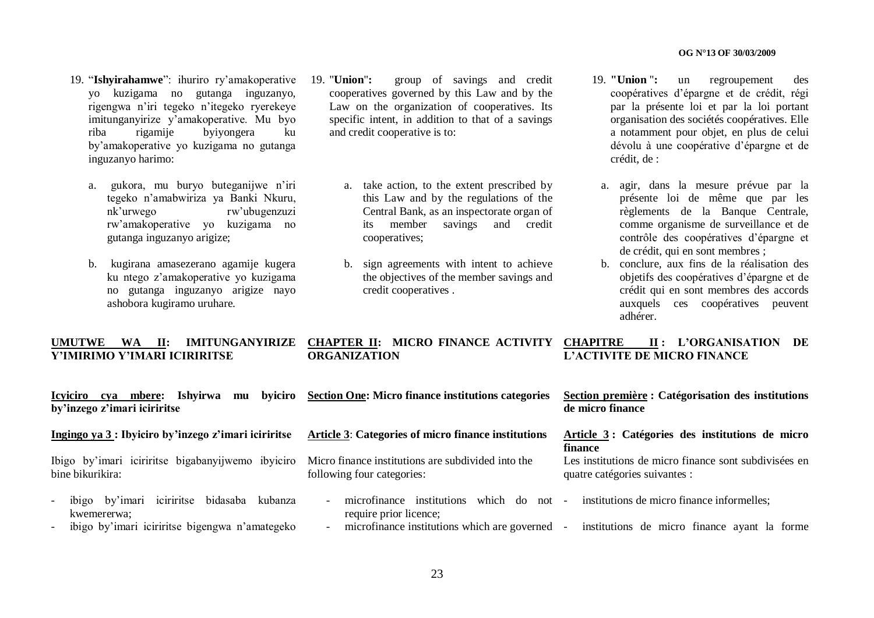- 19. "**Ishyirahamwe**": ihuriro ry"amakoperative yo kuzigama no gutanga inguzanyo, rigengwa n"iri tegeko n"itegeko ryerekeye imitunganyirize y'amakoperative. Mu byo<br>riba rigamije byiyongera ku riba rigamije byiyongera ku by"amakoperative yo kuzigama no gutanga inguzanyo harimo:
	- a. gukora, mu buryo buteganijwe n"iri tegeko n"amabwiriza ya Banki Nkuru, nk"urwego rw"ubugenzuzi rw"amakoperative yo kuzigama no gutanga inguzanyo arigize;
	- b. kugirana amasezerano agamije kugera ku ntego z"amakoperative yo kuzigama no gutanga inguzanyo arigize nayo ashobora kugiramo uruhare.
- 19. "**Union**"**:** group of savings and credit cooperatives governed by this Law and by the Law on the organization of cooperatives. Its specific intent, in addition to that of a savings and credit cooperative is to:
	- a. take action, to the extent prescribed by this Law and by the regulations of the Central Bank, as an inspectorate organ of its member savings and credit cooperatives;
	- b. sign agreements with intent to achieve the objectives of the member savings and credit cooperatives .
- 19. **"Union** "**:** un regroupement des coopératives d"épargne et de crédit, régi par la présente loi et par la loi portant organisation des sociétés coopératives. Elle a notamment pour objet, en plus de celui dévolu à une coopérative d"épargne et de crédit, de :
- a. agir, dans la mesure prévue par la présente loi de même que par les règlements de la Banque Centrale, comme organisme de surveillance et de contrôle des coopératives d"épargne et de crédit, qui en sont membres ;
- b. conclure, aux fins de la réalisation des objetifs des coopératives d"épargne et de crédit qui en sont membres des accords auxquels ces coopératives peuvent adhérer.

#### **UMUTWE WA II: IMITUNGANYIRIZE CHAPTER II: MICRO FINANCE ACTIVITY Y"IMIRIMO Y"IMARI ICIRIRITSE ORGANIZATION CHAPITRE II : L"ORGANISATION DE L"ACTIVITE DE MICRO FINANCE**

| byiciro<br>Ishvirwa<br><b>Icyiciro</b><br>mbere:<br>cva<br>mu<br>by'inzego z'imari iciriritse                                                    | <b>Section One: Micro finance institutions categories</b>                                                                             | Section première : Catégorisation des institutions<br>de micro finance                                                                    |
|--------------------------------------------------------------------------------------------------------------------------------------------------|---------------------------------------------------------------------------------------------------------------------------------------|-------------------------------------------------------------------------------------------------------------------------------------------|
| Ingingo ya 3 : Ibyiciro by'inzego z'imari iciriritse                                                                                             | Article 3: Categories of micro finance institutions                                                                                   | Article 3: Catégories des institutions de micro<br>finance                                                                                |
| Ibigo by'imari iciriritse bigabanyijwemo ibyiciro<br>bine bikurikira:                                                                            | Micro finance institutions are subdivided into the<br>following four categories:                                                      | Les institutions de micro finance sont subdivisées en<br>quatre catégories suivantes :                                                    |
| iciriritse<br>bidasaba<br>kubanza<br>ibigo by'imari<br>kwemererwa:<br>ibigo by'imari iciriritse bigengwa n'amategeko<br>$\overline{\phantom{a}}$ | institutions<br>which do<br>$not -$<br>microfinance<br>$\overline{\phantom{a}}$<br>require prior licence;<br>$\overline{\phantom{0}}$ | institutions de micro finance informelles;<br>microfinance institutions which are governed - institutions de micro finance ayant la forme |
|                                                                                                                                                  |                                                                                                                                       |                                                                                                                                           |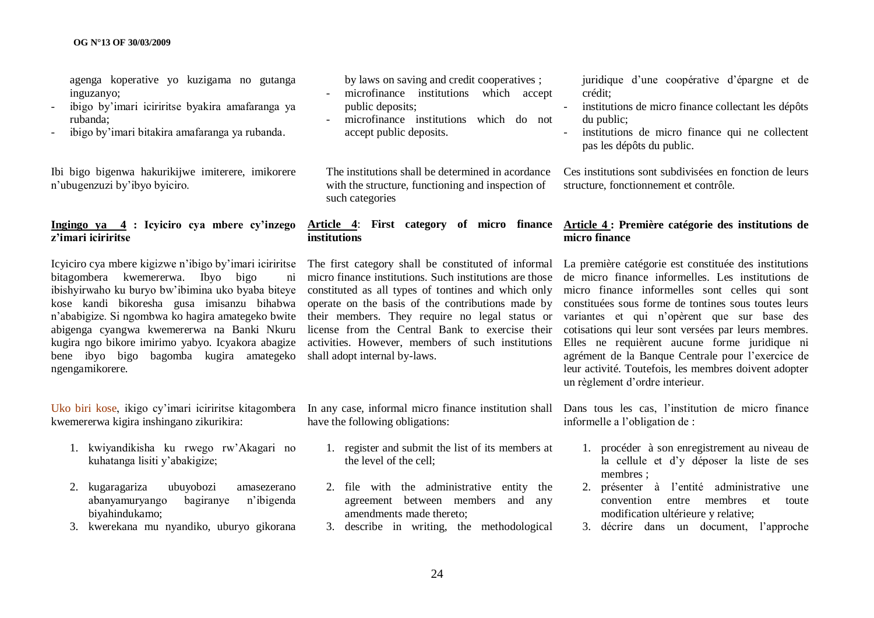agenga koperative yo kuzigama no gutanga inguzanyo;

- ibigo by"imari iciriritse byakira amafaranga ya rubanda;
- ibigo by"imari bitakira amafaranga ya rubanda.

Ibi bigo bigenwa hakurikijwe imiterere, imikorere n"ubugenzuzi by"ibyo byiciro.

#### **Ingingo ya 4 : Icyiciro cya mbere cy"inzego z"imari iciriritse**

Icyiciro cya mbere kigizwe n"ibigo by"imari iciriritse bitagombera kwemererwa. Ibyo bigo ni ibishyirwaho ku buryo bw"ibimina uko byaba biteye kose kandi bikoresha gusa imisanzu bihabwa n"ababigize. Si ngombwa ko hagira amategeko bwite abigenga cyangwa kwemererwa na Banki Nkuru kugira ngo bikore imirimo yabyo. Icyakora abagize bene ibyo bigo bagomba kugira amategeko ngengamikorere.

Uko biri kose, ikigo cy"imari iciriritse kitagombera kwemererwa kigira inshingano zikurikira:

- 1. kwiyandikisha ku rwego rw"Akagari no kuhatanga lisiti y"abakigize;
- 2. kugaragariza ubuyobozi amasezerano abanyamuryango bagiranye n"ibigenda biyahindukamo;
- 3. kwerekana mu nyandiko, uburyo gikorana

by laws on saving and credit cooperatives ;

- microfinance institutions which accept public deposits;
- microfinance institutions which do not accept public deposits.

The institutions shall be determined in acordance with the structure, functioning and inspection of such categories

# **institutions**

micro finance institutions. Such institutions are those constituted as all types of tontines and which only operate on the basis of the contributions made by their members. They require no legal status or license from the Central Bank to exercise their activities. However, members of such institutions shall adopt internal by-laws.

In any case, informal micro finance institution shall have the following obligations:

- 1. register and submit the list of its members at the level of the cell;
- 2. file with the administrative entity the agreement between members and any amendments made thereto;
- 3. describe in writing, the methodological

juridique d"une coopérative d"épargne et de crédit;

- institutions de micro finance collectant les dépôts du public;
- institutions de micro finance qui ne collectent pas les dépôts du public.

Ces institutions sont subdivisées en fonction de leurs structure, fonctionnement et contrôle.

#### **Article 4**: **First category of micro finance Article 4 : Première catégorie des institutions de micro finance**

The first category shall be constituted of informal La première catégorie est constituée des institutions de micro finance informelles. Les institutions de micro finance informelles sont celles qui sont constituées sous forme de tontines sous toutes leurs variantes et qui n"opèrent que sur base des cotisations qui leur sont versées par leurs membres. Elles ne requièrent aucune forme juridique ni agrément de la Banque Centrale pour l"exercice de leur activité. Toutefois, les membres doivent adopter un règlement d"ordre interieur.

> Dans tous les cas, l"institution de micro finance informelle a l"obligation de :

- 1. procéder à son enregistrement au niveau de la cellule et d"y déposer la liste de ses membres ;
- 2. présenter à l"entité administrative une convention entre membres et toute modification ultérieure y relative;
- 3. décrire dans un document, l"approche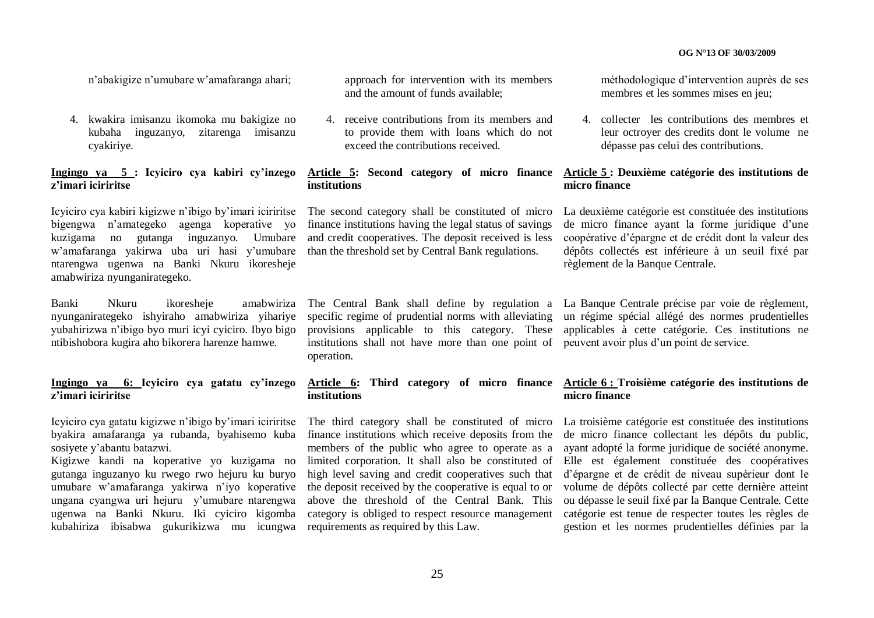n"abakigize n"umubare w"amafaranga ahari;

4. kwakira imisanzu ikomoka mu bakigize no kubaha inguzanyo, zitarenga imisanzu cyakiriye.

#### **Ingingo ya 5 : Icyiciro cya kabiri cy"inzego z"imari iciriritse**

Icyiciro cya kabiri kigizwe n"ibigo by"imari iciriritse bigengwa n"amategeko agenga koperative yo kuzigama no gutanga inguzanyo. Umubare w"amafaranga yakirwa uba uri hasi y"umubare ntarengwa ugenwa na Banki Nkuru ikoresheje amabwiriza nyunganirategeko.

Banki Nkuru ikoresheje amabwiriza nyunganirategeko ishyiraho amabwiriza yihariye yubahirizwa n"ibigo byo muri icyi cyiciro. Ibyo bigo ntibishobora kugira aho bikorera harenze hamwe.

#### **Ingingo ya 6: Icyiciro cya gatatu cy"inzego z"imari iciriritse**

Icyiciro cya gatatu kigizwe n"ibigo by"imari iciriritse byakira amafaranga ya rubanda, byahisemo kuba sosiyete y"abantu batazwi.

Kigizwe kandi na koperative yo kuzigama no gutanga inguzanyo ku rwego rwo hejuru ku buryo umubare w"amafaranga yakirwa n"iyo koperative ungana cyangwa uri hejuru y"umubare ntarengwa ugenwa na Banki Nkuru. Iki cyiciro kigomba kubahiriza ibisabwa gukurikizwa mu icungwa requirements as required by this Law.

approach for intervention with its members and the amount of funds available;

4. receive contributions from its members and to provide them with loans which do not exceed the contributions received.

#### **Article 5: Second category of micro finance institutions**

The second category shall be constituted of micro finance institutions having the legal status of savings and credit cooperatives. The deposit received is less than the threshold set by Central Bank regulations.

specific regime of prudential norms with alleviating provisions applicable to this category. These institutions shall not have more than one point of peuvent avoir plus d'un point de service. operation.

## **institutions**

finance institutions which receive deposits from the members of the public who agree to operate as a the deposit received by the cooperative is equal to or above the threshold of the Central Bank. This category is obliged to respect resource management méthodologique d"intervention auprès de ses membres et les sommes mises en jeu;

4. collecter les contributions des membres et leur octroyer des credits dont le volume ne dépasse pas celui des contributions.

#### **Article 5 : Deuxième catégorie des institutions de micro finance**

La deuxième catégorie est constituée des institutions de micro finance ayant la forme juridique d"une coopérative d"épargne et de crédit dont la valeur des dépôts collectés est inférieure à un seuil fixé par règlement de la Banque Centrale.

The Central Bank shall define by regulation a La Banque Centrale précise par voie de règlement, un régime spécial allégé des normes prudentielles applicables à cette catégorie. Ces institutions ne

#### **Article 6: Third category of micro finance Article 6 : Troisième catégorie des institutions de micro finance**

The third category shall be constituted of micro La troisième catégorie est constituée des institutions limited corporation. It shall also be constituted of Elle est également constituée des coopératives high level saving and credit cooperatives such that d"épargne et de crédit de niveau supérieur dont le de micro finance collectant les dépôts du public, ayant adopté la forme juridique de société anonyme. volume de dépôts collecté par cette dernière atteint ou dépasse le seuil fixé par la Banque Centrale. Cette catégorie est tenue de respecter toutes les règles de gestion et les normes prudentielles définies par la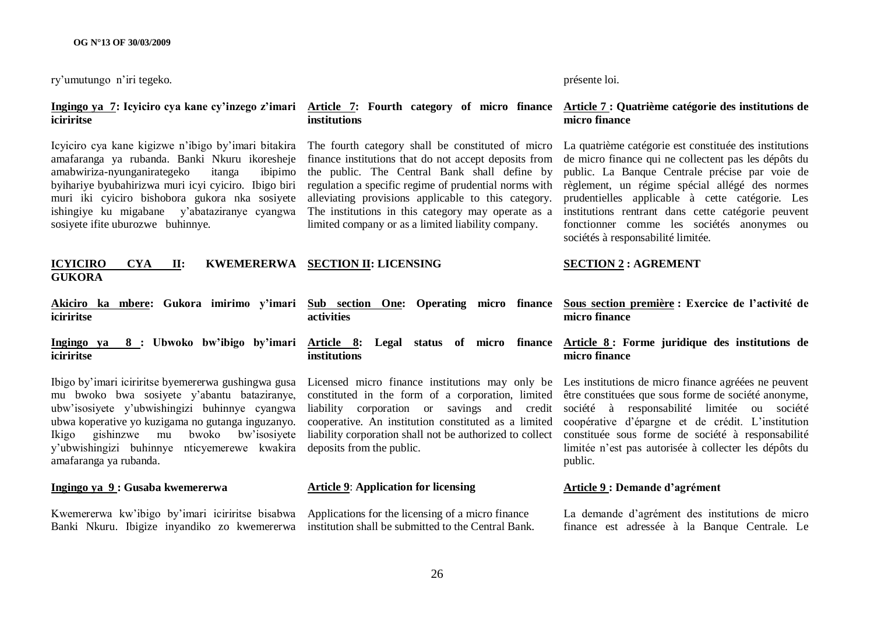ry"umutungo n"iri tegeko.

# **iciriritse**

Icyiciro cya kane kigizwe n"ibigo by"imari bitakira The fourth category shall be constituted of micro amafaranga ya rubanda. Banki Nkuru ikoresheje amabwiriza-nyunganirategeko itanga ibipimo byihariye byubahirizwa muri icyi cyiciro. Ibigo biri muri iki cyiciro bishobora gukora nka sosiyete ishingiye ku migabane y"abataziranye cyangwa sosiyete ifite uburozwe buhinnye.

#### **ICYICIRO CYA II: KWEMERERWA SECTION II: LICENSING GUKORA**

**iciriritse**

**iciriritse**

mu bwoko bwa sosiyete y"abantu bataziranye, ubwa koperative yo kuzigama no gutanga inguzanyo. Ikigo gishinzwe mu bwoko bw"isosiyete y"ubwishingizi buhinnye nticyemerewe kwakira amafaranga ya rubanda.

#### **Ingingo ya 9 : Gusaba kwemererwa**

Kwemererwa kw"ibigo by"imari iciriritse bisabwa Applications for the licensing of a micro finance Banki Nkuru. Ibigize inyandiko zo kwemererwa institution shall be submitted to the Central Bank.

### **institutions**

finance institutions that do not accept deposits from the public. The Central Bank shall define by regulation a specific regime of prudential norms with alleviating provisions applicable to this category. The institutions in this category may operate as a limited company or as a limited liability company.

#### présente loi.

#### **Ingingo ya 7: Icyiciro cya kane cy"inzego z"imari Article 7: Fourth category of micro finance Article 7 : Quatrième catégorie des institutions de micro finance**

La quatrième catégorie est constituée des institutions de micro finance qui ne collectent pas les dépôts du public. La Banque Centrale précise par voie de règlement, un régime spécial allégé des normes prudentielles applicable à cette catégorie. Les institutions rentrant dans cette catégorie peuvent fonctionner comme les sociétés anonymes ou sociétés à responsabilité limitée.

#### **SECTION 2 : AGREMENT**

- **activities**
- **institutions**

deposits from the public.

#### **Article 9**: **Application for licensing**

**Akiciro ka mbere: Gukora imirimo y"imari Sub section One: Operating micro finance Sous section première : Exercice de l"activité de micro finance**

#### **Ingingo ya 8 : Ubwoko bw"ibigo by"imari Article 8: Legal status of micro finance Article 8 : Forme juridique des institutions de micro finance**

Ibigo by"imari iciriritse byemererwa gushingwa gusa Licensed micro finance institutions may only be Les institutions de micro finance agréées ne peuvent ubw"isosiyete y"ubwishingizi buhinnye cyangwa liability corporation or savings and credit société à responsabilité limitée ou société constituted in the form of a corporation, limited être constituées que sous forme de société anonyme, cooperative. An institution constituted as a limited coopérative d"épargne et de crédit. L"institution liability corporation shall not be authorized to collect constituée sous forme de société à responsabilité limitée n"est pas autorisée à collecter les dépôts du public.

#### **Article 9 : Demande d"agrément**

La demande d"agrément des institutions de micro finance est adressée à la Banque Centrale. Le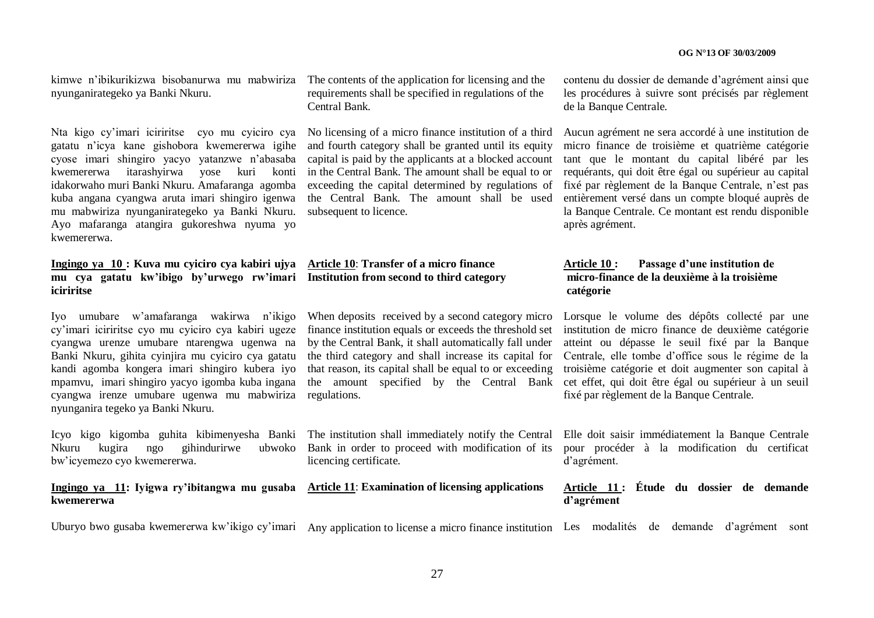kimwe n"ibikurikizwa bisobanurwa mu mabwiriza The contents of the application for licensing and the nyunganirategeko ya Banki Nkuru.

Nta kigo cy"imari iciriritse cyo mu cyiciro cya No licensing of a micro finance institution of a third gatatu n"icya kane gishobora kwemererwa igihe cyose imari shingiro yacyo yatanzwe n"abasaba kwemererwa itarashyirwa yose kuri konti idakorwaho muri Banki Nkuru. Amafaranga agomba kuba angana cyangwa aruta imari shingiro igenwa mu mabwiriza nyunganirategeko ya Banki Nkuru. Ayo mafaranga atangira gukoreshwa nyuma yo kwemererwa.

#### **Ingingo ya 10 : Kuva mu cyiciro cya kabiri ujya Article 10**: **Transfer of a micro finance mu cya gatatu kw"ibigo by"urwego rw"imari Institution from second to third category iciriritse**

Iyo umubare w"amafaranga wakirwa n"ikigo cy"imari iciriritse cyo mu cyiciro cya kabiri ugeze cyangwa urenze umubare ntarengwa ugenwa na Banki Nkuru, gihita cyinjira mu cyiciro cya gatatu kandi agomba kongera imari shingiro kubera iyo mpamvu, imari shingiro yacyo igomba kuba ingana cyangwa irenze umubare ugenwa mu mabwiriza regulations. nyunganira tegeko ya Banki Nkuru.

Nkuru kugira ngo gihindurirwe ubwoko bw"icyemezo cyo kwemererwa.

#### **Ingingo ya 11: Iyigwa ry"ibitangwa mu gusaba Article 11**: **Examination of licensing applications kwemererwa**

requirements shall be specified in regulations of the Central Bank.

and fourth category shall be granted until its equity capital is paid by the applicants at a blocked account in the Central Bank. The amount shall be equal to or exceeding the capital determined by regulations of the Central Bank. The amount shall be used subsequent to licence.

When deposits received by a second category micro by the Central Bank, it shall automatically fall under the third category and shall increase its capital for that reason, its capital shall be equal to or exceeding

Bank in order to proceed with modification of its licencing certificate.

Uburyo bwo gusaba kwemererwa kw'ikigo cy'imari Any application to license a micro finance institution Les modalités de demande d'agrément sont

contenu du dossier de demande d"agrément ainsi que les procédures à suivre sont précisés par règlement de la Banque Centrale.

Aucun agrément ne sera accordé à une institution de micro finance de troisième et quatrième catégorie tant que le montant du capital libéré par les requérants, qui doit être égal ou supérieur au capital fixé par règlement de la Banque Centrale, n"est pas entièrement versé dans un compte bloqué auprès de la Banque Centrale. Ce montant est rendu disponible après agrément.

#### **Article 10 : Passage d"une institution de micro-finance de la deuxième à la troisième catégorie**

finance institution equals or exceeds the threshold set institution de micro finance de deuxième catégorie the amount specified by the Central Bank cet effet, qui doit être égal ou supérieur à un seuil Lorsque le volume des dépôts collecté par une atteint ou dépasse le seuil fixé par la Banque Centrale, elle tombe d"office sous le régime de la troisième catégorie et doit augmenter son capital à fixé par règlement de la Banque Centrale.

Icyo kigo kigomba guhita kibimenyesha Banki The institution shall immediately notify the Central Elle doit saisir immédiatement la Banque Centrale pour procéder à la modification du certificat d"agrément.

#### **Article 11 : Étude du dossier de demande d"agrément**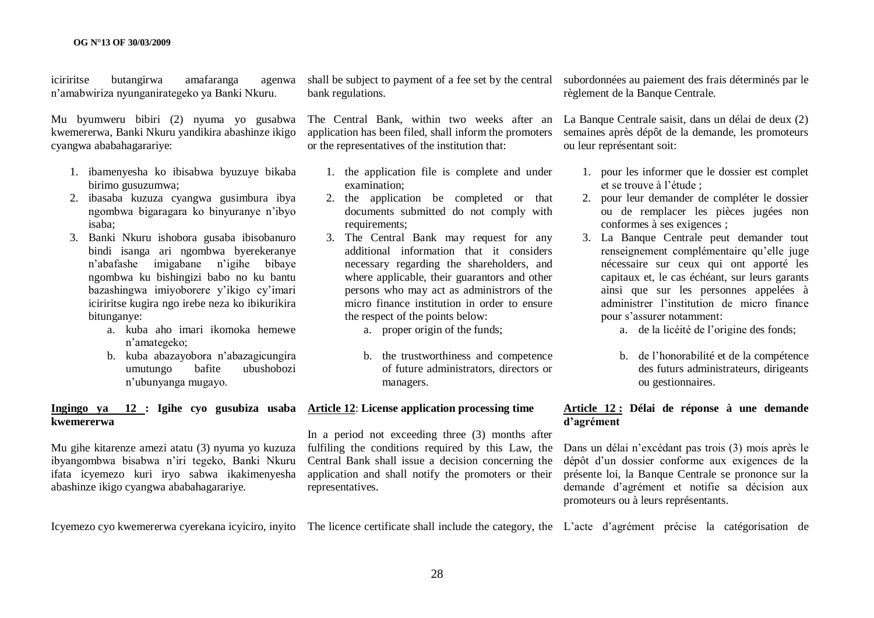iciriritse butangirwa amafaranga agenwa n"amabwiriza nyunganirategeko ya Banki Nkuru.

Mu byumweru bibiri (2) nyuma yo gusabwa kwemererwa, Banki Nkuru yandikira abashinze ikigo cyangwa ababahagarariye:

- 1. ibamenyesha ko ibisabwa byuzuye bikaba birimo gusuzumwa;
- 2. ibasaba kuzuza cyangwa gusimbura ibya ngombwa bigaragara ko binyuranye n"ibyo isaba;
- 3. Banki Nkuru ishobora gusaba ibisobanuro bindi isanga ari ngombwa byerekeranye n"abafashe imigabane n"igihe bibaye ngombwa ku bishingizi babo no ku bantu bazashingwa imiyoborere y"ikigo cy"imari iciriritse kugira ngo irebe neza ko ibikurikira bitunganye:
	- a. kuba aho imari ikomoka hemewe n"amategeko;
	- b. kuba abazayobora n"abazagicungira umutungo bafite ubushobozi n"ubunyanga mugayo.

#### **Ingingo ya 12 : Igihe cyo gusubiza usaba Article 12**: **License application processing time kwemererwa**

Mu gihe kitarenze amezi atatu (3) nyuma yo kuzuza ibyangombwa bisabwa n"iri tegeko, Banki Nkuru ifata icyemezo kuri iryo sabwa ikakimenyesha abashinze ikigo cyangwa ababahagarariye.

bank regulations.

The Central Bank, within two weeks after an application has been filed, shall inform the promoters or the representatives of the institution that:

- 1. the application file is complete and under examination;
- 2. the application be completed or that documents submitted do not comply with requirements;
- 3. The Central Bank may request for any additional information that it considers necessary regarding the shareholders, and where applicable, their guarantors and other persons who may act as administrors of the micro finance institution in order to ensure the respect of the points below:
	- a. proper origin of the funds;
	- b. the trustworthiness and competence of future administrators, directors or managers.

In a period not exceeding three (3) months after fulfiling the conditions required by this Law, the Central Bank shall issue a decision concerning the application and shall notify the promoters or their representatives.

shall be subject to payment of a fee set by the central subordonnées au paiement des frais déterminés par le règlement de la Banque Centrale.

> La Banque Centrale saisit, dans un délai de deux (2) semaines après dépôt de la demande, les promoteurs ou leur représentant soit:

- 1. pour les informer que le dossier est complet et se trouve à l"étude ;
- 2. pour leur demander de compléter le dossier ou de remplacer les pièces jugées non conformes à ses exigences ;
- 3. La Banque Centrale peut demander tout renseignement complémentaire qu"elle juge nécessaire sur ceux qui ont apporté les capitaux et, le cas échéant, sur leurs garants ainsi que sur les personnes appelées à administrer l"institution de micro finance pour s"assurer notamment:
	- a. de la licéité de l"origine des fonds;
	- b. de l"honorabilité et de la compétence des futurs administrateurs, dirigeants ou gestionnaires.

#### **Article 12 : Délai de réponse à une demande d"agrément**

Dans un délai n"excédant pas trois (3) mois après le dépôt d"un dossier conforme aux exigences de la présente loi, la Banque Centrale se prononce sur la demande d"agrément et notifie sa décision aux promoteurs ou à leurs représentants.

Icyemezo cyo kwemererwa cyerekana icyiciro, inyito The licence certificate shall include the category, the L'acte d'agrément précise la catégorisation de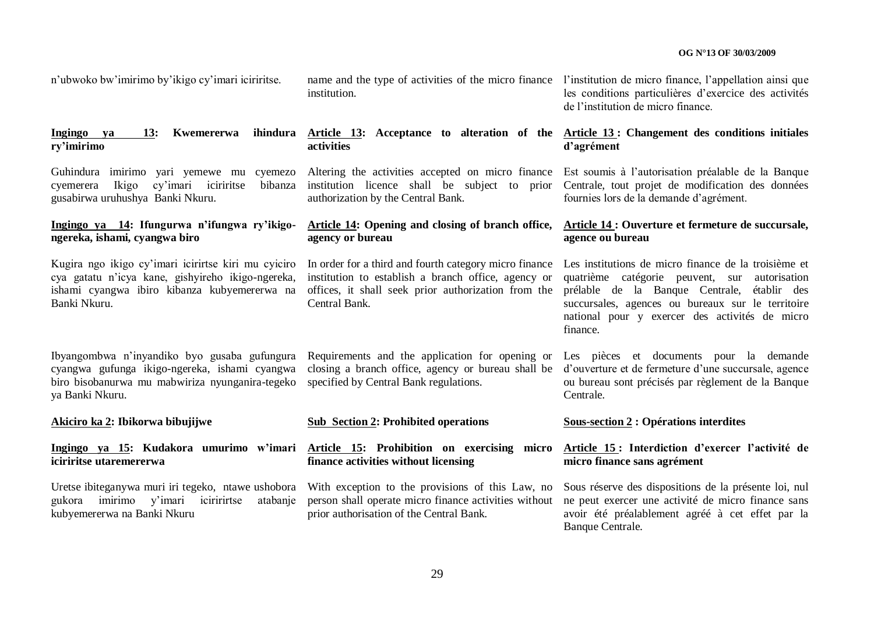n"ubwoko bw"imirimo by"ikigo cy"imari iciriritse.

#### **Ingingo ya 13: Kwemererwa ry"imirimo**

cyemerera Ikigo cy"imari iciriritse bibanza gusabirwa uruhushya Banki Nkuru.

#### **Ingingo ya 14: Ifungurwa n"ifungwa ry"ikigongereka, ishami, cyangwa biro**

cya gatatu n"icya kane, gishyireho ikigo-ngereka, ishami cyangwa ibiro kibanza kubyemererwa na Banki Nkuru.

Ibyangombwa n"inyandiko byo gusaba gufungura Requirements and the application for opening or Les pièces et documents pour la demande biro bisobanurwa mu mabwiriza nyunganira-tegeko specified by Central Bank regulations. ya Banki Nkuru.

**Akiciro ka 2: Ibikorwa bibujijwe**

#### **Ingingo ya 15: Kudakora umurimo w"imari Article 15: Prohibition on exercising micro iciriritse utaremererwa**

Uretse ibiteganywa muri iri tegeko, ntawe ushobora gukora imirimo y"imari iciririrtse atabanje kubyemererwa na Banki Nkuru

name and the type of activities of the micro finance l'institution de micro finance, l'appellation ainsi que institution.

**activities**

authorization by the Central Bank.

# **agency or bureau**

institution to establish a branch office, agency or offices, it shall seek prior authorization from the Central Bank.

#### **Sub Section 2: Prohibited operations**

**finance activities without licensing**

With exception to the provisions of this Law, no person shall operate micro finance activities without prior authorisation of the Central Bank.

les conditions particulières d"exercice des activités de l"institution de micro finance.

#### **Article 13: Acceptance to alteration of the Article 13 : Changement des conditions initiales d"agrément**

Guhindura imirimo yari yemewe mu cyemezo Altering the activities accepted on micro finance Est soumis à l"autorisation préalable de la Banque institution licence shall be subject to prior Centrale, tout projet de modification des données fournies lors de la demande d"agrément.

#### **Article 14: Opening and closing of branch office, Article 14 : Ouverture et fermeture de succursale, agence ou bureau**

Kugira ngo ikigo cy"imari icirirtse kiri mu cyiciro In order for a third and fourth category micro finance Les institutions de micro finance de la troisième et quatrième catégorie peuvent, sur autorisation prélable de la Banque Centrale, établir des succursales, agences ou bureaux sur le territoire national pour y exercer des activités de micro finance.

cyangwa gufunga ikigo-ngereka, ishami cyangwa closing a branch office, agency or bureau shall be d'ouverture et de fermeture d'une succursale, agence ou bureau sont précisés par règlement de la Banque Centrale.

#### **Sous-section 2 : Opérations interdites**

#### **Article 15 : Interdiction d"exercer l"activité de micro finance sans agrément**

Sous réserve des dispositions de la présente loi, nul ne peut exercer une activité de micro finance sans avoir été préalablement agréé à cet effet par la Banque Centrale.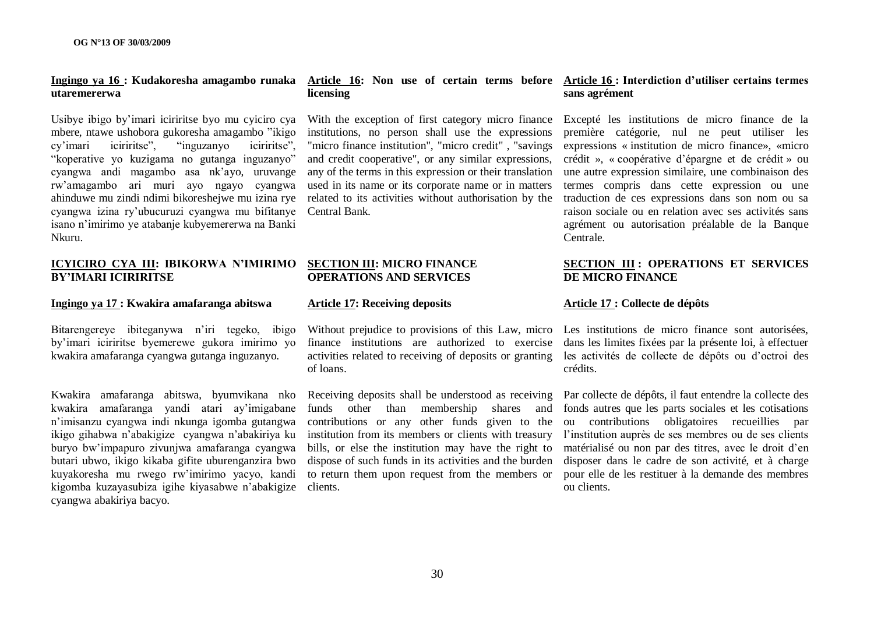#### **Ingingo ya 16 : Kudakoresha amagambo runaka Article 16: Non use of certain terms before Article 16 : Interdiction d"utiliser certains termes utaremererwa**

Usibye ibigo by"imari iciriritse byo mu cyiciro cya mbere, ntawe ushobora gukoresha amagambo "ikigo cy"imari iciriritse", "inguzanyo iciriritse", "koperative yo kuzigama no gutanga inguzanyo" cyangwa andi magambo asa nk"ayo, uruvange rw"amagambo ari muri ayo ngayo cyangwa ahinduwe mu zindi ndimi bikoreshejwe mu izina rye cyangwa izina ry"ubucuruzi cyangwa mu bifitanye Central Bank. isano n"imirimo ye atabanje kubyemererwa na Banki Nkuru.

#### **ICYICIRO CYA III: IBIKORWA N"IMIRIMO BY"IMARI ICIRIRITSE**

#### **Ingingo ya 17 : Kwakira amafaranga abitswa**

Bitarengereye ibiteganywa n"iri tegeko, ibigo by"imari iciriritse byemerewe gukora imirimo yo kwakira amafaranga cyangwa gutanga inguzanyo.

Kwakira amafaranga abitswa, byumvikana nko kwakira amafaranga yandi atari ay"imigabane n"imisanzu cyangwa indi nkunga igomba gutangwa ikigo gihabwa n"abakigize cyangwa n"abakiriya ku buryo bw"impapuro zivunjwa amafaranga cyangwa butari ubwo, ikigo kikaba gifite uburenganzira bwo kuyakoresha mu rwego rw"imirimo yacyo, kandi kigomba kuzayasubiza igihe kiyasabwe n"abakigize clients. cyangwa abakiriya bacyo.

# **licensing**

institutions, no person shall use the expressions "micro finance institution", "micro credit", "savings" and credit cooperative", or any similar expressions, any of the terms in this expression or their translation used in its name or its corporate name or in matters related to its activities without authorisation by the

#### **SECTION III: MICRO FINANCE OPERATIONS AND SERVICES**

#### **Article 17: Receiving deposits**

of loans.

Receiving deposits shall be understood as receiving funds other than membership shares and contributions or any other funds given to the institution from its members or clients with treasury bills, or else the institution may have the right to dispose of such funds in its activities and the burden to return them upon request from the members or

## **sans agrément**

With the exception of first category micro finance Excepté les institutions de micro finance de la première catégorie, nul ne peut utiliser les expressions « institution de micro finance», «micro crédit », « coopérative d"épargne et de crédit » ou une autre expression similaire, une combinaison des termes compris dans cette expression ou une traduction de ces expressions dans son nom ou sa raison sociale ou en relation avec ses activités sans agrément ou autorisation préalable de la Banque Centrale.

#### **SECTION III : OPERATIONS ET SERVICES DE MICRO FINANCE**

#### **Article 17 : Collecte de dépôts**

Without prejudice to provisions of this Law, micro Les institutions de micro finance sont autorisées, finance institutions are authorized to exercise dans les limites fixées par la présente loi, à effectuer activities related to receiving of deposits or granting les activités de collecte de dépôts ou d"octroi des crédits.

> Par collecte de dépôts, il faut entendre la collecte des fonds autres que les parts sociales et les cotisations ou contributions obligatoires recueillies par l'institution auprès de ses membres ou de ses clients matérialisé ou non par des titres, avec le droit d"en disposer dans le cadre de son activité, et à charge pour elle de les restituer à la demande des membres ou clients.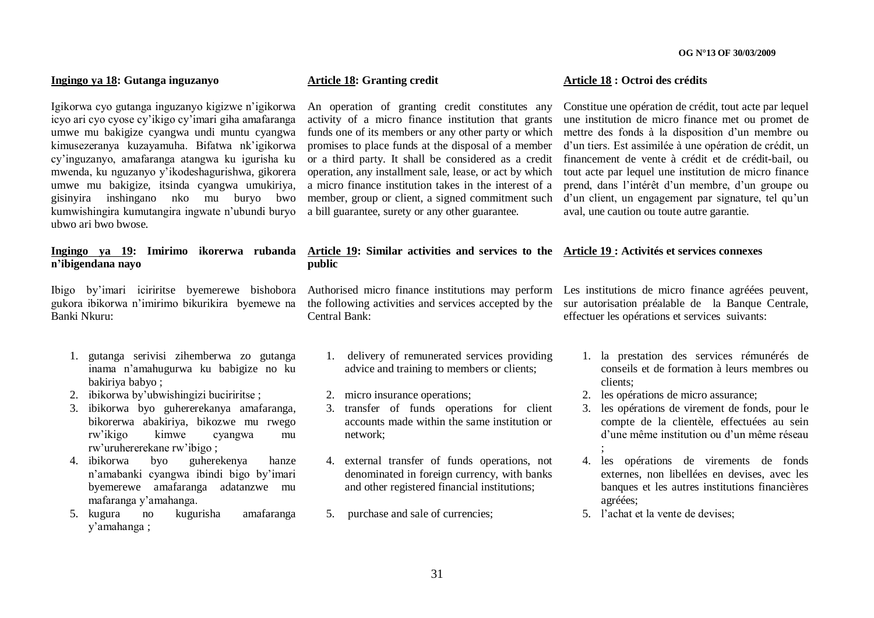#### **Ingingo ya 18: Gutanga inguzanyo**

Igikorwa cyo gutanga inguzanyo kigizwe n"igikorwa icyo ari cyo cyose cy"ikigo cy"imari giha amafaranga umwe mu bakigize cyangwa undi muntu cyangwa kimusezeranya kuzayamuha. Bifatwa nk"igikorwa cy"inguzanyo, amafaranga atangwa ku igurisha ku mwenda, ku nguzanyo y"ikodeshagurishwa, gikorera umwe mu bakigize, itsinda cyangwa umukiriya, gisinyira inshingano nko mu buryo bwo kumwishingira kumutangira ingwate n"ubundi buryo ubwo ari bwo bwose.

#### **Ingingo ya 19: Imirimo ikorerwa rubanda Article 19: Similar activities and services to the Article 19 : Activités et services connexes n"ibigendana nayo**

gukora ibikorwa n"imirimo bikurikira byemewe na the following activities and services accepted by the sur autorisation préalable de la Banque Centrale, Banki Nkuru:

- 1. gutanga serivisi zihemberwa zo gutanga inama n"amahugurwa ku babigize no ku bakiriya babyo ;
- 2. ibikorwa by"ubwishingizi buciriritse ;
- 3. ibikorwa byo guhererekanya amafaranga, bikorerwa abakiriya, bikozwe mu rwego rw"ikigo kimwe cyangwa mu rw"uruhererekane rw"ibigo ;
- 4. ibikorwa byo guherekenya hanze n"amabanki cyangwa ibindi bigo by"imari byemerewe amafaranga adatanzwe mu mafaranga y"amahanga.
- 5. kugura no kugurisha amafaranga y"amahanga ;

#### **Article 18: Granting credit**

**public**

An operation of granting credit constitutes any activity of a micro finance institution that grants funds one of its members or any other party or which promises to place funds at the disposal of a member or a third party. It shall be considered as a credit operation, any installment sale, lease, or act by which a micro finance institution takes in the interest of a member, group or client, a signed commitment such a bill guarantee, surety or any other guarantee.

#### **Article 18 : Octroi des crédits**

Constitue une opération de crédit, tout acte par lequel une institution de micro finance met ou promet de mettre des fonds à la disposition d"un membre ou d"un tiers. Est assimilée à une opération de crédit, un financement de vente à crédit et de crédit-bail, ou tout acte par lequel une institution de micro finance prend, dans l"intérêt d"un membre, d"un groupe ou d'un client, un engagement par signature, tel qu'un aval, une caution ou toute autre garantie.

Ibigo by'imari iciriritse byemerewe bishobora Authorised micro-finance institutions may perform Les institutions de micro-finance agréées peuvent, Central Bank:

- 1. delivery of remunerated services providing advice and training to members or clients;
- 2. micro insurance operations;
- 3. transfer of funds operations for client accounts made within the same institution or network;
- 4. external transfer of funds operations, not denominated in foreign currency, with banks and other registered financial institutions;
- 5. purchase and sale of currencies;

effectuer les opérations et services suivants:

- 1. la prestation des services rémunérés de conseils et de formation à leurs membres ou clients;
- 2. les opérations de micro assurance;
- 3. les opérations de virement de fonds, pour le compte de la clientèle, effectuées au sein d"une même institution ou d"un même réseau ;
- 4. les opérations de virements de fonds externes, non libellées en devises, avec les banques et les autres institutions financières agréées;
- 5. l"achat et la vente de devises;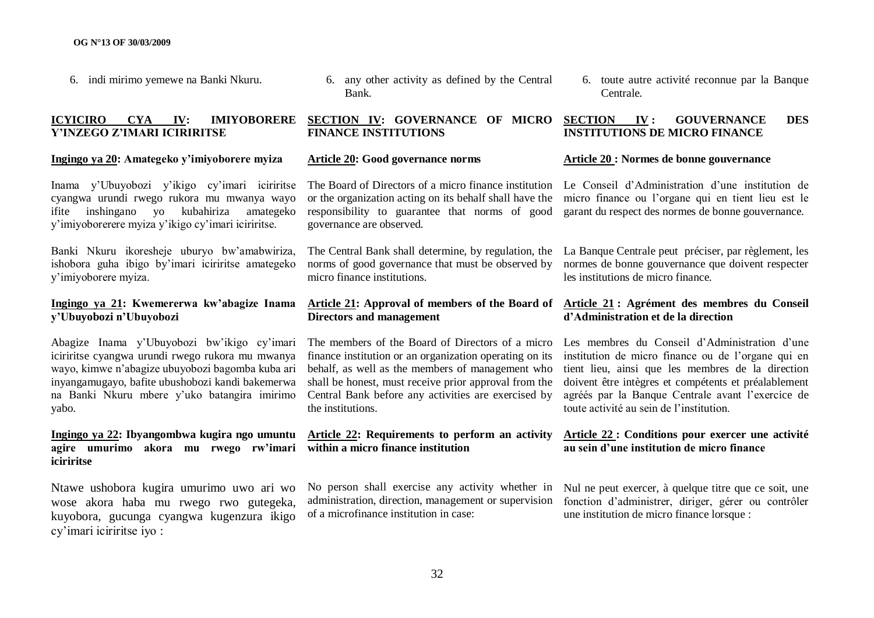6. indi mirimo yemewe na Banki Nkuru.

#### **ICYICIRO CYA IV: IMIYOBORERE Y"INZEGO Z"IMARI ICIRIRITSE**

#### **Ingingo ya 20: Amategeko y"imiyoborere myiza**

Inama y"Ubuyobozi y"ikigo cy"imari iciriritse cyangwa urundi rwego rukora mu mwanya wayo ifite inshingano yo kubahiriza y"imiyoborerere myiza y"ikigo cy"imari iciriritse.

Banki Nkuru ikoresheje uburyo bw"amabwiriza, ishobora guha ibigo by"imari iciriritse amategeko y"imiyoborere myiza.

#### **Ingingo ya 21: Kwemererwa kw"abagize Inama y"Ubuyobozi n"Ubuyobozi**

Abagize Inama y"Ubuyobozi bw"ikigo cy"imari iciriritse cyangwa urundi rwego rukora mu mwanya wayo, kimwe n"abagize ubuyobozi bagomba kuba ari inyangamugayo, bafite ubushobozi kandi bakemerwa na Banki Nkuru mbere y"uko batangira imirimo yabo.

#### **Ingingo ya 22: Ibyangombwa kugira ngo umuntu agire umurimo akora mu rwego rw"imari within a micro finance institution iciriritse**

Ntawe ushobora kugira umurimo uwo ari wo wose akora haba mu rwego rwo gutegeka, kuyobora, gucunga cyangwa kugenzura ikigo cy"imari iciriritse iyo :

6. any other activity as defined by the Central Bank.

#### **SECTION IV: GOVERNANCE OF MICRO FINANCE INSTITUTIONS**

#### **Article 20: Good governance norms**

The Board of Directors of a micro finance institution Le Conseil d'Administration d'une institution de or the organization acting on its behalf shall have the micro finance ou l"organe qui en tient lieu est le responsibility to guarantee that norms of good garant du respect des normes de bonne gouvernance. governance are observed.

norms of good governance that must be observed by micro finance institutions.

# **Directors and management**

finance institution or an organization operating on its behalf, as well as the members of management who shall be honest, must receive prior approval from the Central Bank before any activities are exercised by the institutions.

# **Article 22: Requirements to perform an activity**

No person shall exercise any activity whether in administration, direction, management or supervision of a microfinance institution in case:

6. toute autre activité reconnue par la Banque Centrale.

#### **SECTION IV : GOUVERNANCE DES INSTITUTIONS DE MICRO FINANCE**

#### **Article 20 : Normes de bonne gouvernance**

The Central Bank shall determine, by regulation, the La Banque Centrale peut préciser, par règlement, les normes de bonne gouvernance que doivent respecter les institutions de micro finance.

#### **Article 21: Approval of members of the Board of Article 21 : Agrément des membres du Conseil d"Administration et de la direction**

The members of the Board of Directors of a micro Les membres du Conseil d'Administration d'une institution de micro finance ou de l"organe qui en tient lieu, ainsi que les membres de la direction doivent être intègres et compétents et préalablement agréés par la Banque Centrale avant l"exercice de toute activité au sein de l"institution.

#### **Article 22 : Conditions pour exercer une activité au sein d"une institution de micro finance**

Nul ne peut exercer, à quelque titre que ce soit, une fonction d"administrer, diriger, gérer ou contrôler une institution de micro finance lorsque :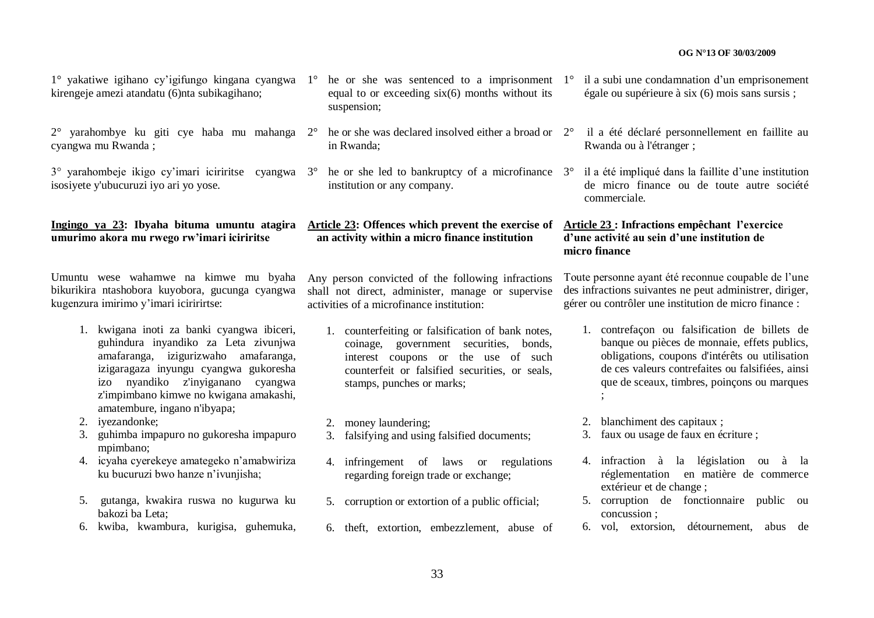$1^{\circ}$  yakatiwe igihano cy'igifungo kingana cyangwa  $1^{\circ}$  he or she was sentenced to a imprisonment  $1^{\circ}$  il a subi une condamnation d'un emprisonement kirengeje amezi atandatu (6)nta subikagihano;

2° yarahombye ku giti cye haba mu mahanga cyangwa mu Rwanda ;

 $3^\circ$  varahombeje ikigo cy'imari iciriritse cyangwa  $3^\circ$ isosiyete y'ubucuruzi iyo ari yo yose.

#### **Ingingo ya 23: Ibyaha bituma umuntu atagira umurimo akora mu rwego rw"imari iciriritse**

Umuntu wese wahamwe na kimwe mu byaha bikurikira ntashobora kuyobora, gucunga cyangwa kugenzura imirimo y"imari iciririrtse:

- 1. kwigana inoti za banki cyangwa ibiceri, guhindura inyandiko za Leta zivunjwa amafaranga, izigurizwaho amafaranga, izigaragaza inyungu cyangwa gukoresha izo nyandiko z'inyiganano cyangwa z'impimbano kimwe no kwigana amakashi, amatembure, ingano n'ibyapa;
- 2. iyezandonke;
- 3. guhimba impapuro no gukoresha impapuro mpimbano;
- 4. icyaha cyerekeye amategeko n"amabwiriza ku bucuruzi bwo hanze n"ivunjisha;
- 5. gutanga, kwakira ruswa no kugurwa ku bakozi ba Leta;
- 6. kwiba, kwambura, kurigisa, guhemuka,
- equal to or exceeding six(6) months without its suspension;
- $2^{\circ}$  he or she was declared insolved either a broad or  $2^{\circ}$  il a été déclaré personnellement en faillite au in Rwanda;
- he or she led to bankruptcy of a microfinance  $3^\circ$ institution or any company.

### **Article 23: Offences which prevent the exercise of Article 23 : Infractions empêchant l"exercice an activity within a micro finance institution**

Any person convicted of the following infractions shall not direct, administer, manage or supervise activities of a microfinance institution:

1. counterfeiting or falsification of bank notes, coinage, government securities, bonds, interest coupons or the use of such counterfeit or falsified securities, or seals, stamps, punches or marks;

2. money laundering;

- 3. falsifying and using falsified documents;
- 4. infringement of laws or regulations regarding foreign trade or exchange;
- 5. corruption or extortion of a public official;
- 6. theft, extortion, embezzlement, abuse of
- égale ou supérieure à six (6) mois sans sursis ;
- Rwanda ou à l'étranger ;
- 3° il a été impliqué dans la faillite d"une institution de micro finance ou de toute autre société commerciale.

### **d"une activité au sein d"une institution de micro finance**

Toute personne ayant été reconnue coupable de l"une des infractions suivantes ne peut administrer, diriger, gérer ou contrôler une institution de micro finance :

- 1. contrefaçon ou falsification de billets de banque ou pièces de monnaie, effets publics, obligations, coupons d'intérêts ou utilisation de ces valeurs contrefaites ou falsifiées, ainsi que de sceaux, timbres, poinçons ou marques ;
- 2. blanchiment des capitaux ;
- 3. faux ou usage de faux en écriture ;
- 4. infraction à la législation ou à la réglementation en matière de commerce extérieur et de change ;
- 5. corruption de fonctionnaire public ou concussion ;
- 6. vol, extorsion, détournement, abus de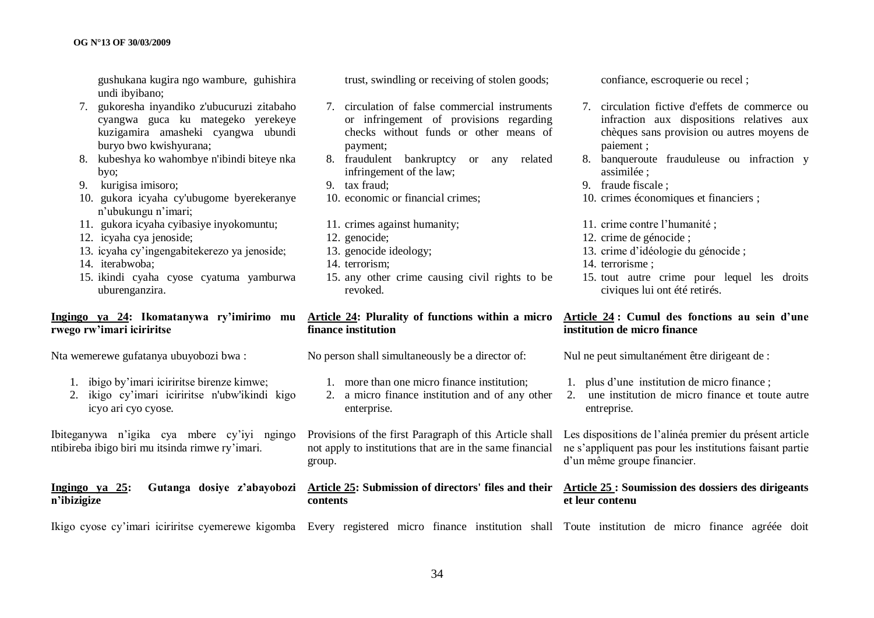gushukana kugira ngo wambure, guhishira undi ibyibano;

- 7. gukoresha inyandiko z'ubucuruzi zitabaho cyangwa guca ku mategeko yerekeye kuzigamira amasheki cyangwa ubundi buryo bwo kwishyurana;
- 8. kubeshya ko wahombye n'ibindi biteye nka byo;
- 9. kurigisa imisoro;
- 10. gukora icyaha cy'ubugome byerekeranye n"ubukungu n"imari;
- 11. gukora icyaha cyibasiye inyokomuntu;
- 12. icyaha cya jenoside;
- 13. icyaha cy"ingengabitekerezo ya jenoside;
- 14. iterabwoba;
- 15. ikindi cyaha cyose cyatuma yamburwa uburenganzira.

#### **Ingingo ya 24: Ikomatanywa ry"imirimo mu rwego rw"imari iciriritse**

Nta wemerewe gufatanya ubuyobozi bwa :

- 1. ibigo by"imari iciriritse birenze kimwe;
- 2. ikigo cy"imari iciriritse n'ubw'ikindi kigo icyo ari cyo cyose.

Ibiteganywa n"igika cya mbere cy"iyi ngingo ntibireba ibigo biri mu itsinda rimwe ry"imari.

#### **Ingingo ya 25: Gutanga dosiye z"abayobozi Article 25: Submission of directors' files and their Article 25 : Soumission des dossiers des dirigeants n"ibizigize**

Ikigo cyose cy"imari iciriritse cyemerewe kigomba Every registered micro finance institution shall Toute institution de micro finance agréée doit

trust, swindling or receiving of stolen goods;

- 7. circulation of false commercial instruments or infringement of provisions regarding checks without funds or other means of payment;
- 8. fraudulent bankruptcy or any related infringement of the law;
- 9. tax fraud;
- 10. economic or financial crimes;
- 11. crimes against humanity;
- 12. genocide;
- 13. genocide ideology;
- 14. terrorism;
- 15. any other crime causing civil rights to be revoked.

#### **Article 24: Plurality of functions within a micro finance institution**

No person shall simultaneously be a director of:

- 1. more than one micro finance institution;
- 2. a micro finance institution and of any other enterprise.

not apply to institutions that are in the same financial group.

# **contents**

confiance, escroquerie ou recel ;

- 7. circulation fictive d'effets de commerce ou infraction aux dispositions relatives aux chèques sans provision ou autres moyens de paiement ;
- 8. banqueroute frauduleuse ou infraction y assimilée ;
- 9. fraude fiscale ;
- 10. crimes économiques et financiers ;
- 11. crime contre l"humanité ;
- 12. crime de génocide ;
- 13. crime d"idéologie du génocide ;
- 14. terrorisme ;
- 15. tout autre crime pour lequel les droits civiques lui ont été retirés.

#### **Article 24 : Cumul des fonctions au sein d"une institution de micro finance**

Nul ne peut simultanément être dirigeant de :

- 1. plus d"une institution de micro finance ;
- 2. une institution de micro finance et toute autre entreprise.

Provisions of the first Paragraph of this Article shall Les dispositions de l"alinéa premier du présent article ne s"appliquent pas pour les institutions faisant partie d"un même groupe financier.

# **et leur contenu**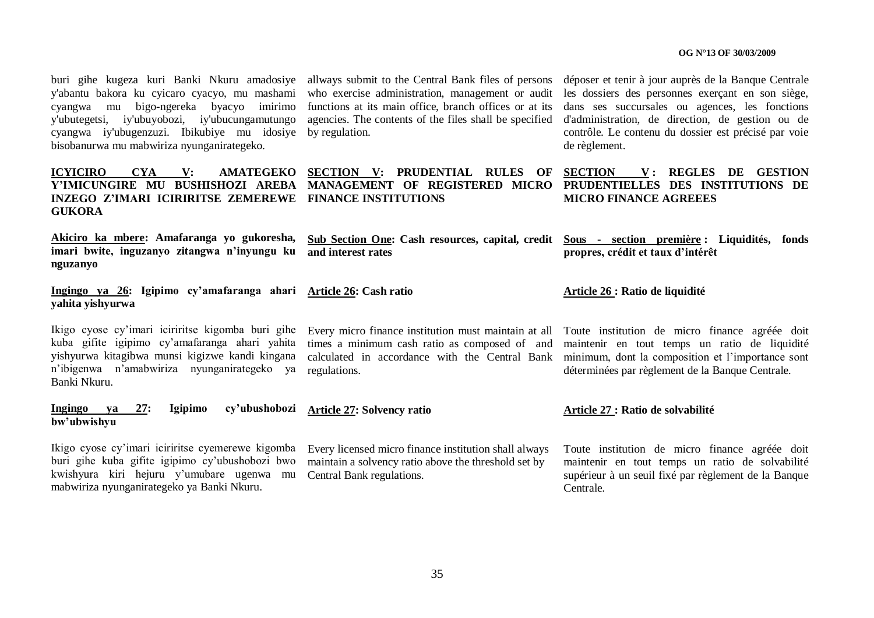y'abantu bakora ku cyicaro cyacyo, mu mashami cyangwa mu bigo-ngereka byacyo imirimo functions at its main office, branch offices or at its y'ubutegetsi, iy'ubuyobozi, iy'ubucungamutungo cyangwa iy'ubugenzuzi. Ibikubiye mu idosiye bisobanurwa mu mabwiriza nyunganirategeko.

**Y"IMICUNGIRE MU BUSHISHOZI AREBA MANAGEMENT OF REGISTERED MICRO PRUDENTIELLES DES INSTITUTIONS DE INZEGO Z"IMARI ICIRIRITSE ZEMEREWE FINANCE INSTITUTIONS GUKORA**

**Akiciro ka mbere: Amafaranga yo gukoresha, imari bwite, inguzanyo zitangwa n"inyungu ku nguzanyo**

**Ingingo ya 26: Igipimo cy"amafaranga ahari Article 26: Cash ratio yahita yishyurwa**

kuba gifite igipimo cy"amafaranga ahari yahita yishyurwa kitagibwa munsi kigizwe kandi kingana n"ibigenwa n"amabwiriza nyunganirategeko ya regulations. Banki Nkuru.

who exercise administration, management or audit agencies. The contents of the files shall be specified by regulation.

buri gihe kugeza kuri Banki Nkuru amadosiye allways submit to the Central Bank files of persons déposer et tenir à jour auprès de la Banque Centrale les dossiers des personnes exerçant en son siège, dans ses succursales ou agences, les fonctions d'administration, de direction, de gestion ou de contrôle. Le contenu du dossier est précisé par voie de règlement.

**ICYICIRO CYA V: AMATEGEKO SECTION V: PRUDENTIAL RULES OF SECTION V : REGLES DE GESTION MICRO FINANCE AGREEES**

> **Sub Section One: Cash resources, capital, credit Sous - section première : Liquidités, fonds propres, crédit et taux d"intérêt**

#### **Article 26 : Ratio de liquidité**

Ikigo cyose cy'imari iciriritse kigomba buri gihe Every micro finance institution must maintain at all Toute institution de micro finance agréée doit times a minimum cash ratio as composed of and calculated in accordance with the Central Bank maintenir en tout temps un ratio de liquidité minimum, dont la composition et l"importance sont déterminées par règlement de la Banque Centrale.

**Ingingo ya 27: Igipimo cy"ubushobozi bw"ubwishyu Article 27: Solvency ratio Article 27 : Ratio de solvabilité**

**and interest rates**

Ikigo cyose cy"imari iciriritse cyemerewe kigomba buri gihe kuba gifite igipimo cy"ubushobozi bwo kwishyura kiri hejuru y"umubare ugenwa mu mabwiriza nyunganirategeko ya Banki Nkuru.

Every licensed micro finance institution shall always maintain a solvency ratio above the threshold set by Central Bank regulations.

Toute institution de micro finance agréée doit maintenir en tout temps un ratio de solvabilité supérieur à un seuil fixé par règlement de la Banque Centrale.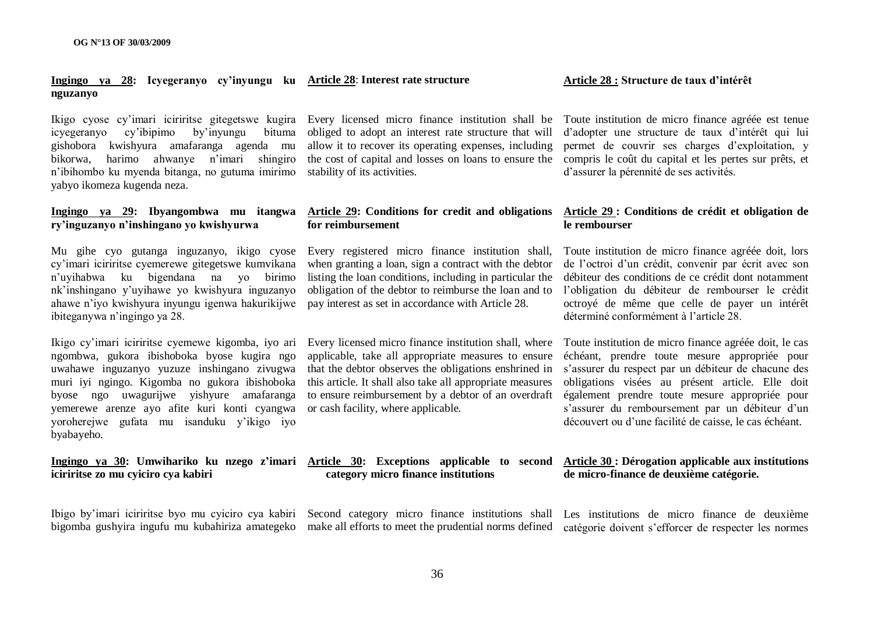#### **Ingingo ya 28: Icyegeranyo cy"inyungu ku Article 28**: **Interest rate structure nguzanyo**

icyegeranyo cy"ibipimo by"inyungu bituma gishobora kwishyura amafaranga agenda mu bikorwa, harimo ahwanye n"imari shingiro n"ibihombo ku myenda bitanga, no gutuma imirimo stability of its activities. yabyo ikomeza kugenda neza.

## **ry"inguzanyo n"inshingano yo kwishyurwa**

Mu gihe cyo gutanga inguzanyo, ikigo cyose Every registered micro finance institution shall, cy"imari iciriritse cyemerewe gitegetswe kumvikana n"uyihabwa ku bigendana na yo birimo nk"inshingano y"uyihawe yo kwishyura inguzanyo ahawe n"iyo kwishyura inyungu igenwa hakurikijwe ibiteganywa n"ingingo ya 28.

ngombwa, gukora ibishoboka byose kugira ngo uwahawe inguzanyo yuzuze inshingano zivugwa muri iyi ngingo. Kigomba no gukora ibishoboka byose ngo uwagurijwe yishyure amafaranga yemerewe arenze ayo afite kuri konti cyangwa yoroherejwe gufata mu isanduku y"ikigo iyo byabayeho.

## **iciriritse zo mu cyiciro cya kabiri**

Ibigo by"imari iciriritse byo mu cyiciro cya kabiri Second category micro finance institutions shall Les institutions de micro finance de deuxième

obliged to adopt an interest rate structure that will d"adopter une structure de taux d"intérêt qui lui allow it to recover its operating expenses, including the cost of capital and losses on loans to ensure the compris le coût du capital et les pertes sur prêts, et

#### **Ingingo ya 29: Ibyangombwa mu itangwa Article 29: Conditions for credit and obligations for reimbursement**

when granting a loan, sign a contract with the debtor listing the loan conditions, including in particular the obligation of the debtor to reimburse the loan and to pay interest as set in accordance with Article 28.

Ikigo cy'imari iciriritse cyemewe kigomba, iyo ari Every licensed micro finance institution shall, where Toute institution de micro finance agréée doit, le cas applicable, take all appropriate measures to ensure this article. It shall also take all appropriate measures to ensure reimbursement by a debtor of an overdraft or cash facility, where applicable.

# **category micro finance institutions**

36

Ikigo cyose cy"imari iciriritse gitegetswe kugira Every licensed micro finance institution shall be Toute institution de micro finance agréée est tenue permet de couvrir ses charges d"exploitation, y d"assurer la pérennité de ses activités.

#### **Article 29 : Conditions de crédit et obligation de le rembourser**

Toute institution de micro finance agréée doit, lors de l"octroi d"un crédit, convenir par écrit avec son débiteur des conditions de ce crédit dont notamment l"obligation du débiteur de rembourser le crédit octroyé de même que celle de payer un intérêt déterminé conformément à l"article 28.

that the debtor observes the obligations enshrined in s"assurer du respect par un débiteur de chacune des échéant, prendre toute mesure appropriée pour obligations visées au présent article. Elle doit également prendre toute mesure appropriée pour s"assurer du remboursement par un débiteur d"un découvert ou d"une facilité de caisse, le cas échéant.

#### **Ingingo ya 30: Umwihariko ku nzego z"imari Article 30: Exceptions applicable to second Article 30 : Dérogation applicable aux institutions de micro-finance de deuxième catégorie.**

bigomba gushyira ingufu mu kubahiriza amategeko make all efforts to meet the prudential norms defined catégorie doivent s"efforcer de respecter les normes

**Article 28 : Structure de taux d"intérêt**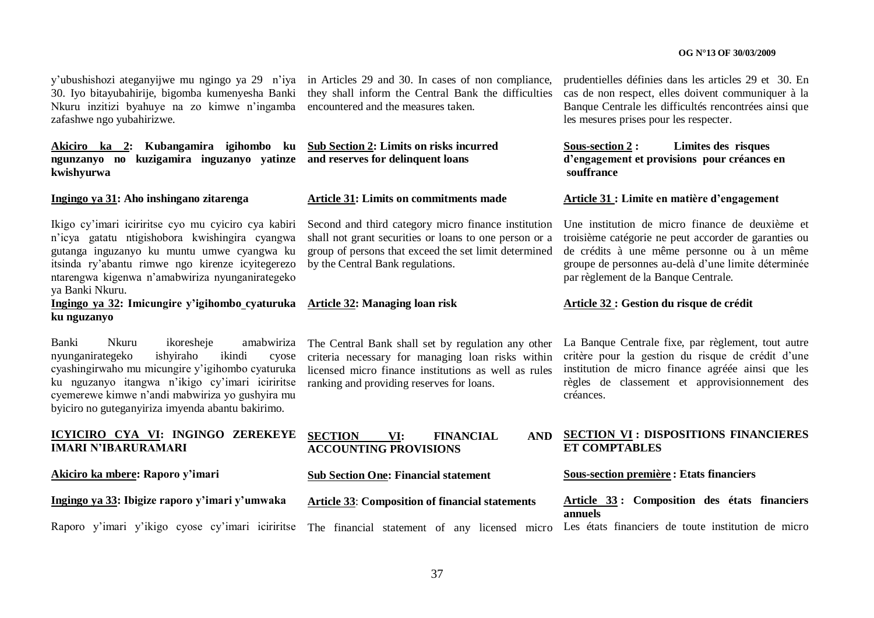30. Iyo bitayubahirije, bigomba kumenyesha Banki Nkuru inzitizi byahuye na zo kimwe n"ingamba encountered and the measures taken. zafashwe ngo yubahirizwe.

### **Akiciro ka 2: Kubangamira igihombo ku ngunzanyo no kuzigamira inguzanyo yatinze and reserves for delinquent loans kwishyurwa**

**Ingingo ya 31: Aho inshingano zitarenga**

Ikigo cy"imari iciriritse cyo mu cyiciro cya kabiri n"icya gatatu ntigishobora kwishingira cyangwa gutanga inguzanyo ku muntu umwe cyangwa ku itsinda ry"abantu rimwe ngo kirenze icyitegerezo ntarengwa kigenwa n"amabwiriza nyunganirategeko ya Banki Nkuru.

**Ingingo ya 32: Imicungire y"igihombo cyaturuka ku nguzanyo**

Banki Nkuru ikoresheje amabwiriza nyunganirategeko ishyiraho ikindi cyose cyashingirwaho mu micungire y"igihombo cyaturuka ku nguzanyo itangwa n"ikigo cy"imari iciriritse cyemerewe kimwe n"andi mabwiriza yo gushyira mu byiciro no guteganyiriza imyenda abantu bakirimo.

# **ICYICIRO CYA VI: INGINGO ZEREKEYE IMARI N"IBARURAMARI**

**Akiciro ka mbere: Raporo y"imari**

**Ingingo ya 33: Ibigize raporo y"imari y"umwaka**

y"ubushishozi ateganyijwe mu ngingo ya 29 n"iya in Articles 29 and 30. In cases of non compliance, they shall inform the Central Bank the difficulties

# **Sub Section 2: Limits on risks incurred**

#### **Article 31: Limits on commitments made**

Second and third category micro finance institution shall not grant securities or loans to one person or a group of persons that exceed the set limit determined by the Central Bank regulations.

#### **Article 32: Managing loan risk**

The Central Bank shall set by regulation any other criteria necessary for managing loan risks within licensed micro finance institutions as well as rules ranking and providing reserves for loans.

**SECTION VI: FINANCIAL ACCOUNTING PROVISIONS**

#### **Sub Section One: Financial statement**

**Article 33**: **Composition of financial statements**

prudentielles définies dans les articles 29 et 30. En cas de non respect, elles doivent communiquer à la Banque Centrale les difficultés rencontrées ainsi que les mesures prises pour les respecter.

**Sous-section 2 : Limites des risques d"engagement et provisions pour créances en souffrance**

#### **Article 31 : Limite en matière d"engagement**

Une institution de micro finance de deuxième et troisième catégorie ne peut accorder de garanties ou de crédits à une même personne ou à un même groupe de personnes au-delà d"une limite déterminée par règlement de la Banque Centrale.

#### **Article 32 : Gestion du risque de crédit**

La Banque Centrale fixe, par règlement, tout autre critère pour la gestion du risque de crédit d"une institution de micro finance agréée ainsi que les règles de classement et approvisionnement des créances.

#### **SECTION VI : DISPOSITIONS FINANCIERES ET COMPTABLES**

#### **Sous-section première : Etats financiers**

**Article 33 : Composition des états financiers annuels**

Raporo y'imari y'ikigo cyose cy'imari iciriritse The financial statement of any licensed micro Les états financiers de toute institution de micro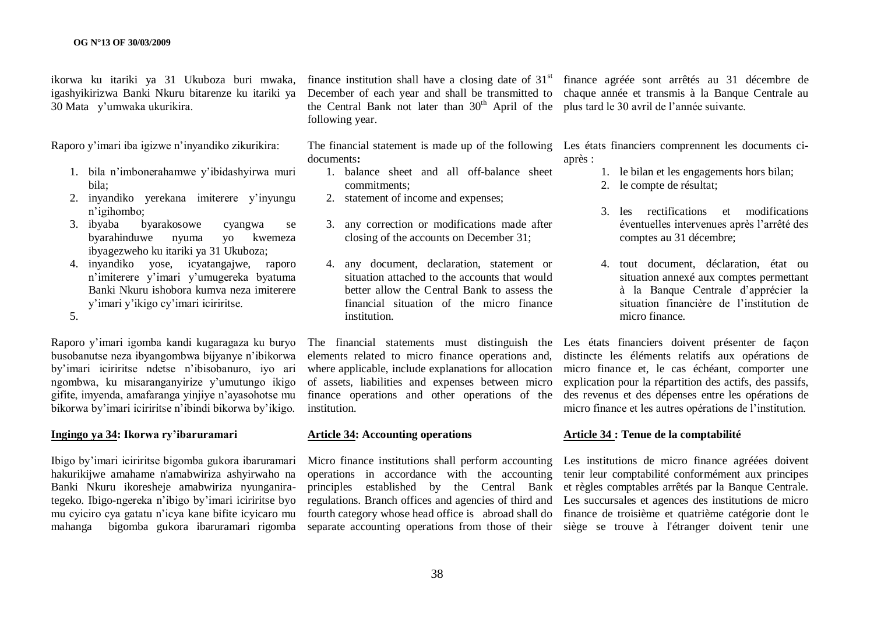ikorwa ku itariki ya 31 Ukuboza buri mwaka, igashyikirizwa Banki Nkuru bitarenze ku itariki ya 30 Mata y"umwaka ukurikira.

Raporo y"imari iba igizwe n"inyandiko zikurikira:

- 1. bila n"imbonerahamwe y"ibidashyirwa muri bila;
- 2. inyandiko yerekana imiterere y"inyungu n"igihombo;
- 3. ibyaba byarakosowe cyangwa se byarahinduwe nyuma yo kwemeza ibyagezweho ku itariki ya 31 Ukuboza;
- 4. inyandiko yose, icyatangajwe, raporo n"imiterere y"imari y"umugereka byatuma Banki Nkuru ishobora kumva neza imiterere y"imari y"ikigo cy"imari iciriritse.
- 5.

Raporo y"imari igomba kandi kugaragaza ku buryo busobanutse neza ibyangombwa bijyanye n"ibikorwa by"imari iciriritse ndetse n"ibisobanuro, iyo ari ngombwa, ku misaranganyirize y"umutungo ikigo gifite, imyenda, amafaranga yinjiye n"ayasohotse mu bikorwa by"imari iciriritse n"ibindi bikorwa by"ikigo.

#### **Ingingo ya 34: Ikorwa ry"ibaruramari**

Ibigo by"imari iciriritse bigomba gukora ibaruramari hakurikijwe amahame n'amabwiriza ashyirwaho na Banki Nkuru ikoresheje amabwiriza nyunganirategeko. Ibigo-ngereka n"ibigo by"imari iciriritse byo mu cyiciro cya gatatu n"icya kane bifite icyicaro mu mahanga bigomba gukora ibaruramari rigomba

finance institution shall have a closing date of  $31<sup>st</sup>$ December of each year and shall be transmitted to the Central Bank not later than  $30<sup>th</sup>$  April of the plus tard le 30 avril de l'année suivante. following year.

documents**:**

- 1. balance sheet and all off-balance sheet commitments;
- 2. statement of income and expenses;
- 3. any correction or modifications made after closing of the accounts on December 31;
- 4. any document, declaration, statement or situation attached to the accounts that would better allow the Central Bank to assess the financial situation of the micro finance institution.

elements related to micro finance operations and, where applicable, include explanations for allocation of assets, liabilities and expenses between micro finance operations and other operations of the institution.

### **Article 34: Accounting operations**

operations in accordance with the accounting

finance agréée sont arrêtés au 31 décembre de chaque année et transmis à la Banque Centrale au

The financial statement is made up of the following Les états financiers comprennent les documents ciaprès :

- 1. le bilan et les engagements hors bilan;
- 2. le compte de résultat;
- 3. les rectifications et modifications éventuelles intervenues après l"arrêté des comptes au 31 décembre;
- 4. tout document, déclaration, état ou situation annexé aux comptes permettant à la Banque Centrale d"apprécier la situation financière de l"institution de micro finance.

The financial statements must distinguish the Les états financiers doivent présenter de façon distincte les éléments relatifs aux opérations de micro finance et, le cas échéant, comporter une explication pour la répartition des actifs, des passifs, des revenus et des dépenses entre les opérations de micro finance et les autres opérations de l"institution.

#### **Article 34 : Tenue de la comptabilité**

Micro finance institutions shall perform accounting Les institutions de micro finance agréées doivent principles established by the Central Bank et règles comptables arrêtés par la Banque Centrale. regulations. Branch offices and agencies of third and Les succursales et agences des institutions de micro fourth category whose head office is abroad shall do finance de troisième et quatrième catégorie dont le separate accounting operations from those of their siège se trouve à l'étranger doivent tenir une tenir leur comptabilité conformément aux principes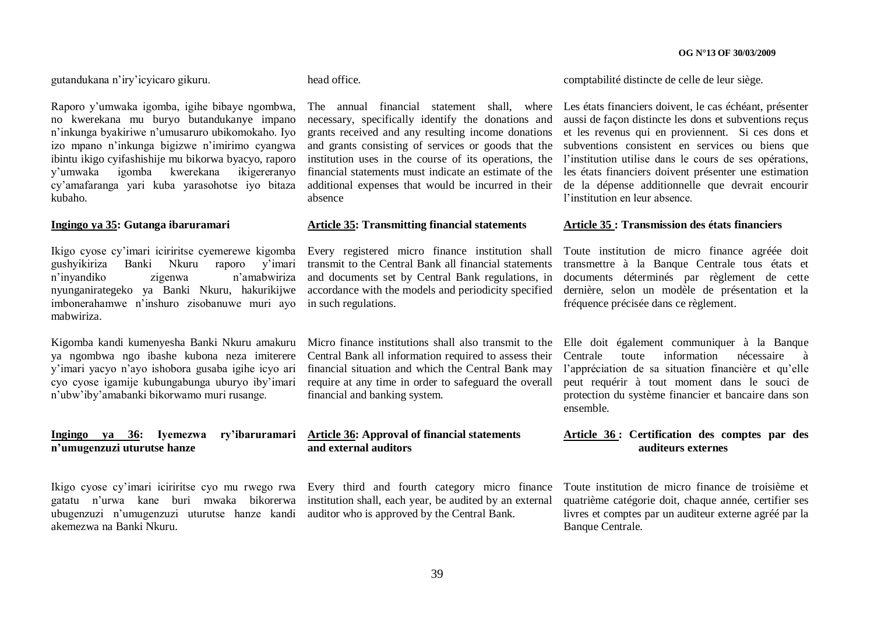gutandukana n"iry"icyicaro gikuru.

Raporo y"umwaka igomba, igihe bibaye ngombwa, no kwerekana mu buryo butandukanye impano n"inkunga byakiriwe n"umusaruro ubikomokaho. Iyo izo mpano n"inkunga bigizwe n"imirimo cyangwa ibintu ikigo cyifashishije mu bikorwa byacyo, raporo y"umwaka igomba kwerekana ikigereranyo cy"amafaranga yari kuba yarasohotse iyo bitaza kubaho.

#### **Ingingo ya 35: Gutanga ibaruramari**

Ikigo cyose cy"imari iciriritse cyemerewe kigomba Every registered micro finance institution shall gushyikiriza Banki Nkuru raporo y"imari transmit to the Central Bank all financial statements n"inyandiko zigenwa n"amabwiriza nyunganirategeko ya Banki Nkuru, hakurikijwe imbonerahamwe n"inshuro zisobanuwe muri ayo in such regulations. mabwiriza.

Kigomba kandi kumenyesha Banki Nkuru amakuru ya ngombwa ngo ibashe kubona neza imiterere y"imari yacyo n"ayo ishobora gusaba igihe icyo ari cyo cyose igamije kubungabunga uburyo iby"imari n"ubw"iby"amabanki bikorwamo muri rusange.

## **Ingingo ya 36: Iyemezwa n"umugenzuzi uturutse hanze**

Ikigo cyose cy"imari iciriritse cyo mu rwego rwa Every third and fourth category micro finance ubugenzuzi n'umugenzuzi uturutse hanze kandi auditor who is approved by the Central Bank. akemezwa na Banki Nkuru.

#### head office.

necessary, specifically identify the donations and grants received and any resulting income donations et les revenus qui en proviennent. Si ces dons et and grants consisting of services or goods that the subventions consistent en services ou biens que institution uses in the course of its operations, the l"institution utilise dans le cours de ses opérations, financial statements must indicate an estimate of the additional expenses that would be incurred in their absence

#### **Article 35: Transmitting financial statements**

and documents set by Central Bank regulations, in accordance with the models and periodicity specified

Central Bank all information required to assess their financial situation and which the Central Bank may require at any time in order to safeguard the overall financial and banking system.

#### **Article 36: Approval of financial statements and external auditors**

gatatu n'urwa kane buri mwaka bikorerwa institution shall, each year, be audited by an external

comptabilité distincte de celle de leur siège.

The annual financial statement shall, where Les états financiers doivent, le cas échéant, présenter aussi de façon distincte les dons et subventions reçus les états financiers doivent présenter une estimation de la dépense additionnelle que devrait encourir l'institution en leur absence.

#### **Article 35 : Transmission des états financiers**

Toute institution de micro finance agréée doit transmettre à la Banque Centrale tous états et documents déterminés par règlement de cette dernière, selon un modèle de présentation et la fréquence précisée dans ce règlement.

Micro finance institutions shall also transmit to the Elle doit également communiquer à la Banque Centrale toute information nécessaire à l'appréciation de sa situation financière et qu'elle peut requérir à tout moment dans le souci de protection du système financier et bancaire dans son ensemble.

#### **Article 36 : Certification des comptes par des auditeurs externes**

Toute institution de micro finance de troisième et quatrième catégorie doit, chaque année, certifier ses livres et comptes par un auditeur externe agréé par la Banque Centrale.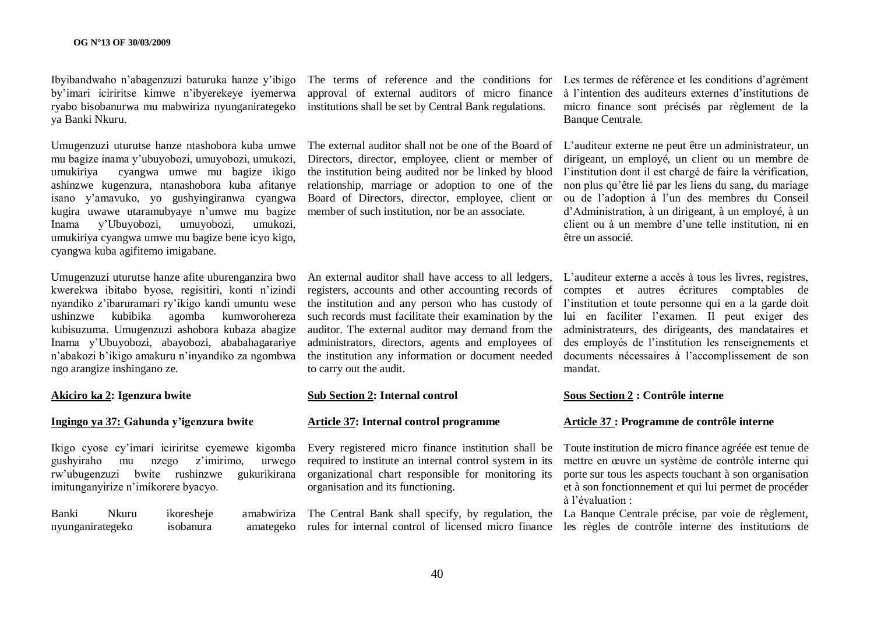Ibyibandwaho n"abagenzuzi baturuka hanze y"ibigo by"imari iciriritse kimwe n"ibyerekeye iyemerwa ryabo bisobanurwa mu mabwiriza nyunganirategeko ya Banki Nkuru.

Umugenzuzi uturutse hanze ntashobora kuba umwe mu bagize inama y"ubuyobozi, umuyobozi, umukozi, umukiriya cyangwa umwe mu bagize ikigo ashinzwe kugenzura, ntanashobora kuba afitanye isano y"amavuko, yo gushyingiranwa cyangwa kugira uwawe utaramubyaye n"umwe mu bagize Inama y"Ubuyobozi, umuyobozi, umukozi, umukiriya cyangwa umwe mu bagize bene icyo kigo, cyangwa kuba agifitemo imigabane.

kwerekwa ibitabo byose, regisitiri, konti n"izindi nyandiko z"ibaruramari ry"ikigo kandi umuntu wese ushinzwe kubibika agomba kumworohereza kubisuzuma. Umugenzuzi ashobora kubaza abagize Inama y"Ubuyobozi, abayobozi, ababahagarariye n"abakozi b"ikigo amakuru n"inyandiko za ngombwa ngo arangize inshingano ze.

#### **Akiciro ka 2: Igenzura bwite**

### **Ingingo ya 37: Gahunda y"igenzura bwite**

Ikigo cyose cy"imari iciriritse cyemewe kigomba gushyiraho mu nzego z"imirimo, urwego rw"ubugenzuzi bwite rushinzwe gukurikirana imitunganyirize n"imikorere byacyo.

nyunganirategeko isobanura

The terms of reference and the conditions for Les termes de référence et les conditions d"agrément approval of external auditors of micro finance institutions shall be set by Central Bank regulations.

Directors, director, employee, client or member of the institution being audited nor be linked by blood relationship, marriage or adoption to one of the Board of Directors, director, employee, client or member of such institution, nor be an associate.

registers, accounts and other accounting records of such records must facilitate their examination by the auditor. The external auditor may demand from the administrators, directors, agents and employees of to carry out the audit.

#### **Sub Section 2: Internal control**

#### **Article 37: Internal control programme**

Every registered micro finance institution shall be required to institute an internal control system in its organizational chart responsible for monitoring its organisation and its functioning.

à l"intention des auditeurs externes d"institutions de micro finance sont précisés par règlement de la Banque Centrale.

The external auditor shall not be one of the Board of L"auditeur externe ne peut être un administrateur, un dirigeant, un employé, un client ou un membre de l'institution dont il est chargé de faire la vérification, non plus qu"être lié par les liens du sang, du mariage ou de l"adoption à l"un des membres du Conseil d"Administration, à un dirigeant, à un employé, à un client ou à un membre d"une telle institution, ni en être un associé.

Umugenzuzi uturutse hanze afite uburenganzira bwo An external auditor shall have access to all ledgers, L'auditeur externe a accès à tous les livres, registres, the institution and any person who has custody of l"institution et toute personne qui en a la garde doit the institution any information or document needed documents nécessaires à l"accomplissement de son comptes et autres écritures comptables de lui en faciliter l"examen. Il peut exiger des administrateurs, des dirigeants, des mandataires et des employés de l"institution les renseignements et mandat.

#### **Sous Section 2 : Contrôle interne**

#### **Article 37 : Programme de contrôle interne**

Toute institution de micro finance agréée est tenue de mettre en œuvre un système de contrôle interne qui porte sur tous les aspects touchant à son organisation et à son fonctionnement et qui lui permet de procéder à l"évaluation :

Banki Nkuru ikoresheje amabwiriza The Central Bank shall specify, by regulation, the La Banque Centrale précise, par voie de règlement, rules for internal control of licensed micro finance les règles de contrôle interne des institutions de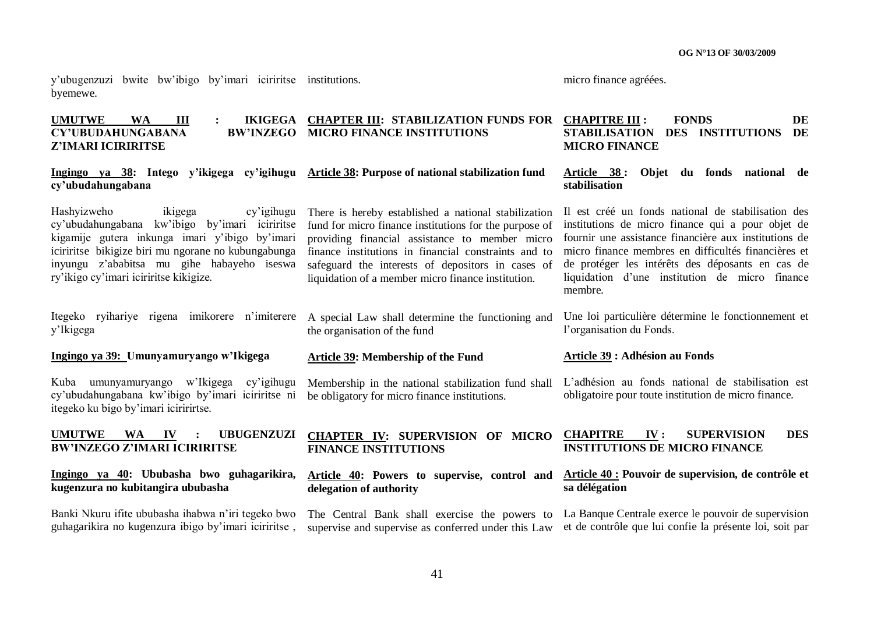y"ubugenzuzi bwite bw"ibigo by"imari iciriritse institutions. byemewe.

micro finance agréées.

#### **UMUTWE WA III : IKIGEGA CHAPTER III: STABILIZATION FUNDS FOR CHAPITRE III : FONDS DE**   $CY'UBUDAHUNGABANA$ **Z"IMARI ICIRIRITSE BW'INZEGO MICRO FINANCE INSTITUTIONS MICRO FINANCE**

#### **Ingingo ya 38: Intego y"ikigega cy"igihugu Article 38: Purpose of national stabilization fund cy"ubudahungabana**

Hashyizweho ikigega cy"igihugu cy"ubudahungabana kw"ibigo by"imari iciriritse kigamije gutera inkunga imari y"ibigo by"imari iciriritse bikigize biri mu ngorane no kubungabunga inyungu z"ababitsa mu gihe habayeho iseswa ry"ikigo cy"imari iciriritse kikigize.

Itegeko ryihariye rigena imikorere n"imiterere A special Law shall determine the functioning and y"Ikigega

#### **Ingingo ya 39: Umunyamuryango w"Ikigega**

Kuba umunyamuryango w"Ikigega cy"igihugu cy"ubudahungabana kw"ibigo by"imari iciriritse ni itegeko ku bigo by"imari iciririrtse.

#### **UMUTWE WA IV : UBUGENZUZI BW"INZEGO Z"IMARI ICIRIRITSE**

#### **Ingingo ya 40: Ububasha bwo guhagarikira, kugenzura no kubitangira ububasha**

Banki Nkuru ifite ububasha ihabwa n"iri tegeko bwo guhagarikira no kugenzura ibigo by"imari iciriritse ,

There is hereby established a national stabilization fund for micro finance institutions for the purpose of providing financial assistance to member micro finance institutions in financial constraints and to safeguard the interests of depositors in cases of liquidation of a member micro finance institution.

# the organisation of the fund

#### **Article 39: Membership of the Fund**

Membership in the national stabilization fund shall be obligatory for micro finance institutions.

#### **CHAPTER IV: SUPERVISION OF MICRO FINANCE INSTITUTIONS**

**delegation of authority**

# **STABILISATION DES INSTITUTIONS DE**

#### **Article 38 : Objet du fonds national de stabilisation**

Il est créé un fonds national de stabilisation des institutions de micro finance qui a pour objet de fournir une assistance financière aux institutions de micro finance membres en difficultés financières et de protéger les intérêts des déposants en cas de liquidation d"une institution de micro finance membre.

Une loi particulière détermine le fonctionnement et l"organisation du Fonds.

#### **Article 39 : Adhésion au Fonds**

L"adhésion au fonds national de stabilisation est obligatoire pour toute institution de micro finance.

#### **CHAPITRE IV : SUPERVISION DES INSTITUTIONS DE MICRO FINANCE**

#### **Article 40: Powers to supervise, control and Article 40 : Pouvoir de supervision, de contrôle et sa délégation**

The Central Bank shall exercise the powers to La Banque Centrale exerce le pouvoir de supervision supervise and supervise as conferred under this Law et de contrôle que lui confie la présente loi, soit par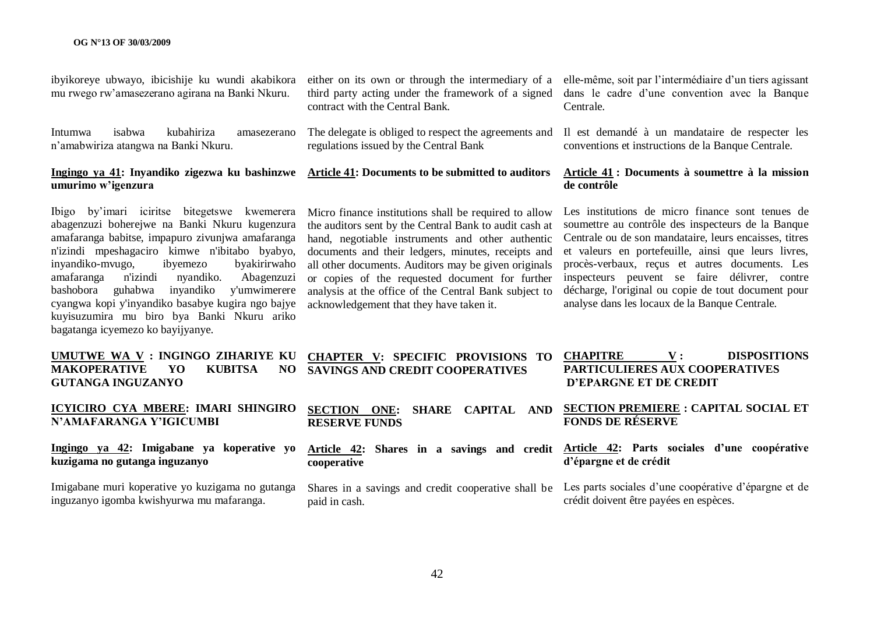ibyikoreye ubwayo, ibicishije ku wundi akabikora mu rwego rw"amasezerano agirana na Banki Nkuru.

Intumwa isabwa kubahiriza amasezerano n"amabwiriza atangwa na Banki Nkuru.

# **umurimo w"igenzura**

Ibigo by"imari iciritse bitegetswe kwemerera abagenzuzi boherejwe na Banki Nkuru kugenzura amafaranga babitse, impapuro zivunjwa amafaranga n'izindi mpeshagaciro kimwe n'ibitabo byabyo, inyandiko-mvugo, ibyemezo byakirirwaho amafaranga n'izindi nyandiko. Abagenzuzi bashobora guhabwa inyandiko y'umwimerere cyangwa kopi y'inyandiko basabye kugira ngo bajye kuyisuzumira mu biro bya Banki Nkuru ariko bagatanga icyemezo ko bayijyanye.

**UMUTWE WA V : INGINGO ZIHARIYE KU MAKOPERATIVE YO KUBITSA NO GUTANGA INGUZANYO**

## **ICYICIRO CYA MBERE: IMARI SHINGIRO N"AMAFARANGA Y"IGICUMBI**

**Ingingo ya 42: Imigabane ya koperative yo kuzigama no gutanga inguzanyo**

Imigabane muri koperative yo kuzigama no gutanga inguzanyo igomba kwishyurwa mu mafaranga.

contract with the Central Bank.

regulations issued by the Central Bank

# **Ingingo ya 41: Inyandiko zigezwa ku bashinzwe Article 41: Documents to be submitted to auditors**

Micro finance institutions shall be required to allow the auditors sent by the Central Bank to audit cash at hand, negotiable instruments and other authentic documents and their ledgers, minutes, receipts and all other documents. Auditors may be given originals or copies of the requested document for further analysis at the office of the Central Bank subject to acknowledgement that they have taken it.

**RESERVE FUNDS**

**cooperative**

paid in cash.

either on its own or through the intermediary of a elle-même, soit par l'intermédiaire d'un tiers agissant third party acting under the framework of a signed dans le cadre d"une convention avec la Banque Centrale.

The delegate is obliged to respect the agreements and Il est demandé à un mandataire de respecter les conventions et instructions de la Banque Centrale.

#### **Article 41 : Documents à soumettre à la mission de contrôle**

Les institutions de micro finance sont tenues de soumettre au contrôle des inspecteurs de la Banque Centrale ou de son mandataire, leurs encaisses, titres et valeurs en portefeuille, ainsi que leurs livres, procès-verbaux, reçus et autres documents. Les inspecteurs peuvent se faire délivrer, contre décharge, l'original ou copie de tout document pour analyse dans les locaux de la Banque Centrale.

#### **CHAPTER V: SPECIFIC PROVISIONS TO SAVINGS AND CREDIT COOPERATIVES CHAPITRE V : DISPOSITIONS PARTICULIERES AUX COOPERATIVES D"EPARGNE ET DE CREDIT**

**SECTION ONE: SHARE CAPITAL AND SECTION PREMIERE : CAPITAL SOCIAL ET FONDS DE RÉSERVE**

#### **Article 42: Shares in a savings and credit Article 42: Parts sociales d"une coopérative d"épargne et de crédit**

Shares in a savings and credit cooperative shall be Les parts sociales d'une coopérative d'épargne et de crédit doivent être payées en espèces.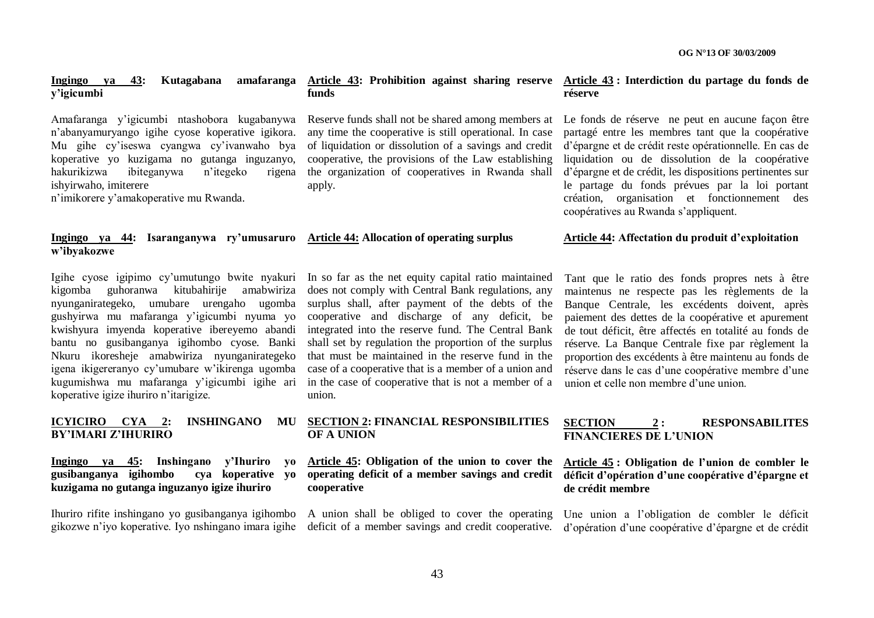#### **Ingingo ya 43: Kutagabana y"igicumbi**

Amafaranga y"igicumbi ntashobora kugabanywa n"abanyamuryango igihe cyose koperative igikora. Mu gihe cy"iseswa cyangwa cy"ivanwaho bya koperative yo kuzigama no gutanga inguzanyo, hakurikizwa ibiteganywa n"itegeko rigena ishyirwaho, imiterere

n"imikorere y"amakoperative mu Rwanda.

#### **Ingingo ya 44: Isaranganywa ry"umusaruro Article 44: Allocation of operating surplus w"ibyakozwe**

kigomba guhoranwa kitubahirije amabwiriza nyunganirategeko, umubare urengaho ugomba gushyirwa mu mafaranga y"igicumbi nyuma yo kwishyura imyenda koperative ibereyemo abandi bantu no gusibanganya igihombo cyose. Banki Nkuru ikoresheje amabwiriza nyunganirategeko igena ikigereranyo cy"umubare w"ikirenga ugomba kugumishwa mu mafaranga y"igicumbi igihe ari koperative igize ihuriro n"itarigize.

#### **ICYICIRO CYA 2: INSHINGANO MU BY"IMARI Z"IHURIRO**

#### **Ingingo ya 45: Inshingano y"Ihuriro yo gusibanganya igihombo cya koperative yo kuzigama no gutanga inguzanyo igize ihuriro**

Ihuriro rifite inshingano yo gusibanganya igihombo A union shall be obliged to cover the operating

# **funds**

Reserve funds shall not be shared among members at any time the cooperative is still operational. In case of liquidation or dissolution of a savings and credit cooperative, the provisions of the Law establishing the organization of cooperatives in Rwanda shall apply.

Igihe cyose igipimo cy'umutungo bwite nyakuri In so far as the net equity capital ratio maintained does not comply with Central Bank regulations, any surplus shall, after payment of the debts of the cooperative and discharge of any deficit, be integrated into the reserve fund. The Central Bank shall set by regulation the proportion of the surplus that must be maintained in the reserve fund in the case of a cooperative that is a member of a union and in the case of cooperative that is not a member of a union.

### **SECTION 2: FINANCIAL RESPONSIBILITIES OF A UNION**

**Article 45: Obligation of the union to cover the cooperative**

#### **Article 43: Prohibition against sharing reserve Article 43 : Interdiction du partage du fonds de réserve**

Le fonds de réserve ne peut en aucune façon être partagé entre les membres tant que la coopérative d"épargne et de crédit reste opérationnelle. En cas de liquidation ou de dissolution de la coopérative d"épargne et de crédit, les dispositions pertinentes sur le partage du fonds prévues par la loi portant création, organisation et fonctionnement des coopératives au Rwanda s"appliquent.

#### **Article 44: Affectation du produit d"exploitation**

Tant que le ratio des fonds propres nets à être maintenus ne respecte pas les règlements de la Banque Centrale, les excédents doivent, après paiement des dettes de la coopérative et apurement de tout déficit, être affectés en totalité au fonds de réserve. La Banque Centrale fixe par règlement la proportion des excédents à être maintenu au fonds de réserve dans le cas d'une coopérative membre d'une union et celle non membre d"une union.

#### **SECTION 2 : RESPONSABILITES FINANCIERES DE L"UNION**

### **operating deficit of a member savings and credit déficit d"opération d"une coopérative d"épargne et Article 45 : Obligation de l"union de combler le de crédit membre**

gikozwe n'iyo koperative. Iyo nshingano imara igihe deficit of a member savings and credit cooperative. d'opération d'une coopérative d'épargne et de crédit Une union a l"obligation de combler le déficit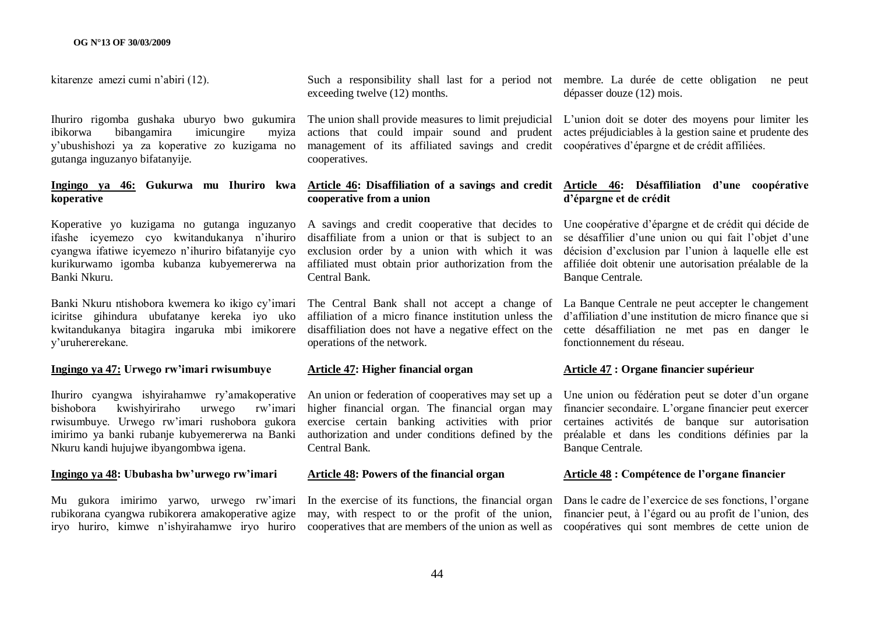kitarenze amezi cumi n"abiri (12).

Ihuriro rigomba gushaka uburyo bwo gukumira ibikorwa bibangamira imicungire myiza y"ubushishozi ya za koperative zo kuzigama no gutanga inguzanyo bifatanyije.

#### **Ingingo ya 46: Gukurwa mu Ihuriro kwa koperative**

Koperative yo kuzigama no gutanga inguzanyo ifashe icyemezo cyo kwitandukanya n"ihuriro cyangwa ifatiwe icyemezo n"ihuriro bifatanyije cyo kurikurwamo igomba kubanza kubyemererwa na Banki Nkuru.

Banki Nkuru ntishobora kwemera ko ikigo cy"imari iciritse gihindura ubufatanye kereka iyo uko kwitandukanya bitagira ingaruka mbi imikorere y"uruhererekane.

#### **Ingingo ya 47: Urwego rw"imari rwisumbuye**

Ihuriro cyangwa ishyirahamwe ry"amakoperative An union or federation of cooperatives may set up a bishobora kwishyiriraho urwego rw"imari rwisumbuye. Urwego rw"imari rushobora gukora imirimo ya banki rubanje kubyemererwa na Banki Nkuru kandi hujujwe ibyangombwa igena.

#### **Ingingo ya 48: Ububasha bw"urwego rw"imari**

Mu gukora imirimo yarwo, urwego rw"imari rubikorana cyangwa rubikorera amakoperative agize

Such a responsibility shall last for a period not membre. La durée de cette obligation ne peut exceeding twelve (12) months.

management of its affiliated savings and credit coopératives d"épargne et de crédit affiliées. cooperatives.

# **cooperative from a union**

A savings and credit cooperative that decides to Une coopérative d"épargne et de crédit qui décide de disaffiliate from a union or that is subject to an exclusion order by a union with which it was affiliated must obtain prior authorization from the affiliée doit obtenir une autorisation préalable de la Central Bank.

operations of the network.

#### **Article 47: Higher financial organ**

higher financial organ. The financial organ may exercise certain banking activities with prior authorization and under conditions defined by the Central Bank.

#### **Article 48: Powers of the financial organ**

may, with respect to or the profit of the union,

dépasser douze (12) mois.

The union shall provide measures to limit prejudicial L"union doit se doter des moyens pour limiter les actions that could impair sound and prudent actes préjudiciables à la gestion saine et prudente des

#### **Article 46: Disaffiliation of a savings and credit Article 46: Désaffiliation d"une coopérative d"épargne et de crédit**

se désaffilier d'une union ou qui fait l'objet d'une décision d'exclusion par l'union à laquelle elle est Banque Centrale.

The Central Bank shall not accept a change of La Banque Centrale ne peut accepter le changement affiliation of a micro finance institution unless the d'affiliation d'une institution de micro finance que si disaffiliation does not have a negative effect on the cette désaffiliation ne met pas en danger le fonctionnement du réseau.

### **Article 47 : Organe financier supérieur**

Une union ou fédération peut se doter d"un organe financier secondaire. L"organe financier peut exercer certaines activités de banque sur autorisation préalable et dans les conditions définies par la Banque Centrale.

#### **Article 48 : Compétence de l"organe financier**

iryo huriro, kimwe n'ishyirahamwe iryo huriro cooperatives that are members of the union as well as coopératives qui sont membres de cette union de In the exercise of its functions, the financial organ Dans le cadre de l'exercice de ses fonctions, l'organe financier peut, à l"égard ou au profit de l"union, des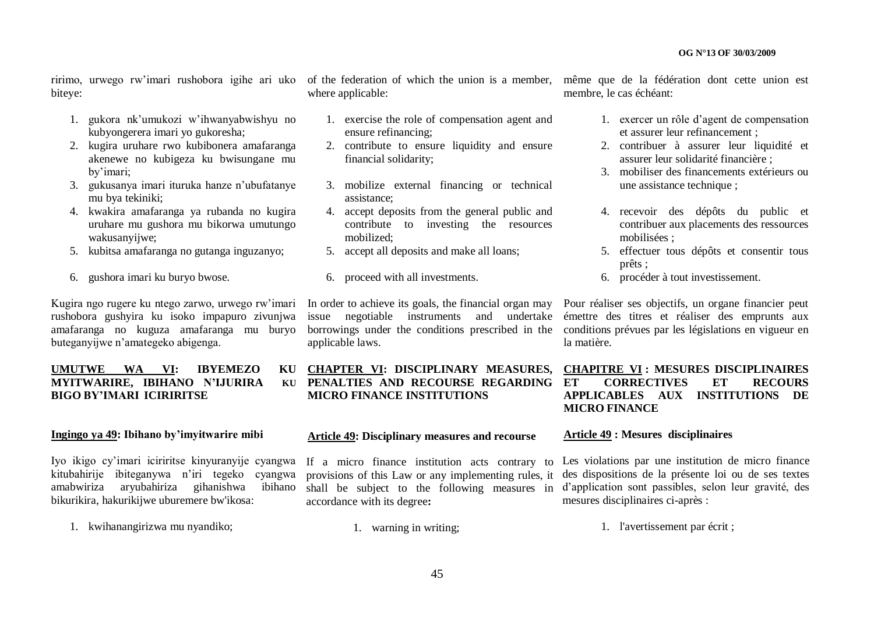biteye:

- 1. gukora nk"umukozi w"ihwanyabwishyu no kubyongerera imari yo gukoresha;
- 2. kugira uruhare rwo kubibonera amafaranga akenewe no kubigeza ku bwisungane mu by"imari;
- 3. gukusanya imari ituruka hanze n"ubufatanye mu bya tekiniki;
- 4. kwakira amafaranga ya rubanda no kugira uruhare mu gushora mu bikorwa umutungo wakusanyijwe;
- 5. kubitsa amafaranga no gutanga inguzanyo;
- 6. gushora imari ku buryo bwose.

rushobora gushyira ku isoko impapuro zivunjwa amafaranga no kuguza amafaranga mu buryo buteganyijwe n"amategeko abigenga.

## **UMUTWE WA VI: IBYEMEZO MYITWARIRE, IBIHANO N'IJURIRA BIGO BY"IMARI ICIRIRITSE**

#### **Ingingo ya 49: Ibihano by"imyitwarire mibi**

Iyo ikigo cy"imari iciriritse kinyuranyije cyangwa kitubahirije ibiteganywa n"iri tegeko cyangwa amabwiriza aryubahiriza gihanishwa ibihano bikurikira, hakurikijwe uburemere bw'ikosa:

1. kwihanangirizwa mu nyandiko;

where applicable:

- 1. exercise the role of compensation agent and ensure refinancing;
- 2. contribute to ensure liquidity and ensure financial solidarity;
- 3. mobilize external financing or technical assistance;
- 4. accept deposits from the general public and contribute to investing the resources mobilized;
- 5. accept all deposits and make all loans;
- 6. proceed with all investments.

applicable laws.

# **CHAPTER VI: DISCIPLINARY MEASURES, PENALTIES AND RECOURSE REGARDING MICRO FINANCE INSTITUTIONS**

#### **Article 49: Disciplinary measures and recourse**

If a micro finance institution acts contrary to provisions of this Law or any implementing rules, it shall be subject to the following measures in accordance with its degree**:**

1. warning in writing;

ririmo, urwego rw'imari rushobora igihe ari uko of the federation of which the union is a member, même que de la fédération dont cette union est membre, le cas échéant:

- 1. exercer un rôle d"agent de compensation et assurer leur refinancement ;
- 2. contribuer à assurer leur liquidité et assurer leur solidarité financière ;
- 3. mobiliser des financements extérieurs ou une assistance technique ;
- 4. recevoir des dépôts du public et contribuer aux placements des ressources mobilisées ;
- 5. effectuer tous dépôts et consentir tous prêts ;
- 6. procéder à tout investissement.

Kugira ngo rugere ku ntego zarwo, urwego rw"imari In order to achieve its goals, the financial organ may Pour réaliser ses objectifs, un organe financier peut issue negotiable instruments and undertake émettre des titres et réaliser des emprunts aux borrowings under the conditions prescribed in the conditions prévues par les législations en vigueur en la matière.

# **CHAPITRE VI : MESURES DISCIPLINAIRES ET CORRECTIVES ET RECOURS APPLICABLES AUX INSTITUTIONS DE MICRO FINANCE**

#### **Article 49 : Mesures disciplinaires**

Les violations par une institution de micro finance des dispositions de la présente loi ou de ses textes d"application sont passibles, selon leur gravité, des mesures disciplinaires ci-après :

1. l'avertissement par écrit ;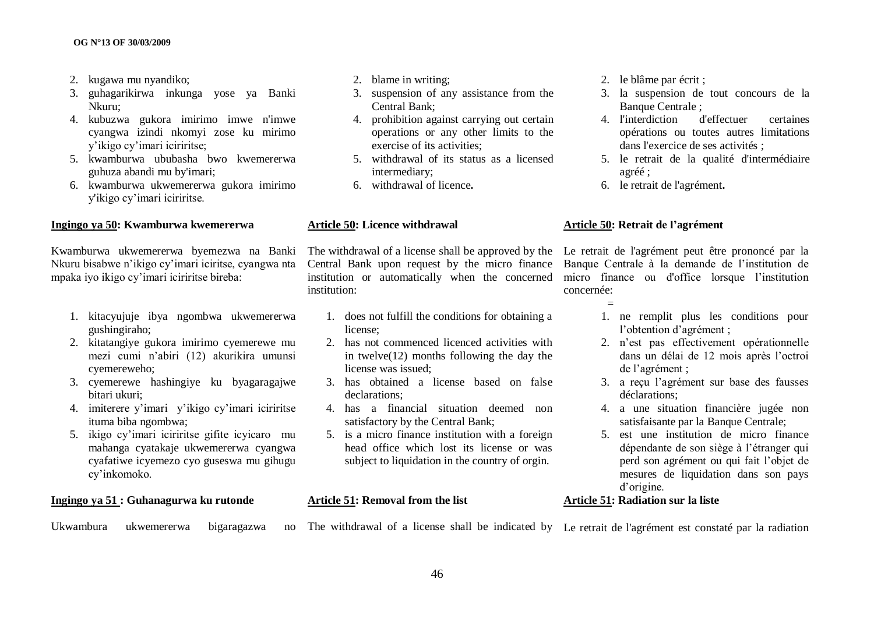- 2. kugawa mu nyandiko;
- 3. guhagarikirwa inkunga yose ya Banki Nkuru;
- 4. kubuzwa gukora imirimo imwe n'imwe cyangwa izindi nkomyi zose ku mirimo y"ikigo cy"imari iciriritse;
- 5. kwamburwa ububasha bwo kwemererwa guhuza abandi mu by'imari;
- 6. kwamburwa ukwemererwa gukora imirimo y'ikigo cy"imari iciriritse.

#### **Ingingo ya 50: Kwamburwa kwemererwa**

Kwamburwa ukwemererwa byemezwa na Banki Nkuru bisabwe n"ikigo cy"imari iciritse, cyangwa nta mpaka iyo ikigo cy"imari iciriritse bireba:

- 1. kitacyujuje ibya ngombwa ukwemererwa gushingiraho;
- 2. kitatangiye gukora imirimo cyemerewe mu mezi cumi n"abiri (12) akurikira umunsi cyemereweho;
- 3. cyemerewe hashingiye ku byagaragajwe bitari ukuri;
- 4. imiterere y"imari y"ikigo cy"imari iciriritse ituma biba ngombwa;
- 5. ikigo cy"imari iciriritse gifite icyicaro mu mahanga cyatakaje ukwemererwa cyangwa cyafatiwe icyemezo cyo guseswa mu gihugu cy"inkomoko.

# **Ingingo ya 51 : Guhanagurwa ku rutonde**

Ukwambura ukwemererwa bigaragazwa

- 2. blame in writing;
- 3. suspension of any assistance from the Central Bank;
- 4. prohibition against carrying out certain operations or any other limits to the exercise of its activities;
- 5. withdrawal of its status as a licensed intermediary;
- 6. withdrawal of licence**.**

#### **Article 50: Licence withdrawal**

institution:

- 1. does not fulfill the conditions for obtaining a license;
- 2. has not commenced licenced activities with in twelve(12) months following the day the license was issued;
- 3. has obtained a license based on false declarations;
- 4. has a financial situation deemed non satisfactory by the Central Bank;
- 5. is a micro finance institution with a foreign head office which lost its license or was subject to liquidation in the country of orgin.

# **Article 51: Removal from the list**

The withdrawal of a license shall be indicated by Le retrait de l'agrément est constaté par la radiation

- 2. le blâme par écrit ;
- 3. la suspension de tout concours de la Banque Centrale :
- 4. l'interdiction d'effectuer certaines opérations ou toutes autres limitations dans l'exercice de ses activités ;
- 5. le retrait de la qualité d'intermédiaire agréé ;
- 6. le retrait de l'agrément**.**

#### **Article 50: Retrait de l"agrément**

The withdrawal of a license shall be approved by the Le retrait de l'agrément peut être prononcé par la Central Bank upon request by the micro finance Banque Centrale à la demande de l"institution de institution or automatically when the concerned micro finance ou d'office lorsque l"institution concernée:

- =
- 1. ne remplit plus les conditions pour l'obtention d'agrément ;
- 2. n"est pas effectivement opérationnelle dans un délai de 12 mois après l"octroi de l"agrément ;
- 3. a reçu l"agrément sur base des fausses déclarations;
- 4. a une situation financière jugée non satisfaisante par la Banque Centrale;
- 5. est une institution de micro finance dépendante de son siège à l"étranger qui perd son agrément ou qui fait l"objet de mesures de liquidation dans son pays d"origine.

### **Article 51: Radiation sur la liste**

46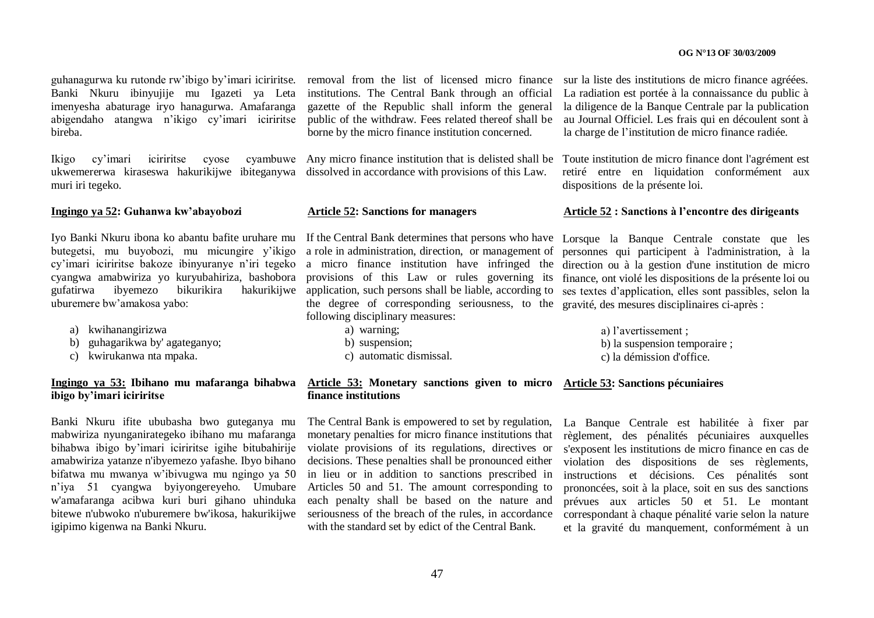guhanagurwa ku rutonde rw"ibigo by"imari iciriritse. Banki Nkuru ibinyujije mu Igazeti ya Leta imenyesha abaturage iryo hanagurwa. Amafaranga abigendaho atangwa n"ikigo cy"imari iciriritse bireba.

ukwemererwa kiraseswa hakurikijwe ibiteganywa dissolved in accordance with provisions of this Law. muri iri tegeko.

**Ingingo ya 52: Guhanwa kw"abayobozi**

Iyo Banki Nkuru ibona ko abantu bafite uruhare mu butegetsi, mu buyobozi, mu micungire y"ikigo uburemere bw"amakosa yabo:

- a) kwihanangirizwa
- b) guhagarikwa by' agateganyo;
- c) kwirukanwa nta mpaka.

### **Ingingo ya 53: Ibihano mu mafaranga bihabwa ibigo by"imari iciriritse**

Banki Nkuru ifite ububasha bwo guteganya mu mabwiriza nyunganirategeko ibihano mu mafaranga bihabwa ibigo by"imari iciriritse igihe bitubahirije amabwiriza yatanze n'ibyemezo yafashe. Ibyo bihano bifatwa mu mwanya w"ibivugwa mu ngingo ya 50 n"iya 51 cyangwa byiyongereyeho. Umubare w'amafaranga acibwa kuri buri gihano uhinduka bitewe n'ubwoko n'uburemere bw'ikosa, hakurikijwe igipimo kigenwa na Banki Nkuru.

removal from the list of licensed micro finance sur la liste des institutions de micro finance agréées. institutions. The Central Bank through an official gazette of the Republic shall inform the general public of the withdraw. Fees related thereof shall be borne by the micro finance institution concerned.

#### **Article 52: Sanctions for managers**

b) suspension;

c) automatic dismissal.

cy'imari iciriritse bakoze ibinyuranye n'iri tegeko a micro finance institution have infringed the direction ou à la gestion d'une institution de micro cyangwa amabwiriza yo kuryubahiriza, bashobora provisions of this Law or rules governing its finance, ont violé les dispositions de la présente loi ou gufatirwa ibyemezo bikurikira hakurikijwe application, such persons shall be liable, according to ses textes d"application, elles sont passibles, selon la If the Central Bank determines that persons who have Lorsque la Banque Centrale constate que les a role in administration, direction, or management of the degree of corresponding seriousness, to the gravité, des mesures disciplinaires ci-après : following disciplinary measures: a) warning;

a) l"avertissement ; b) la suspension temporaire ;

c) la démission d'office.

#### **Article 53: Monetary sanctions given to micro finance institutions Article 53: Sanctions pécuniaires**

The Central Bank is empowered to set by regulation, monetary penalties for micro finance institutions that violate provisions of its regulations, directives or decisions. These penalties shall be pronounced either in lieu or in addition to sanctions prescribed in Articles 50 and 51. The amount corresponding to each penalty shall be based on the nature and seriousness of the breach of the rules, in accordance with the standard set by edict of the Central Bank.

La Banque Centrale est habilitée à fixer par règlement, des pénalités pécuniaires auxquelles s'exposent les institutions de micro finance en cas de violation des dispositions de ses règlements, instructions et décisions. Ces pénalités sont prononcées, soit à la place, soit en sus des sanctions prévues aux articles 50 et 51. Le montant correspondant à chaque pénalité varie selon la nature et la gravité du manquement, conformément à un

La radiation est portée à la connaissance du public à la diligence de la Banque Centrale par la publication au Journal Officiel. Les frais qui en découlent sont à la charge de l"institution de micro finance radiée.

Ikigo cy"imari iciriritse cyose cyambuwe Any micro finance institution that is delisted shall be Toute institution de micro finance dont l'agrément est retiré entre en liquidation conformément aux dispositions de la présente loi.

#### **Article 52 : Sanctions à l"encontre des dirigeants**

personnes qui participent à l'administration, à la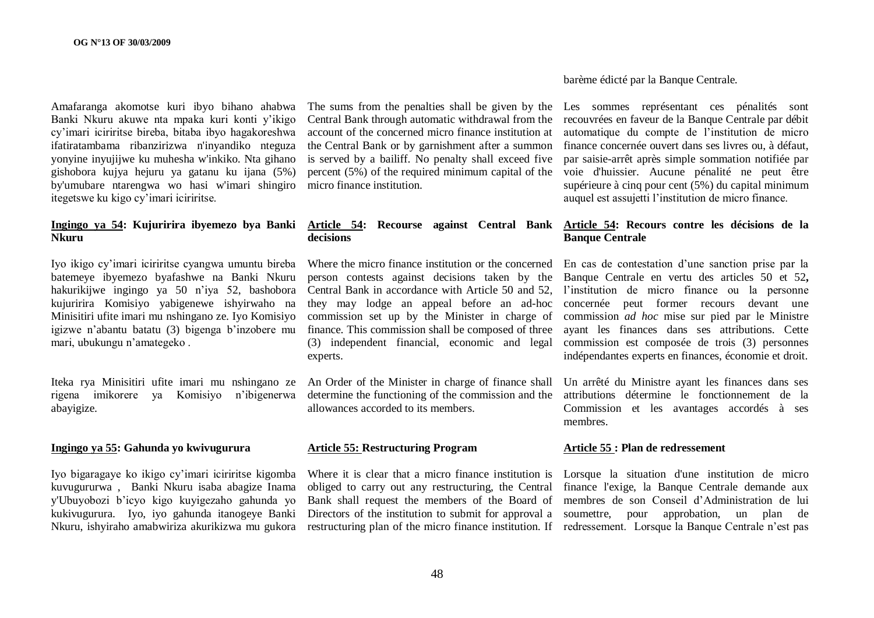Amafaranga akomotse kuri ibyo bihano ahabwa Banki Nkuru akuwe nta mpaka kuri konti y"ikigo cy"imari iciriritse bireba, bitaba ibyo hagakoreshwa ifatiratambama ribanzirizwa n'inyandiko nteguza yonyine inyujijwe ku muhesha w'inkiko. Nta gihano gishobora kujya hejuru ya gatanu ku ijana (5%) by'umubare ntarengwa wo hasi w'imari shingiro itegetswe ku kigo cy"imari iciriritse.

# **Nkuru**

Iyo ikigo cy"imari iciriritse cyangwa umuntu bireba batemeye ibyemezo byafashwe na Banki Nkuru hakurikijwe ingingo ya 50 n"iya 52, bashobora kujuririra Komisiyo yabigenewe ishyirwaho na Minisitiri ufite imari mu nshingano ze. Iyo Komisiyo igizwe n"abantu batatu (3) bigenga b"inzobere mu mari, ubukungu n"amategeko .

Iteka rya Minisitiri ufite imari mu nshingano ze rigena imikorere ya Komisiyo n"ibigenerwa abayigize.

#### **Ingingo ya 55: Gahunda yo kwivugurura**

Iyo bigaragaye ko ikigo cy"imari iciriritse kigomba kuvugururwa , Banki Nkuru isaba abagize Inama y'Ubuyobozi b"icyo kigo kuyigezaho gahunda yo kukivugurura. Iyo, iyo gahunda itanogeye Banki

The sums from the penalties shall be given by the Les sommes représentant ces pénalités sont account of the concerned micro finance institution at is served by a bailiff. No penalty shall exceed five percent (5%) of the required minimum capital of the micro finance institution.

# **decisions**

person contests against decisions taken by the Banque Centrale en vertu des articles 50 et 52**,** Central Bank in accordance with Article 50 and 52, l'institution de micro finance ou la personne they may lodge an appeal before an ad-hoc concernée peut former recours devant une commission set up by the Minister in charge of commission *ad hoc* mise sur pied par le Ministre finance. This commission shall be composed of three (3) independent financial, economic and legal commission est composée de trois (3) personnes experts.

allowances accorded to its members.

#### **Article 55: Restructuring Program**

barème édicté par la Banque Centrale.

Central Bank through automatic withdrawal from the recouvrées en faveur de la Banque Centrale par débit the Central Bank or by garnishment after a summon finance concernée ouvert dans ses livres ou, à défaut, automatique du compte de l"institution de micro par saisie-arrêt après simple sommation notifiée par voie d'huissier. Aucune pénalité ne peut être supérieure à cinq pour cent (5%) du capital minimum auquel est assujetti l"institution de micro finance.

#### **Ingingo ya 54: Kujuririra ibyemezo bya Banki Article 54: Recourse against Central Bank Article 54: Recours contre les décisions de la Banque Centrale**

Where the micro finance institution or the concerned En cas de contestation d'une sanction prise par la ayant les finances dans ses attributions. Cette indépendantes experts en finances, économie et droit.

An Order of the Minister in charge of finance shall Un arrêté du Ministre ayant les finances dans ses determine the functioning of the commission and the attributions détermine le fonctionnement de la Commission et les avantages accordés à ses membres.

#### **Article 55 : Plan de redressement**

Nkuru, ishyiraho amabwiriza akurikizwa mu gukora restructuring plan of the micro finance institution. If redressement. Lorsque la Banque Centrale n'est pas Where it is clear that a micro finance institution is Lorsque la situation d'une institution de micro obliged to carry out any restructuring, the Central finance l'exige, la Banque Centrale demande aux Bank shall request the members of the Board of membres de son Conseil d"Administration de lui Directors of the institution to submit for approval a soumettre, pour approbation, un plan de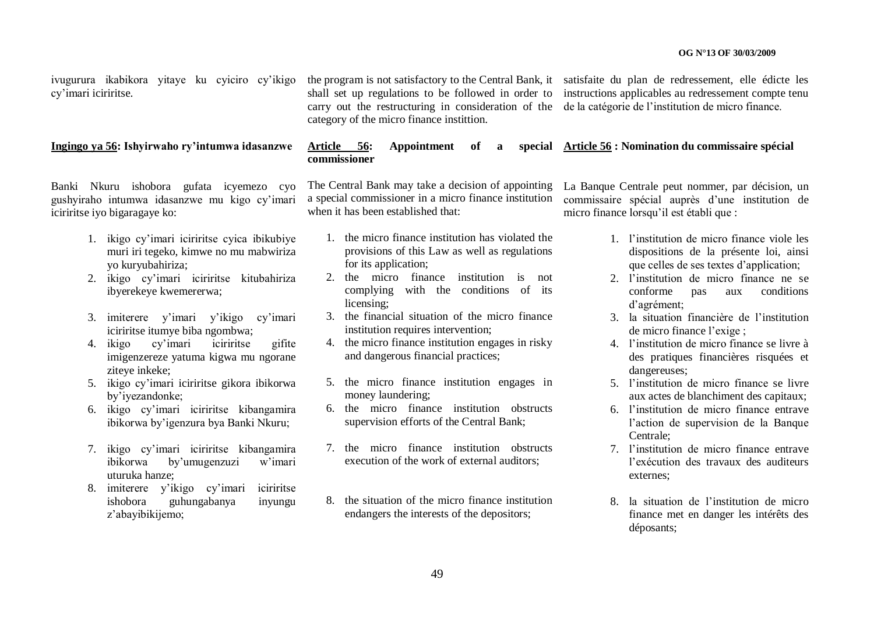ivugurura ikabikora yitaye ku cyiciro cy"ikigo cy"imari iciriritse.

#### **Ingingo ya 56: Ishyirwaho ry"intumwa idasanzwe**

Banki Nkuru ishobora gufata icyemezo cyo gushyiraho intumwa idasanzwe mu kigo cy"imari iciriritse iyo bigaragaye ko:

- 1. ikigo cy"imari iciriritse cyica ibikubiye muri iri tegeko, kimwe no mu mabwiriza yo kuryubahiriza;
- 2. ikigo cy"imari iciriritse kitubahiriza ibyerekeye kwemererwa;
- 3. imiterere y"imari y"ikigo cy"imari iciriritse itumye biba ngombwa;
- 4. ikigo cy"imari iciriritse gifite imigenzereze yatuma kigwa mu ngorane ziteye inkeke;
- 5. ikigo cy"imari iciriritse gikora ibikorwa by"iyezandonke;
- 6. ikigo cy"imari iciriritse kibangamira ibikorwa by"igenzura bya Banki Nkuru;
- 7. ikigo cy"imari iciriritse kibangamira ibikorwa by"umugenzuzi w"imari uturuka hanze;
- 8. imiterere y"ikigo cy"imari iciriritse ishobora guhungabanya inyungu z"abayibikijemo;

the program is not satisfactory to the Central Bank, it satisfaite du plan de redressement, elle édicte les carry out the restructuring in consideration of the de la catégorie de l"institution de micro finance. category of the micro finance instittion.

shall set up regulations to be followed in order to instructions applicables au redressement compte tenu

#### Article 56: Appointment of **commissioner Article 56 : Nomination du commissaire spécial**

The Central Bank may take a decision of appointing a special commissioner in a micro finance institution when it has been established that:

- 1. the micro finance institution has violated the provisions of this Law as well as regulations for its application;
- 2. the micro finance institution is not complying with the conditions of its licensing;
- 3. the financial situation of the micro finance institution requires intervention;
- 4. the micro finance institution engages in risky and dangerous financial practices;
- 5. the micro finance institution engages in money laundering;
- 6. the micro finance institution obstructs supervision efforts of the Central Bank;
- 7. the micro finance institution obstructs execution of the work of external auditors;
- 8. the situation of the micro finance institution endangers the interests of the depositors;

La Banque Centrale peut nommer, par décision, un commissaire spécial auprès d"une institution de micro finance lorsqu"il est établi que :

- 1. l"institution de micro finance viole les dispositions de la présente loi, ainsi que celles de ses textes d"application;
- 2. l"institution de micro finance ne se conforme pas aux conditions d"agrément;
- 3. la situation financière de l"institution de micro finance l"exige ;
- 4. l"institution de micro finance se livre à des pratiques financières risquées et dangereuses;
- 5. l"institution de micro finance se livre aux actes de blanchiment des capitaux;
- 6. l"institution de micro finance entrave l"action de supervision de la Banque Centrale;
- 7. l"institution de micro finance entrave l"exécution des travaux des auditeurs externes;
- 8. la situation de l"institution de micro finance met en danger les intérêts des déposants;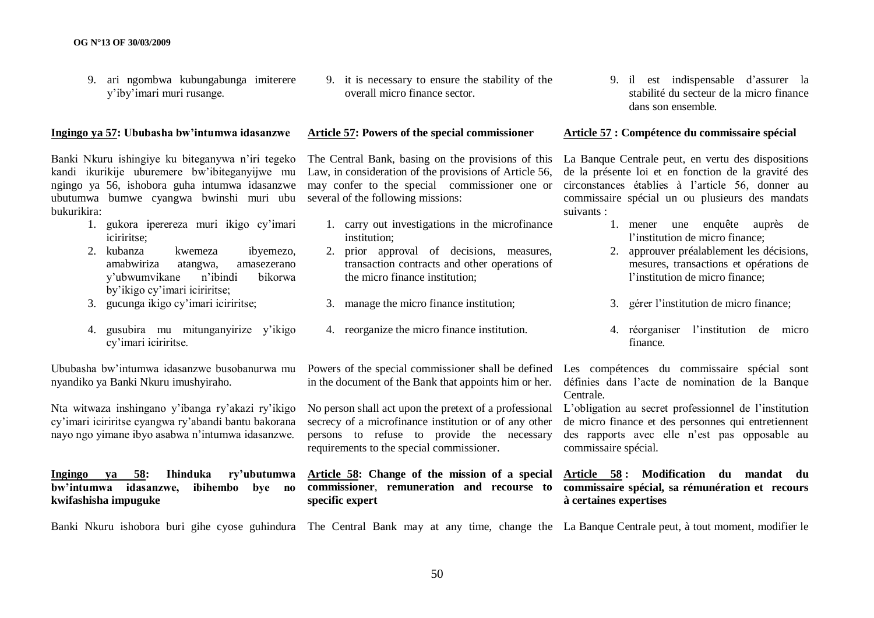9. ari ngombwa kubungabunga imiterere y"iby"imari muri rusange.

#### **Ingingo ya 57: Ububasha bw"intumwa idasanzwe**

Banki Nkuru ishingiye ku biteganywa n"iri tegeko kandi ikurikije uburemere bw"ibiteganyijwe mu ngingo ya 56, ishobora guha intumwa idasanzwe ubutumwa bumwe cyangwa bwinshi muri ubu several of the following missions: bukurikira:

- 1. gukora iperereza muri ikigo cy"imari iciriritse;
- 2. kubanza kwemeza ibyemezo, amabwiriza atangwa, amasezerano y"ubwumvikane n"ibindi bikorwa by"ikigo cy"imari iciriritse;
- 3. gucunga ikigo cy"imari iciriritse;
- 4. gusubira mu mitunganyirize y"ikigo cy"imari iciriritse.

Ububasha bw"intumwa idasanzwe busobanurwa mu nyandiko ya Banki Nkuru imushyiraho.

Nta witwaza inshingano y"ibanga ry"akazi ry"ikigo cy"imari iciriritse cyangwa ry"abandi bantu bakorana nayo ngo yimane ibyo asabwa n"intumwa idasanzwe.

#### **Ingingo ya 58: Ihinduka ry"ubutumwa bw"intumwa idasanzwe, ibihembo bye no kwifashisha impuguke**

9. it is necessary to ensure the stability of the overall micro finance sector.

#### **Article 57: Powers of the special commissioner**

The Central Bank, basing on the provisions of this Law, in consideration of the provisions of Article 56, may confer to the special commissioner one or

- 1. carry out investigations in the microfinance institution;
- 2. prior approval of decisions, measures, transaction contracts and other operations of the micro finance institution;
- 3. manage the micro finance institution;
- 4. reorganize the micro finance institution.

in the document of the Bank that appoints him or her.

No person shall act upon the pretext of a professional L"obligation au secret professionnel de l"institution secrecy of a microfinance institution or of any other persons to refuse to provide the necessary requirements to the special commissioner.

**specific expert**

9. il est indispensable d"assurer la stabilité du secteur de la micro finance dans son ensemble.

### **Article 57 : Compétence du commissaire spécial**

La Banque Centrale peut, en vertu des dispositions de la présente loi et en fonction de la gravité des circonstances établies à l"article 56, donner au commissaire spécial un ou plusieurs des mandats suivants :

- 1. mener une enquête auprès de l"institution de micro finance;
- 2. approuver préalablement les décisions, mesures, transactions et opérations de l'institution de micro finance:
- 3. gérer l"institution de micro finance;
- 4. réorganiser l"institution de micro finance.

Powers of the special commissioner shall be defined Les compétences du commissaire spécial sont définies dans l"acte de nomination de la Banque Centrale.

> de micro finance et des personnes qui entretiennent des rapports avec elle n"est pas opposable au commissaire spécial.

### **Article 58: Change of the mission of a special Article 58 : Modification du mandat du commissioner**, **remuneration and recourse to commissaire spécial, sa rémunération et recours à certaines expertises**

Banki Nkuru ishobora buri gihe cyose guhindura The Central Bank may at any time, change the La Banque Centrale peut, à tout moment, modifier le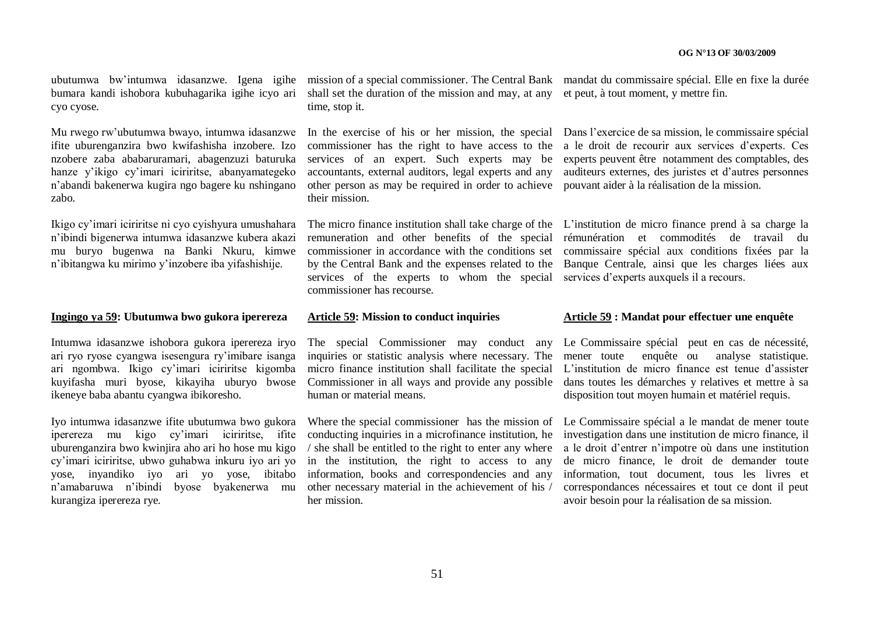ubutumwa bw'intumwa idasanzwe. Igena igihe mission of a special commissioner. The Central Bank mandat du commissaire spécial. Elle en fixe la durée bumara kandi ishobora kubuhagarika igihe icyo ari cyo cyose.

Mu rwego rw"ubutumwa bwayo, intumwa idasanzwe ifite uburenganzira bwo kwifashisha inzobere. Izo nzobere zaba ababaruramari, abagenzuzi baturuka hanze y"ikigo cy"imari iciriritse, abanyamategeko n"abandi bakenerwa kugira ngo bagere ku nshingano zabo.

Ikigo cy"imari iciriritse ni cyo cyishyura umushahara n"ibindi bigenerwa intumwa idasanzwe kubera akazi mu buryo bugenwa na Banki Nkuru, kimwe n"ibitangwa ku mirimo y"inzobere iba yifashishije.

#### **Ingingo ya 59: Ubutumwa bwo gukora iperereza**

Intumwa idasanzwe ishobora gukora iperereza iryo ari ryo ryose cyangwa isesengura ry"imibare isanga ari ngombwa. Ikigo cy"imari iciriritse kigomba kuyifasha muri byose, kikayiha uburyo bwose ikeneye baba abantu cyangwa ibikoresho.

Iyo intumwa idasanzwe ifite ubutumwa bwo gukora iperereza mu kigo cy"imari iciriritse, ifite uburenganzira bwo kwinjira aho ari ho hose mu kigo kurangiza iperereza rye.

shall set the duration of the mission and may, at any et peut, à tout moment, y mettre fin. time, stop it.

other person as may be required in order to achieve pouvant aider à la réalisation de la mission. their mission.

remuneration and other benefits of the special rémunération et commodités de travail du commissioner in accordance with the conditions set commissaire spécial aux conditions fixées par la by the Central Bank and the expenses related to the Banque Centrale, ainsi que les charges liées aux services of the experts to whom the special services d'experts auxquels il a recours. commissioner has recourse.

#### **Article 59: Mission to conduct inquiries**

human or material means.

cy"imari iciriritse, ubwo guhabwa inkuru iyo ari yo in the institution, the right to access to any yose, inyandiko iyo ari yo yose, ibitabo information, books and correspondencies and any n'amabaruwa n'ibindi byose byakenerwa mu other necessary material in the achievement of his / Where the special commissioner has the mission of Le Commissaire spécial a le mandat de mener toute conducting inquiries in a microfinance institution, he / she shall be entitled to the right to enter any where her mission.

In the exercise of his or her mission, the special Dans l"exercice de sa mission, le commissaire spécial commissioner has the right to have access to the a le droit de recourir aux services d"experts. Ces services of an expert. Such experts may be experts peuvent être notamment des comptables, des accountants, external auditors, legal experts and any auditeurs externes, des juristes et d"autres personnes

The micro finance institution shall take charge of the L'institution de micro finance prend à sa charge la

#### **Article 59 : Mandat pour effectuer une enquête**

The special Commissioner may conduct any Le Commissaire spécial peut en cas de nécessité, inquiries or statistic analysis where necessary. The mener toute enquête ou analyse statistique. micro finance institution shall facilitate the special L'institution de micro finance est tenue d'assister Commissioner in all ways and provide any possible dans toutes les démarches y relatives et mettre à sa disposition tout moyen humain et matériel requis.

> investigation dans une institution de micro finance, il a le droit d"entrer n"impotre où dans une institution de micro finance, le droit de demander toute information, tout document, tous les livres et correspondances nécessaires et tout ce dont il peut avoir besoin pour la réalisation de sa mission.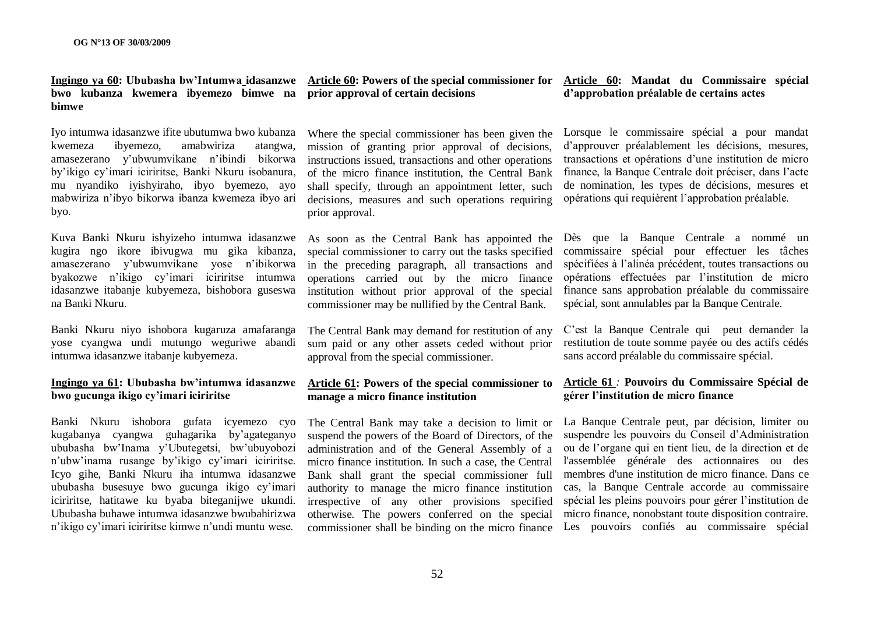# **bwo kubanza kwemera ibyemezo bimwe na prior approval of certain decisions bimwe**

Iyo intumwa idasanzwe ifite ubutumwa bwo kubanza kwemeza ibyemezo, amabwiriza atangwa, amasezerano y"ubwumvikane n"ibindi bikorwa by"ikigo cy"imari iciriritse, Banki Nkuru isobanura, mu nyandiko iyishyiraho, ibyo byemezo, ayo mabwiriza n"ibyo bikorwa ibanza kwemeza ibyo ari byo.

Kuva Banki Nkuru ishyizeho intumwa idasanzwe kugira ngo ikore ibivugwa mu gika kibanza, amasezerano y"ubwumvikane yose n"ibikorwa byakozwe n"ikigo cy"imari iciriritse intumwa idasanzwe itabanje kubyemeza, bishobora guseswa na Banki Nkuru.

Banki Nkuru niyo ishobora kugaruza amafaranga yose cyangwa undi mutungo weguriwe abandi intumwa idasanzwe itabanje kubyemeza.

#### **Ingingo ya 61: Ububasha bw"intumwa idasanzwe bwo gucunga ikigo cy"imari iciriritse**

Banki Nkuru ishobora gufata icyemezo cyo kugabanya cyangwa guhagarika by"agateganyo ububasha bw"Inama y"Ubutegetsi, bw"ubuyobozi n"ubw"inama rusange by"ikigo cy"imari iciriritse. Icyo gihe, Banki Nkuru iha intumwa idasanzwe ububasha busesuye bwo gucunga ikigo cy"imari iciriritse, hatitawe ku byaba biteganijwe ukundi. Ububasha buhawe intumwa idasanzwe bwubahirizwa n"ikigo cy"imari iciriritse kimwe n"undi muntu wese.

# **Ingingo ya 60: Ububasha bw"Intumwa idasanzwe Article 60: Powers of the special commissioner for Article 60: Mandat du Commissaire spécial**

Where the special commissioner has been given the mission of granting prior approval of decisions, instructions issued, transactions and other operations of the micro finance institution, the Central Bank shall specify, through an appointment letter, such decisions, measures and such operations requiring prior approval.

As soon as the Central Bank has appointed the special commissioner to carry out the tasks specified in the preceding paragraph, all transactions and operations carried out by the micro finance institution without prior approval of the special commissioner may be nullified by the Central Bank.

The Central Bank may demand for restitution of any sum paid or any other assets ceded without prior approval from the special commissioner.

## **Article 61: Powers of the special commissioner to manage a micro finance institution**

The Central Bank may take a decision to limit or suspend the powers of the Board of Directors, of the administration and of the General Assembly of a micro finance institution. In such a case, the Central Bank shall grant the special commissioner full authority to manage the micro finance institution irrespective of any other provisions specified otherwise. The powers conferred on the special

# **d"approbation préalable de certains actes**

Lorsque le commissaire spécial a pour mandat d"approuver préalablement les décisions, mesures, transactions et opérations d"une institution de micro finance, la Banque Centrale doit préciser, dans l"acte de nomination, les types de décisions, mesures et opérations qui requièrent l"approbation préalable.

Dès que la Banque Centrale a nommé un commissaire spécial pour effectuer les tâches spécifiées à l"alinéa précédent, toutes transactions ou opérations effectuées par l"institution de micro finance sans approbation préalable du commissaire spécial, sont annulables par la Banque Centrale.

C"est la Banque Centrale qui peut demander la restitution de toute somme payée ou des actifs cédés sans accord préalable du commissaire spécial.

### **Article 61** *:* **Pouvoirs du Commissaire Spécial de gérer l"institution de micro finance**

commissioner shall be binding on the micro finance Les pouvoirs confiés au commissaire spécial La Banque Centrale peut, par décision, limiter ou suspendre les pouvoirs du Conseil d"Administration ou de l"organe qui en tient lieu, de la direction et de l'assemblée générale des actionnaires ou des membres d'une institution de micro finance. Dans ce cas, la Banque Centrale accorde au commissaire spécial les pleins pouvoirs pour gérer l"institution de micro finance, nonobstant toute disposition contraire.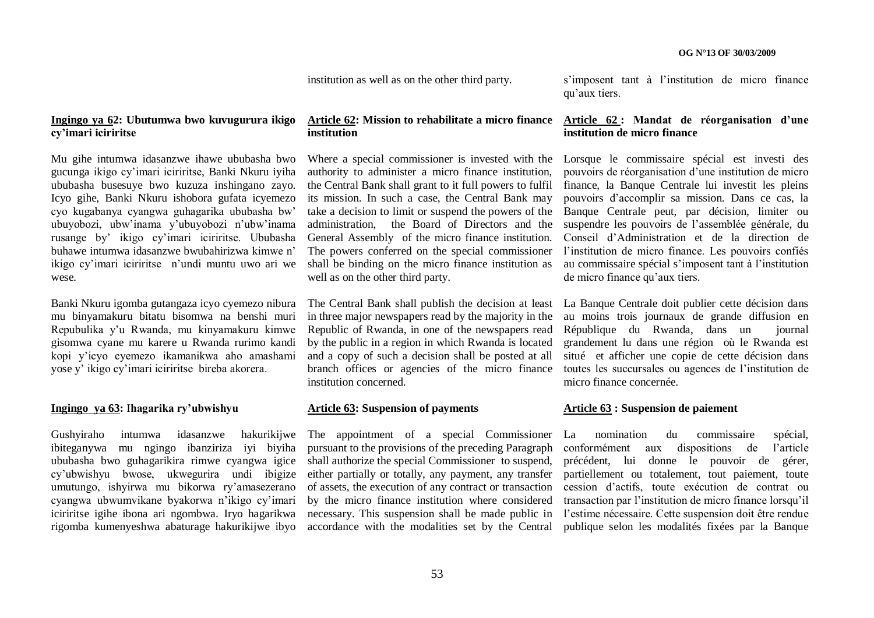institution as well as on the other third party.

**Ingingo ya 62: Ubutumwa bwo kuvugurura ikigo cy"imari iciriritse**

Mu gihe intumwa idasanzwe ihawe ububasha bwo gucunga ikigo cy"imari iciriritse, Banki Nkuru iyiha ububasha busesuye bwo kuzuza inshingano zayo. Icyo gihe, Banki Nkuru ishobora gufata icyemezo cyo kugabanya cyangwa guhagarika ububasha bw" ubuyobozi, ubw"inama y"ubuyobozi n"ubw"inama rusange by" ikigo cy"imari iciriritse. Ububasha buhawe intumwa idasanzwe bwubahirizwa kimwe n" ikigo cy"imari iciriritse n"undi muntu uwo ari we wese.

Banki Nkuru igomba gutangaza icyo cyemezo nibura mu binyamakuru bitatu bisomwa na benshi muri Repubulika y"u Rwanda, mu kinyamakuru kimwe gisomwa cyane mu karere u Rwanda rurimo kandi kopi y"icyo cyemezo ikamanikwa aho amashami yose y" ikigo cy"imari iciriritse bireba akorera.

#### **Ingingo ya 63:** I**hagarika ry"ubwishyu**

Gushyiraho intumwa idasanzwe hakurikijwe ibiteganywa mu ngingo ibanziriza iyi biyiha ububasha bwo guhagarikira rimwe cyangwa igice cy"ubwishyu bwose, ukwegurira undi ibigize umutungo, ishyirwa mu bikorwa ry"amasezerano cyangwa ubwumvikane byakorwa n"ikigo cy"imari iciriritse igihe ibona ari ngombwa. Iryo hagarikwa rigomba kumenyeshwa abaturage hakurikijwe ibyo

#### **Article 62: Mission to rehabilitate a micro finance institution**

authority to administer a micro finance institution, the Central Bank shall grant to it full powers to fulfil its mission. In such a case, the Central Bank may take a decision to limit or suspend the powers of the administration, the Board of Directors and the General Assembly of the micro finance institution. The powers conferred on the special commissioner shall be binding on the micro finance institution as well as on the other third party.

The Central Bank shall publish the decision at least in three major newspapers read by the majority in the Republic of Rwanda, in one of the newspapers read by the public in a region in which Rwanda is located and a copy of such a decision shall be posted at all branch offices or agencies of the micro finance institution concerned.

#### **Article 63: Suspension of payments**

The appointment of a special Commissioner pursuant to the provisions of the preceding Paragraph shall authorize the special Commissioner to suspend, either partially or totally, any payment, any transfer of assets, the execution of any contract or transaction by the micro finance institution where considered necessary. This suspension shall be made public in accordance with the modalities set by the Central

s"imposent tant à l"institution de micro finance qu"aux tiers.

#### **Article 62 : Mandat de réorganisation d"une institution de micro finance**

Where a special commissioner is invested with the Lorsque le commissaire spécial est investi des pouvoirs de réorganisation d"une institution de micro finance, la Banque Centrale lui investit les pleins pouvoirs d"accomplir sa mission. Dans ce cas, la Banque Centrale peut, par décision, limiter ou suspendre les pouvoirs de l"assemblée générale, du Conseil d"Administration et de la direction de l'institution de micro finance. Les pouvoirs confiés au commissaire spécial s"imposent tant à l"institution de micro finance qu"aux tiers.

> La Banque Centrale doit publier cette décision dans au moins trois journaux de grande diffusion en République du Rwanda, dans un journal grandement lu dans une région où le Rwanda est situé et afficher une copie de cette décision dans toutes les succursales ou agences de l"institution de micro finance concernée.

#### **Article 63 : Suspension de paiement**

La nomination du commissaire spécial, conformément aux dispositions de l"article précédent, lui donne le pouvoir de gérer, partiellement ou totalement, tout paiement, toute cession d"actifs, toute exécution de contrat ou transaction par l"institution de micro finance lorsqu"il l"estime nécessaire. Cette suspension doit être rendue publique selon les modalités fixées par la Banque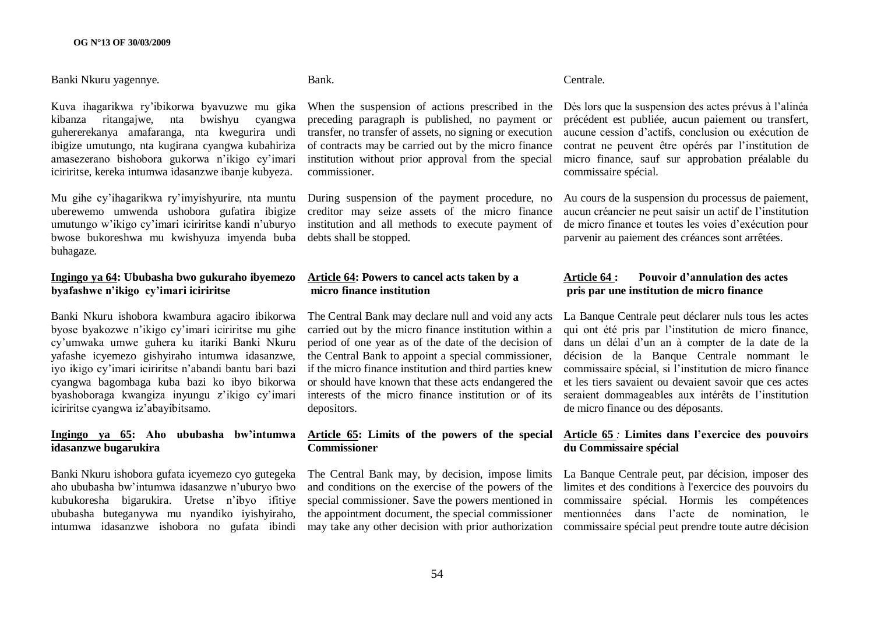#### Banki Nkuru yagennye.

Kuva ihagarikwa ry"ibikorwa byavuzwe mu gika kibanza ritangajwe, nta bwishyu cyangwa guhererekanya amafaranga, nta kwegurira undi ibigize umutungo, nta kugirana cyangwa kubahiriza amasezerano bishobora gukorwa n"ikigo cy"imari iciriritse, kereka intumwa idasanzwe ibanje kubyeza.

Mu gihe cy"ihagarikwa ry"imyishyurire, nta muntu uberewemo umwenda ushobora gufatira ibigize umutungo w"ikigo cy"imari iciriritse kandi n"uburyo bwose bukoreshwa mu kwishyuza imyenda buba debts shall be stopped. buhagaze.

#### **Ingingo ya 64: Ububasha bwo gukuraho ibyemezo byafashwe n"ikigo cy"imari iciriritse**

Banki Nkuru ishobora kwambura agaciro ibikorwa byose byakozwe n"ikigo cy"imari iciriritse mu gihe cy"umwaka umwe guhera ku itariki Banki Nkuru yafashe icyemezo gishyiraho intumwa idasanzwe, iyo ikigo cy"imari iciriritse n"abandi bantu bari bazi cyangwa bagombaga kuba bazi ko ibyo bikorwa byashoboraga kwangiza inyungu z"ikigo cy"imari iciriritse cyangwa iz"abayibitsamo.

#### **Ingingo ya 65: Aho ububasha bw"intumwa idasanzwe bugarukira**

Banki Nkuru ishobora gufata icyemezo cyo gutegeka aho ububasha bw"intumwa idasanzwe n"uburyo bwo kubukoresha bigarukira. Uretse n"ibyo ifitiye ububasha buteganywa mu nyandiko iyishyiraho, intumwa idasanzwe ishobora no gufata ibindi

# Bank.

When the suspension of actions prescribed in the preceding paragraph is published, no payment or transfer, no transfer of assets, no signing or execution of contracts may be carried out by the micro finance institution without prior approval from the special commissioner.

During suspension of the payment procedure, no creditor may seize assets of the micro finance institution and all methods to execute payment of

#### **Article 64: Powers to cancel acts taken by a micro finance institution**

The Central Bank may declare null and void any acts carried out by the micro finance institution within a period of one year as of the date of the decision of the Central Bank to appoint a special commissioner, if the micro finance institution and third parties knew or should have known that these acts endangered the interests of the micro finance institution or of its depositors.

#### **Article 65: Limits of the powers of the special Commissioner**

special commissioner. Save the powers mentioned in the appointment document, the special commissioner

#### Centrale.

Dès lors que la suspension des actes prévus à l"alinéa précédent est publiée, aucun paiement ou transfert, aucune cession d"actifs, conclusion ou exécution de contrat ne peuvent être opérés par l"institution de micro finance, sauf sur approbation préalable du commissaire spécial.

Au cours de la suspension du processus de paiement, aucun créancier ne peut saisir un actif de l"institution de micro finance et toutes les voies d"exécution pour parvenir au paiement des créances sont arrêtées.

#### **Article 64 : Pouvoir d"annulation des actes pris par une institution de micro finance**

La Banque Centrale peut déclarer nuls tous les actes qui ont été pris par l"institution de micro finance, dans un délai d"un an à compter de la date de la décision de la Banque Centrale nommant le commissaire spécial, si l"institution de micro finance et les tiers savaient ou devaient savoir que ces actes seraient dommageables aux intérêts de l"institution de micro finance ou des déposants.

### **Article 65** *:* **Limites dans l"exercice des pouvoirs du Commissaire spécial**

The Central Bank may, by decision, impose limits La Banque Centrale peut, par décision, imposer des and conditions on the exercise of the powers of the limites et des conditions à l'exercice des pouvoirs du may take any other decision with prior authorization commissaire spécial peut prendre toute autre décision commissaire spécial. Hormis les compétences mentionnées dans l"acte de nomination, le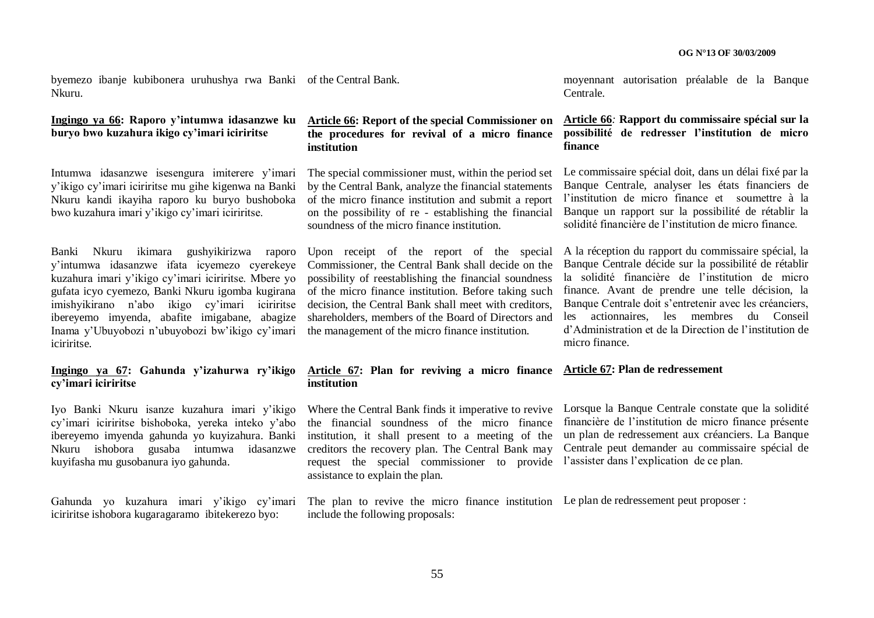byemezo ibanje kubibonera uruhushya rwa Banki of the Central Bank. Nkuru.

# **Ingingo ya 66: Raporo y"intumwa idasanzwe ku buryo bwo kuzahura ikigo cy"imari iciriritse**

Intumwa idasanzwe isesengura imiterere v'imari y"ikigo cy"imari iciriritse mu gihe kigenwa na Banki Nkuru kandi ikayiha raporo ku buryo bushoboka bwo kuzahura imari y"ikigo cy"imari iciriritse.

Banki Nkuru ikimara gushyikirizwa raporo y"intumwa idasanzwe ifata icyemezo cyerekeye kuzahura imari y"ikigo cy"imari iciriritse. Mbere yo gufata icyo cyemezo, Banki Nkuru igomba kugirana imishyikirano n"abo ikigo cy"imari iciriritse ibereyemo imyenda, abafite imigabane, abagize Inama y"Ubuyobozi n"ubuyobozi bw"ikigo cy"imari iciriritse.

# **Ingingo ya 67: Gahunda y"izahurwa ry"ikigo cy"imari iciriritse**

Iyo Banki Nkuru isanze kuzahura imari y"ikigo cy"imari iciriritse bishoboka, yereka inteko y"abo ibereyemo imyenda gahunda yo kuyizahura. Banki Nkuru ishobora gusaba intumwa idasanzwe kuyifasha mu gusobanura iyo gahunda.

Gahunda yo kuzahura imari y"ikigo cy"imari iciriritse ishobora kugaragaramo ibitekerezo byo:

## **Article 66: Report of the special Commissioner on the procedures for revival of a micro finance institution**

The special commissioner must, within the period set by the Central Bank, analyze the financial statements of the micro finance institution and submit a report on the possibility of re - establishing the financial soundness of the micro finance institution.

Upon receipt of the report of the special Commissioner, the Central Bank shall decide on the possibility of reestablishing the financial soundness of the micro finance institution. Before taking such decision, the Central Bank shall meet with creditors, shareholders, members of the Board of Directors and the management of the micro finance institution.

### **Article 67: Plan for reviving a micro finance Article 67: Plan de redressement institution**

the financial soundness of the micro finance institution, it shall present to a meeting of the creditors the recovery plan. The Central Bank may request the special commissioner to provide l'assister dans l'explication de ce plan. assistance to explain the plan.

moyennant autorisation préalable de la Banque Centrale.

#### **Article 66***:* **Rapport du commissaire spécial sur la possibilité de redresser l"institution de micro finance**

Le commissaire spécial doit, dans un délai fixé par la Banque Centrale, analyser les états financiers de l"institution de micro finance et soumettre à la Banque un rapport sur la possibilité de rétablir la solidité financière de l"institution de micro finance.

A la réception du rapport du commissaire spécial, la Banque Centrale décide sur la possibilité de rétablir la solidité financière de l"institution de micro finance. Avant de prendre une telle décision, la Banque Centrale doit s'entretenir avec les créanciers, les actionnaires, les membres du Conseil d"Administration et de la Direction de l"institution de micro finance.

Where the Central Bank finds it imperative to revive Lorsque la Banque Centrale constate que la solidité financière de l"institution de micro finance présente un plan de redressement aux créanciers. La Banque Centrale peut demander au commissaire spécial de

The plan to revive the micro finance institution Le plan de redressement peut proposer :include the following proposals: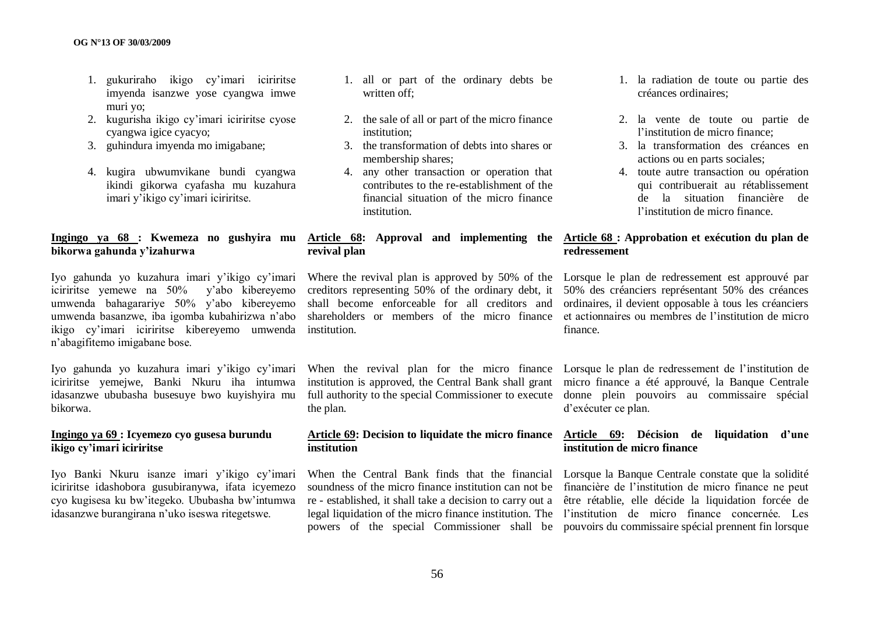- 1. gukuriraho ikigo cy"imari iciriritse imyenda isanzwe yose cyangwa imwe muri yo;
- 2. kugurisha ikigo cy"imari iciriritse cyose cyangwa igice cyacyo;
- 3. guhindura imyenda mo imigabane;
- 4. kugira ubwumvikane bundi cyangwa ikindi gikorwa cyafasha mu kuzahura imari y"ikigo cy"imari iciriritse.

### **Ingingo ya 68 : Kwemeza no gushyira mu bikorwa gahunda y"izahurwa**

Iyo gahunda yo kuzahura imari y"ikigo cy"imari iciriritse yemewe na 50% y"abo kibereyemo umwenda bahagarariye 50% y"abo kibereyemo umwenda basanzwe, iba igomba kubahirizwa n"abo ikigo cy"imari iciriritse kibereyemo umwenda institution. n"abagifitemo imigabane bose.

Iyo gahunda yo kuzahura imari y"ikigo cy"imari iciriritse yemejwe, Banki Nkuru iha intumwa idasanzwe ububasha busesuye bwo kuyishyira mu bikorwa.

### **Ingingo ya 69 : Icyemezo cyo gusesa burundu ikigo cy"imari iciriritse**

Iyo Banki Nkuru isanze imari y"ikigo cy"imari iciriritse idashobora gusubiranywa, ifata icyemezo cyo kugisesa ku bw"itegeko. Ububasha bw"intumwa idasanzwe burangirana n"uko iseswa ritegetswe.

- 1. all or part of the ordinary debts be written off;
- 2. the sale of all or part of the micro finance institution;
- 3. the transformation of debts into shares or membership shares;
- 4. any other transaction or operation that contributes to the re-establishment of the financial situation of the micro finance institution.

# **revival plan**

institution is approved, the Central Bank shall grant the plan.

# **institution**

- 1. la radiation de toute ou partie des créances ordinaires;
- 2. la vente de toute ou partie de l'institution de micro finance;
- 3. la transformation des créances en actions ou en parts sociales;
- 4. toute autre transaction ou opération qui contribuerait au rétablissement de la situation financière de l"institution de micro finance.

### **Article 68: Approval and implementing the Article 68 : Approbation et exécution du plan de redressement**

Where the revival plan is approved by 50% of the Lorsque le plan de redressement est approuvé par creditors representing 50% of the ordinary debt, it 50% des créanciers représentant 50% des créances shall become enforceable for all creditors and ordinaires, il devient opposable à tous les créanciers shareholders or members of the micro finance et actionnaires ou membres de l'institution de micro finance.

When the revival plan for the micro finance Lorsque le plan de redressement de l"institution de full authority to the special Commissioner to execute donne plein pouvoirs au commissaire spécial micro finance a été approuvé, la Banque Centrale d"exécuter ce plan.

#### **Article 69: Decision to liquidate the micro finance Article 69: Décision de liquidation d"une institution de micro finance**

When the Central Bank finds that the financial Lorsque la Banque Centrale constate que la solidité soundness of the micro finance institution can not be financière de l'institution de micro finance ne peut re - established, it shall take a decision to carry out a être rétablie, elle décide la liquidation forcée de legal liquidation of the micro finance institution. The l'institution de micro finance concernée. Les powers of the special Commissioner shall be pouvoirs du commissaire spécial prennent fin lorsque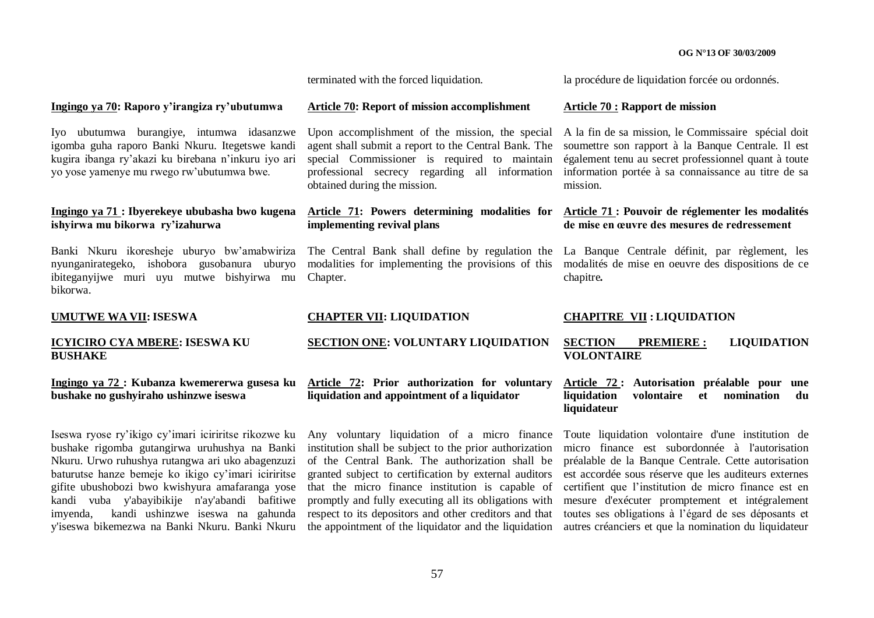terminated with the forced liquidation.

la procédure de liquidation forcée ou ordonnés.

#### **Ingingo ya 70: Raporo y"irangiza ry"ubutumwa**

Iyo ubutumwa burangiye, intumwa idasanzwe igomba guha raporo Banki Nkuru. Itegetswe kandi kugira ibanga ry"akazi ku birebana n"inkuru iyo ari yo yose yamenye mu rwego rw"ubutumwa bwe.

### **Ingingo ya 71 : Ibyerekeye ububasha bwo kugena ishyirwa mu bikorwa ry"izahurwa**

Banki Nkuru ikoresheje uburyo bw"amabwiriza nyunganirategeko, ishobora gusobanura uburyo ibiteganyijwe muri uyu mutwe bishyirwa mu bikorwa.

**UMUTWE WA VII:ISESWA**

#### **ICYICIRO CYA MBERE: ISESWA KU BUSHAKE**

#### **Ingingo ya 72 : Kubanza kwemererwa gusesa ku bushake no gushyiraho ushinzwe iseswa**

Iseswa ryose ry"ikigo cy"imari iciriritse rikozwe ku bushake rigomba gutangirwa uruhushya na Banki Nkuru. Urwo ruhushya rutangwa ari uko abagenzuzi baturutse hanze bemeje ko ikigo cy"imari iciriritse gifite ubushobozi bwo kwishyura amafaranga yose kandi vuba y'abayibikije n'ay'abandi bafitiwe imyenda, kandi ushinzwe iseswa na gahunda y'iseswa bikemezwa na Banki Nkuru. Banki Nkuru

#### **Article 70: Report of mission accomplishment**

agent shall submit a report to the Central Bank. The special Commissioner is required to maintain professional secrecy regarding all information obtained during the mission.

# **implementing revival plans**

Chapter.

#### **CHAPTER VII: LIQUIDATION**

# **SECTION ONE: VOLUNTARY LIQUIDATION**

# **Article 72: Prior authorization for voluntary liquidation and appointment of a liquidator**

Any voluntary liquidation of a micro finance institution shall be subject to the prior authorization of the Central Bank. The authorization shall be granted subject to certification by external auditors that the micro finance institution is capable of promptly and fully executing all its obligations with respect to its depositors and other creditors and that

#### **Article 70 : Rapport de mission**

Upon accomplishment of the mission, the special A la fin de sa mission, le Commissaire spécial doit soumettre son rapport à la Banque Centrale. Il est également tenu au secret professionnel quant à toute information portée à sa connaissance au titre de sa mission.

#### **Article 71: Powers determining modalities for Article 71 : Pouvoir de réglementer les modalités de mise en œuvre des mesures de redressement**

The Central Bank shall define by regulation the La Banque Centrale définit, par règlement, les modalities for implementing the provisions of this modalités de mise en oeuvre des dispositions de ce chapitre*.*

#### **CHAPITRE VII : LIQUIDATION**

#### **SECTION PREMIERE : LIQUIDATION VOLONTAIRE**

#### **Article 72 : Autorisation préalable pour une liquidation volontaire et nomination du liquidateur**

the appointment of the liquidator and the liquidation autres créanciers et que la nomination du liquidateur Toute liquidation volontaire d'une institution de micro finance est subordonnée à l'autorisation préalable de la Banque Centrale. Cette autorisation est accordée sous réserve que les auditeurs externes certifient que l"institution de micro finance est en mesure d'exécuter promptement et intégralement toutes ses obligations à l"égard de ses déposants et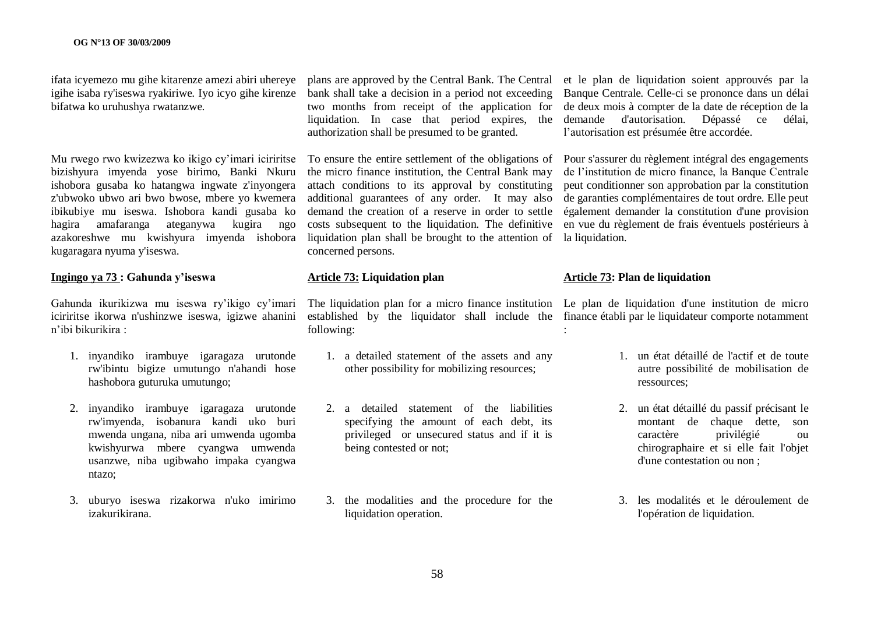ifata icyemezo mu gihe kitarenze amezi abiri uhereye igihe isaba ry'iseswa ryakiriwe. Iyo icyo gihe kirenze bifatwa ko uruhushya rwatanzwe.

Mu rwego rwo kwizezwa ko ikigo cy"imari iciriritse bizishyura imyenda yose birimo, Banki Nkuru ishobora gusaba ko hatangwa ingwate z'inyongera z'ubwoko ubwo ari bwo bwose, mbere yo kwemera ibikubiye mu iseswa. Ishobora kandi gusaba ko hagira amafaranga ateganywa kugira ngo azakoreshwe mu kwishyura imyenda ishobora kugaragara nyuma y'iseswa.

#### **Ingingo ya 73 : Gahunda y"iseswa**

Gahunda ikurikizwa mu iseswa ry"ikigo cy"imari iciriritse ikorwa n'ushinzwe iseswa, igizwe ahanini n"ibi bikurikira :

- 1. inyandiko irambuye igaragaza urutonde rw'ibintu bigize umutungo n'ahandi hose hashobora guturuka umutungo;
- 2. inyandiko irambuye igaragaza urutonde rw'imyenda, isobanura kandi uko buri mwenda ungana, niba ari umwenda ugomba kwishyurwa mbere cyangwa umwenda usanzwe, niba ugibwaho impaka cyangwa ntazo;
- 3. uburyo iseswa rizakorwa n'uko imirimo izakurikirana.

bank shall take a decision in a period not exceeding two months from receipt of the application for liquidation. In case that period expires, the authorization shall be presumed to be granted.

To ensure the entire settlement of the obligations of the micro finance institution, the Central Bank may attach conditions to its approval by constituting additional guarantees of any order. It may also demand the creation of a reserve in order to settle costs subsequent to the liquidation. The definitive liquidation plan shall be brought to the attention of la liquidation. concerned persons.

#### **Article 73: Liquidation plan**

The liquidation plan for a micro finance institution Le plan de liquidation d'une institution de micro established by the liquidator shall include the finance établi par le liquidateur comporte notamment following:

- 1. a detailed statement of the assets and any other possibility for mobilizing resources;
- 2. a detailed statement of the liabilities specifying the amount of each debt, its privileged or unsecured status and if it is being contested or not;
- 3. the modalities and the procedure for the liquidation operation.

plans are approved by the Central Bank. The Central et le plan de liquidation soient approuvés par la Banque Centrale. Celle-ci se prononce dans un délai de deux mois à compter de la date de réception de la demande d'autorisation. Dépassé ce délai, l"autorisation est présumée être accordée.

> Pour s'assurer du règlement intégral des engagements de l"institution de micro finance, la Banque Centrale peut conditionner son approbation par la constitution de garanties complémentaires de tout ordre. Elle peut également demander la constitution d'une provision en vue du règlement de frais éventuels postérieurs à

#### **Article 73: Plan de liquidation**

:

- 1. un état détaillé de l'actif et de toute autre possibilité de mobilisation de ressources;
- 2. un état détaillé du passif précisant le montant de chaque dette, son caractère privilégié ou chirographaire et si elle fait l'objet d'une contestation ou non ;
- 3. les modalités et le déroulement de l'opération de liquidation.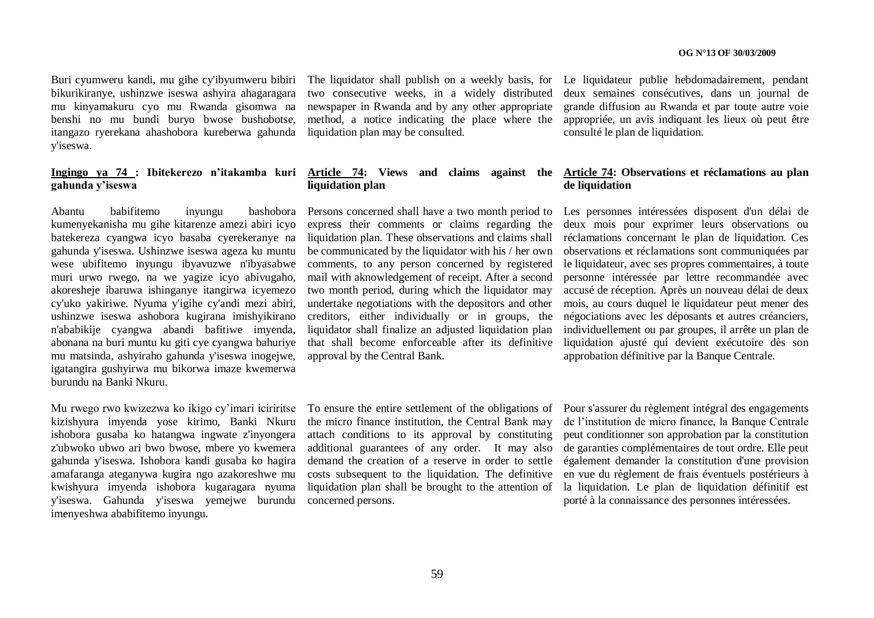Buri cyumweru kandi, mu gihe cy'ibyumweru bibiri bikurikiranye, ushinzwe iseswa ashyira ahagaragara mu kinyamakuru cyo mu Rwanda gisomwa na benshi no mu bundi buryo bwose bushobotse, itangazo ryerekana ahashobora kureberwa gahunda y'iseswa.

# **gahunda y"iseswa**

Abantu babifitemo inyungu bashobora kumenyekanisha mu gihe kitarenze amezi abiri icyo batekereza cyangwa icyo basaba cyerekeranye na gahunda y'iseswa. Ushinzwe iseswa ageza ku muntu wese ubifitemo inyungu ibyavuzwe n'ibyasabwe muri urwo rwego, na we yagize icyo abivugaho, akoresheje ibaruwa ishinganye itangirwa icyemezo cy'uko yakiriwe. Nyuma y'igihe cy'andi mezi abiri, ushinzwe iseswa ashobora kugirana imishyikirano n'ababikije cyangwa abandi bafitiwe imyenda, abonana na buri muntu ku giti cye cyangwa bahuriye mu matsinda, ashyiraho gahunda y'iseswa inogejwe, igatangira gushyirwa mu bikorwa imaze kwemerwa burundu na Banki Nkuru.

Mu rwego rwo kwizezwa ko ikigo cy"imari iciriritse kizishyura imyenda yose kirimo, Banki Nkuru ishobora gusaba ko hatangwa ingwate z'inyongera z'ubwoko ubwo ari bwo bwose, mbere yo kwemera gahunda y'iseswa. Ishobora kandi gusaba ko hagira amafaranga ateganywa kugira ngo azakoreshwe mu kwishyura imyenda ishobora kugaragara nyuma y'iseswa. Gahunda y'iseswa yemejwe burundu imenyeshwa ababifitemo inyungu.

two consecutive weeks, in a widely distributed newspaper in Rwanda and by any other appropriate method, a notice indicating the place where the liquidation plan may be consulted.

# **liquidation plan**

Persons concerned shall have a two month period to express their comments or claims regarding the liquidation plan. These observations and claims shall be communicated by the liquidator with his / her own comments, to any person concerned by registered mail with aknowledgement of receipt. After a second two month period, during which the liquidator may undertake negotiations with the depositors and other creditors, either individually or in groups, the liquidator shall finalize an adjusted liquidation plan that shall become enforceable after its definitive approval by the Central Bank.

the micro finance institution, the Central Bank may attach conditions to its approval by constituting additional guarantees of any order. It may also demand the creation of a reserve in order to settle costs subsequent to the liquidation. The definitive liquidation plan shall be brought to the attention of concerned persons.

The liquidator shall publish on a weekly basis, for Le liquidateur publie hebdomadairement, pendant deux semaines consécutives, dans un journal de grande diffusion au Rwanda et par toute autre voie appropriée, un avis indiquant les lieux où peut être consulté le plan de liquidation.

#### **Ingingo ya 74 : Ibitekerezo n"itakamba kuri Article 74: Views and claims against the Article 74: Observations et réclamations au plan de liquidation**

Les personnes intéressées disposent d'un délai de deux mois pour exprimer leurs observations ou réclamations concernant le plan de liquidation. Ces observations et réclamations sont communiquées par le liquidateur, avec ses propres commentaires, à toute personne intéressée par lettre recommandée avec accusé de réception. Après un nouveau délai de deux mois, au cours duquel le liquidateur peut mener des négociations avec les déposants et autres créanciers, individuellement ou par groupes, il arrête un plan de liquidation ajusté qui devient exécutoire dès son approbation définitive par la Banque Centrale.

To ensure the entire settlement of the obligations of Pour s'assurer du règlement intégral des engagements de l"institution de micro finance, la Banque Centrale peut conditionner son approbation par la constitution de garanties complémentaires de tout ordre. Elle peut également demander la constitution d'une provision en vue du règlement de frais éventuels postérieurs à la liquidation. Le plan de liquidation définitif est porté à la connaissance des personnes intéressées.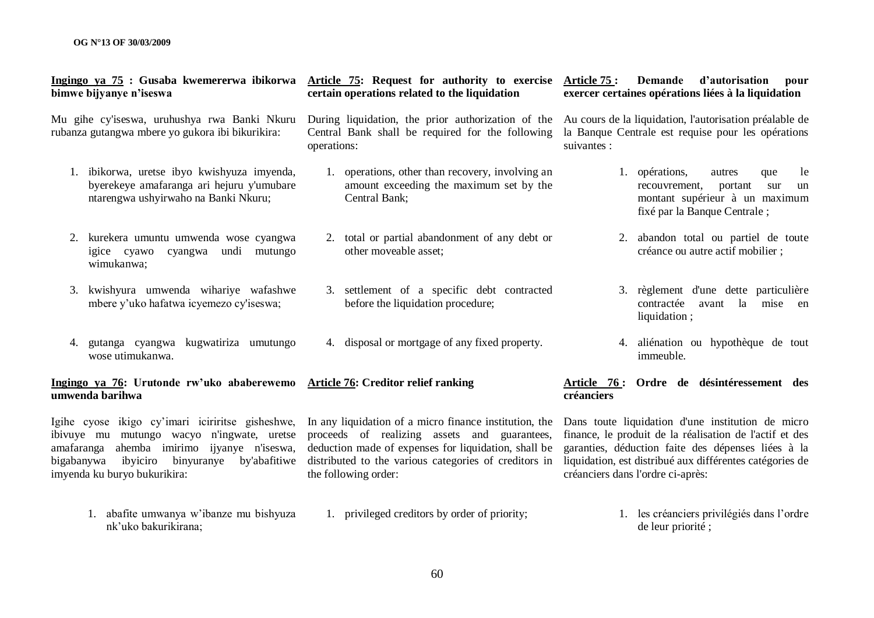#### **Ingingo ya 75 : Gusaba kwemererwa ibikorwa Article 75: Request for authority to exercise bimwe bijyanye n"iseswa**

Mu gihe cy'iseswa, uruhushya rwa Banki Nkuru rubanza gutangwa mbere yo gukora ibi bikurikira:

- 1. ibikorwa, uretse ibyo kwishyuza imyenda, byerekeye amafaranga ari hejuru y'umubare ntarengwa ushyirwaho na Banki Nkuru;
- 2. kurekera umuntu umwenda wose cyangwa igice cyawo cyangwa undi mutungo wimukanwa;
- 3. kwishyura umwenda wihariye wafashwe mbere y"uko hafatwa icyemezo cy'iseswa;
- 4. gutanga cyangwa kugwatiriza umutungo wose utimukanwa.

#### **Ingingo ya 76: Urutonde rw"uko ababerewemo umwenda barihwa**

Igihe cyose ikigo cy"imari iciriritse gisheshwe, ibivuye mu mutungo wacyo n'ingwate, uretse amafaranga ahemba imirimo ijyanye n'iseswa, bigabanywa ibyiciro binyuranye by'abafitiwe imyenda ku buryo bukurikira:

> 1. abafite umwanya w"ibanze mu bishyuza nk"uko bakurikirana; 1. privileged creditors by order of priority;

# **certain operations related to the liquidation**

operations:

- 1. operations, other than recovery, involving an amount exceeding the maximum set by the Central Bank;
- 2. total or partial abandonment of any debt or other moveable asset;
- 3. settlement of a specific debt contracted before the liquidation procedure;
- 4. disposal or mortgage of any fixed property.

# **Article 76: Creditor relief ranking**

proceeds of realizing assets and guarantees, deduction made of expenses for liquidation, shall be distributed to the various categories of creditors in liquidation, est distribué aux différentes catégories de the following order:

**Article 75 : Demande d"autorisation pour exercer certaines opérations liées à la liquidation**

During liquidation, the prior authorization of the Au cours de la liquidation, l'autorisation préalable de Central Bank shall be required for the following la Banque Centrale est requise pour les opérations suivantes :

- 1. opérations, autres que le recouvrement, portant sur un montant supérieur à un maximum fixé par la Banque Centrale ;
- 2. abandon total ou partiel de toute créance ou autre actif mobilier ;
- 3. règlement d'une dette particulière contractée avant la mise en liquidation ;
- 4. aliénation ou hypothèque de tout immeuble.

#### **Article 76 : Ordre de désintéressement des créanciers**

In any liquidation of a micro finance institution, the Dans toute liquidation d'une institution de micro finance, le produit de la réalisation de l'actif et des garanties, déduction faite des dépenses liées à la créanciers dans l'ordre ci-après:

> 1. les créanciers privilégiés dans l"ordre de leur priorité ;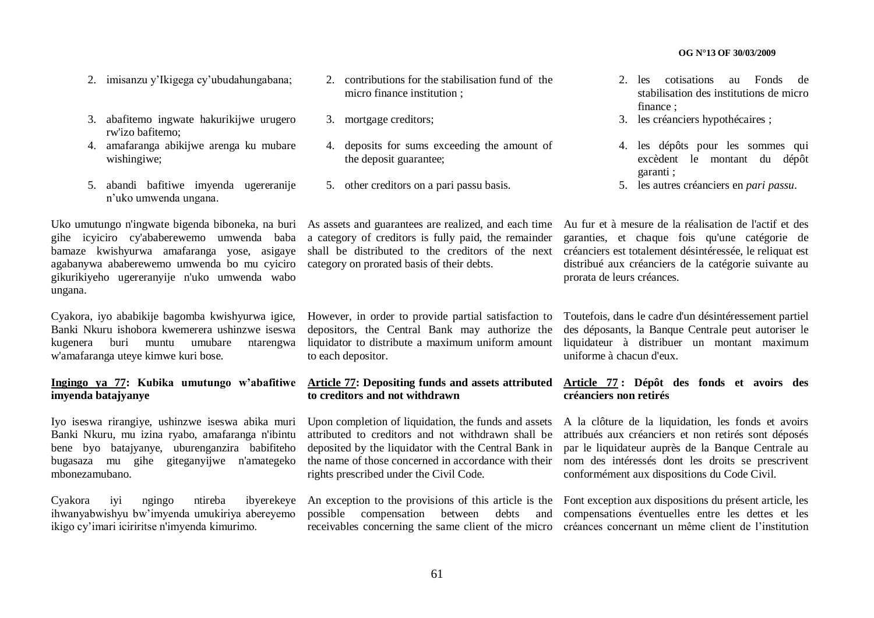- 2. imisanzu y"Ikigega cy"ubudahungabana;
- 3. abafitemo ingwate hakurikijwe urugero rw'izo bafitemo;
- 4. amafaranga abikijwe arenga ku mubare wishingiwe;
- 5. abandi bafitiwe imyenda ugereranije n"uko umwenda ungana.

gihe icyiciro cy'ababerewemo umwenda baba bamaze kwishyurwa amafaranga yose, asigaye agabanywa ababerewemo umwenda bo mu cyiciro category on prorated basis of their debts. gikurikiyeho ugereranyije n'uko umwenda wabo ungana.

Cyakora, iyo ababikije bagomba kwishyurwa igice, Banki Nkuru ishobora kwemerera ushinzwe iseswa kugenera buri muntu umubare ntarengwa w'amafaranga uteye kimwe kuri bose.

### **Ingingo ya 77: Kubika umutungo w"abafitiwe imyenda batajyanye**

Iyo iseswa rirangiye, ushinzwe iseswa abika muri Banki Nkuru, mu izina ryabo, amafaranga n'ibintu bene byo batajyanye, uburenganzira babifiteho bugasaza mu gihe giteganyijwe n'amategeko mbonezamubano.

Cyakora iyi ngingo ntireba ibyerekeye ihwanyabwishyu bw"imyenda umukiriya abereyemo ikigo cy"imari iciriritse n'imyenda kimurimo.

- 2. contributions for the stabilisation fund of the micro finance institution ;
- 3. mortgage creditors;
- 4. deposits for sums exceeding the amount of the deposit guarantee;
- 5. other creditors on a pari passu basis.

a category of creditors is fully paid, the remainder shall be distributed to the creditors of the next

However, in order to provide partial satisfaction to depositors, the Central Bank may authorize the liquidator to distribute a maximum uniform amount to each depositor.

### **Article 77: Depositing funds and assets attributed to creditors and not withdrawn**

attributed to creditors and not withdrawn shall be deposited by the liquidator with the Central Bank in the name of those concerned in accordance with their rights prescribed under the Civil Code.

possible compensation between debts

- 2. les cotisations au Fonds de stabilisation des institutions de micro finance ;
- 3. les créanciers hypothécaires ;
- 4. les dépôts pour les sommes qui excèdent le montant du dépôt garanti ;
- 5. les autres créanciers en *pari passu*.

Uko umutungo n'ingwate bigenda biboneka, na buri As assets and guarantees are realized, and each time Au fur et à mesure de la réalisation de l'actif et des garanties, et chaque fois qu'une catégorie de créanciers est totalement désintéressée, le reliquat est distribué aux créanciers de la catégorie suivante au prorata de leurs créances.

> Toutefois, dans le cadre d'un désintéressement partiel des déposants, la Banque Centrale peut autoriser le liquidateur à distribuer un montant maximum uniforme à chacun d'eux.

### **Article 77 : Dépôt des fonds et avoirs des créanciers non retirés**

Upon completion of liquidation, the funds and assets A la clôture de la liquidation, les fonds et avoirs attribués aux créanciers et non retirés sont déposés par le liquidateur auprès de la Banque Centrale au nom des intéressés dont les droits se prescrivent conformément aux dispositions du Code Civil.

An exception to the provisions of this article is the Font exception aux dispositions du présent article, les receivables concerning the same client of the micro créances concernant un même client de l'institution compensations éventuelles entre les dettes et les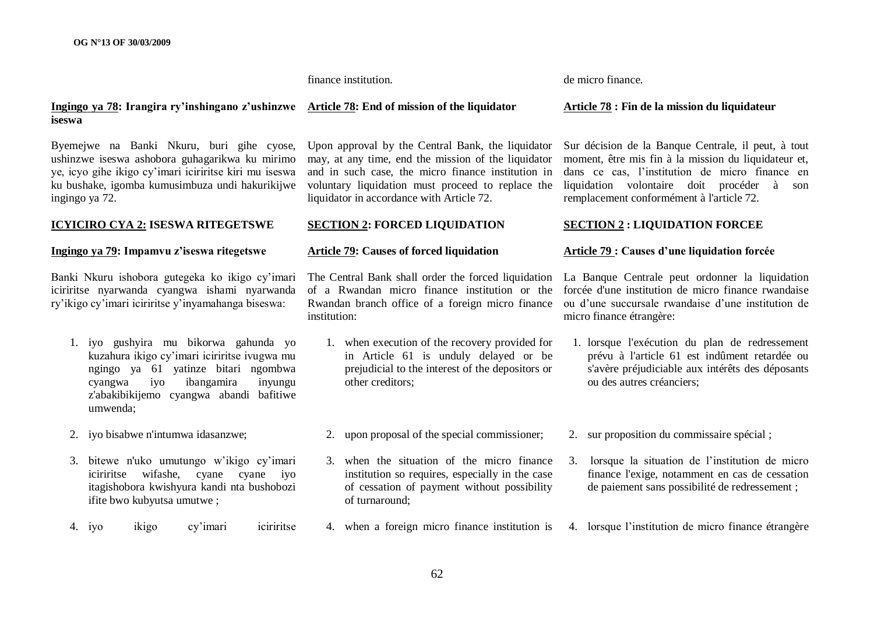finance institution.

de micro finance.

#### **Ingingo ya 78: Irangira ry"inshingano z"ushinzwe Article 78: End of mission of the liquidator iseswa**

Byemejwe na Banki Nkuru, buri gihe cyose, ushinzwe iseswa ashobora guhagarikwa ku mirimo ye, icyo gihe ikigo cy"imari iciriritse kiri mu iseswa ku bushake, igomba kumusimbuza undi hakurikijwe ingingo ya 72.

#### **ICYICIRO CYA 2: ISESWA RITEGETSWE**

# **Ingingo ya 79: Impamvu z"iseswa ritegetswe**

Banki Nkuru ishobora gutegeka ko ikigo cy"imari iciriritse nyarwanda cyangwa ishami nyarwanda ry"ikigo cy"imari iciriritse y"inyamahanga biseswa:

- 1. iyo gushyira mu bikorwa gahunda yo kuzahura ikigo cy"imari iciriritse ivugwa mu ngingo ya 61 yatinze bitari ngombwa cyangwa iyo ibangamira inyungu z'abakibikijemo cyangwa abandi bafitiwe umwenda;
- 2. iyo bisabwe n'intumwa idasanzwe;
- 3. bitewe n'uko umutungo w"ikigo cy"imari iciriritse wifashe, cyane cyane iyo itagishobora kwishyura kandi nta bushobozi ifite bwo kubyutsa umutwe ;
- 4. iyo ikigo cy"imari iciriritse

Upon approval by the Central Bank, the liquidator may, at any time, end the mission of the liquidator and in such case, the micro finance institution in voluntary liquidation must proceed to replace the liquidator in accordance with Article 72.

#### **SECTION 2: FORCED LIQUIDATION**

### **Article 79: Causes of forced liquidation**

of a Rwandan micro finance institution or the Rwandan branch office of a foreign micro finance institution:

- 1. when execution of the recovery provided for in Article 61 is unduly delayed or be prejudicial to the interest of the depositors or other creditors;
- 2. upon proposal of the special commissioner;
- 3. when the situation of the micro finance institution so requires, especially in the case of cessation of payment without possibility of turnaround;
- 4. when a foreign micro finance institution is

#### **Article 78 : Fin de la mission du liquidateur**

Sur décision de la Banque Centrale, il peut, à tout moment, être mis fin à la mission du liquidateur et, dans ce cas, l"institution de micro finance en liquidation volontaire doit procéder à son remplacement conformément à l'article 72.

#### **SECTION 2 : LIQUIDATION FORCEE**

## **Article 79 : Causes d"une liquidation forcée**

The Central Bank shall order the forced liquidation La Banque Centrale peut ordonner la liquidation forcée d'une institution de micro finance rwandaise ou d"une succursale rwandaise d"une institution de micro finance étrangère:

- 1. lorsque l'exécution du plan de redressement prévu à l'article 61 est indûment retardée ou s'avère préjudiciable aux intérêts des déposants ou des autres créanciers;
- 2. sur proposition du commissaire spécial ;
- 3. lorsque la situation de l"institution de micro finance l'exige, notamment en cas de cessation de paiement sans possibilité de redressement ;
- 4. lorsque l"institution de micro finance étrangère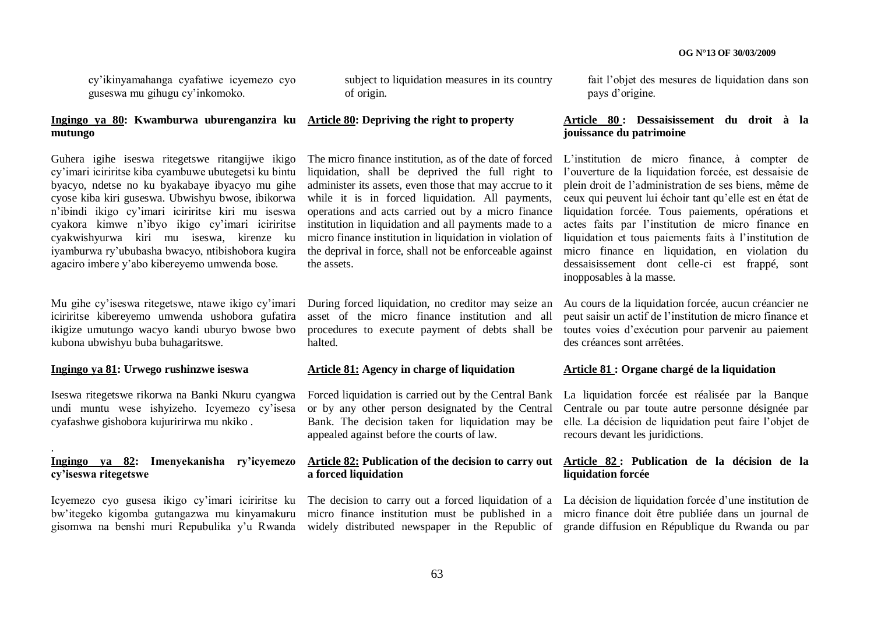cy"ikinyamahanga cyafatiwe icyemezo cyo guseswa mu gihugu cy"inkomoko.

#### **Ingingo ya 80: Kwamburwa uburenganzira ku Article 80: Depriving the right to property mutungo**

Guhera igihe iseswa ritegetswe ritangijwe ikigo cy"imari iciriritse kiba cyambuwe ubutegetsi ku bintu byacyo, ndetse no ku byakabaye ibyacyo mu gihe cyose kiba kiri guseswa. Ubwishyu bwose, ibikorwa n"ibindi ikigo cy"imari iciriritse kiri mu iseswa cyakora kimwe n"ibyo ikigo cy"imari iciriritse cyakwishyurwa kiri mu iseswa, kirenze ku iyamburwa ry"ububasha bwacyo, ntibishobora kugira agaciro imbere y"abo kibereyemo umwenda bose.

Mu gihe cy"iseswa ritegetswe, ntawe ikigo cy"imari iciriritse kibereyemo umwenda ushobora gufatira ikigize umutungo wacyo kandi uburyo bwose bwo kubona ubwishyu buba buhagaritswe.

#### **Ingingo ya 81: Urwego rushinzwe iseswa**

.

Iseswa ritegetswe rikorwa na Banki Nkuru cyangwa undi muntu wese ishyizeho. Icyemezo cy"isesa cyafashwe gishobora kujuririrwa mu nkiko .

## **Ingingo ya 82: Imenyekanisha ry"icyemezo cy"iseswa ritegetswe**

bw"itegeko kigomba gutangazwa mu kinyamakuru

subject to liquidation measures in its country of origin.

The micro finance institution, as of the date of forced L"institution de micro finance, à compter de liquidation, shall be deprived the full right to administer its assets, even those that may accrue to it while it is in forced liquidation. All payments, operations and acts carried out by a micro finance institution in liquidation and all payments made to a micro finance institution in liquidation in violation of the deprival in force, shall not be enforceable against the assets.

During forced liquidation, no creditor may seize an asset of the micro finance institution and all halted.

### **Article 81: Agency in charge of liquidation**

appealed against before the courts of law.

# **a forced liquidation**

micro finance institution must be published in a

fait l"objet des mesures de liquidation dans son pays d"origine.

### **Article 80 : Dessaisissement du droit à la jouissance du patrimoine**

l"ouverture de la liquidation forcée, est dessaisie de plein droit de l"administration de ses biens, même de ceux qui peuvent lui échoir tant qu"elle est en état de liquidation forcée. Tous paiements, opérations et actes faits par l"institution de micro finance en liquidation et tous paiements faits à l"institution de micro finance en liquidation, en violation du dessaisissement dont celle-ci est frappé, sont inopposables à la masse.

procedures to execute payment of debts shall be toutes voies d"exécution pour parvenir au paiement Au cours de la liquidation forcée, aucun créancier ne peut saisir un actif de l"institution de micro finance et des créances sont arrêtées.

#### **Article 81 : Organe chargé de la liquidation**

Forced liquidation is carried out by the Central Bank La liquidation forcée est réalisée par la Banque or by any other person designated by the Central Centrale ou par toute autre personne désignée par Bank. The decision taken for liquidation may be elle. La décision de liquidation peut faire l"objet de recours devant les juridictions.

#### **Article 82: Publication of the decision to carry out Article 82 : Publication de la décision de la liquidation forcée**

Icyemezo cyo gusesa ikigo cy'imari iciriritse ku The decision to carry out a forced liquidation of a La décision de liquidation forcée d'une institution de gisomwa na benshi muri Repubulika y'u Rwanda widely distributed newspaper in the Republic of grande diffusion en République du Rwanda ou par micro finance doit être publiée dans un journal de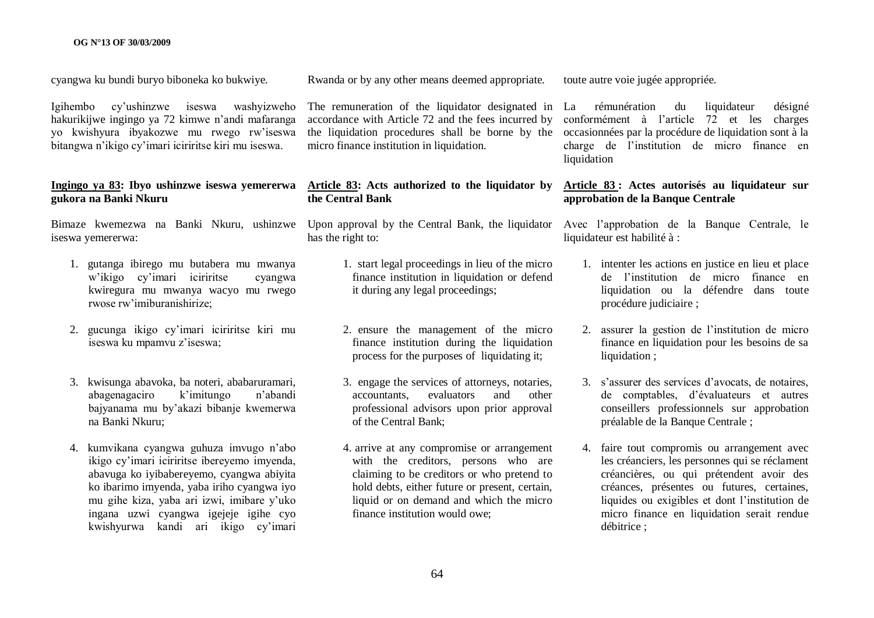cyangwa ku bundi buryo biboneka ko bukwiye.

Igihembo cy"ushinzwe iseswa washyizweho hakurikijwe ingingo ya 72 kimwe n"andi mafaranga yo kwishyura ibyakozwe mu rwego rw"iseswa bitangwa n"ikigo cy"imari iciriritse kiri mu iseswa.

#### **Ingingo ya 83: Ibyo ushinzwe iseswa yemererwa gukora na Banki Nkuru**

Bimaze kwemezwa na Banki Nkuru, ushinzwe Upon approval by the Central Bank, the liquidator Avec l"approbation de la Banque Centrale, le iseswa yemererwa:

- 1. gutanga ibirego mu butabera mu mwanya w"ikigo cy"imari iciriritse cyangwa kwiregura mu mwanya wacyo mu rwego rwose rw"imiburanishirize;
- 2. gucunga ikigo cy"imari iciriritse kiri mu iseswa ku mpamvu z"iseswa;
- 3. kwisunga abavoka, ba noteri, ababaruramari, abagenagaciro k"imitungo n"abandi bajyanama mu by"akazi bibanje kwemerwa na Banki Nkuru;
- 4. kumvikana cyangwa guhuza imvugo n"abo ikigo cy"imari iciriritse ibereyemo imyenda, abavuga ko iyibabereyemo, cyangwa abiyita ko ibarimo imyenda, yaba iriho cyangwa iyo mu gihe kiza, yaba ari izwi, imibare y"uko ingana uzwi cyangwa igejeje igihe cyo kwishyurwa kandi ari ikigo cy"imari

Rwanda or by any other means deemed appropriate.

The remuneration of the liquidator designated in La accordance with Article 72 and the fees incurred by micro finance institution in liquidation.

### **Article 83: Acts authorized to the liquidator by the Central Bank**

has the right to:

- 1. start legal proceedings in lieu of the micro finance institution in liquidation or defend it during any legal proceedings;
- 2. ensure the management of the micro finance institution during the liquidation process for the purposes of liquidating it;
- 3. engage the services of attorneys, notaries, accountants, evaluators and other professional advisors upon prior approval of the Central Bank;
- 4. arrive at any compromise or arrangement with the creditors, persons who are claiming to be creditors or who pretend to hold debts, either future or present, certain, liquid or on demand and which the micro finance institution would owe;

toute autre voie jugée appropriée.

the liquidation procedures shall be borne by the occasionnées par la procédure de liquidation sont à la rémunération du liquidateur désigné conformément à l"article 72 et les charges charge de l"institution de micro finance en liquidation

## **Article 83 : Actes autorisés au liquidateur sur approbation de la Banque Centrale**

liquidateur est habilité à :

- 1. intenter les actions en justice en lieu et place de l"institution de micro finance en liquidation ou la défendre dans toute procédure judiciaire ;
- 2. assurer la gestion de l"institution de micro finance en liquidation pour les besoins de sa liquidation ;
- 3. s"assurer des services d"avocats, de notaires, de comptables, d"évaluateurs et autres conseillers professionnels sur approbation préalable de la Banque Centrale ;
- 4. faire tout compromis ou arrangement avec les créanciers, les personnes qui se réclament créancières, ou qui prétendent avoir des créances, présentes ou futures, certaines, liquides ou exigibles et dont l"institution de micro finance en liquidation serait rendue débitrice ;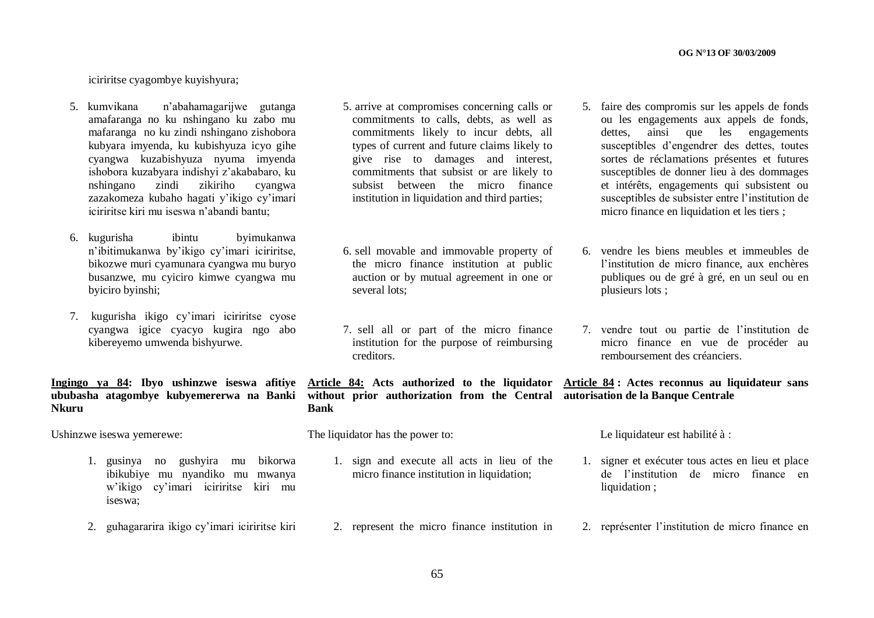iciriritse cyagombye kuyishyura;

- 5. kumvikana n"abahamagarijwe gutanga amafaranga no ku nshingano ku zabo mu mafaranga no ku zindi nshingano zishobora kubyara imyenda, ku kubishyuza icyo gihe cyangwa kuzabishyuza nyuma imyenda ishobora kuzabyara indishyi z"akababaro, ku nshingano zindi zikiriho cyangwa zazakomeza kubaho hagati y"ikigo cy"imari iciriritse kiri mu iseswa n"abandi bantu;
- 6. kugurisha ibintu byimukanwa n"ibitimukanwa by"ikigo cy"imari iciriritse, bikozwe muri cyamunara cyangwa mu buryo busanzwe, mu cyiciro kimwe cyangwa mu byiciro byinshi;
- 7. kugurisha ikigo cy"imari iciriritse cyose cyangwa igice cyacyo kugira ngo abo kibereyemo umwenda bishyurwe.

# **Ingingo ya 84: Ibyo ushinzwe iseswa afitiye Nkuru**

Ushinzwe iseswa yemerewe:

- 1. gusinya no gushyira mu bikorwa ibikubiye mu nyandiko mu mwanya w"ikigo cy"imari iciriritse kiri mu iseswa;
- 2. guhagararira ikigo cy"imari iciriritse kiri
- 5. arrive at compromises concerning calls or commitments to calls, debts, as well as commitments likely to incur debts, all types of current and future claims likely to give rise to damages and interest, commitments that subsist or are likely to subsist between the micro finance institution in liquidation and third parties;
- 6. sell movable and immovable property of the micro finance institution at public auction or by mutual agreement in one or several lots;
- 7. sell all or part of the micro finance institution for the purpose of reimbursing creditors.

**ububasha atagombye kubyemererwa na Banki without prior authorization from the Central autorisation de la Banque Centrale Article 84: Acts authorized to the liquidator Bank**

The liquidator has the power to:

- 1. sign and execute all acts in lieu of the micro finance institution in liquidation:
- 2. represent the micro finance institution in
- 5. faire des compromis sur les appels de fonds ou les engagements aux appels de fonds, dettes, ainsi que les engagements susceptibles d"engendrer des dettes, toutes sortes de réclamations présentes et futures susceptibles de donner lieu à des dommages et intérêts, engagements qui subsistent ou susceptibles de subsister entre l"institution de micro finance en liquidation et les tiers ;
- 6. vendre les biens meubles et immeubles de l'institution de micro finance, aux enchères publiques ou de gré à gré, en un seul ou en plusieurs lots ;
- 7. vendre tout ou partie de l"institution de micro finance en vue de procéder au remboursement des créanciers.

# **Article 84 : Actes reconnus au liquidateur sans**

Le liquidateur est habilité à :

- 1. signer et exécuter tous actes en lieu et place de l"institution de micro finance en liquidation :
- 2. représenter l"institution de micro finance en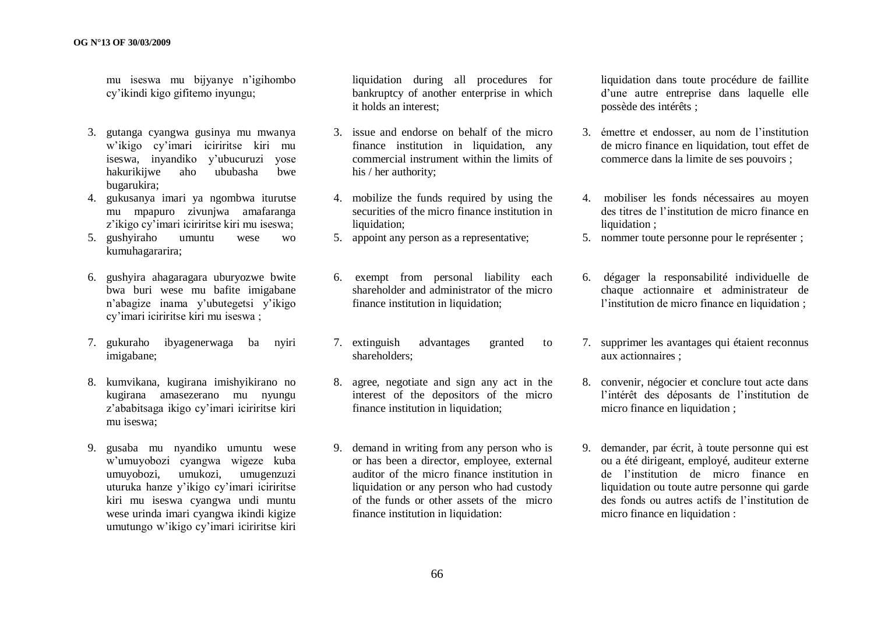mu iseswa mu bijyanye n"igihombo cy"ikindi kigo gifitemo inyungu;

- 3. gutanga cyangwa gusinya mu mwanya w"ikigo cy"imari iciriritse kiri mu iseswa, inyandiko y"ubucuruzi yose hakurikijwe aho ububasha bwe bugarukira;
- 4. gukusanya imari ya ngombwa iturutse mu mpapuro zivunjwa amafaranga z'ikigo cy'imari iciriritse kiri mu iseswa;
- 5. gushyiraho umuntu wese wo kumuhagararira;
- 6. gushyira ahagaragara uburyozwe bwite bwa buri wese mu bafite imigabane n"abagize inama y"ubutegetsi y"ikigo cy"imari iciriritse kiri mu iseswa ;
- 7. gukuraho ibyagenerwaga ba nyiri imigabane;
- 8. kumvikana, kugirana imishyikirano no kugirana amasezerano mu nyungu z"ababitsaga ikigo cy"imari iciriritse kiri mu iseswa;
- 9. gusaba mu nyandiko umuntu wese w"umuyobozi cyangwa wigeze kuba umuyobozi, umukozi, umugenzuzi uturuka hanze y"ikigo cy"imari iciriritse kiri mu iseswa cyangwa undi muntu wese urinda imari cyangwa ikindi kigize umutungo w"ikigo cy"imari iciriritse kiri

liquidation during all procedures for bankruptcy of another enterprise in which it holds an interest;

- 3. issue and endorse on behalf of the micro finance institution in liquidation, any commercial instrument within the limits of his / her authority;
- 4. mobilize the funds required by using the securities of the micro finance institution in liquidation:
- 5. appoint any person as a representative;
- 6. exempt from personal liability each shareholder and administrator of the micro finance institution in liquidation;
- 7. extinguish advantages granted to shareholders;
- 8. agree, negotiate and sign any act in the interest of the depositors of the micro finance institution in liquidation;
- 9. demand in writing from any person who is or has been a director, employee, external auditor of the micro finance institution in liquidation or any person who had custody of the funds or other assets of the micro finance institution in liquidation:

liquidation dans toute procédure de faillite d"une autre entreprise dans laquelle elle possède des intérêts ;

- 3. émettre et endosser, au nom de l"institution de micro finance en liquidation, tout effet de commerce dans la limite de ses pouvoirs ;
- 4. mobiliser les fonds nécessaires au moyen des titres de l"institution de micro finance en liquidation :
- 5. nommer toute personne pour le représenter ;
- 6. dégager la responsabilité individuelle de chaque actionnaire et administrateur de l'institution de micro finance en liquidation ;
- 7. supprimer les avantages qui étaient reconnus aux actionnaires ;
- 8. convenir, négocier et conclure tout acte dans l"intérêt des déposants de l"institution de micro finance en liquidation ;
- 9. demander, par écrit, à toute personne qui est ou a été dirigeant, employé, auditeur externe de l"institution de micro finance en liquidation ou toute autre personne qui garde des fonds ou autres actifs de l"institution de micro finance en liquidation :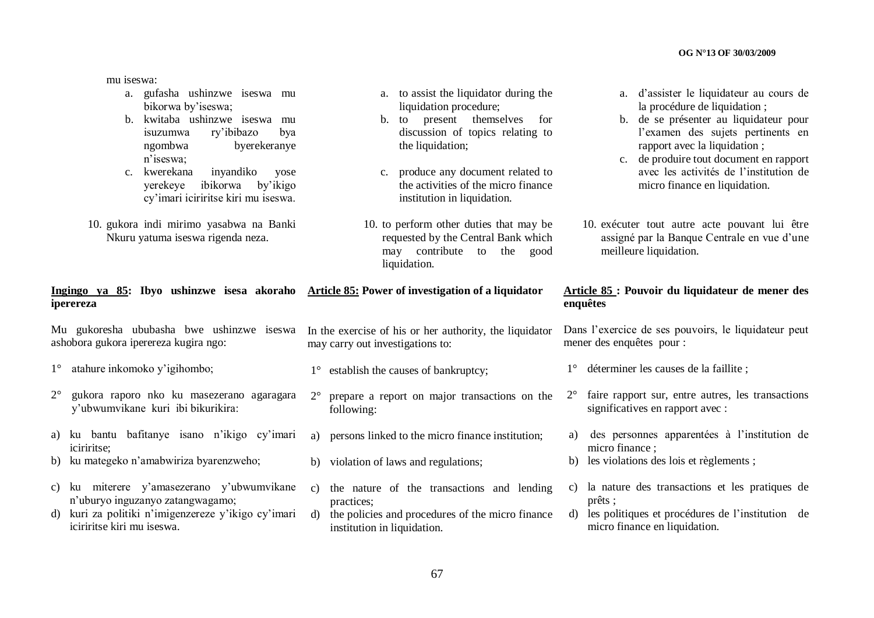mu iseswa:

- a. gufasha ushinzwe iseswa mu bikorwa by'iseswa;
- b. kwitaba ushinzwe iseswa mu isuzumwa ry"ibibazo bya ngombwa byerekeranye n"iseswa;
- c. kwerekana inyandiko yose yerekeye ibikorwa by"ikigo cy"imari iciriritse kiri mu iseswa.
- 10. gukora indi mirimo yasabwa na Banki Nkuru yatuma iseswa rigenda neza.
- **Ingingo ya 85: Ibyo ushinzwe isesa akoraho iperereza Article 85: Power of investigation of a liquidator**

Mu gukoresha ububasha bwe ushinzwe iseswa ashobora gukora iperereza kugira ngo:

- 1° atahure inkomoko y"igihombo;
- 2° gukora raporo nko ku masezerano agaragara y"ubwumvikane kuri ibi bikurikira:
- a) ku bantu bafitanye isano n"ikigo cy"imari iciriritse;
- b) ku mategeko n"amabwiriza byarenzweho;
- c) ku miterere y"amasezerano y"ubwumvikane n"uburyo inguzanyo zatangwagamo;
- d) kuri za politiki n"imigenzereze y"ikigo cy"imari iciriritse kiri mu iseswa.
- a. to assist the liquidator during the liquidation procedure;
- b. to present themselves for discussion of topics relating to the liquidation;
- c. produce any document related to the activities of the micro finance institution in liquidation.
- 10. to perform other duties that may be requested by the Central Bank which may contribute to the good liquidation.

In the exercise of his or her authority, the liquidator

2° prepare a report on major transactions on the

a) persons linked to the micro finance institution;

c) the nature of the transactions and lending

d) the policies and procedures of the micro finance

may carry out investigations to:

following:

practices;

1° establish the causes of bankruptcy;

b) violation of laws and regulations;

institution in liquidation.

- a. d"assister le liquidateur au cours de la procédure de liquidation ;
- b. de se présenter au liquidateur pour l"examen des sujets pertinents en rapport avec la liquidation ;
- c. de produire tout document en rapport avec les activités de l"institution de micro finance en liquidation.
- 10. exécuter tout autre acte pouvant lui être assigné par la Banque Centrale en vue d"une meilleure liquidation.

### **Article 85 : Pouvoir du liquidateur de mener des enquêtes**

Dans l"exercice de ses pouvoirs, le liquidateur peut mener des enquêtes pour :

- 1° déterminer les causes de la faillite ;
- 2° faire rapport sur, entre autres, les transactions significatives en rapport avec :
- a) des personnes apparentées à l"institution de micro finance ;
- b) les violations des lois et règlements ;
- c) la nature des transactions et les pratiques de prêts ;
- d) les politiques et procédures de l"institution de micro finance en liquidation.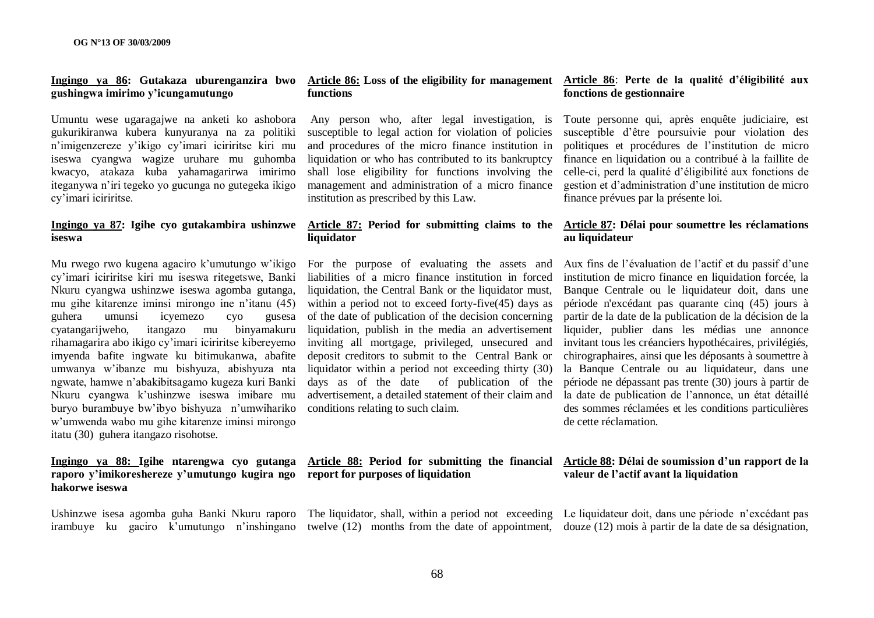# **gushingwa imirimo y"icungamutungo**

Umuntu wese ugaragajwe na anketi ko ashobora gukurikiranwa kubera kunyuranya na za politiki n"imigenzereze y"ikigo cy"imari iciriritse kiri mu iseswa cyangwa wagize uruhare mu guhomba kwacyo, atakaza kuba yahamagarirwa imirimo iteganywa n"iri tegeko yo gucunga no gutegeka ikigo cy"imari iciriritse.

# **iseswa**

Mu rwego rwo kugena agaciro k'umutungo w'ikigo For the purpose of evaluating the assets and cy"imari iciriritse kiri mu iseswa ritegetswe, Banki Nkuru cyangwa ushinzwe iseswa agomba gutanga, mu gihe kitarenze iminsi mirongo ine n"itanu (45) guhera umunsi icyemezo cyo gusesa cyatangarijweho, itangazo mu binyamakuru rihamagarira abo ikigo cy"imari iciriritse kibereyemo imyenda bafite ingwate ku bitimukanwa, abafite umwanya w"ibanze mu bishyuza, abishyuza nta ngwate, hamwe n"abakibitsagamo kugeza kuri Banki Nkuru cyangwa k"ushinzwe iseswa imibare mu buryo burambuye bw"ibyo bishyuza n"umwihariko w"umwenda wabo mu gihe kitarenze iminsi mirongo itatu (30) guhera itangazo risohotse.

### **Ingingo ya 88: Igihe ntarengwa cyo gutanga raporo y"imikoreshereze y"umutungo kugira ngo report for purposes of liquidation hakorwe iseswa**

Ushinzwe isesa agomba guha Banki Nkuru raporo The liquidator, shall, within a period not exceeding Le liquidateur doit, dans une période n'excédant pas

# **functions**

Any person who, after legal investigation, is susceptible to legal action for violation of policies and procedures of the micro finance institution in liquidation or who has contributed to its bankruptcy shall lose eligibility for functions involving the management and administration of a micro finance institution as prescribed by this Law.

# **liquidator**

liabilities of a micro finance institution in forced liquidation, the Central Bank or the liquidator must, within a period not to exceed forty-five (45) days as of the date of publication of the decision concerning liquidation, publish in the media an advertisement inviting all mortgage, privileged, unsecured and deposit creditors to submit to the Central Bank or liquidator within a period not exceeding thirty (30) days as of the date of publication of the advertisement, a detailed statement of their claim and conditions relating to such claim.

#### **Ingingo ya 86: Gutakaza uburenganzira bwo Article 86: Loss of the eligibility for management Article 86**: **Perte de la qualité d"éligibilité aux fonctions de gestionnaire**

Toute personne qui, après enquête judiciaire, est susceptible d"être poursuivie pour violation des politiques et procédures de l"institution de micro finance en liquidation ou a contribué à la faillite de celle-ci, perd la qualité d"éligibilité aux fonctions de gestion et d"administration d"une institution de micro finance prévues par la présente loi.

### **Ingingo ya 87: Igihe cyo gutakambira ushinzwe Article 87: Period for submitting claims to the Article 87: Délai pour soumettre les réclamations au liquidateur**

Aux fins de l"évaluation de l"actif et du passif d"une institution de micro finance en liquidation forcée, la Banque Centrale ou le liquidateur doit, dans une période n'excédant pas quarante cinq (45) jours à partir de la date de la publication de la décision de la liquider, publier dans les médias une annonce invitant tous les créanciers hypothécaires, privilégiés, chirographaires, ainsi que les déposants à soumettre à la Banque Centrale ou au liquidateur, dans une période ne dépassant pas trente (30) jours à partir de la date de publication de l'annonce, un état détaillé des sommes réclamées et les conditions particulières de cette réclamation.

### **Article 88: Period for submitting the financial Article 88: Délai de soumission d"un rapport de la valeur de l"actif avant la liquidation**

irambuye ku gaciro k'umutungo n'inshingano twelve (12) months from the date of appointment, douze (12) mois à partir de la date de sa désignation,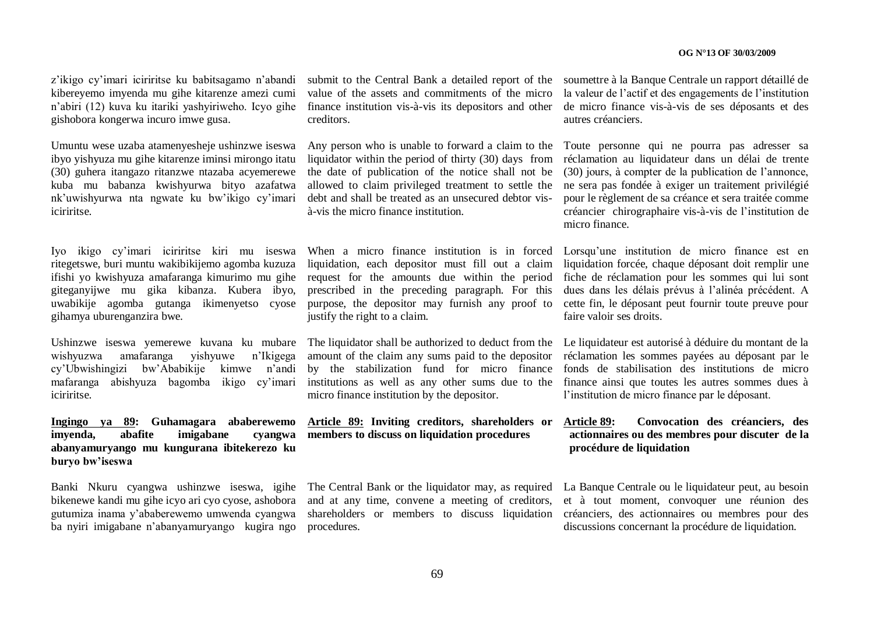z"ikigo cy"imari iciriritse ku babitsagamo n"abandi kibereyemo imyenda mu gihe kitarenze amezi cumi n"abiri (12) kuva ku itariki yashyiriweho. Icyo gihe gishobora kongerwa incuro imwe gusa.

Umuntu wese uzaba atamenyesheje ushinzwe iseswa ibyo yishyuza mu gihe kitarenze iminsi mirongo itatu (30) guhera itangazo ritanzwe ntazaba acyemerewe kuba mu babanza kwishyurwa bityo azafatwa nk"uwishyurwa nta ngwate ku bw"ikigo cy"imari iciriritse.

Iyo ikigo cy"imari iciriritse kiri mu iseswa ritegetswe, buri muntu wakibikijemo agomba kuzuza ifishi yo kwishyuza amafaranga kimurimo mu gihe giteganyijwe mu gika kibanza. Kubera ibyo, uwabikije agomba gutanga ikimenyetso cyose gihamya uburenganzira bwe.

wishyuzwa amafaranga yishyuwe n"Ikigega cy"Ubwishingizi bw"Ababikije kimwe n"andi mafaranga abishyuza bagomba ikigo cy"imari iciriritse.

# **Ingingo ya 89: Guhamagara ababerewemo imyenda,** abafite imigabane **abanyamuryango mu kungurana ibitekerezo ku buryo bw"iseswa**

bikenewe kandi mu gihe icyo ari cyo cyose, ashobora gutumiza inama y"ababerewemo umwenda cyangwa ba nyiri imigabane n"abanyamuryango kugira ngo

value of the assets and commitments of the micro finance institution vis-à-vis its depositors and other creditors.

liquidator within the period of thirty (30) days from the date of publication of the notice shall not be allowed to claim privileged treatment to settle the debt and shall be treated as an unsecured debtor visà-vis the micro finance institution.

prescribed in the preceding paragraph. For this justify the right to a claim.

Ushinzwe iseswa yemerewe kuvana ku mubare The liquidator shall be authorized to deduct from the Le liquidateur est autorisé à déduire du montant de la amount of the claim any sums paid to the depositor by the stabilization fund for micro finance fonds de stabilisation des institutions de micro institutions as well as any other sums due to the micro finance institution by the depositor.

# **Article 89: Inviting creditors, shareholders or members to discuss on liquidation procedures**

and at any time, convene a meeting of creditors, procedures.

submit to the Central Bank a detailed report of the soumettre à la Banque Centrale un rapport détaillé de la valeur de l"actif et des engagements de l"institution de micro finance vis-à-vis de ses déposants et des autres créanciers.

Any person who is unable to forward a claim to the Toute personne qui ne pourra pas adresser sa réclamation au liquidateur dans un délai de trente (30) jours, à compter de la publication de l"annonce, ne sera pas fondée à exiger un traitement privilégié pour le règlement de sa créance et sera traitée comme créancier chirographaire vis-à-vis de l"institution de micro finance.

When a micro finance institution is in forced Lorsqu"une institution de micro finance est en liquidation, each depositor must fill out a claim liquidation forcée, chaque déposant doit remplir une request for the amounts due within the period fiche de réclamation pour les sommes qui lui sont purpose, the depositor may furnish any proof to cette fin, le déposant peut fournir toute preuve pour dues dans les délais prévus à l"alinéa précédent. A faire valoir ses droits.

> réclamation les sommes payées au déposant par le finance ainsi que toutes les autres sommes dues à l"institution de micro finance par le déposant.

### **Article 89: Convocation des créanciers, des actionnaires ou des membres pour discuter de la procédure de liquidation**

Banki Nkuru cyangwa ushinzwe iseswa, igihe The Central Bank or the liquidator may, as required La Banque Centrale ou le liquidateur peut, au besoin shareholders or members to discuss liquidation créanciers, des actionnaires ou membres pour des et à tout moment, convoquer une réunion des discussions concernant la procédure de liquidation.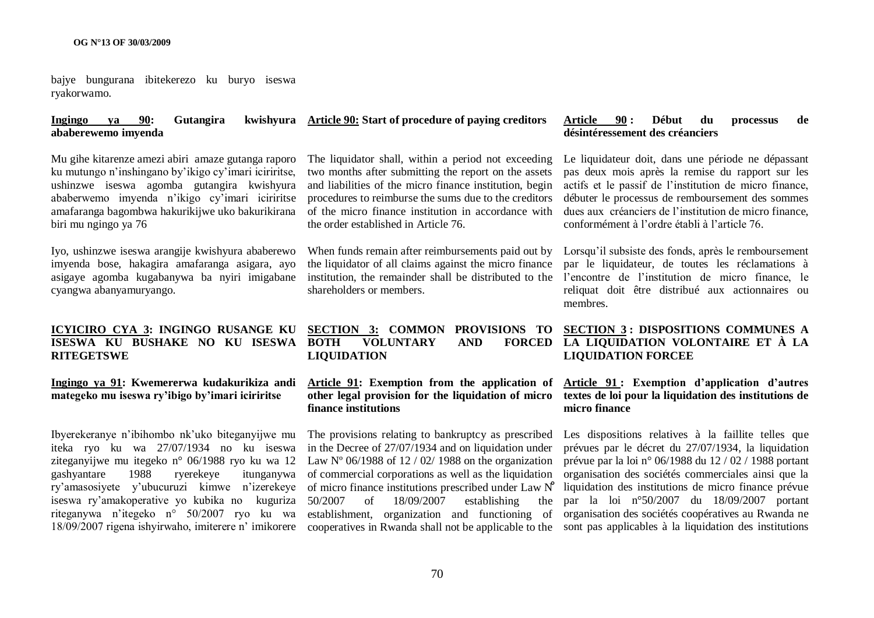bajye bungurana ibitekerezo ku buryo iseswa ryakorwamo.

#### **Ingingo ya 90: Gutangira kwishyura Article 90: Start of procedure of paying creditors ababerewemo imyenda**

Mu gihe kitarenze amezi abiri amaze gutanga raporo ku mutungo n"inshingano by"ikigo cy"imari iciriritse, ushinzwe iseswa agomba gutangira kwishyura ababerwemo imyenda n"ikigo cy"imari iciriritse amafaranga bagombwa hakurikijwe uko bakurikirana biri mu ngingo ya 76

Iyo, ushinzwe iseswa arangije kwishyura ababerewo imyenda bose, hakagira amafaranga asigara, ayo asigaye agomba kugabanywa ba nyiri imigabane cyangwa abanyamuryango.

#### **ICYICIRO CYA 3: INGINGO RUSANGE KU ISESWA KU BUSHAKE NO KU ISESWA RITEGETSWE**

#### **Ingingo ya 91: Kwemererwa kudakurikiza andi mategeko mu iseswa ry"ibigo by"imari iciriritse**

Ibyerekeranye n"ibihombo nk"uko biteganyijwe mu iteka ryo ku wa 27/07/1934 no ku iseswa ziteganyijwe mu itegeko n° 06/1988 ryo ku wa 12 gashyantare 1988 ryerekeye itunganywa ry"amasosiyete y"ubucuruzi kimwe n"izerekeye iseswa ry"amakoperative yo kubika no kuguriza riteganywa n"itegeko n° 50/2007 ryo ku wa

The liquidator shall, within a period not exceeding two months after submitting the report on the assets and liabilities of the micro finance institution, begin procedures to reimburse the sums due to the creditors of the micro finance institution in accordance with the order established in Article 76.

When funds remain after reimbursements paid out by the liquidator of all claims against the micro finance institution, the remainder shall be distributed to the l'encontre de l'institution de micro finance, le shareholders or members.

#### **SECTION 3: COMMON PROVISIONS TO BOTH VOLUNTARY AND LIQUIDATION**

### **Article 91: Exemption from the application of other legal provision for the liquidation of micro finance institutions**

18/09/2007 rigena ishyirwaho, imiterere n'imikorere cooperatives in Rwanda shall not be applicable to the sont pas applicables à la liquidation des institutions The provisions relating to bankruptcy as prescribed in the Decree of 27/07/1934 and on liquidation under Law  $N^{\circ}$  06/1988 of 12 / 02/ 1988 on the organization of commercial corporations as well as the liquidation of micro finance institutions prescribed under Law N̊ 50/2007 of 18/09/2007 establishing the establishment, organization and functioning of

#### **Article 90 : Début du processus de désintéressement des créanciers**

Le liquidateur doit, dans une période ne dépassant pas deux mois après la remise du rapport sur les actifs et le passif de l"institution de micro finance, débuter le processus de remboursement des sommes dues aux créanciers de l"institution de micro finance, conformément à l"ordre établi à l"article 76.

Lorsqu'il subsiste des fonds, après le remboursement par le liquidateur, de toutes les réclamations à reliquat doit être distribué aux actionnaires ou membres.

## **SECTION 3 : DISPOSITIONS COMMUNES A**  FORCED LA LIQUIDATION VOLONTAIRE ET À LA **LIQUIDATION FORCEE**

### **Article 91 : Exemption d"application d"autres textes de loi pour la liquidation des institutions de micro finance**

Les dispositions relatives à la faillite telles que prévues par le décret du 27/07/1934, la liquidation prévue par la loi n° 06/1988 du 12 / 02 / 1988 portant organisation des sociétés commerciales ainsi que la liquidation des institutions de micro finance prévue par la loi n°50/2007 du 18/09/2007 portant organisation des sociétés coopératives au Rwanda ne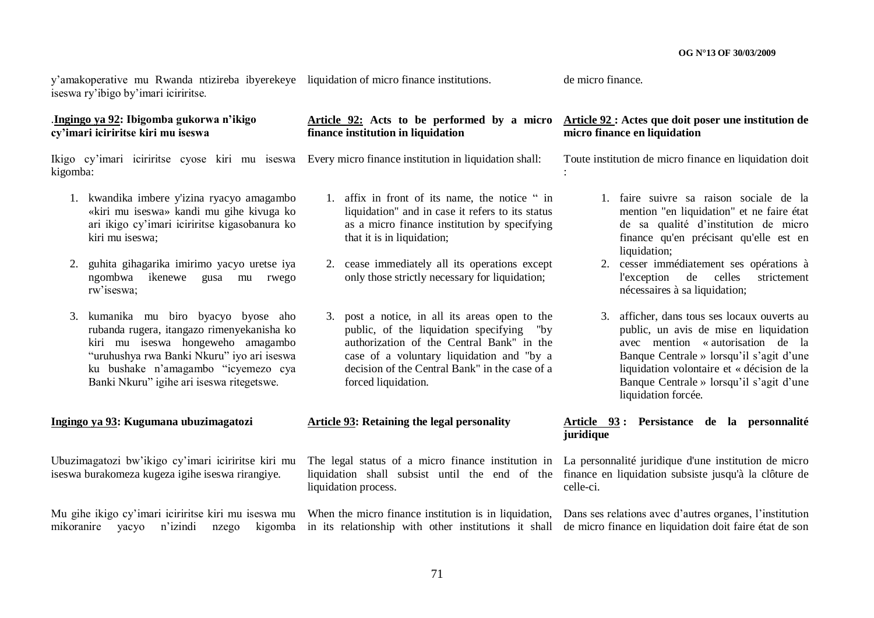y"amakoperative mu Rwanda ntizireba ibyerekeye liquidation of micro finance institutions. iseswa ry"ibigo by"imari iciriritse.

#### .**Ingingo ya 92: Ibigomba gukorwa n"ikigo cy"imari iciriritse kiri mu iseswa**

Ikigo cy"imari iciriritse cyose kiri mu iseswa Every micro finance institution in liquidation shall: kigomba:

- 1. kwandika imbere y'izina ryacyo amagambo «kiri mu iseswa» kandi mu gihe kivuga ko ari ikigo cy"imari iciriritse kigasobanura ko kiri mu iseswa;
- 2. guhita gihagarika imirimo yacyo uretse iya ngombwa ikenewe gusa mu rwego rw"iseswa;
- 3. kumanika mu biro byacyo byose aho rubanda rugera, itangazo rimenyekanisha ko kiri mu iseswa hongeweho amagambo "uruhushya rwa Banki Nkuru" iyo ari iseswa ku bushake n"amagambo "icyemezo cya Banki Nkuru" igihe ari iseswa ritegetswe.

#### **Ingingo ya 93: Kugumana ubuzimagatozi**

Ubuzimagatozi bw"ikigo cy"imari iciriritse kiri mu iseswa burakomeza kugeza igihe iseswa rirangiye.

Mu gihe ikigo cy'imari iciriritse kiri mu iseswa mu When the micro finance institution is in liquidation, Dans ses relations avec d'autres organes, l'institution

**Article 92: Acts to be performed by a micro Article 92 : Actes que doit poser une institution de finance institution in liquidation**

- 1. affix in front of its name, the notice " in liquidation" and in case it refers to its status as a micro finance institution by specifying that it is in liquidation:
- 2. cease immediately all its operations except only those strictly necessary for liquidation;
- 3. post a notice, in all its areas open to the public, of the liquidation specifying "by authorization of the Central Bank" in the case of a voluntary liquidation and "by a decision of the Central Bank" in the case of a forced liquidation.

#### **Article 93: Retaining the legal personality**

The legal status of a micro finance institution in La personnalité juridique d'une institution de micro liquidation process.

de micro finance.

:

# **micro finance en liquidation**

Toute institution de micro finance en liquidation doit

- 1. faire suivre sa raison sociale de la mention "en liquidation" et ne faire état de sa qualité d"institution de micro finance qu'en précisant qu'elle est en liquidation:
- 2. cesser immédiatement ses opérations à l'exception de celles strictement nécessaires à sa liquidation;
- 3. afficher, dans tous ses locaux ouverts au public, un avis de mise en liquidation avec mention « autorisation de la Banque Centrale » lorsqu'il s'agit d'une liquidation volontaire et « décision de la Banque Centrale » lorsqu'il s'agit d'une liquidation forcée.

## **Article 93 : Persistance de la personnalité juridique**

liquidation shall subsist until the end of the finance en liquidation subsiste jusqu'à la clôture de celle-ci.

mikoranire yacyo n'izindi nzego kigomba in its relationship with other institutions it shall de micro-finance-en-liquidation-doit-faire-état-de-son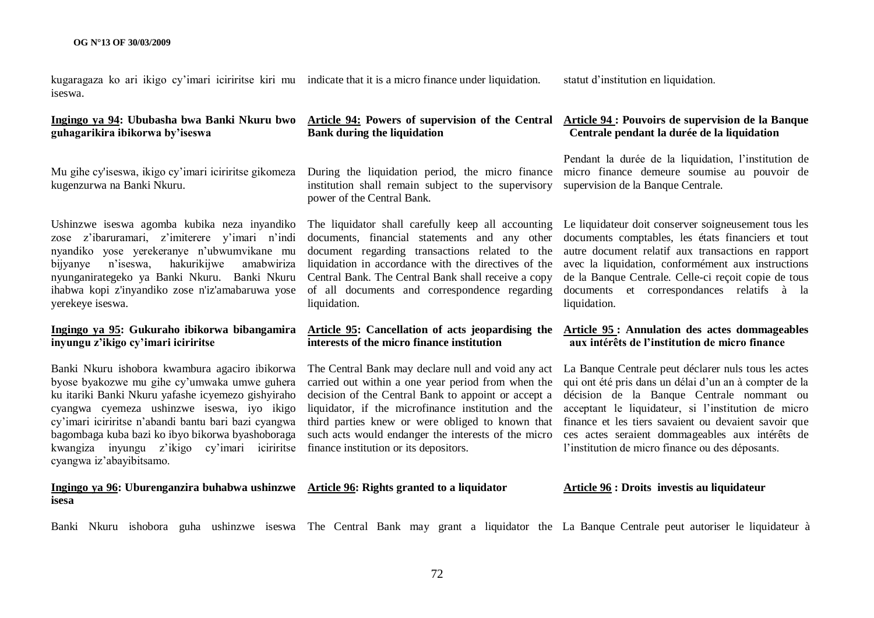kugaragaza ko ari ikigo cy"imari iciriritse kiri mu indicate that it is a micro finance under liquidation. iseswa.

### **Ingingo ya 94: Ububasha bwa Banki Nkuru bwo guhagarikira ibikorwa by"iseswa**

Mu gihe cy'iseswa, ikigo cy"imari iciriritse gikomeza kugenzurwa na Banki Nkuru.

Ushinzwe iseswa agomba kubika neza inyandiko zose z'ibaruramari z'imiterere v'imari n'indi nyandiko yose yerekeranye n"ubwumvikane mu bijyanye n"iseswa, hakurikijwe amabwiriza nyunganirategeko ya Banki Nkuru. Banki Nkuru ihabwa kopi z'inyandiko zose n'iz'amabaruwa yose yerekeye iseswa.

### **Ingingo ya 95: Gukuraho ibikorwa bibangamira inyungu z"ikigo cy"imari iciriritse**

Banki Nkuru ishobora kwambura agaciro ibikorwa byose byakozwe mu gihe cy"umwaka umwe guhera ku itariki Banki Nkuru yafashe icyemezo gishyiraho cyangwa cyemeza ushinzwe iseswa, iyo ikigo cy"imari iciriritse n"abandi bantu bari bazi cyangwa bagombaga kuba bazi ko ibyo bikorwa byashoboraga kwangiza inyungu z"ikigo cy"imari iciriritse cyangwa iz"abayibitsamo.

#### **Ingingo ya 96: Uburenganzira buhabwa ushinzwe Article 96: Rights granted to a liquidator isesa**

# **Bank during the liquidation**

institution shall remain subject to the supervisory supervision de la Banque Centrale. power of the Central Bank.

documents, financial statements and any other documents comptables, les états financiers et tout document regarding transactions related to the liquidation in accordance with the directives of the avec la liquidation, conformément aux instructions Central Bank. The Central Bank shall receive a copy of all documents and correspondence regarding documents et correspondances relatifs à la liquidation.

# **interests of the micro finance institution**

carried out within a one year period from when the decision of the Central Bank to appoint or accept a liquidator, if the microfinance institution and the third parties knew or were obliged to known that such acts would endanger the interests of the micro finance institution or its depositors.

statut d"institution en liquidation.

#### **Article 94: Powers of supervision of the Central Article 94 : Pouvoirs de supervision de la Banque Centrale pendant la durée de la liquidation**

During the liquidation period, the micro finance micro finance demeure soumise au pouvoir de Pendant la durée de la liquidation, l"institution de

The liquidator shall carefully keep all accounting Le liquidateur doit conserver soigneusement tous les autre document relatif aux transactions en rapport de la Banque Centrale. Celle-ci reçoit copie de tous liquidation.

#### **Article 95: Cancellation of acts jeopardising the Article 95 : Annulation des actes dommageables aux intérêts de l"institution de micro finance**

The Central Bank may declare null and void any act La Banque Centrale peut déclarer nuls tous les actes qui ont été pris dans un délai d"un an à compter de la décision de la Banque Centrale nommant ou acceptant le liquidateur, si l"institution de micro finance et les tiers savaient ou devaient savoir que ces actes seraient dommageables aux intérêts de l'institution de micro finance ou des déposants.

### **Article 96 : Droits investis au liquidateur**

Banki Nkuru ishobora guha ushinzwe iseswa The Central Bank may grant a liquidator the La Banque Centrale peut autoriser le liquidateur à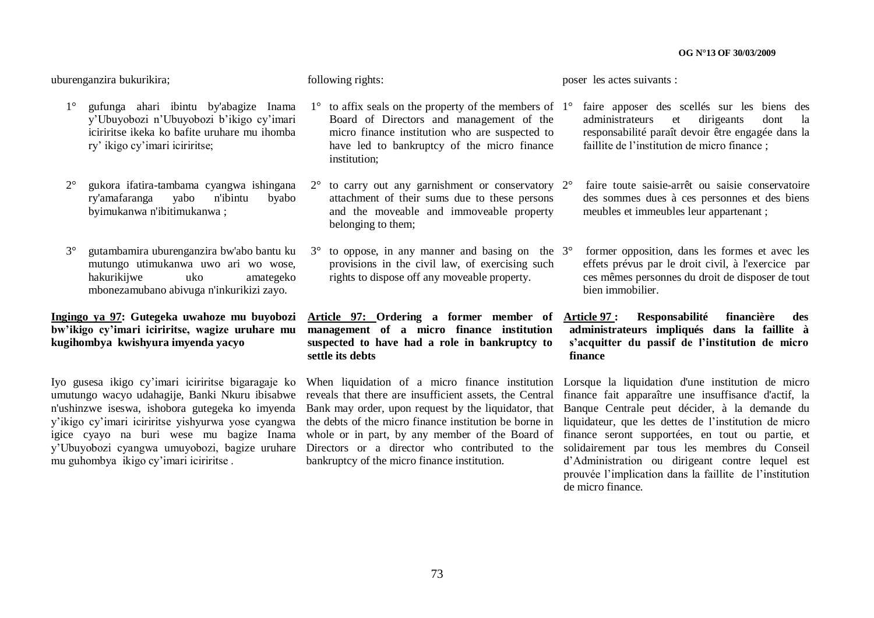uburenganzira bukurikira;

- 1° gufunga ahari ibintu by'abagize Inama y"Ubuyobozi n"Ubuyobozi b"ikigo cy"imari iciriritse ikeka ko bafite uruhare mu ihomba ry" ikigo cy"imari iciriritse;
- ry'amafaranga yabo n'ibintu byabo byimukanwa n'ibitimukanwa ;
- 3° gutambamira uburenganzira bw'abo bantu ku mutungo utimukanwa uwo ari wo wose, hakurikijwe uko amategeko mbonezamubano abivuga n'inkurikizi zayo.

### **Ingingo ya 97: Gutegeka uwahoze mu buyobozi bw"ikigo cy"imari iciriritse, wagize uruhare mu kugihombya kwishyura imyenda yacyo**

Iyo gusesa ikigo cy"imari iciriritse bigaragaje ko mu guhombya ikigo cy"imari iciriritse .

following rights:

poser les actes suivants :

- $1^\circ$  to affix seals on the property of the members of  $1^\circ$ Board of Directors and management of the micro finance institution who are suspected to have led to bankruptcy of the micro finance institution;
- 2° gukora ifatira-tambama cyangwa ishingana 2° to carry out any garnishment or conservatory attachment of their sums due to these persons and the moveable and immoveable property belonging to them:
	- $3^\circ$  to oppose, in any manner and basing on the  $3^\circ$ provisions in the civil law, of exercising such rights to dispose off any moveable property.

**Article 97: Ordering a former member of management of a micro finance institution suspected to have had a role in bankruptcy to settle its debts** 

umutungo wacyo udahagije, Banki Nkuru ibisabwe reveals that there are insufficient assets, the Central finance fait apparaître une insuffisance d'actif, la n'ushinzwe iseswa, ishobora gutegeka ko imyenda Bank may order, upon request by the liquidator, that Banque Centrale peut décider, à la demande du y'ikigo cy'imari iciriritse yishyurwa yose cyangwa the debts of the micro finance institution be borne in liquidateur, que les dettes de l'institution de micro igice cyayo na buri wese mu bagize Inama whole or in part, by any member of the Board of y"Ubuyobozi cyangwa umuyobozi, bagize uruhare Directors or a director who contributed to the solidairement par tous les membres du Conseil When liquidation of a micro finance institution Lorsque la liquidation d'une institution de micro bankruptcy of the micro finance institution.

- 1° faire apposer des scellés sur les biens des administrateurs et dirigeants dont la responsabilité paraît devoir être engagée dans la faillite de l"institution de micro finance ;
- 2° faire toute saisie-arrêt ou saisie conservatoire des sommes dues à ces personnes et des biens meubles et immeubles leur appartenant ;
- 3° former opposition, dans les formes et avec les effets prévus par le droit civil, à l'exercice par ces mêmes personnes du droit de disposer de tout bien immobilier.
- **Article 97 : Responsabilité financière des administrateurs impliqués dans la faillite à s"acquitter du passif de l"institution de micro finance**

finance seront supportées, en tout ou partie, et d"Administration ou dirigeant contre lequel est prouvée l"implication dans la faillite de l"institution de micro finance.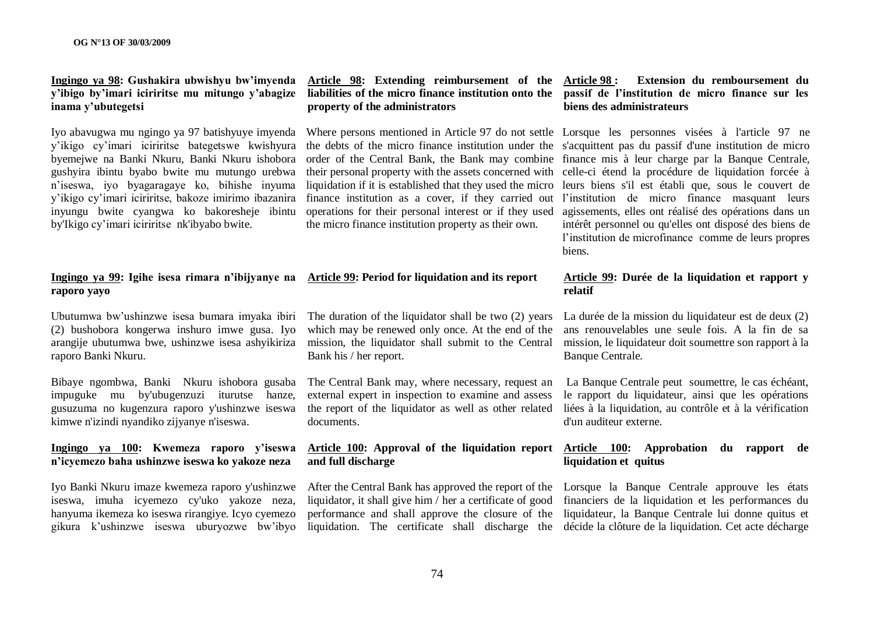### **Ingingo ya 98: Gushakira ubwishyu bw"imyenda y"ibigo by"imari iciriritse mu mitungo y"abagize inama y"ubutegetsi**

byemejwe na Banki Nkuru, Banki Nkuru ishobora n"iseswa, iyo byagaragaye ko, bihishe inyuma y"ikigo cy"imari iciriritse, bakoze imirimo ibazanira inyungu bwite cyangwa ko bakoresheje ibintu by'Ikigo cy"imari iciriritse nk'ibyabo bwite.

#### **Ingingo ya 99: Igihe isesa rimara n"ibijyanye na Article 99: Period for liquidation and its report raporo yayo**

Ubutumwa bw"ushinzwe isesa bumara imyaka ibiri (2) bushobora kongerwa inshuro imwe gusa. Iyo arangije ubutumwa bwe, ushinzwe isesa ashyikiriza raporo Banki Nkuru.

Bibaye ngombwa, Banki Nkuru ishobora gusaba impuguke mu by'ubugenzuzi iturutse hanze, gusuzuma no kugenzura raporo y'ushinzwe iseswa kimwe n'izindi nyandiko zijyanye n'iseswa.

#### **Ingingo ya 100: Kwemeza raporo y"iseswa n"icyemezo baha ushinzwe iseswa ko yakoze neza**

iseswa, imuha icyemezo cy'uko yakoze neza, hanyuma ikemeza ko iseswa rirangiye. Icyo cyemezo gikura k"ushinzwe iseswa uburyozwe bw"ibyo

## **Article 98: Extending reimbursement of the property of the administrators**

the micro finance institution property as their own.

The duration of the liquidator shall be two (2) years which may be renewed only once. At the end of the mission, the liquidator shall submit to the Central Bank his / her report.

The Central Bank may, where necessary, request an external expert in inspection to examine and assess the report of the liquidator as well as other related documents.

# **and full discharge**

### **liabilities of the micro finance institution onto the passif de l"institution de micro finance sur les Article 98 : Extension du remboursement du biens des administrateurs**

Iyo abavugwa mu ngingo ya 97 batishyuye imyenda Where persons mentioned in Article 97 do not settle Lorsque les personnes visées à l'article 97 ne y'ikigo cy'imari iciriritse bategetswe kwishyura the debts of the micro finance institution under the s'acquittent pas du passif d'une institution de micro gushyira ibintu byabo bwite mu mutungo urebwa their personal property with the assets concerned with celle-ci étend la procédure de liquidation forcée à order of the Central Bank, the Bank may combine finance mis à leur charge par la Banque Centrale, liquidation if it is established that they used the micro leurs biens s'il est établi que, sous le couvert de finance institution as a cover, if they carried out l'institution de micro finance masquant leurs operations for their personal interest or if they used agissements, elles ont réalisé des opérations dans un intérêt personnel ou qu'elles ont disposé des biens de l"institution de microfinance comme de leurs propres biens.

#### **Article 99: Durée de la liquidation et rapport y relatif**

La durée de la mission du liquidateur est de deux (2) ans renouvelables une seule fois. A la fin de sa mission, le liquidateur doit soumettre son rapport à la Banque Centrale.

La Banque Centrale peut soumettre, le cas échéant, le rapport du liquidateur, ainsi que les opérations liées à la liquidation, au contrôle et à la vérification d'un auditeur externe.

#### **Article 100: Approval of the liquidation report Article 100: Approbation du rapport de liquidation et quitus**

Iyo Banki Nkuru imaze kwemeza raporo y'ushinzwe After the Central Bank has approved the report of the Lorsque la Banque Centrale approuve les états liquidator, it shall give him / her a certificate of good financiers de la liquidation et les performances du performance and shall approve the closure of the liquidateur, la Banque Centrale lui donne quitus et liquidation. The certificate shall discharge the décide la clôture de la liquidation. Cet acte décharge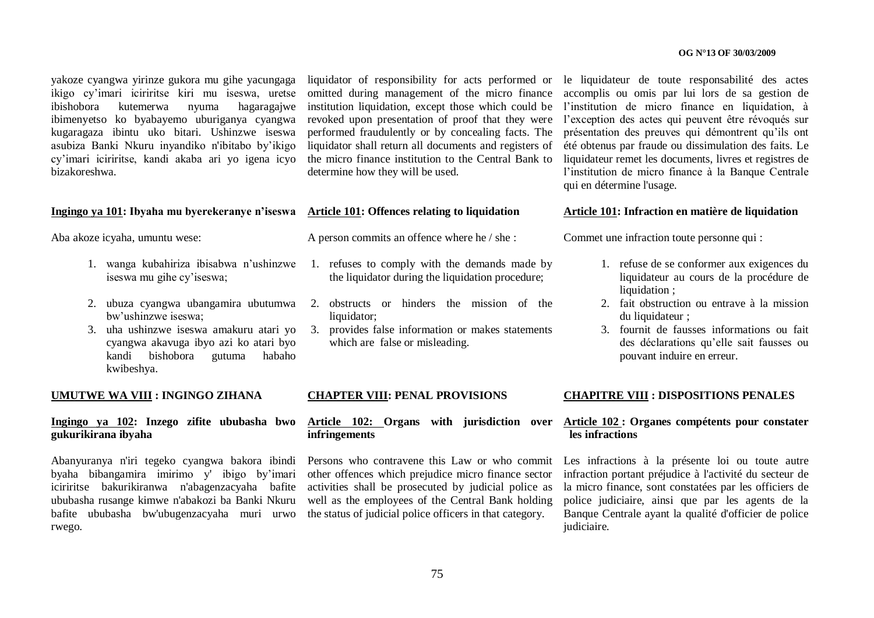yakoze cyangwa yirinze gukora mu gihe yacungaga ikigo cy"imari iciriritse kiri mu iseswa, uretse ibishobora kutemerwa nyuma hagaragajwe ibimenyetso ko byabayemo uburiganya cyangwa kugaragaza ibintu uko bitari. Ushinzwe iseswa asubiza Banki Nkuru inyandiko n'ibitabo by"ikigo cy"imari iciriritse, kandi akaba ari yo igena icyo bizakoreshwa.

#### **Ingingo ya 101: Ibyaha mu byerekeranye n"iseswa Article 101: Offences relating to liquidation**

Aba akoze icyaha, umuntu wese:

- 1. wanga kubahiriza ibisabwa n"ushinzwe iseswa mu gihe cy"iseswa;
- bw"ushinzwe iseswa;
- cyangwa akavuga ibyo azi ko atari byo kandi bishobora gutuma habaho kwibeshya.

#### **UMUTWE WA VIII : INGINGO ZIHANA**

### **Ingingo ya 102: Inzego zifite ububasha bwo gukurikirana ibyaha**

Abanyuranya n'iri tegeko cyangwa bakora ibindi byaha bibangamira imirimo y' ibigo by"imari iciriritse bakurikiranwa n'abagenzacyaha bafite ububasha rusange kimwe n'abakozi ba Banki Nkuru bafite ububasha bw'ubugenzacyaha muri urwo rwego.

liquidator of responsibility for acts performed or le liquidateur de toute responsabilité des actes omitted during management of the micro finance performed fraudulently or by concealing facts. The liquidator shall return all documents and registers of the micro finance institution to the Central Bank to determine how they will be used.

A person commits an offence where he / she :

- 1. refuses to comply with the demands made by the liquidator during the liquidation procedure;
- 2. ubuza cyangwa ubangamira ubutumwa 2. obstructs or hinders the mission of the liquidator:
- 3. uha ushinzwe iseswa amakuru atari yo 3. provides false information or makes statements which are false or misleading.

institution liquidation, except those which could be l"institution de micro finance en liquidation, à revoked upon presentation of proof that they were l'exception des actes qui peuvent être révoqués sur accomplis ou omis par lui lors de sa gestion de présentation des preuves qui démontrent qu"ils ont été obtenus par fraude ou dissimulation des faits. Le liquidateur remet les documents, livres et registres de l'institution de micro finance à la Banque Centrale qui en détermine l'usage.

#### **Article 101: Infraction en matière de liquidation**

Commet une infraction toute personne qui :

- 1. refuse de se conformer aux exigences du liquidateur au cours de la procédure de liquidation :
- 2. fait obstruction ou entrave à la mission du liquidateur :
- 3. fournit de fausses informations ou fait des déclarations qu"elle sait fausses ou pouvant induire en erreur.

#### **CHAPTER VIII: PENAL PROVISIONS**

#### **Article 102: Organs with jurisdiction over Article 102 : Organes compétents pour constater infringements**

Persons who contravene this Law or who commit other offences which prejudice micro finance sector activities shall be prosecuted by judicial police as well as the employees of the Central Bank holding the status of judicial police officers in that category.

#### **CHAPITRE VIII : DISPOSITIONS PENALES**

# **les infractions**

Les infractions à la présente loi ou toute autre infraction portant préjudice à l'activité du secteur de la micro finance, sont constatées par les officiers de police judiciaire, ainsi que par les agents de la Banque Centrale ayant la qualité d'officier de police judiciaire.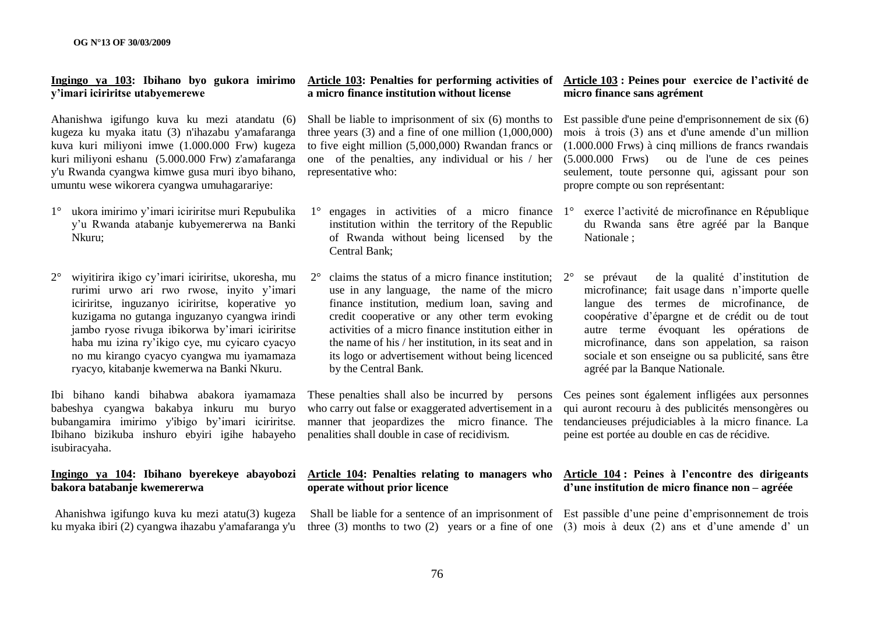#### **Ingingo ya 103: Ibihano byo gukora imirimo y"imari iciriritse utabyemerewe**

Ahanishwa igifungo kuva ku mezi atandatu (6) kugeza ku myaka itatu (3) n'ihazabu y'amafaranga kuva kuri miliyoni imwe (1.000.000 Frw) kugeza kuri miliyoni eshanu (5.000.000 Frw) z'amafaranga y'u Rwanda cyangwa kimwe gusa muri ibyo bihano, umuntu wese wikorera cyangwa umuhagarariye:

- 1° ukora imirimo y"imari iciriritse muri Repubulika y"u Rwanda atabanje kubyemererwa na Banki Nkuru;
- 2° wiyitirira ikigo cy"imari iciriritse, ukoresha, mu rurimi urwo ari rwo rwose, inyito y"imari iciriritse, inguzanyo iciriritse, koperative yo kuzigama no gutanga inguzanyo cyangwa irindi jambo ryose rivuga ibikorwa by"imari iciriritse haba mu izina ry"ikigo cye, mu cyicaro cyacyo no mu kirango cyacyo cyangwa mu iyamamaza ryacyo, kitabanje kwemerwa na Banki Nkuru.

Ibi bihano kandi bihabwa abakora iyamamaza babeshya cyangwa bakabya inkuru mu buryo bubangamira imirimo y'ibigo by"imari iciriritse. Ibihano bizikuba inshuro ebyiri igihe habayeho isubiracyaha.

# **bakora batabanje kwemererwa**

Ahanishwa igifungo kuva ku mezi atatu(3) kugeza ku myaka ibiri (2) cyangwa ihazabu y'amafaranga y'u

# **a micro finance institution without license**

Shall be liable to imprisonment of six (6) months to three years (3) and a fine of one million (1,000,000) to five eight million (5,000,000) Rwandan francs or one of the penalties, any individual or his / her representative who:

- $1^\circ$  engages in activities of a micro finance  $1^\circ$ institution within the territory of the Republic of Rwanda without being licensed by the Central Bank;
- claims the status of a micro finance institution:  $2^{\circ}$ use in any language, the name of the micro finance institution, medium loan, saving and credit cooperative or any other term evoking activities of a micro finance institution either in the name of his / her institution, in its seat and in its logo or advertisement without being licenced by the Central Bank.

who carry out false or exaggerated advertisement in a penalities shall double in case of recidivism.

# **operate without prior licence**

three  $(3)$  months to two  $(2)$  years or a fine of one  $(3)$  mois à deux  $(2)$  ans et d'une amende d'un

#### **Article 103: Penalties for performing activities of Article 103 : Peines pour exercice de l"activité de micro finance sans agrément**

Est passible d'une peine d'emprisonnement de six (6) mois à trois (3) ans et d'une amende d"un million (1.000.000 Frws) à cinq millions de francs rwandais (5.000.000 Frws) ou de l'une de ces peines seulement, toute personne qui, agissant pour son propre compte ou son représentant:

- 1° exerce l"activité de microfinance en République du Rwanda sans être agréé par la Banque Nationale ;
- 2° se prévaut de la qualité d"institution de microfinance; fait usage dans n"importe quelle langue des termes de microfinance, de coopérative d"épargne et de crédit ou de tout autre terme évoquant les opérations de microfinance, dans son appelation, sa raison sociale et son enseigne ou sa publicité, sans être agréé par la Banque Nationale.

These penalties shall also be incurred by persons Ces peines sont également infligées aux personnes manner that jeopardizes the micro finance. The tendancieuses préjudiciables à la micro finance. La qui auront recouru à des publicités mensongères ou peine est portée au double en cas de récidive.

#### **Ingingo ya 104: Ibihano byerekeye abayobozi Article 104: Penalties relating to managers who Article 104 : Peines à l"encontre des dirigeants d"une institution de micro finance non – agréée**

Shall be liable for a sentence of an imprisonment of Est passible d'une peine d'emprisonnement de trois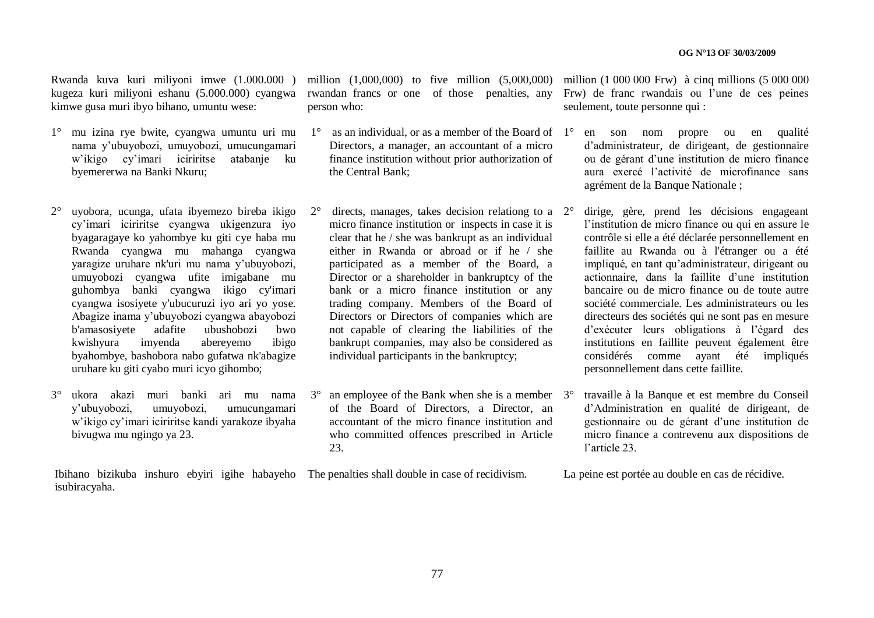Rwanda kuva kuri miliyoni imwe (1.000.000 ) kugeza kuri miliyoni eshanu (5.000.000) cyangwa kimwe gusa muri ibyo bihano, umuntu wese:

- 1° mu izina rye bwite, cyangwa umuntu uri mu nama y"ubuyobozi, umuyobozi, umucungamari w"ikigo cy"imari iciriritse atabanje ku byemererwa na Banki Nkuru;
- $2^{\circ}$  uyobora, ucunga, ufata ibyemezo bireba ikigo  $2^{\circ}$ cy"imari iciriritse cyangwa ukigenzura iyo byagaragaye ko yahombye ku giti cye haba mu Rwanda cyangwa mu mahanga cyangwa yaragize uruhare nk'uri mu nama y"ubuyobozi, umuyobozi cyangwa ufite imigabane mu guhombya banki cyangwa ikigo cy'imari cyangwa isosiyete y'ubucuruzi iyo ari yo yose. Abagize inama y"ubuyobozi cyangwa abayobozi b'amasosiyete adafite ubushobozi bwo kwishyura imyenda abereyemo ibigo byahombye, bashobora nabo gufatwa nk'abagize uruhare ku giti cyabo muri icyo gihombo;
- 3° ukora akazi muri banki ari mu nama y"ubuyobozi, umuyobozi, umucungamari w"ikigo cy"imari iciriritse kandi yarakoze ibyaha bivugwa mu ngingo ya 23.

Ibihano bizikuba inshuro ebyiri igihe habayeho The penalties shall double in case of recidivism. isubiracyaha.

rwandan francs or one of those penalties, any person who:

- $1^\circ$  as an individual, or as a member of the Board of  $1^\circ$ Directors, a manager, an accountant of a micro finance institution without prior authorization of the Central Bank;
- directs, manages, takes decision relationg to a  $2^{\circ}$ micro finance institution or inspects in case it is clear that he / she was bankrupt as an individual either in Rwanda or abroad or if he / she participated as a member of the Board, a Director or a shareholder in bankruptcy of the bank or a micro finance institution or any trading company. Members of the Board of Directors or Directors of companies which are not capable of clearing the liabilities of the bankrupt companies, may also be considered as individual participants in the bankruptcy;
- $3^\circ$  an employee of the Bank when she is a member  $3^\circ$ of the Board of Directors, a Director, an accountant of the micro finance institution and who committed offences prescribed in Article 23.

million (1,000,000) to five million (5,000,000) million (1 000 000 Frw) à cinq millions (5 000 000 Frw) de franc rwandais ou l"une de ces peines seulement, toute personne qui :

- 1° en son nom propre ou en qualité d"administrateur, de dirigeant, de gestionnaire ou de gérant d"une institution de micro finance aura exercé l"activité de microfinance sans agrément de la Banque Nationale ;
- 2° dirige, gère, prend les décisions engageant l"institution de micro finance ou qui en assure le contrôle si elle a été déclarée personnellement en faillite au Rwanda ou à l'étranger ou a été impliqué, en tant qu"administrateur, dirigeant ou actionnaire, dans la faillite d"une institution bancaire ou de micro finance ou de toute autre société commerciale. Les administrateurs ou les directeurs des sociétés qui ne sont pas en mesure d"exécuter leurs obligations à l"égard des institutions en faillite peuvent également être considérés comme ayant été impliqués personnellement dans cette faillite.
- 3° travaille à la Banque et est membre du Conseil d"Administration en qualité de dirigeant, de gestionnaire ou de gérant d"une institution de micro finance a contrevenu aux dispositions de l"article 23.

La peine est portée au double en cas de récidive.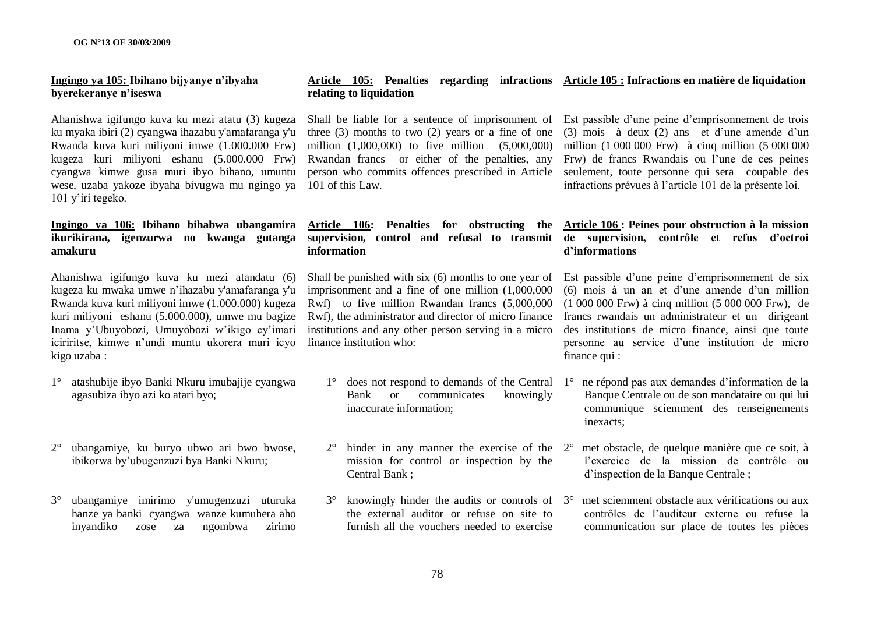### **Ingingo ya 105: Ibihano bijyanye n"ibyaha byerekeranye n"iseswa**

Ahanishwa igifungo kuva ku mezi atatu (3) kugeza ku myaka ibiri (2) cyangwa ihazabu y'amafaranga y'u Rwanda kuva kuri miliyoni imwe (1.000.000 Frw) kugeza kuri miliyoni eshanu (5.000.000 Frw) cyangwa kimwe gusa muri ibyo bihano, umuntu wese, uzaba yakoze ibyaha bivugwa mu ngingo ya 101 y"iri tegeko.

### **Ingingo ya 106: Ibihano bihabwa ubangamira ikurikirana, igenzurwa no kwanga gutanga amakuru**

Ahanishwa igifungo kuva ku mezi atandatu (6) kugeza ku mwaka umwe n"ihazabu y'amafaranga y'u Rwanda kuva kuri miliyoni imwe (1.000.000) kugeza kuri miliyoni eshanu (5.000.000), umwe mu bagize Inama y"Ubuyobozi, Umuyobozi w"ikigo cy"imari iciriritse, kimwe n'undi muntu ukorera muri icyo finance institution who: kigo uzaba :

- 1° atashubije ibyo Banki Nkuru imubajije cyangwa agasubiza ibyo azi ko atari byo;
- 2° ubangamiye, ku buryo ubwo ari bwo bwose, ibikorwa by"ubugenzuzi bya Banki Nkuru;
- 3° ubangamiye imirimo y'umugenzuzi uturuka hanze ya banki cyangwa wanze kumuhera aho inyandiko zose za ngombwa zirimo

#### **Article 105: Penalties regarding infractions Article 105 : Infractions en matière de liquidation relating to liquidation**

three  $(3)$  months to two  $(2)$  years or a fine of one  $(3)$  mois à deux  $(2)$  ans et d'une amende d'un million (1,000,000) to five million (5,000,000) million (1 000 000 Frw) à cinq million (5 000 000 Rwandan francs or either of the penalties, any Frw) de francs Rwandais ou l'une de ces peines person who commits offences prescribed in Article seulement, toute personne qui sera coupable des 101 of this Law.

#### **Article 106: Penalties for obstructing the Article 106 : Peines pour obstruction à la mission supervision, control and refusal to transmit de supervision, contrôle et refus d"octroi information**

imprisonment and a fine of one million (1,000,000 Rwf) to five million Rwandan francs (5,000,000 Rwf), the administrator and director of micro finance institutions and any other person serving in a micro

- $1^\circ$  does not respond to demands of the Central  $1^\circ$ Bank or communicates knowingly inaccurate information;
- $2^{\circ}$  hinder in any manner the exercise of the  $2^{\circ}$ mission for control or inspection by the Central Bank ;
- 3° knowingly hinder the audits or controls of the external auditor or refuse on site to furnish all the vouchers needed to exercise

Shall be liable for a sentence of imprisonment of Est passible d'une peine d'emprisonnement de trois infractions prévues à l"article 101 de la présente loi.

# **d"informations**

Shall be punished with six (6) months to one year of Est passible d'une peine d'emprisonnement de six (6) mois à un an et d"une amende d"un million (1 000 000 Frw) à cinq million (5 000 000 Frw), de francs rwandais un administrateur et un dirigeant des institutions de micro finance, ainsi que toute personne au service d"une institution de micro finance qui :

- 1° ne répond pas aux demandes d"information de la Banque Centrale ou de son mandataire ou qui lui communique sciemment des renseignements inexacts;
- 2° met obstacle, de quelque manière que ce soit, à l"exercice de la mission de contrôle ou d"inspection de la Banque Centrale ;
- 3° met sciemment obstacle aux vérifications ou aux contrôles de l"auditeur externe ou refuse la communication sur place de toutes les pièces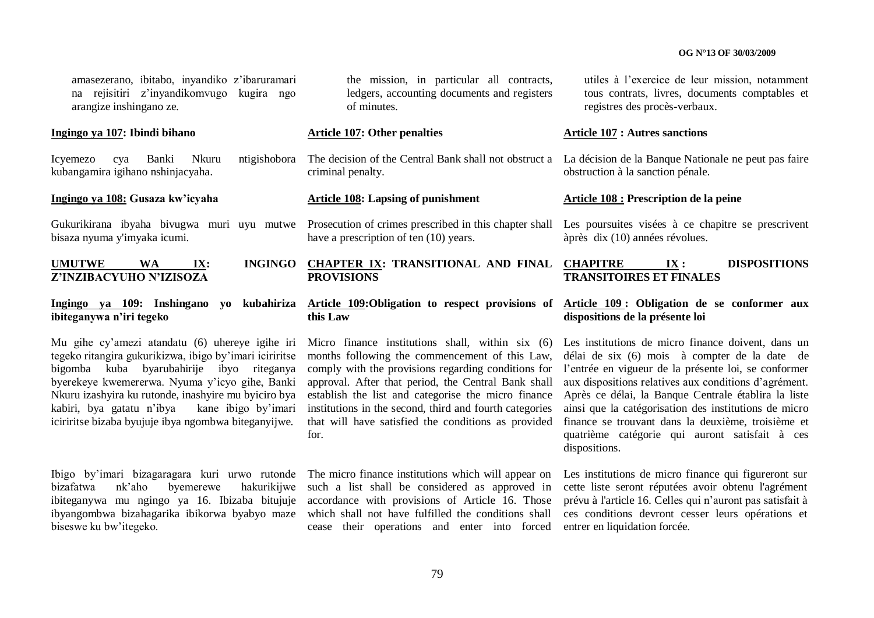amasezerano, ibitabo, inyandiko z"ibaruramari na rejisitiri z"inyandikomvugo kugira ngo arangize inshingano ze.

#### **Ingingo ya 107: Ibindi bihano**

kubangamira igihano nshinjacyaha.

### **Ingingo ya 108: Gusaza kw"icyaha**

bisaza nyuma y'imyaka icumi.

# **Z"INZIBACYUHO N"IZISOZA**

#### **Ingingo ya 109: Inshingano yo kubahiriza ibiteganywa n"iri tegeko**

Mu gihe cy"amezi atandatu (6) uhereye igihe iri tegeko ritangira gukurikizwa, ibigo by"imari iciriritse bigomba kuba byarubahirije ibyo riteganya byerekeye kwemererwa. Nyuma y"icyo gihe, Banki Nkuru izashyira ku rutonde, inashyire mu byiciro bya kabiri, bya gatatu n"ibya kane ibigo by"imari iciriritse bizaba byujuje ibya ngombwa biteganyijwe.

Ibigo by'imari bizagaragara kuri urwo rutonde The micro finance institutions which will appear on bizafatwa nk"aho byemerewe hakurikijwe such a list shall be considered as approved in ibiteganywa mu ngingo ya 16. Ibizaba bitujuje ibyangombwa bizahagarika ibikorwa byabyo maze biseswe ku bw"itegeko.

the mission, in particular all contracts, ledgers, accounting documents and registers of minutes.

#### **Article 107: Other penalties**

criminal penalty.

#### **Article 108: Lapsing of punishment**

have a prescription of ten  $(10)$  years.

#### **UMUTWE WA IX: INGINGO CHAPTER IX: TRANSITIONAL AND FINAL PROVISIONS**

# **this Law**

months following the commencement of this Law, approval. After that period, the Central Bank shall establish the list and categorise the micro finance institutions in the second, third and fourth categories that will have satisfied the conditions as provided for.

accordance with provisions of Article 16. Those which shall not have fulfilled the conditions shall cease their operations and enter into forced utiles à l"exercice de leur mission, notamment tous contrats, livres, documents comptables et registres des procès-verbaux.

#### **Article 107 : Autres sanctions**

Icyemezo cya Banki Nkuru ntigishobora The decision of the Central Bank shall not obstruct a La décision de la Banque Nationale ne peut pas faire obstruction à la sanction pénale.

#### **Article 108 : Prescription de la peine**

Gukurikirana ibyaha bivugwa muri uyu mutwe Prosecution of crimes prescribed in this chapter shall Les poursuites visées à ce chapitre se prescrivent àprès dix (10) années révolues.

#### **CHAPITRE IX : DISPOSITIONS TRANSITOIRES ET FINALES**

#### **Article 109:Obligation to respect provisions of Article 109 : Obligation de se conformer aux dispositions de la présente loi**

Micro finance institutions shall, within six (6) Les institutions de micro finance doivent, dans un comply with the provisions regarding conditions for l"entrée en vigueur de la présente loi, se conformer délai de six (6) mois à compter de la date de aux dispositions relatives aux conditions d"agrément. Après ce délai, la Banque Centrale établira la liste ainsi que la catégorisation des institutions de micro finance se trouvant dans la deuxième, troisième et quatrième catégorie qui auront satisfait à ces dispositions.

> Les institutions de micro finance qui figureront sur cette liste seront réputées avoir obtenu l'agrément prévu à l'article 16. Celles qui n"auront pas satisfait à ces conditions devront cesser leurs opérations et entrer en liquidation forcée.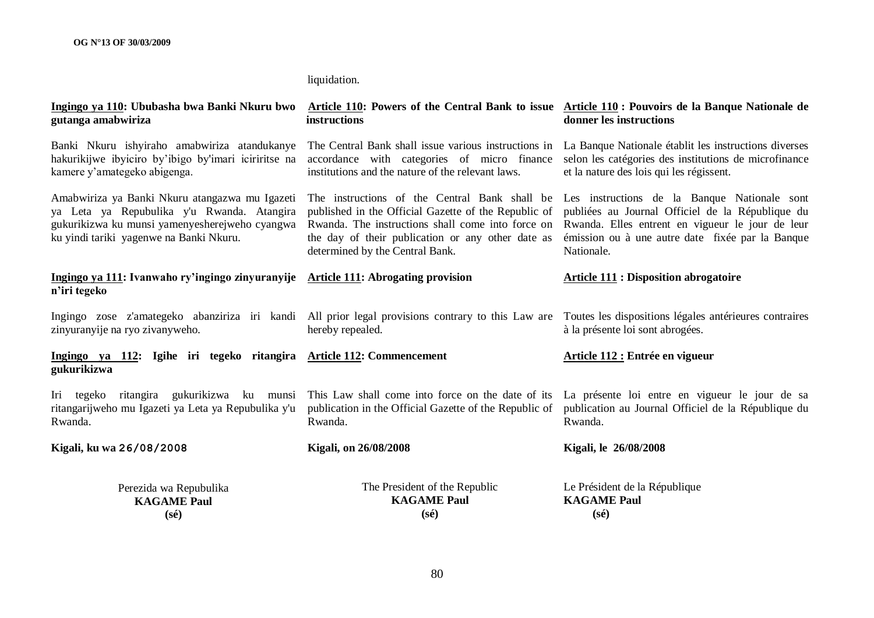### liquidation.

| gutanga amabwiriza                                                                                                                                                                        | Ingingo ya 110: Ububasha bwa Banki Nkuru bwo Article 110: Powers of the Central Bank to issue Article 110: Pouvoirs de la Banque Nationale de<br>instructions                | donner les instructions                                                                                                                                                                                                                                                                                                                                                     |
|-------------------------------------------------------------------------------------------------------------------------------------------------------------------------------------------|------------------------------------------------------------------------------------------------------------------------------------------------------------------------------|-----------------------------------------------------------------------------------------------------------------------------------------------------------------------------------------------------------------------------------------------------------------------------------------------------------------------------------------------------------------------------|
| Banki Nkuru ishyiraho amabwiriza atandukanye<br>hakurikijwe ibyiciro by'ibigo by'imari iciriritse na<br>kamere y'amategeko abigenga.                                                      | The Central Bank shall issue various instructions in<br>accordance with categories of micro finance<br>institutions and the nature of the relevant laws.                     | La Banque Nationale établit les instructions diverses<br>selon les catégories des institutions de microfinance<br>et la nature des lois qui les régissent.                                                                                                                                                                                                                  |
| Amabwiriza ya Banki Nkuru atangazwa mu Igazeti<br>ya Leta ya Repubulika y'u Rwanda. Atangira<br>gukurikizwa ku munsi yamenyesherejweho cyangwa<br>ku yindi tariki yagenwe na Banki Nkuru. | the day of their publication or any other date as<br>determined by the Central Bank.                                                                                         | The instructions of the Central Bank shall be Les instructions de la Banque Nationale sont<br>published in the Official Gazette of the Republic of publiées au Journal Officiel de la République du<br>Rwanda. The instructions shall come into force on Rwanda. Elles entrent en vigueur le jour de leur<br>émission ou à une autre date fixée par la Banque<br>Nationale. |
| Ingingo ya 111: Ivanwaho ry'ingingo zinyuranyije Article 111: Abrogating provision<br>n'iri tegeko                                                                                        |                                                                                                                                                                              | <b>Article 111 : Disposition abrogatoire</b>                                                                                                                                                                                                                                                                                                                                |
| zinyuranyije na ryo zivanyweho.                                                                                                                                                           | Ingingo zose z'amategeko abanziriza iri kandi All prior legal provisions contrary to this Law are Toutes les dispositions légales antérieures contraires<br>hereby repealed. | à la présente loi sont abrogées.                                                                                                                                                                                                                                                                                                                                            |
| Ingingo ya 112: Igihe iri tegeko ritangira Article 112: Commencement<br>gukurikizwa                                                                                                       |                                                                                                                                                                              | Article 112 : Entrée en vigueur                                                                                                                                                                                                                                                                                                                                             |
| Iri tegeko ritangira gukurikizwa ku munsi<br>ritangarijweho mu Igazeti ya Leta ya Repubulika y'u<br>Rwanda.                                                                               | This Law shall come into force on the date of its<br>publication in the Official Gazette of the Republic of<br>Rwanda.                                                       | La présente loi entre en vigueur le jour de sa<br>publication au Journal Officiel de la République du<br>Rwanda.                                                                                                                                                                                                                                                            |
| Kigali, ku wa 26/08/2008                                                                                                                                                                  | <b>Kigali, on 26/08/2008</b>                                                                                                                                                 | Kigali, le 26/08/2008                                                                                                                                                                                                                                                                                                                                                       |
| Perezida wa Repubulika<br><b>KAGAME Paul</b><br>$(s\acute{e})$                                                                                                                            | The President of the Republic<br><b>KAGAME Paul</b><br>$(s\acute{e})$                                                                                                        | Le Président de la République<br><b>KAGAME Paul</b><br>$(s\acute{e})$                                                                                                                                                                                                                                                                                                       |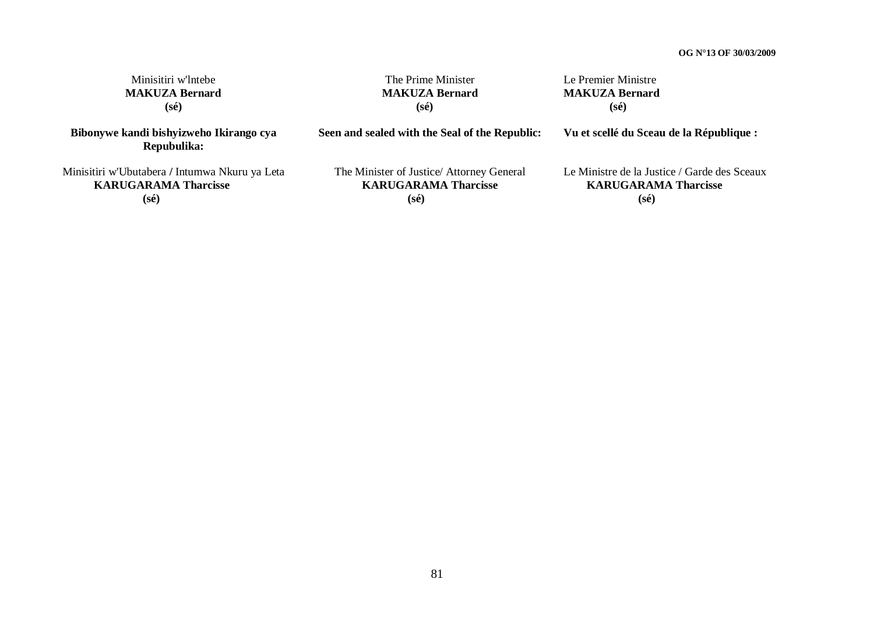| Minisitiri w'Intebe                                                                   | The Prime Minister                                                                         | Le Premier Ministre                                                                           |
|---------------------------------------------------------------------------------------|--------------------------------------------------------------------------------------------|-----------------------------------------------------------------------------------------------|
| <b>MAKUZA Bernard</b>                                                                 | <b>MAKUZA Bernard</b>                                                                      | <b>MAKUZA Bernard</b>                                                                         |
| $(s\acute{e})$                                                                        | $(s\acute{e})$                                                                             | $(s\acute{e})$                                                                                |
| Bibonywe kandi bishyizweho Ikirango cya<br>Repubulika:                                | Seen and sealed with the Seal of the Republic:                                             | Vu et scellé du Sceau de la République :                                                      |
| Minisitiri w'Ubutabera / Intumwa Nkuru ya Leta<br><b>KARUGARAMA Tharcisse</b><br>(sé) | The Minister of Justice/ Attorney General<br><b>KARUGARAMA Tharcisse</b><br>$(s\acute{e})$ | Le Ministre de la Justice / Garde des Sceaux<br><b>KARUGARAMA Tharcisse</b><br>$(s\acute{e})$ |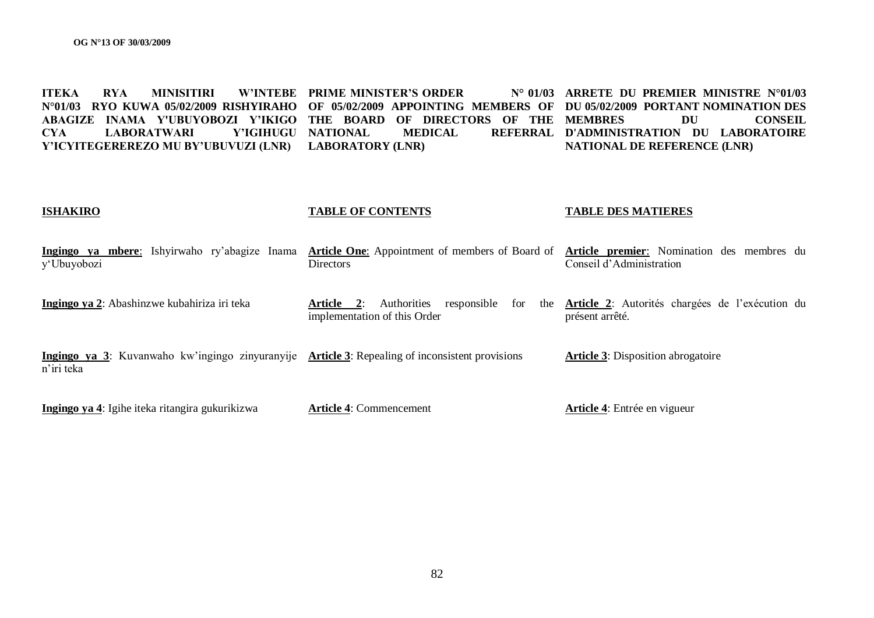**ITEKA RYA MINISITIRI W"INTEBE PRIME MINISTER"S ORDER N° 01/03 N°01/03 RYO KUWA 05/02/2009 RISHYIRAHO OF 05/02/2009 APPOINTING MEMBERS OF DU 05/02/2009 PORTANT NOMINATION DES ABAGIZE INAMA Y'UBUYOBOZI Y"IKIGO THE BOARD OF DIRECTORS OF THE MEMBRES DU CONSEIL CYA LABORATWARI Y"IGIHUGU Y"ICYITEGEREREZO MU BY"UBUVUZI (LNR) LABORATORY (LNR) NATIONAL MEDICAL REFERRAL D'ADMINISTRATION DU LABORATOIRE ARRETE DU PREMIER MINISTRE N°01/03 NATIONAL DE REFERENCE (LNR)**

#### **ISHAKIRO**

#### **TABLE OF CONTENTS**

#### **TABLE DES MATIERES**

| Ingingo ya mbere: Ishyirwaho ry'abagize Inama Article One: Appointment of members of Board of Article premier: Nomination des membres du<br>y'Ubuyobozi | Directors                                                                          | Conseil d'Administration                                                       |
|---------------------------------------------------------------------------------------------------------------------------------------------------------|------------------------------------------------------------------------------------|--------------------------------------------------------------------------------|
| Ingingo ya 2: Abashinzwe kubahiriza iri teka                                                                                                            | responsible<br>for<br>Authorities<br>Article<br>2:<br>implementation of this Order | the <b>Article 2</b> : Autorités chargées de l'exécution du<br>présent arrêté. |

**Ingingo ya 3**: Kuvanwaho kw"ingingo zinyuranyije **Article 3**: Repealing of inconsistent provisions n"iri teka **Article 3**: Disposition abrogatoire

**Ingingo ya 4**: Igihe iteka ritangira gukurikizwa

**Article 4**: Commencement

**Article 4**: Entrée en vigueur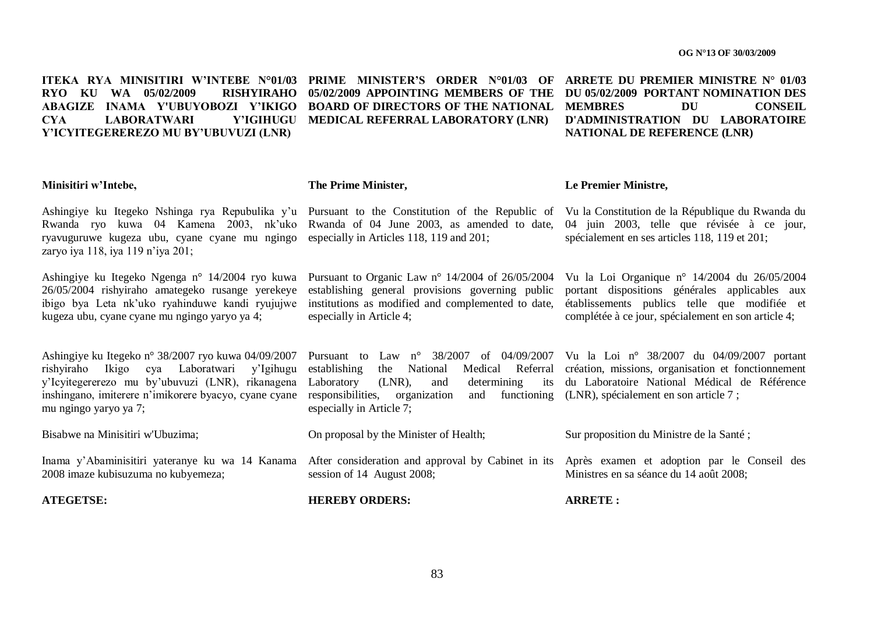**ITEKA RYA MINISITIRI W'INTEBE N°01/03 PRIME MINISTER'S ORDER N°01/03 OF ARRETE DU PREMIER MINISTRE N° 01/03 RYO KU WA 05/02/2009 ABAGIZE INAMA Y'UBUYOBOZI Y"IKIGO BOARD OF DIRECTORS OF THE NATIONAL CYA** LABORATWARI **Y"ICYITEGEREREZO MU BY"UBUVUZI (LNR)**

Y'IGIHUGU MEDICAL REFERRAL LABORATORY (LNR)

**05/02/2009 APPOINTING MEMBERS OF THE DU 05/02/2009 PORTANT NOMINATION DES MEMBRES DU CONSEIL D'ADMINISTRATION DU LABORATOIRE NATIONAL DE REFERENCE (LNR)**

#### **Minisitiri w"Intebe,**

Ashingiye ku Itegeko Nshinga rya Repubulika y'u Pursuant to the Constitution of the Republic of Vu la Constitution de la République du Rwanda du Rwanda ryo kuwa 04 Kamena 2003, nk'uko Rwanda of 04 June 2003, as amended to date, 04 juin 2003, telle que révisée à ce jour, ryavuguruwe kugeza ubu, cyane cyane mu ngingo especially in Articles 118, 119 and 201; zaryo iya 118, iya 119 n"iya 201;

Ashingiye ku Itegeko Ngenga n° 14/2004 ryo kuwa Pursuant to Organic Law n° 14/2004 of 26/05/2004 26/05/2004 rishyiraho amategeko rusange yerekeye ibigo bya Leta nk'uko ryahinduwe kandi ryujujwe institutions as modified and complemented to date, établissements publics telle que modifiée et kugeza ubu, cyane cyane mu ngingo yaryo ya 4;

Ashingiye ku Itegeko n° 38/2007 ryo kuwa 04/09/2007 Pursuant to Law n° 38/2007 of 04/09/2007 Vu la Loi n° 38/2007 du 04/09/2007 portant rishyiraho Ikigo cya Laboratwari y"Igihugu y"Icyitegererezo mu by"ubuvuzi (LNR), rikanagena inshingano, imiterere n'imikorere byacyo, cyane cyane responsibilities, organization and functioning mu ngingo yaryo ya 7;

Bisabwe na Minisitiri w'Ubuzima;

Inama y'Abaminisitiri yateranye ku wa 14 Kanama After consideration and approval by Cabinet in its Après examen et adoption par le Conseil des 2008 imaze kubisuzuma no kubyemeza;

**ATEGETSE:**

### **The Prime Minister,**

spécialement en ses articles 118, 119 et 201;

Vu la Loi Organique n° 14/2004 du 26/05/2004 portant dispositions générales applicables aux

complétée à ce jour, spécialement en son article 4;

**Le Premier Ministre,**

establishing general provisions governing public especially in Article 4;

establishing the National Medical Referral création, missions, organisation et fonctionnement Laboratory  $(LNR)$ , and determining especially in Article 7; du Laboratoire National Médical de Référence and functioning (LNR), spécialement en son article 7 ;

On proposal by the Minister of Health;

session of 14 August 2008;

Sur proposition du Ministre de la Santé ;

Ministres en sa séance du 14 août 2008;

**HEREBY ORDERS:**

**ARRETE :**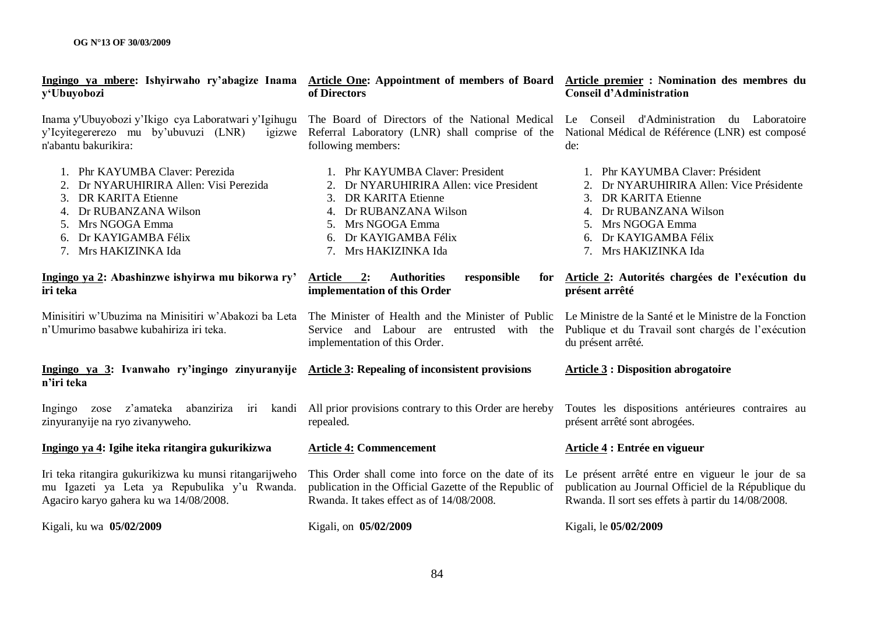| Ingingo ya mbere: Ishyirwaho ry'abagize Inama Article One: Appointment of members of Board Article premier : Nomination des membres du<br>y'Ubuyobozi                                              | of Directors                                                                                                                                                                                              | <b>Conseil d'Administration</b>                                                                                                                                                                             |
|----------------------------------------------------------------------------------------------------------------------------------------------------------------------------------------------------|-----------------------------------------------------------------------------------------------------------------------------------------------------------------------------------------------------------|-------------------------------------------------------------------------------------------------------------------------------------------------------------------------------------------------------------|
| Inama y'Ubuyobozi y'Ikigo cya Laboratwari y'Igihugu<br>y'Icyitegererezo mu by'ubuvuzi (LNR)<br>igizwe<br>n'abantu bakurikira:                                                                      | The Board of Directors of the National Medical<br>Referral Laboratory (LNR) shall comprise of the<br>following members:                                                                                   | Le Conseil d'Administration du Laboratoire<br>National Médical de Référence (LNR) est composé<br>de:                                                                                                        |
| 1. Phr KAYUMBA Claver: Perezida<br>Dr NYARUHIRIRA Allen: Visi Perezida<br><b>DR KARITA Etienne</b><br>3.<br>Dr RUBANZANA Wilson<br>Mrs NGOGA Emma<br>6. Dr KAYIGAMBA Félix<br>7. Mrs HAKIZINKA Ida | 1. Phr KAYUMBA Claver: President<br>2. Dr NYARUHIRIRA Allen: vice President<br>3. DR KARITA Etienne<br>4. Dr RUBANZANA Wilson<br>Mrs NGOGA Emma<br>5.<br>6. Dr KAYIGAMBA Félix<br>Mrs HAKIZINKA Ida<br>7. | 1. Phr KAYUMBA Claver: Président<br>2. Dr NYARUHIRIRA Allen: Vice Présidente<br><b>DR KARITA Etienne</b><br>Dr RUBANZANA Wilson<br>4.<br>Mrs NGOGA Emma<br>6. Dr KAYIGAMBA Félix<br>Mrs HAKIZINKA Ida<br>7. |
| Ingingo ya 2: Abashinzwe ishyirwa mu bikorwa ry'<br>iri teka                                                                                                                                       | Article 2:<br><b>Authorities</b><br>responsible<br>for<br>implementation of this Order                                                                                                                    | Article 2: Autorités chargées de l'exécution du<br>présent arrêté                                                                                                                                           |
| Minisitiri w'Ubuzima na Minisitiri w'Abakozi ba Leta<br>n'Umurimo basabwe kubahiriza iri teka.                                                                                                     | The Minister of Health and the Minister of Public<br>Service and Labour are entrusted with the<br>implementation of this Order.                                                                           | Le Ministre de la Santé et le Ministre de la Fonction<br>Publique et du Travail sont chargés de l'exécution<br>du présent arrêté.                                                                           |
| Ingingo ya 3: Ivanwaho ry'ingingo zinyuranyije Article 3: Repealing of inconsistent provisions<br>n'iri teka                                                                                       |                                                                                                                                                                                                           | <b>Article 3 : Disposition abrogatoire</b>                                                                                                                                                                  |
| Ingingo zose z'amateka abanziriza<br>kandi<br>iri<br>zinyuranyije na ryo zivanyweho.                                                                                                               | All prior provisions contrary to this Order are hereby<br>repealed.                                                                                                                                       | Toutes les dispositions antérieures contraires au<br>présent arrêté sont abrogées.                                                                                                                          |
| Ingingo ya 4: Igihe iteka ritangira gukurikizwa                                                                                                                                                    | <b>Article 4: Commencement</b>                                                                                                                                                                            | Article 4 : Entrée en vigueur                                                                                                                                                                               |
| Iri teka ritangira gukurikizwa ku munsi ritangarijweho<br>mu Igazeti ya Leta ya Repubulika y'u Rwanda.<br>Agaciro karyo gahera ku wa 14/08/2008.                                                   | This Order shall come into force on the date of its<br>publication in the Official Gazette of the Republic of<br>Rwanda. It takes effect as of 14/08/2008.                                                | Le présent arrêté entre en vigueur le jour de sa<br>publication au Journal Officiel de la République du<br>Rwanda. Il sort ses effets à partir du 14/08/2008.                                               |
| Kigali, ku wa 05/02/2009                                                                                                                                                                           | Kigali, on 05/02/2009                                                                                                                                                                                     | Kigali, le 05/02/2009                                                                                                                                                                                       |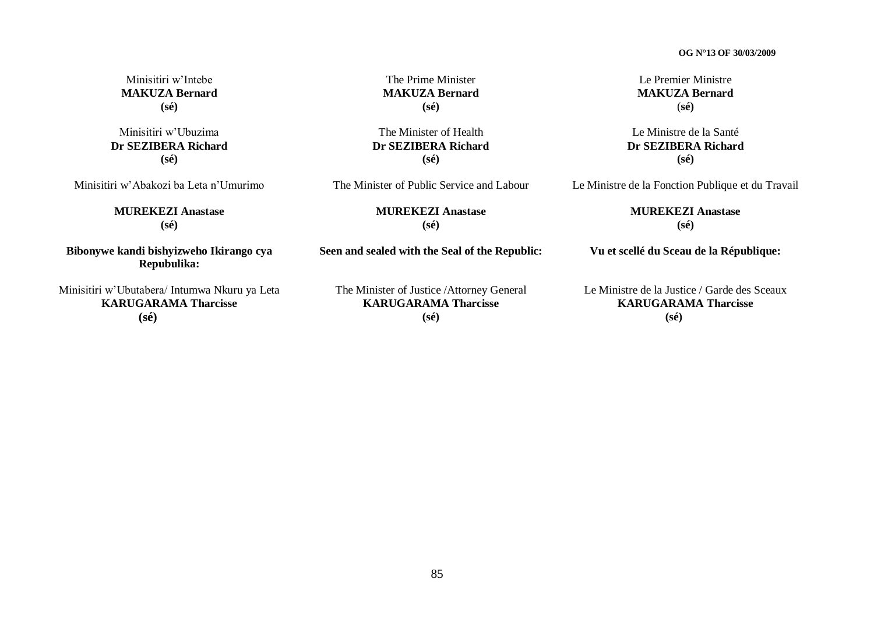Minisitiri w"Intebe **MAKUZA Bernard (sé)**

Minisitiri w"Ubuzima **Dr SEZIBERA Richard (sé)**

Minisitiri w"Abakozi ba Leta n"Umurimo

**MUREKEZI Anastase (sé)**

**Bibonywe kandi bishyizweho Ikirango cya Repubulika:**

Minisitiri w"Ubutabera/ Intumwa Nkuru ya Leta **KARUGARAMA Tharcisse (sé)**

The Prime Minister **MAKUZA Bernard (sé)**

The Minister of Health **Dr SEZIBERA Richard (sé)**

The Minister of Public Service and Labour

**MUREKEZI Anastase (sé)**

**Seen and sealed with the Seal of the Republic:**

The Minister of Justice /Attorney General **KARUGARAMA Tharcisse (sé)**

Le Premier Ministre **MAKUZA Bernard** (**sé)**

Le Ministre de la Santé **Dr SEZIBERA Richard (sé)**

Le Ministre de la Fonction Publique et du Travail

**MUREKEZI Anastase (sé)**

**Vu et scellé du Sceau de la République:**

Le Ministre de la Justice / Garde des Sceaux **KARUGARAMA Tharcisse (sé)**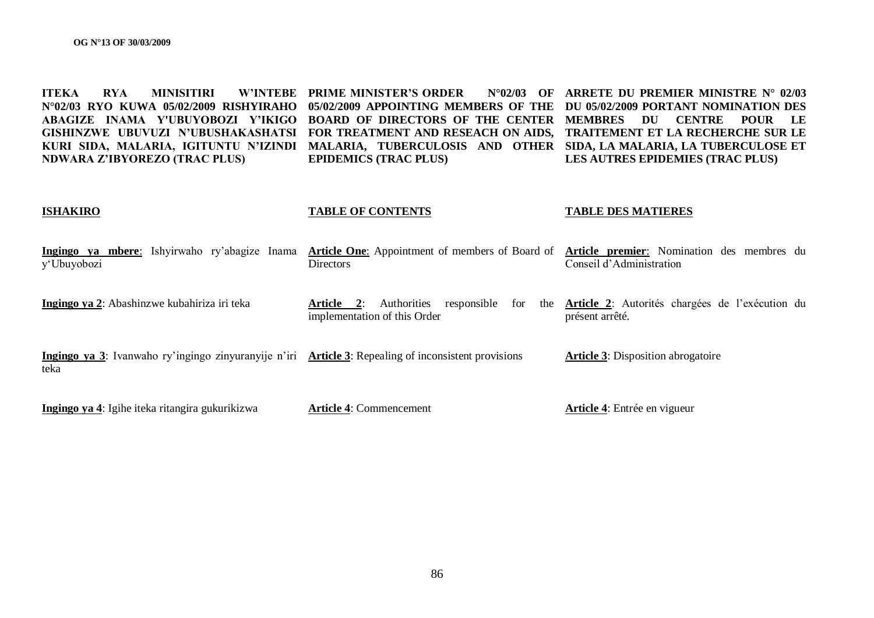**ITEKA RYA MINISITIRI N°02/03 RYO KUWA 05/02/2009 RISHYIRAHO 05/02/2009 APPOINTING MEMBERS OF THE DU 05/02/2009 PORTANT NOMINATION DES ABAGIZE INAMA Y'UBUYOBOZI Y"IKIGO BOARD OF DIRECTORS OF THE CENTER MEMBRES DU CENTRE POUR LE GISHINZWE UBUVUZI N"UBUSHAKASHATSI FOR TREATMENT AND RESEACH ON AIDS, TRAITEMENT ET LA RECHERCHE SUR LE KURI SIDA, MALARIA, IGITUNTU N"IZINDI MALARIA, TUBERCULOSIS AND OTHER SIDA, LA MALARIA, LA TUBERCULOSE ET NDWARA Z"IBYOREZO (TRAC PLUS) W'INTEBE PRIME MINISTER'S ORDER EPIDEMICS (TRAC PLUS) N°02/03 OF ARRETE DU PREMIER MINISTRE N° 02/03 LES AUTRES EPIDEMIES (TRAC PLUS)** 

#### **ISHAKIRO**

#### **TABLE OF CONTENTS**

#### **TABLE DES MATIERES**

| Ingingo ya mbere: Ishyirwaho ry'abagize Inama<br>y'Ubuyobozi                                                 | <b>Article One:</b> Appointment of members of Board of<br><b>Directors</b>             | Article premier: Nomination des membres du<br>Conseil d'Administration         |
|--------------------------------------------------------------------------------------------------------------|----------------------------------------------------------------------------------------|--------------------------------------------------------------------------------|
| Ingingo ya 2: Abashinzwe kubahiriza iri teka                                                                 | responsible<br>for<br><b>Authorities</b><br>Article 2:<br>implementation of this Order | the <b>Article 2</b> : Autorités chargées de l'exécution du<br>présent arrêté. |
| Ingingo ya 3: Ivanwaho ry'ingingo zinyuranyije n'iri Article 3: Repealing of inconsistent provisions<br>teka |                                                                                        | <b>Article 3:</b> Disposition abrogatoire                                      |
| Ingingo ya 4: Igihe iteka ritangira gukurikizwa                                                              | <b>Article 4: Commencement</b>                                                         | Article 4: Entrée en vigueur                                                   |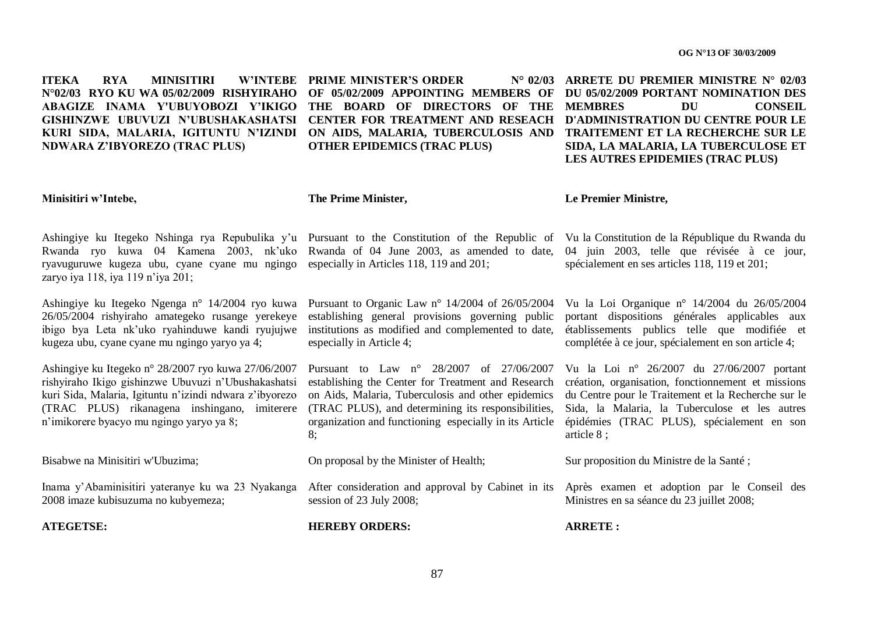**ITEKA RYA MINISITIRI N°02/03 RYO KU WA 05/02/2009 RISHYIRAHO OF 05/02/2009 APPOINTING MEMBERS OF DU 05/02/2009 PORTANT NOMINATION DES ABAGIZE INAMA Y'UBUYOBOZI Y"IKIGO THE BOARD OF DIRECTORS OF THE MEMBRES DU CONSEIL GISHINZWE UBUVUZI N"UBUSHAKASHATSI CENTER FOR TREATMENT AND RESEACH D'ADMINISTRATION DU CENTRE POUR LE KURI SIDA, MALARIA, IGITUNTU N"IZINDI ON AIDS, MALARIA, TUBERCULOSIS AND TRAITEMENT ET LA RECHERCHE SUR LE NDWARA Z"IBYOREZO (TRAC PLUS)**

**W'INTEBE PRIME MINISTER'S ORDER OTHER EPIDEMICS (TRAC PLUS)** 

**ARRETE DU PREMIER MINISTRE N° 02/03 SIDA, LA MALARIA, LA TUBERCULOSE ET LES AUTRES EPIDEMIES (TRAC PLUS)** 

#### **Minisitiri w"Intebe,**

**The Prime Minister,**

**Le Premier Ministre,**

Ashingiye ku Itegeko Nshinga rya Repubulika y'u Pursuant to the Constitution of the Republic of Vu la Constitution de la République du Rwanda du Rwanda ryo kuwa 04 Kamena 2003, nk"uko Rwanda of 04 June 2003, as amended to date, ryavuguruwe kugeza ubu, cyane cyane mu ngingo especially in Articles 118, 119 and 201; zaryo iya 118, iya 119 n"iya 201;

Ashingiye ku Itegeko Ngenga n° 14/2004 ryo kuwa Pursuant to Organic Law n° 14/2004 of 26/05/2004 26/05/2004 rishyiraho amategeko rusange yerekeye establishing general provisions governing public ibigo bya Leta nk"uko ryahinduwe kandi ryujujwe institutions as modified and complemented to date, kugeza ubu, cyane cyane mu ngingo yaryo ya 4;

Ashingiye ku Itegeko n° 28/2007 ryo kuwa 27/06/2007 rishyiraho Ikigo gishinzwe Ubuvuzi n"Ubushakashatsi kuri Sida, Malaria, Igituntu n"izindi ndwara z"ibyorezo (TRAC PLUS) rikanagena inshingano, imiterere n"imikorere byacyo mu ngingo yaryo ya 8;

Bisabwe na Minisitiri w'Ubuzima;

Inama y'Abaminisitiri yateranye ku wa 23 Nyakanga After consideration and approval by Cabinet in its Après examen et adoption par le Conseil des 2008 imaze kubisuzuma no kubyemeza;

**ATEGETSE:**

especially in Article 4;

Pursuant to Law n° 28/2007 of 27/06/2007 establishing the Center for Treatment and Research on Aids, Malaria, Tuberculosis and other epidemics du Centre pour le Traitement et la Recherche sur le (TRAC PLUS), and determining its responsibilities, organization and functioning especially in its Article épidémies (TRAC PLUS), spécialement en son 8;

On proposal by the Minister of Health;

session of 23 July 2008;

**HEREBY ORDERS:**

Vu la Loi Organique n° 14/2004 du 26/05/2004 portant dispositions générales applicables aux établissements publics telle que modifiée et complétée à ce jour, spécialement en son article 4;

04 juin 2003, telle que révisée à ce jour,

spécialement en ses articles 118, 119 et 201;

Vu la Loi n° 26/2007 du 27/06/2007 portant création, organisation, fonctionnement et missions Sida, la Malaria, la Tuberculose et les autres article 8 ;

Sur proposition du Ministre de la Santé ;

Ministres en sa séance du 23 juillet 2008;

**ARRETE :**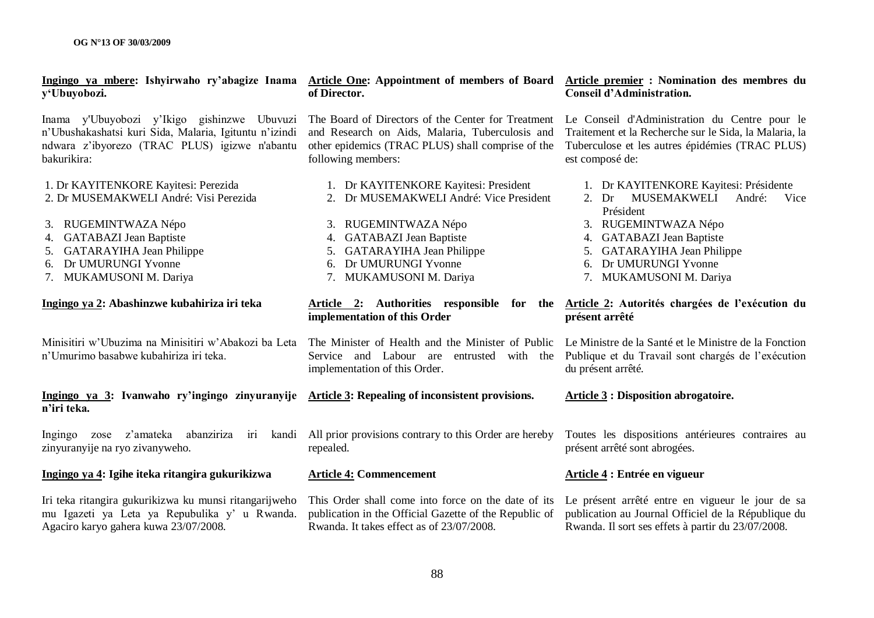| Ingingo ya mbere: Ishyirwaho ry'abagize Inama<br>y'Ubuyobozi.                                                                                                                                                             | Article One: Appointment of members of Board<br>of Director.                                                                                                                                                             | Article premier : Nomination des membres du<br><b>Conseil d'Administration.</b>                                                                                                                                                              |  |  |
|---------------------------------------------------------------------------------------------------------------------------------------------------------------------------------------------------------------------------|--------------------------------------------------------------------------------------------------------------------------------------------------------------------------------------------------------------------------|----------------------------------------------------------------------------------------------------------------------------------------------------------------------------------------------------------------------------------------------|--|--|
| Inama y'Ubuyobozi y'Ikigo gishinzwe Ubuvuzi<br>n'Ubushakashatsi kuri Sida, Malaria, Igituntu n'izindi<br>ndwara z'ibyorezo (TRAC PLUS) igizwe n'abantu<br>bakurikira:                                                     | The Board of Directors of the Center for Treatment<br>and Research on Aids, Malaria, Tuberculosis and<br>other epidemics (TRAC PLUS) shall comprise of the<br>following members:                                         | Le Conseil d'Administration du Centre pour le<br>Traitement et la Recherche sur le Sida, la Malaria, la<br>Tuberculose et les autres épidémies (TRAC PLUS)<br>est composé de:                                                                |  |  |
| 1. Dr KAYITENKORE Kayitesi: Perezida<br>2. Dr MUSEMAKWELI André: Visi Perezida<br>3. RUGEMINTWAZA Népo<br>4. GATABAZI Jean Baptiste<br>5. GATARAYIHA Jean Philippe<br>Dr UMURUNGI Yvonne<br>6.<br>7. MUKAMUSONI M. Dariya | 1. Dr KAYITENKORE Kayitesi: President<br>2. Dr MUSEMAKWELI André: Vice President<br>3. RUGEMINTWAZA Népo<br>4. GATABAZI Jean Baptiste<br>5. GATARAYIHA Jean Philippe<br>6. Dr UMURUNGI Yvonne<br>7. MUKAMUSONI M. Dariya | 1. Dr KAYITENKORE Kayitesi: Présidente<br><b>MUSEMAKWELI</b><br>André:<br>2. Dr<br>Vice<br>Président<br>3. RUGEMINTWAZA Népo<br>4. GATABAZI Jean Baptiste<br>5. GATARAYIHA Jean Philippe<br>6. Dr UMURUNGI Yvonne<br>7. MUKAMUSONI M. Dariya |  |  |
| Ingingo ya 2: Abashinzwe kubahiriza iri teka                                                                                                                                                                              | Article 2: Authorities responsible for the Article 2: Autorités chargées de l'exécution du<br>implementation of this Order                                                                                               | présent arrêté                                                                                                                                                                                                                               |  |  |
| Minisitiri w'Ubuzima na Minisitiri w'Abakozi ba Leta<br>n'Umurimo basabwe kubahiriza iri teka.                                                                                                                            | The Minister of Health and the Minister of Public<br>Service and Labour are entrusted with the<br>implementation of this Order.                                                                                          | Le Ministre de la Santé et le Ministre de la Fonction<br>Publique et du Travail sont chargés de l'exécution<br>du présent arrêté.                                                                                                            |  |  |
| Ingingo ya 3: Ivanwaho ry'ingingo zinyuranyije<br>n'iri teka.                                                                                                                                                             | <b>Article 3: Repealing of inconsistent provisions.</b>                                                                                                                                                                  | <b>Article 3: Disposition abrogatoire.</b>                                                                                                                                                                                                   |  |  |
| abanziriza<br>z'amateka<br>iri<br>kandi<br>Ingingo<br>zose<br>zinyuranyije na ryo zivanyweho.                                                                                                                             | All prior provisions contrary to this Order are hereby<br>repealed.                                                                                                                                                      | Toutes les dispositions antérieures contraires au<br>présent arrêté sont abrogées.                                                                                                                                                           |  |  |
| Ingingo ya 4: Igihe iteka ritangira gukurikizwa                                                                                                                                                                           | <b>Article 4: Commencement</b>                                                                                                                                                                                           | Article 4 : Entrée en vigueur                                                                                                                                                                                                                |  |  |
| Iri teka ritangira gukurikizwa ku munsi ritangarijweho<br>mu Igazeti ya Leta ya Repubulika y' u Rwanda.<br>Agaciro karyo gahera kuwa 23/07/2008.                                                                          | This Order shall come into force on the date of its<br>publication in the Official Gazette of the Republic of<br>Rwanda. It takes effect as of 23/07/2008.                                                               | Le présent arrêté entre en vigueur le jour de sa<br>publication au Journal Officiel de la République du<br>Rwanda. Il sort ses effets à partir du 23/07/2008.                                                                                |  |  |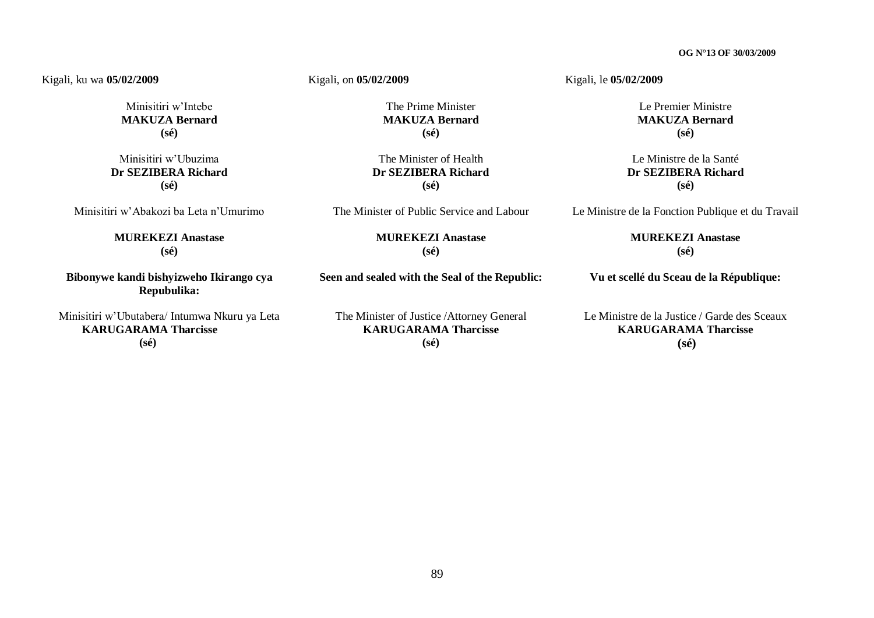#### Kigali, ku wa **05/02/2009**

Minisitiri w"Intebe **MAKUZA Bernard (sé)**

Minisitiri w"Ubuzima **Dr SEZIBERA Richard (sé)**

Minisitiri w"Abakozi ba Leta n"Umurimo

**MUREKEZI Anastase (sé)**

**Bibonywe kandi bishyizweho Ikirango cya Repubulika:**

Minisitiri w"Ubutabera/ Intumwa Nkuru ya Leta  **KARUGARAMA Tharcisse (sé)**

Kigali, on **05/02/2009** 

The Prime Minister **MAKUZA Bernard (sé)**

The Minister of Health **Dr SEZIBERA Richard (sé)**

The Minister of Public Service and Labour

**MUREKEZI Anastase (sé)**

**Seen and sealed with the Seal of the Republic:**

The Minister of Justice /Attorney General **KARUGARAMA Tharcisse (sé)**

Kigali, le **05/02/2009**

Le Premier Ministre **MAKUZA Bernard (sé)**

Le Ministre de la Santé **Dr SEZIBERA Richard (sé)**

Le Ministre de la Fonction Publique et du Travail

**MUREKEZI Anastase (sé)**

**Vu et scellé du Sceau de la République:**

Le Ministre de la Justice / Garde des Sceaux **KARUGARAMA Tharcisse (sé)**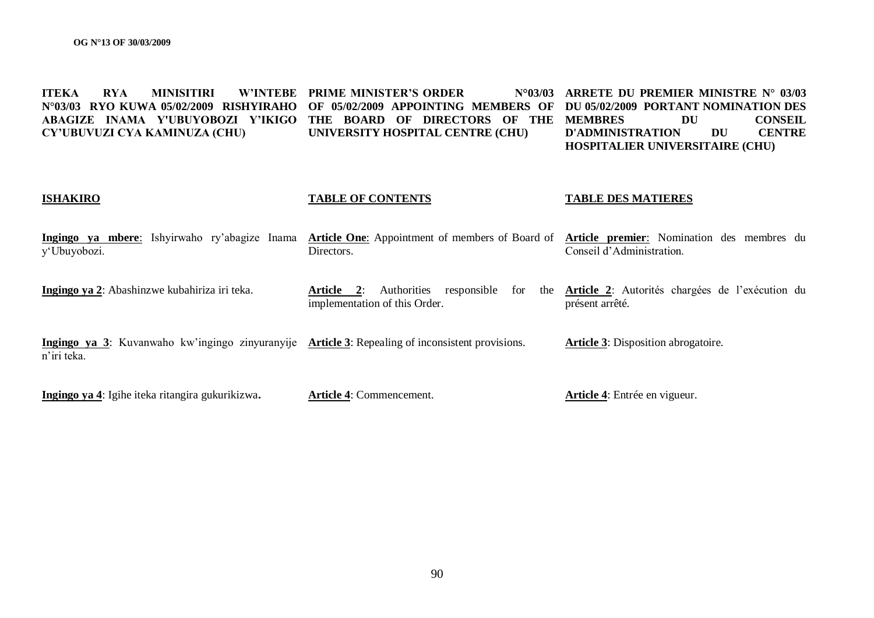| <b>ITEKA</b> | <b>RYA</b> |                               | <b>MINISITIRI W'INTEBE PRIME MINISTER'S ORDER</b>                                                               |  |  |                                  | $N^{\circ}03/03$ ARRETE DU PREMIER MINISTRE $N^{\circ}$ 03/03 |    |    |                |
|--------------|------------|-------------------------------|-----------------------------------------------------------------------------------------------------------------|--|--|----------------------------------|---------------------------------------------------------------|----|----|----------------|
|              |            |                               | N°03/03 RYO KUWA 05/02/2009 RISHYIRAHO OF 05/02/2009 APPOINTING MEMBERS OF DU 05/02/2009 PORTANT NOMINATION DES |  |  |                                  |                                                               |    |    |                |
|              |            |                               | ABAGIZE INAMA Y'UBUYOBOZI Y'IKIGO THE BOARD OF DIRECTORS OF THE MEMBRES                                         |  |  |                                  |                                                               | DU |    | <b>CONSEIL</b> |
|              |            | CY'UBUVUZI CYA KAMINUZA (CHU) |                                                                                                                 |  |  | UNIVERSITY HOSPITAL CENTRE (CHU) | D'ADMINISTRATION                                              |    | DU | <b>CENTRE</b>  |
|              |            |                               |                                                                                                                 |  |  |                                  | <b>HOSPITALIER UNIVERSITAIRE (CHU)</b>                        |    |    |                |

#### **ISHAKIRO TABLE OF CONTENTS TABLE DES MATIERES**

| <b>Ingingo</b><br>va<br>mbere: | Ishvirwaho | ry'abagize Inama | <b>Article One:</b> Appointment of members of Board of | Article .<br>Nomination<br>nremier:<br>membres<br>des | du |
|--------------------------------|------------|------------------|--------------------------------------------------------|-------------------------------------------------------|----|
| u buvober                      |            |                  | Jirectors                                              | Administration<br>`onseil d                           |    |

**Ingingo ya 2**: Abashinzwe kubahiriza iri teka. **Article 2**: Authorities responsible for the **Article 2**: Autorités chargées de l"exécution du implementation of this Order. présent arrêté.

**Ingingo ya 3**: Kuvanwaho kw"ingingo zinyuranyije **Article 3**: Repealing of inconsistent provisions. n"iri teka. **Article 3**: Disposition abrogatoire.

**Ingingo ya 4**: Igihe iteka ritangira gukurikizwa**. Article 4**: Commencement. **Article 4**: Entrée en vigueur.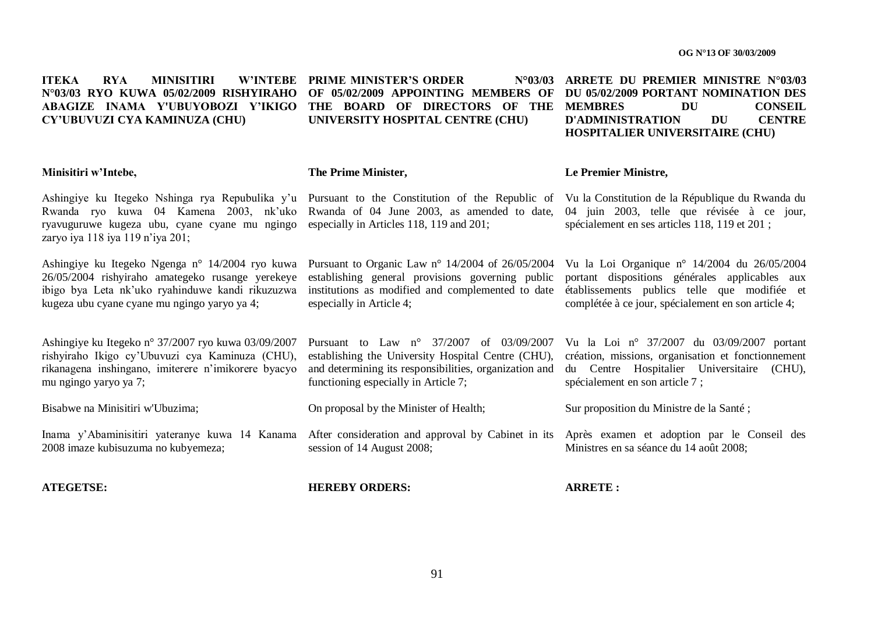**ITEKA RYA MINISITIRI N°03/03 RYO KUWA 05/02/2009 RISHYIRAHO OF 05/02/2009 APPOINTING MEMBERS OF DU 05/02/2009 PORTANT NOMINATION DES ABAGIZE INAMA Y'UBUYOBOZI Y"IKIGO THE BOARD OF DIRECTORS OF THE MEMBRES DU CONSEIL CY"UBUVUZI CYA KAMINUZA (CHU) W'INTEBE PRIME MINISTER'S ORDER UNIVERSITY HOSPITAL CENTRE (CHU) ARRETE DU PREMIER MINISTRE N°03/03**

**The Prime Minister,**

#### **Le Premier Ministre,**

Rwanda ryo kuwa 04 Kamena 2003, nk"uko Rwanda of 04 June 2003, as amended to date, ryavuguruwe kugeza ubu, cyane cyane mu ngingo especially in Articles 118, 119 and 201; zaryo iya 118 iya 119 n'iya 201<sup>-</sup>

Ashingiye ku Itegeko Ngenga n° 14/2004 ryo kuwa Pursuant to Organic Law n° 14/2004 of 26/05/2004 Vu la Loi Organique n° 14/2004 du 26/05/2004 26/05/2004 rishyiraho amategeko rusange yerekeye establishing general provisions governing public ibigo bya Leta nk"uko ryahinduwe kandi rikuzuzwa kugeza ubu cyane cyane mu ngingo yaryo ya 4;

Ashingiye ku Itegeko n° 37/2007 ryo kuwa 03/09/2007 rishyiraho Ikigo cy"Ubuvuzi cya Kaminuza (CHU), rikanagena inshingano, imiterere n"imikorere byacyo mu ngingo yaryo ya 7;

Bisabwe na Minisitiri w'Ubuzima;

2008 imaze kubisuzuma no kubyemeza;

**ATEGETSE:**

**Minisitiri w"Intebe,**

especially in Article 4;

Pursuant to Law n° 37/2007 of 03/09/2007 establishing the University Hospital Centre (CHU), and determining its responsibilities, organization and Vu la Loi n° 37/2007 du 03/09/2007 portant création, missions, organisation et fonctionnement du Centre Hospitalier Universitaire (CHU),

Sur proposition du Ministre de la Santé ;

spécialement en son article 7 ;

Inama y'Abaminisitiri yateranye kuwa 14 Kanama After consideration and approval by Cabinet in its Après examen et adoption par le Conseil des Ministres en sa séance du 14 août 2008;

**HEREBY ORDERS:**

session of 14 August 2008:

functioning especially in Article 7;

On proposal by the Minister of Health;

**ARRETE :**

Ashingiye ku Itegeko Nshinga rya Repubulika y'u Pursuant to the Constitution of the Republic of Vu la Constitution de la République du Rwanda du 04 juin 2003, telle que révisée à ce jour,

**D'ADMINISTRATION DU CENTRE HOSPITALIER UNIVERSITAIRE (CHU)** 

institutions as modified and complemented to date établissements publics telle que modifiée et portant dispositions générales applicables aux complétée à ce jour, spécialement en son article 4;

spécialement en ses articles 118, 119 et 201 ;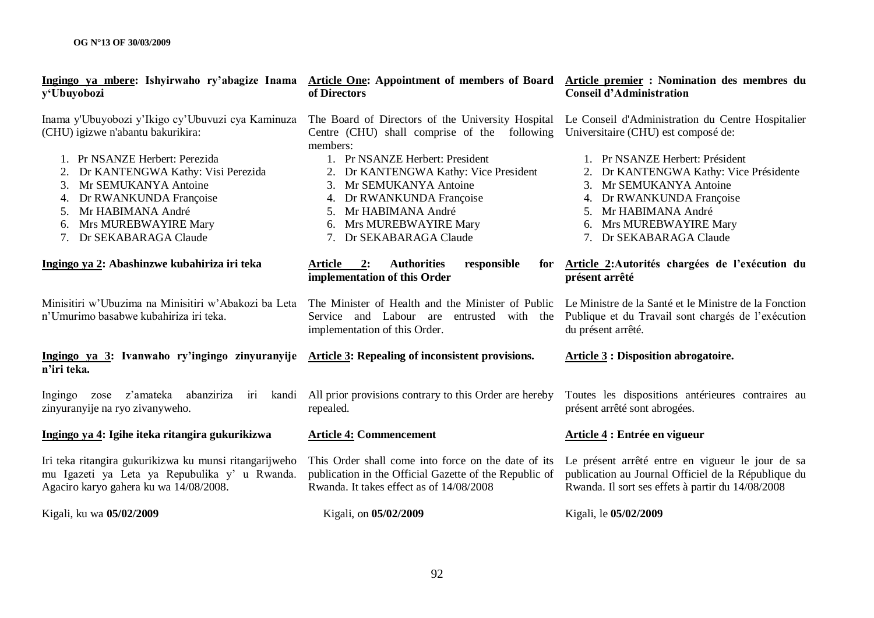| <u>Ingingo ya mbere</u> : Ishyirwaho ry'abagize Inama Article One: Appointment of members of Board Article premier : Nomination des membres du<br>y'Ubuyobozi                                                                                                                                                | of Directors                                                                                                                                                                                                                                                                                                                    | <b>Conseil d'Administration</b>                                                                                                                                                                                                                                                                             |
|--------------------------------------------------------------------------------------------------------------------------------------------------------------------------------------------------------------------------------------------------------------------------------------------------------------|---------------------------------------------------------------------------------------------------------------------------------------------------------------------------------------------------------------------------------------------------------------------------------------------------------------------------------|-------------------------------------------------------------------------------------------------------------------------------------------------------------------------------------------------------------------------------------------------------------------------------------------------------------|
| Inama y'Ubuyobozi y'Ikigo cy'Ubuvuzi cya Kaminuza<br>(CHU) igizwe n'abantu bakurikira:<br>1. Pr NSANZE Herbert: Perezida<br>Dr KANTENGWA Kathy: Visi Perezida<br>Mr SEMUKANYA Antoine<br>3.<br>Dr RWANKUNDA Françoise<br>4.<br>Mr HABIMANA André<br>5.<br>6. Mrs MUREBWAYIRE Mary<br>7. Dr SEKABARAGA Claude | The Board of Directors of the University Hospital<br>Centre (CHU) shall comprise of the following<br>members:<br>1. Pr NSANZE Herbert: President<br>2. Dr KANTENGWA Kathy: Vice President<br>3. Mr SEMUKANYA Antoine<br>4. Dr RWANKUNDA Françoise<br>5. Mr HABIMANA André<br>6. Mrs MUREBWAYIRE Mary<br>7. Dr SEKABARAGA Claude | Le Conseil d'Administration du Centre Hospitalier<br>Universitaire (CHU) est composé de:<br>1. Pr NSANZE Herbert: Président<br>2. Dr KANTENGWA Kathy: Vice Présidente<br>3. Mr SEMUKANYA Antoine<br>4. Dr RWANKUNDA Françoise<br>5. Mr HABIMANA André<br>6. Mrs MUREBWAYIRE Mary<br>7. Dr SEKABARAGA Claude |
| Ingingo ya 2: Abashinzwe kubahiriza iri teka                                                                                                                                                                                                                                                                 | 2:<br><b>Authorities</b><br>responsible<br>Article<br>for<br>implementation of this Order                                                                                                                                                                                                                                       | Article 2: Autorités chargées de l'exécution du<br>présent arrêté                                                                                                                                                                                                                                           |
| Minisitiri w'Ubuzima na Minisitiri w'Abakozi ba Leta<br>n'Umurimo basabwe kubahiriza iri teka.                                                                                                                                                                                                               | The Minister of Health and the Minister of Public<br>Service and Labour are entrusted with the<br>implementation of this Order.                                                                                                                                                                                                 | Le Ministre de la Santé et le Ministre de la Fonction<br>Publique et du Travail sont chargés de l'exécution<br>du présent arrêté.                                                                                                                                                                           |
| Ingingo ya 3: Ivanwaho ry'ingingo zinyuranyije Article 3: Repealing of inconsistent provisions.<br>n'iri teka.                                                                                                                                                                                               |                                                                                                                                                                                                                                                                                                                                 | <b>Article 3: Disposition abrogatoire.</b>                                                                                                                                                                                                                                                                  |
| zose z'amateka<br>abanziriza<br>Ingingo<br>zinyuranyije na ryo zivanyweho.                                                                                                                                                                                                                                   | iri kandi All prior provisions contrary to this Order are hereby<br>repealed.                                                                                                                                                                                                                                                   | Toutes les dispositions antérieures contraires au<br>présent arrêté sont abrogées.                                                                                                                                                                                                                          |
| Ingingo ya 4: Igihe iteka ritangira gukurikizwa                                                                                                                                                                                                                                                              | <b>Article 4: Commencement</b>                                                                                                                                                                                                                                                                                                  | Article 4 : Entrée en vigueur                                                                                                                                                                                                                                                                               |
| Iri teka ritangira gukurikizwa ku munsi ritangarijweho<br>mu Igazeti ya Leta ya Repubulika y' u Rwanda.<br>Agaciro karyo gahera ku wa 14/08/2008.                                                                                                                                                            | This Order shall come into force on the date of its<br>publication in the Official Gazette of the Republic of<br>Rwanda. It takes effect as of 14/08/2008                                                                                                                                                                       | Le présent arrêté entre en vigueur le jour de sa<br>publication au Journal Officiel de la République du<br>Rwanda. Il sort ses effets à partir du 14/08/2008                                                                                                                                                |
| Kigali, ku wa 05/02/2009                                                                                                                                                                                                                                                                                     | Kigali, on 05/02/2009                                                                                                                                                                                                                                                                                                           | Kigali, le 05/02/2009                                                                                                                                                                                                                                                                                       |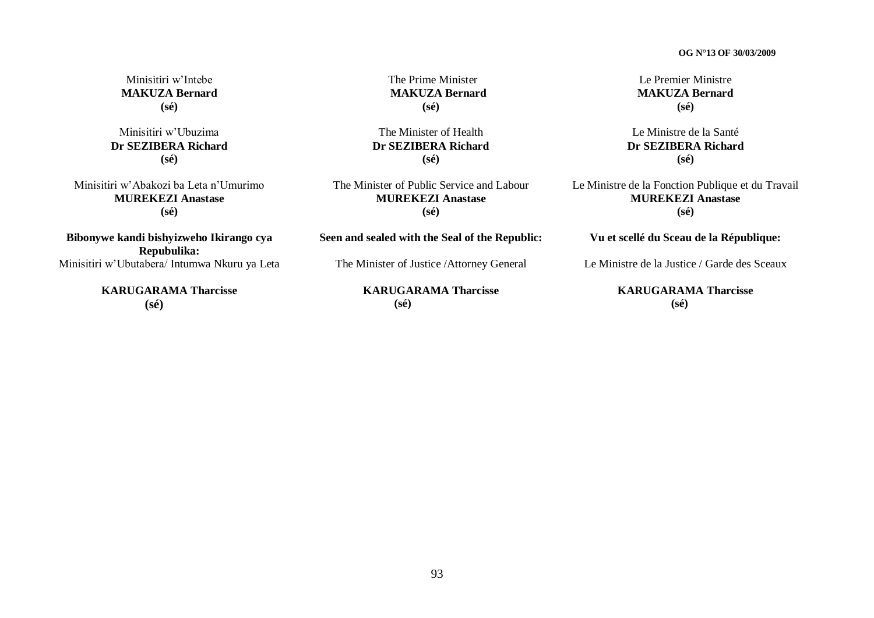Minisitiri w"Intebe **MAKUZA Bernard (sé)**

Minisitiri w"Ubuzima **Dr SEZIBERA Richard (sé)**

Minisitiri w"Abakozi ba Leta n"Umurimo **MUREKEZI Anastase (sé)**

**Bibonywe kandi bishyizweho Ikirango cya Repubulika:** Minisitiri w"Ubutabera/ Intumwa Nkuru ya Leta

> **KARUGARAMA Tharcisse (sé)**

The Prime Minister **MAKUZA Bernard (sé)**

The Minister of Health **Dr SEZIBERA Richard (sé)**

The Minister of Public Service and Labour **MUREKEZI Anastase (sé)**

**Seen and sealed with the Seal of the Republic:**

The Minister of Justice /Attorney General

**KARUGARAMA Tharcisse (sé)**

Le Premier Ministre **MAKUZA Bernard (sé)**

Le Ministre de la Santé **Dr SEZIBERA Richard (sé)**

Le Ministre de la Fonction Publique et du Travail **MUREKEZI Anastase (sé)**

**Vu et scellé du Sceau de la République:**

Le Ministre de la Justice / Garde des Sceaux

**KARUGARAMA Tharcisse (sé)**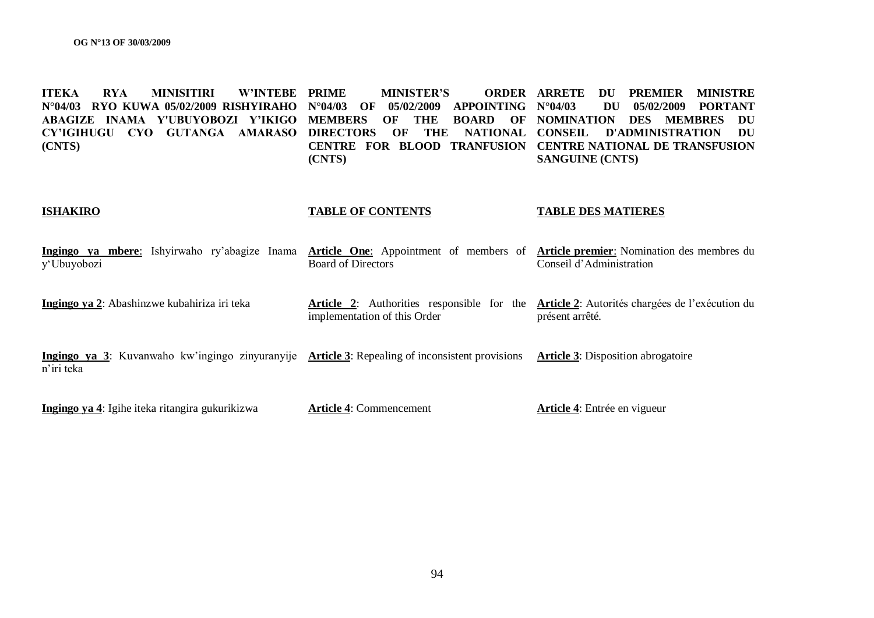**ITEKA RYA MINISITIRI W"INTEBE N°04/03 RYO KUWA 05/02/2009 RISHYIRAHO N°04/03 OF 05/02/2009 APPOINTING ABAGIZE INAMA Y'UBUYOBOZI Y"IKIGO MEMBERS OF THE BOARD OF NOMINATION DES MEMBRES DU CY"IGIHUGU CYO GUTANGA AMARASO DIRECTORS OF THE NATIONAL CONSEIL D'ADMINISTRATION DU (CNTS) MINISTER'S CENTRE FOR BLOOD TRANFUSION CENTRE NATIONAL DE TRANSFUSION (CNTS) ORDER ARRETE DU PREMIER MINISTRE N°04/03 DU 05/02/2009 PORTANT SANGUINE (CNTS)** 

#### **ISHAKIRO TABLE OF CONTENTS TABLE DES MATIERES**

|             |  |  |                    | Ingingo ya mbere: Ishyirwaho ry'abagize Inama Article One: Appointment of members of Article premier: Nomination des membres du |
|-------------|--|--|--------------------|---------------------------------------------------------------------------------------------------------------------------------|
| y'Ubuyobozi |  |  | Board of Directors | Conseil d'Administration                                                                                                        |
|             |  |  |                    |                                                                                                                                 |

**Ingingo ya 2**: Abashinzwe kubahiriza iri teka **Article 2**: Authorities responsible for the **Article 2**: Autorités chargées de l"exécution du implementation of this Order présent arrêté.

**Ingingo ya 3**: Kuvanwaho kw'ingingo zinyuranyije Article 3: Repealing of inconsistent provisions Article 3: Disposition abrogatoire n"iri teka

**Ingingo ya 4**: Igihe iteka ritangira gukurikizwa

**Article 4**: Commencement

**Article 4**: Entrée en vigueur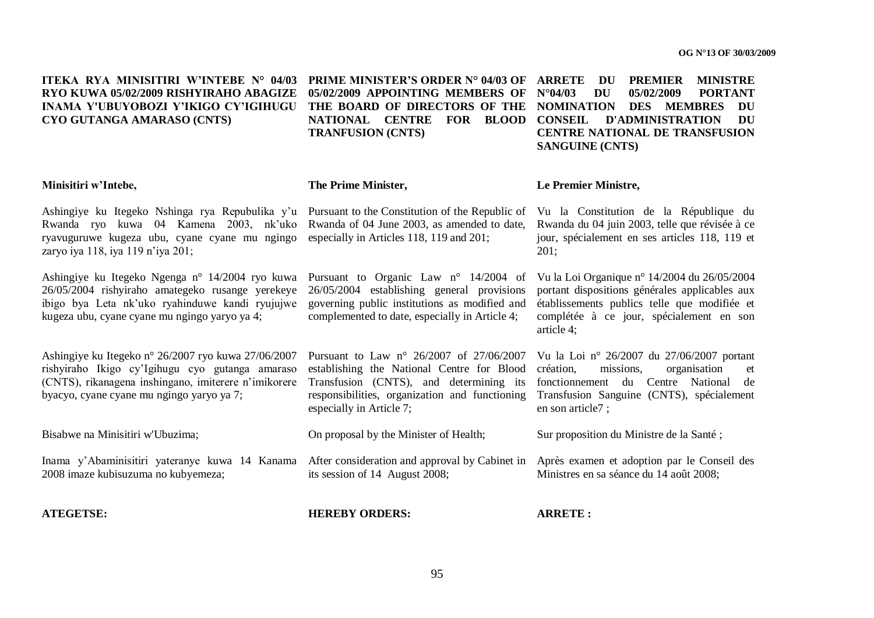**ITEKA RYA MINISITIRI W"INTEBE N° 04/03 PRIME MINISTER"S ORDER N° 04/03 OF RYO KUWA 05/02/2009 RISHYIRAHO ABAGIZE INAMA Y'UBUYOBOZI Y"IKIGO CY"IGIHUGU CYO GUTANGA AMARASO (CNTS)**

**05/02/2009 APPOINTING MEMBERS OF THE BOARD OF DIRECTORS OF THE NOMINATION DES MEMBRES DU NATIONAL CENTRE FOR BLOOD CONSEIL D'ADMINISTRATION DU TRANFUSION (CNTS)** 

**PREMIER MINISTRE N°04/03 DU 05/02/2009 PORTANT CENTRE NATIONAL DE TRANSFUSION SANGUINE (CNTS)** 

Rwanda du 04 juin 2003, telle que révisée à ce jour, spécialement en ses articles 118, 119 et

Vu la Loi Organique n° 14/2004 du 26/05/2004 portant dispositions générales applicables aux établissements publics telle que modifiée et complétée à ce jour, spécialement en son

Sur proposition du Ministre de la Santé ;

Ministres en sa séance du 14 août 2008;

**Le Premier Ministre,**

201;

article 4;

#### **Minisitiri w"Intebe,**

Ashingiye ku Itegeko Nshinga rya Repubulika y"u Pursuant to the Constitution of the Republic of Vu la Constitution de la République du Rwanda ryo kuwa 04 Kamena 2003, nk"uko Rwanda of 04 June 2003, as amended to date, ryavuguruwe kugeza ubu, cyane cyane mu ngingo especially in Articles 118, 119 and 201; zaryo iya 118, iya 119 n"iya 201;

Ashingiye ku Itegeko Ngenga n° 14/2004 ryo kuwa Pursuant to Organic Law n° 14/2004 of 26/05/2004 rishyiraho amategeko rusange yerekeye ibigo bya Leta nk"uko ryahinduwe kandi ryujujwe governing public institutions as modified and kugeza ubu, cyane cyane mu ngingo yaryo ya 4;

Ashingiye ku Itegeko n° 26/2007 ryo kuwa 27/06/2007 rishyiraho Ikigo cy"Igihugu cyo gutanga amaraso (CNTS), rikanagena inshingano, imiterere n"imikorere byacyo, cyane cyane mu ngingo yaryo ya 7;

Bisabwe na Minisitiri w'Ubuzima;

Inama y'Abaminisitiri yateranye kuwa 14 Kanama After consideration and approval by Cabinet in Après examen et adoption par le Conseil des 2008 imaze kubisuzuma no kubyemeza;

**ATEGETSE:**

#### **The Prime Minister,**

26/05/2004 establishing general provisions complemented to date, especially in Article 4;

Pursuant to Law n° 26/2007 of 27/06/2007 establishing the National Centre for Blood Transfusion (CNTS), and determining its responsibilities, organization and functioning especially in Article 7; Vu la Loi n° 26/2007 du 27/06/2007 portant création, missions, organisation et fonctionnement du Centre National de Transfusion Sanguine (CNTS), spécialement en son article7 ;

On proposal by the Minister of Health;

its session of 14 August 2008;

**HEREBY ORDERS:**

**ARRETE :**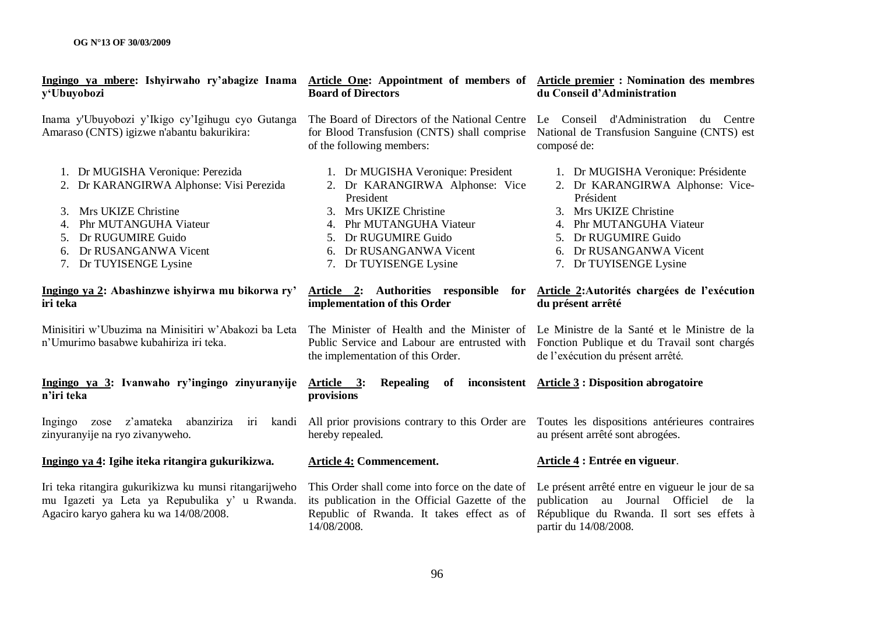| Ingingo ya mbere: Ishyirwaho ry'abagize Inama<br>y'Ubuyobozi                                                                                                                                                              | Article One: Appointment of members of Article premier : Nomination des membres<br><b>Board of Directors</b>                                                                                                       | du Conseil d'Administration                                                                                                                                                                                             |  |  |
|---------------------------------------------------------------------------------------------------------------------------------------------------------------------------------------------------------------------------|--------------------------------------------------------------------------------------------------------------------------------------------------------------------------------------------------------------------|-------------------------------------------------------------------------------------------------------------------------------------------------------------------------------------------------------------------------|--|--|
| Inama y'Ubuyobozi y'Ikigo cy'Igihugu cyo Gutanga<br>Amaraso (CNTS) igizwe n'abantu bakurikira:                                                                                                                            | The Board of Directors of the National Centre<br>for Blood Transfusion (CNTS) shall comprise<br>of the following members:                                                                                          | Le Conseil d'Administration du Centre<br>National de Transfusion Sanguine (CNTS) est<br>composé de:                                                                                                                     |  |  |
| 1. Dr MUGISHA Veronique: Perezida<br>2. Dr KARANGIRWA Alphonse: Visi Perezida<br>Mrs UKIZE Christine<br>3.<br>Phr MUTANGUHA Viateur<br>4.<br>Dr RUGUMIRE Guido<br>5.<br>6. Dr RUSANGANWA Vicent<br>7. Dr TUYISENGE Lysine | 1. Dr MUGISHA Veronique: President<br>2. Dr KARANGIRWA Alphonse: Vice<br>President<br>Mrs UKIZE Christine<br>4. Phr MUTANGUHA Viateur<br>5. Dr RUGUMIRE Guido<br>6. Dr RUSANGANWA Vicent<br>7. Dr TUYISENGE Lysine | 1. Dr MUGISHA Veronique: Présidente<br>2. Dr KARANGIRWA Alphonse: Vice-<br>Président<br>3. Mrs UKIZE Christine<br>4. Phr MUTANGUHA Viateur<br>5. Dr RUGUMIRE Guido<br>6. Dr RUSANGANWA Vicent<br>7. Dr TUYISENGE Lysine |  |  |
| Ingingo ya 2: Abashinzwe ishyirwa mu bikorwa ry'<br>iri teka                                                                                                                                                              | Article 2: Authorities responsible for<br>implementation of this Order                                                                                                                                             | Article 2: Autorités chargées de l'exécution<br>du présent arrêté                                                                                                                                                       |  |  |
| Minisitiri w'Ubuzima na Minisitiri w'Abakozi ba Leta<br>n'Umurimo basabwe kubahiriza iri teka.                                                                                                                            | The Minister of Health and the Minister of<br>Public Service and Labour are entrusted with<br>the implementation of this Order.                                                                                    | Le Ministre de la Santé et le Ministre de la<br>Fonction Publique et du Travail sont chargés<br>de l'exécution du présent arrêté.                                                                                       |  |  |
| Ingingo ya 3: Ivanwaho ry'ingingo zinyuranyije<br>n'iri teka                                                                                                                                                              | Article 3:<br><b>Repealing</b><br>of<br>provisions                                                                                                                                                                 | inconsistent Article 3 : Disposition abrogatoire                                                                                                                                                                        |  |  |
| z'amateka<br>abanziriza<br>kandi<br>Ingingo zose<br><b>III</b><br>zinyuranyije na ryo zivanyweho.                                                                                                                         | All prior provisions contrary to this Order are<br>hereby repealed.                                                                                                                                                | Toutes les dispositions antérieures contraires<br>au présent arrêté sont abrogées.                                                                                                                                      |  |  |
| Ingingo ya 4: Igihe iteka ritangira gukurikizwa.                                                                                                                                                                          | <b>Article 4: Commencement.</b>                                                                                                                                                                                    | Article 4 : Entrée en vigueur.                                                                                                                                                                                          |  |  |
| Iri teka ritangira gukurikizwa ku munsi ritangarijweho<br>mu Igazeti ya Leta ya Repubulika y' u Rwanda.<br>Agaciro karyo gahera ku wa 14/08/2008.                                                                         | This Order shall come into force on the date of<br>its publication in the Official Gazette of the<br>Republic of Rwanda. It takes effect as of<br>14/08/2008.                                                      | Le présent arrêté entre en vigueur le jour de sa<br>publication au Journal Officiel de la<br>République du Rwanda. Il sort ses effets à<br>partir du 14/08/2008.                                                        |  |  |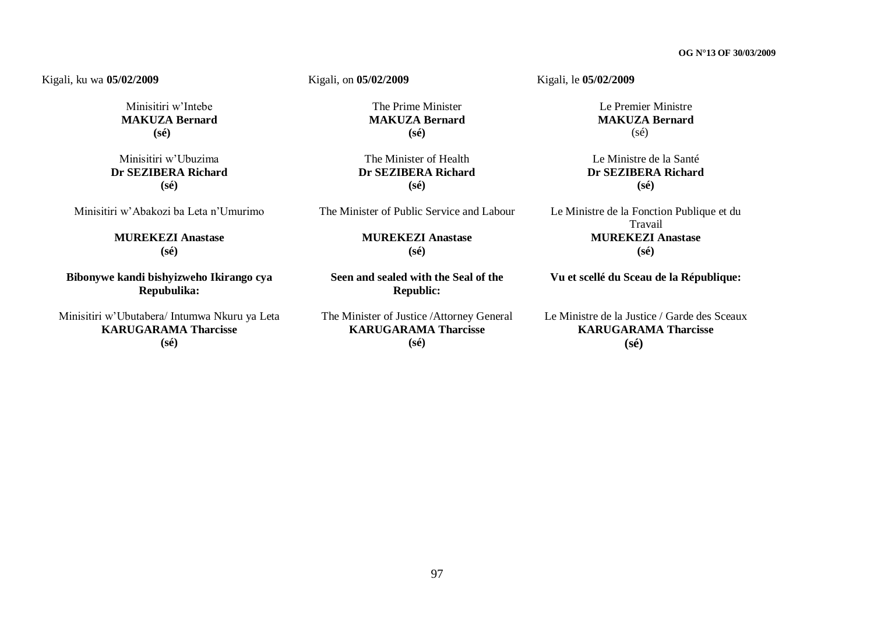#### Kigali, ku wa **05/02/2009**

Minisitiri w"Intebe **MAKUZA Bernard (sé)**

Minisitiri w"Ubuzima **Dr SEZIBERA Richard (sé)**

Minisitiri w"Abakozi ba Leta n"Umurimo

**MUREKEZI Anastase (sé)**

**Bibonywe kandi bishyizweho Ikirango cya Repubulika:**

Minisitiri w"Ubutabera/ Intumwa Nkuru ya Leta **KARUGARAMA Tharcisse (sé)**

Kigali, on **05/02/2009** 

The Prime Minister **MAKUZA Bernard (sé)**

The Minister of Health **Dr SEZIBERA Richard (sé)**

The Minister of Public Service and Labour

**MUREKEZI Anastase (sé)**

**Seen and sealed with the Seal of the Republic:**

The Minister of Justice /Attorney General **KARUGARAMA Tharcisse (sé)**

Kigali, le **05/02/2009** 

Le Premier Ministre **MAKUZA Bernard** (sé)

Le Ministre de la Santé **Dr SEZIBERA Richard (sé)**

Le Ministre de la Fonction Publique et du Travail **MUREKEZI Anastase (sé)**

**Vu et scellé du Sceau de la République:**

Le Ministre de la Justice / Garde des Sceaux **KARUGARAMA Tharcisse (sé)**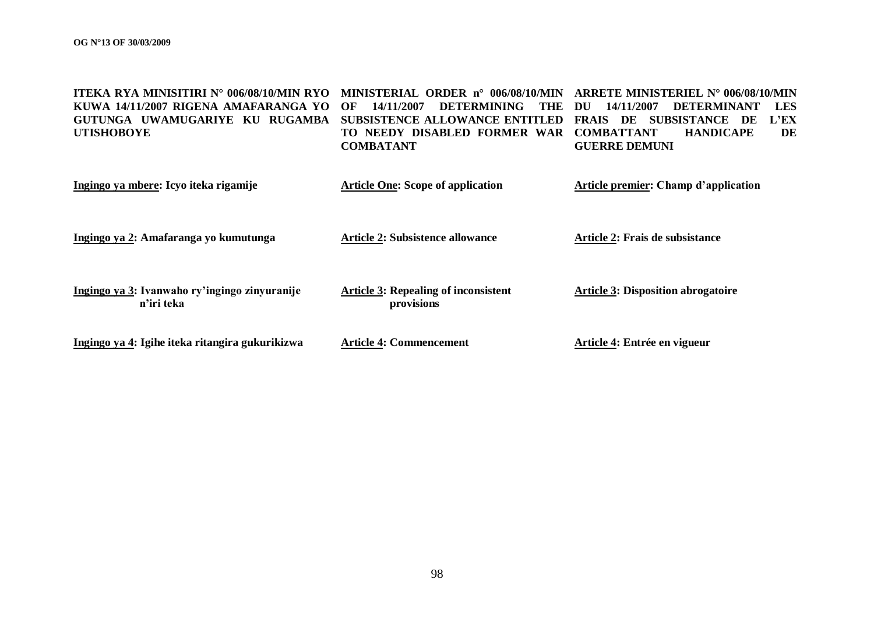| <b>ITEKA RYA MINISITIRI N° 006/08/10/MIN RYO</b><br>KUWA 14/11/2007 RIGENA AMAFARANGA YO<br>GUTUNGA UWAMUGARIYE KU RUGAMBA<br><b>UTISHOBOYE</b> | MINISTERIAL ORDER n° 006/08/10/MIN<br><b>DETERMINING</b><br>14/11/2007<br>THE.<br>OF<br>SUBSISTENCE ALLOWANCE ENTITLED<br>TO NEEDY DISABLED FORMER WAR<br><b>COMBATANT</b> | ARRETE MINISTERIEL $N^{\circ}$ 006/08/10/MIN<br><b>LES</b><br>14/11/2007<br><b>DETERMINANT</b><br>DU<br>L'EX<br><b>SUBSISTANCE</b><br><b>FRAIS</b><br>DE<br>DE<br><b>COMBATTANT</b><br><b>HANDICAPE</b><br>DE<br><b>GUERRE DEMUNI</b> |
|-------------------------------------------------------------------------------------------------------------------------------------------------|----------------------------------------------------------------------------------------------------------------------------------------------------------------------------|---------------------------------------------------------------------------------------------------------------------------------------------------------------------------------------------------------------------------------------|
| Ingingo ya mbere: Icyo iteka rigamije                                                                                                           | <b>Article One: Scope of application</b>                                                                                                                                   | <b>Article premier: Champ d'application</b>                                                                                                                                                                                           |
| Ingingo ya 2: Amafaranga yo kumutunga                                                                                                           | <b>Article 2: Subsistence allowance</b>                                                                                                                                    | Article 2: Frais de subsistance                                                                                                                                                                                                       |
| Ingingo ya 3: Ivanwaho ry'ingingo zinyuranije<br>n'iri teka                                                                                     | <b>Article 3: Repealing of inconsistent</b><br>provisions                                                                                                                  | <b>Article 3: Disposition abrogatoire</b>                                                                                                                                                                                             |
| Ingingo ya 4: Igihe iteka ritangira gukurikizwa                                                                                                 | <b>Article 4: Commencement</b>                                                                                                                                             | Article 4: Entrée en vigueur                                                                                                                                                                                                          |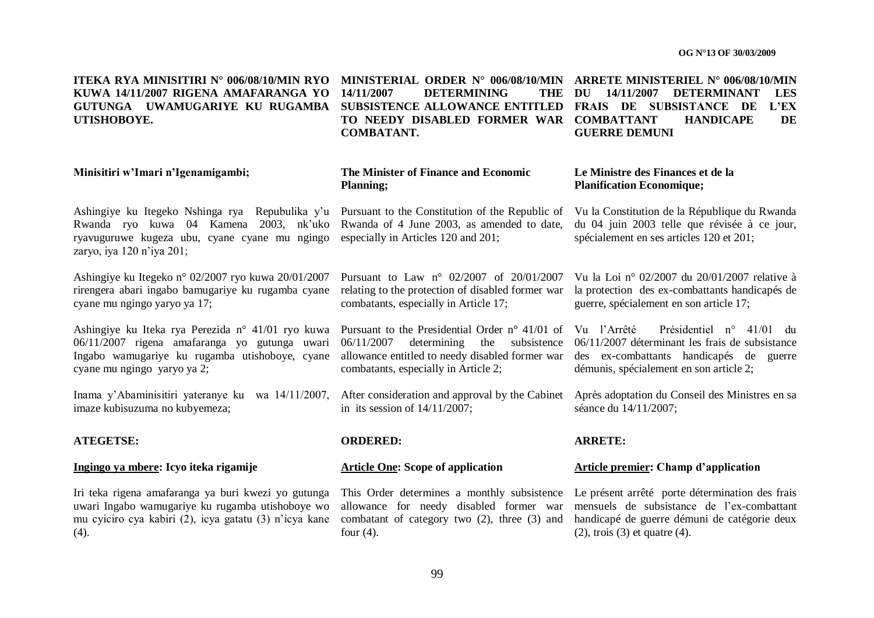ITEKA RYA MINISITIRI N° 006/08/10/MIN RYO MINISTERIAL ORDER N° 006/08/10/MIN ARRETE MINISTERIEL N° 006/08/10/MIN **KUWA 14/11/2007 RIGENA AMAFARANGA YO**  GUTUNGA UWAMUGARIYE KU RUGAMBA SUBSISTENCE ALLOWANCE ENTITLED FRAIS DE SUBSISTANCE DE L'EX **UTISHOBOYE.**

**DETERMINING COMBATANT.**

**TO NEEDY DISABLED FORMER WAR COMBATTANT HANDICAPE DE DU 14/11/2007 DETERMINANT LES GUERRE DEMUNI**

#### **Minisitiri w"Imari n"Igenamigambi; The Minister of Finance and Economic Planning;**

Ashingiye ku Itegeko Nshinga rya Repubulika y'u Pursuant to the Constitution of the Republic of Vu la Constitution de la République du Rwanda Rwanda ryo kuwa 04 Kamena 2003, nk"uko ryavuguruwe kugeza ubu, cyane cyane mu ngingo zaryo, iya 120 n"iya 201;

Ashingiye ku Itegeko n° 02/2007 ryo kuwa 20/01/2007 rirengera abari ingabo bamugariye ku rugamba cyane cyane mu ngingo yaryo ya 17;

Ashingiye ku Iteka rya Perezida n° 41/01 ryo kuwa 06/11/2007 rigena amafaranga yo gutunga uwari Ingabo wamugariye ku rugamba utishoboye, cyane cyane mu ngingo yaryo ya 2;

Inama y"Abaminisitiri yateranye ku wa 14/11/2007, imaze kubisuzuma no kubyemeza;

#### **ATEGETSE: ORDERED: ARRETE:**

Iri teka rigena amafaranga ya buri kwezi yo gutunga uwari Ingabo wamugariye ku rugamba utishoboye wo mu cyiciro cya kabiri (2), icya gatatu (3) n"icya kane  $(4).$ 

Rwanda of 4 June 2003, as amended to date, especially in Articles 120 and 201;

#### **Le Ministre des Finances et de la Planification Economique;**

du 04 juin 2003 telle que révisée à ce jour, spécialement en ses articles 120 et 201;

Pursuant to Law n° 02/2007 of 20/01/2007 Vu la Loi n° 02/2007 du 20/01/2007 relative à relating to the protection of disabled former war combatants, especially in Article 17;

Pursuant to the Presidential Order n° 41/01 of Vu l'Arrêté 06/11/2007 determining the subsistence 06/11/2007 déterminant les frais de subsistance allowance entitled to needy disabled former war des ex-combattants handicapés de guerre combatants, especially in Article 2;

in its session of 14/11/2007;

This Order determines a monthly subsistence Le présent arrêté porte détermination des frais allowance for needy disabled former war four (4).

la protection des ex-combattants handicapés de guerre, spécialement en son article 17;

Présidentiel n° 41/01 du démunis, spécialement en son article 2;

After consideration and approval by the Cabinet Après adoptation du Conseil des Ministres en sa séance du 14/11/2007;

#### **Ingingo ya mbere: Icyo iteka rigamije Article One: Scope of application Article premier: Champ d"application**

combatant of category two (2), three (3) and handicapé de guerre démuni de catégorie deux mensuels de subsistance de l"ex-combattant (2), trois (3) et quatre (4).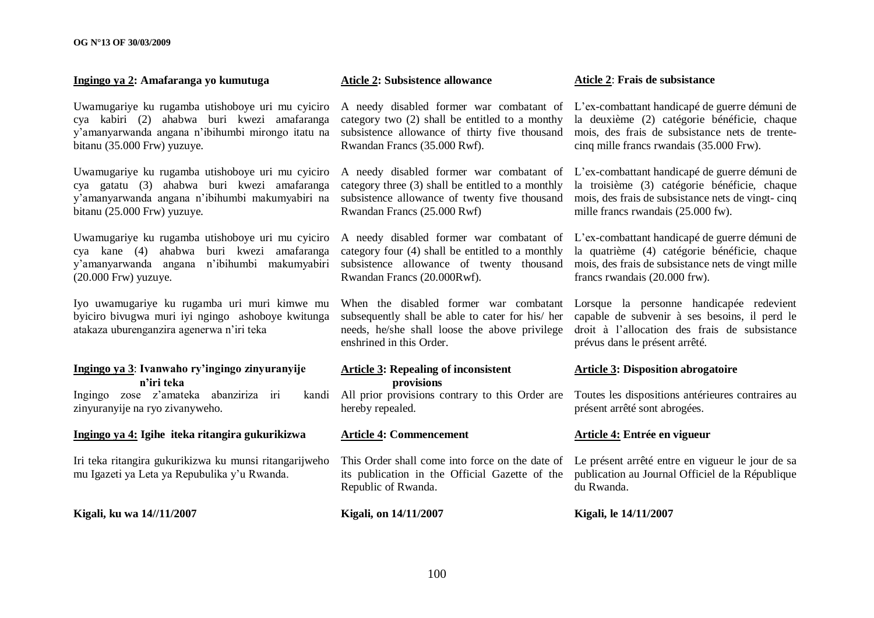#### **Ingingo ya 2: Amafaranga yo kumutuga Aticle 2: Subsistence allowance Aticle 2**: **Frais de subsistance**

Uwamugariye ku rugamba utishoboye uri mu cyiciro cya kabiri (2) ahabwa buri kwezi amafaranga y"amanyarwanda angana n"ibihumbi mirongo itatu na bitanu (35.000 Frw) yuzuye.

Uwamugariye ku rugamba utishoboye uri mu cyiciro cya gatatu (3) ahabwa buri kwezi amafaranga y"amanyarwanda angana n"ibihumbi makumyabiri na bitanu (25.000 Frw) yuzuye.

Uwamugariye ku rugamba utishoboye uri mu cyiciro cya kane (4) ahabwa buri kwezi amafaranga y"amanyarwanda angana n"ibihumbi makumyabiri (20.000 Frw) yuzuye.

Iyo uwamugariye ku rugamba uri muri kimwe mu byiciro bivugwa muri iyi ngingo ashoboye kwitunga atakaza uburenganzira agenerwa n"iri teka

### **Ingingo ya 3**: **Ivanwaho ry"ingingo zinyuranyije n"iri teka**

Ingingo zose z'amateka abanziriza iri zinyuranyije na ryo zivanyweho.

#### **Ingingo ya 4: Igihe iteka ritangira gukurikizwa**

Iri teka ritangira gukurikizwa ku munsi ritangarijweho mu Igazeti ya Leta ya Repubulika y"u Rwanda.

**Kigali, ku wa 14//11/2007 Kigali, on 14/11/2007 Kigali, le 14/11/2007**

A needy disabled former war combatant of L"ex-combattant handicapé de guerre démuni de category two (2) shall be entitled to a monthy subsistence allowance of thirty five thousand Rwandan Francs (35.000 Rwf).

category three (3) shall be entitled to a monthly Rwandan Francs (25.000 Rwf)

category four (4) shall be entitled to a monthly Rwandan Francs (20.000Rwf).

subsequently shall be able to cater for his/ her needs, he/she shall loose the above privilege enshrined in this Order.

#### **Article 3: Repealing of inconsistent provisions**

hereby repealed.

#### **Article 4: Commencement**

This Order shall come into force on the date of Le présent arrêté entre en vigueur le jour de sa its publication in the Official Gazette of the Republic of Rwanda.

la deuxième (2) catégorie bénéficie, chaque mois, des frais de subsistance nets de trentecinq mille francs rwandais (35.000 Frw).

A needy disabled former war combatant of L"ex-combattant handicapé de guerre démuni de subsistence allowance of twenty five thousand mois, des frais de subsistance nets de vingt- cinq la troisième (3) catégorie bénéficie, chaque mille francs rwandais (25.000 fw).

A needy disabled former war combatant of L"ex-combattant handicapé de guerre démuni de subsistence allowance of twenty thousand mois, des frais de subsistance nets de vingt mille la quatrième (4) catégorie bénéficie, chaque francs rwandais (20.000 frw).

When the disabled former war combatant Lorsque la personne handicapée redevient capable de subvenir à ses besoins, il perd le droit à l"allocation des frais de subsistance prévus dans le présent arrêté.

#### **Article 3: Disposition abrogatoire**

All prior provisions contrary to this Order are Toutes les dispositions antérieures contraires au présent arrêté sont abrogées.

#### **Article 4: Entrée en vigueur**

publication au Journal Officiel de la République du Rwanda.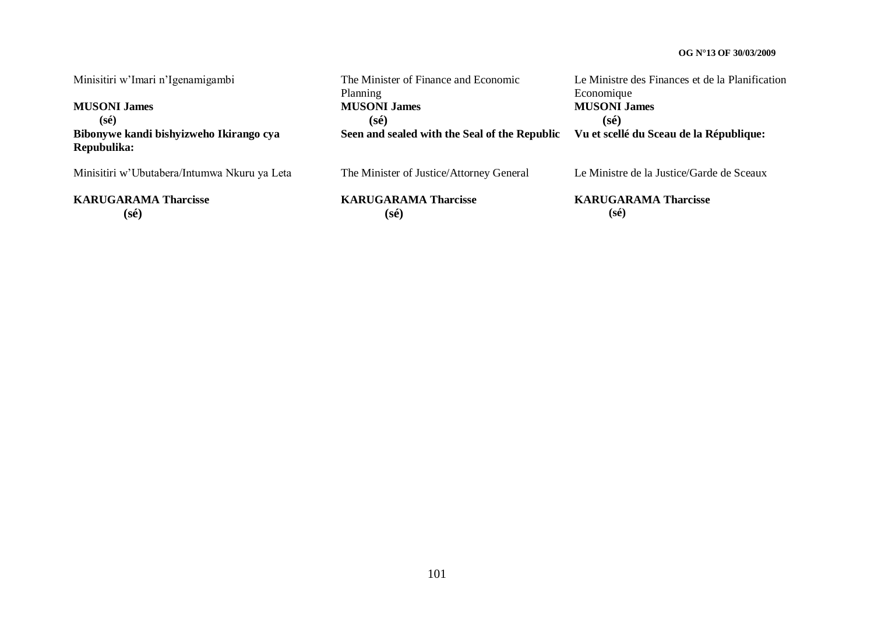Minisitiri w"Imari n"Igenamigambi **MUSONI James (sé)** The Minister of Finance and Economic Planning **MUSONI James (sé)** Le Ministre des Finances et de la Planification Economique **MUSONI James** (sé)<br>**Vu et scellé du Sceau de la République: Bibonywe kandi bishyizweho Ikirango cya Repubulika: Seen and sealed with the Seal of the Republic** Minisitiri w"Ubutabera/Intumwa Nkuru ya Leta **KARUGARAMA Tharcisse (sé)** The Minister of Justice/Attorney General **KARUGARAMA Tharcisse (sé)** Le Ministre de la Justice/Garde de Sceaux **KARUGARAMA Tharcisse (sé)**